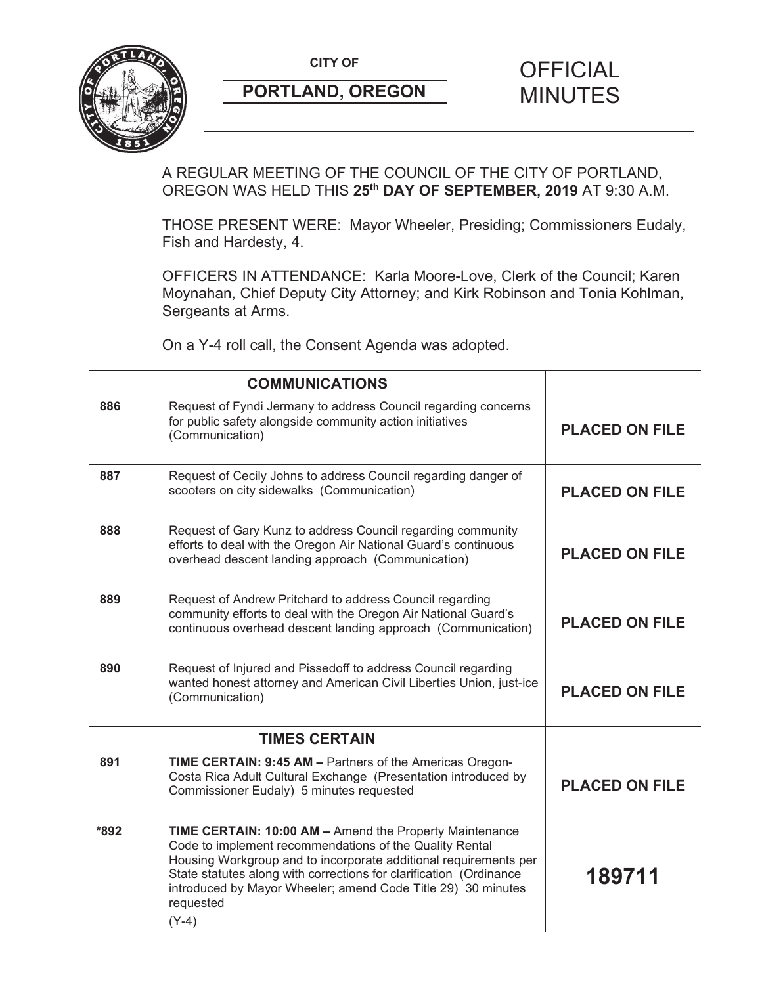

## **PORTLAND, OREGON MINUTES**

# **CITY OF CITY OF FICIAL**

A REGULAR MEETING OF THE COUNCIL OF THE CITY OF PORTLAND, OREGON WAS HELD THIS **25th DAY OF SEPTEMBER, 2019** AT 9:30 A.M.

THOSE PRESENT WERE: Mayor Wheeler, Presiding; Commissioners Eudaly, Fish and Hardesty, 4.

OFFICERS IN ATTENDANCE: Karla Moore-Love, Clerk of the Council; Karen Moynahan, Chief Deputy City Attorney; and Kirk Robinson and Tonia Kohlman, Sergeants at Arms.

On a Y-4 roll call, the Consent Agenda was adopted.

|      | <b>COMMUNICATIONS</b>                                                                                                                                                                                                                                                                                                                                |                       |
|------|------------------------------------------------------------------------------------------------------------------------------------------------------------------------------------------------------------------------------------------------------------------------------------------------------------------------------------------------------|-----------------------|
| 886  | Request of Fyndi Jermany to address Council regarding concerns<br>for public safety alongside community action initiatives<br>(Communication)                                                                                                                                                                                                        | <b>PLACED ON FILE</b> |
| 887  | Request of Cecily Johns to address Council regarding danger of<br>scooters on city sidewalks (Communication)                                                                                                                                                                                                                                         | <b>PLACED ON FILE</b> |
| 888  | Request of Gary Kunz to address Council regarding community<br>efforts to deal with the Oregon Air National Guard's continuous<br>overhead descent landing approach (Communication)                                                                                                                                                                  | <b>PLACED ON FILE</b> |
| 889  | Request of Andrew Pritchard to address Council regarding<br>community efforts to deal with the Oregon Air National Guard's<br>continuous overhead descent landing approach (Communication)                                                                                                                                                           | <b>PLACED ON FILE</b> |
| 890  | Request of Injured and Pissedoff to address Council regarding<br>wanted honest attorney and American Civil Liberties Union, just-ice<br>(Communication)                                                                                                                                                                                              | <b>PLACED ON FILE</b> |
|      | <b>TIMES CERTAIN</b>                                                                                                                                                                                                                                                                                                                                 |                       |
| 891  | TIME CERTAIN: 9:45 AM - Partners of the Americas Oregon-<br>Costa Rica Adult Cultural Exchange (Presentation introduced by<br>Commissioner Eudaly) 5 minutes requested                                                                                                                                                                               | <b>PLACED ON FILE</b> |
| *892 | TIME CERTAIN: 10:00 AM - Amend the Property Maintenance<br>Code to implement recommendations of the Quality Rental<br>Housing Workgroup and to incorporate additional requirements per<br>State statutes along with corrections for clarification (Ordinance<br>introduced by Mayor Wheeler; amend Code Title 29) 30 minutes<br>requested<br>$(Y-4)$ | 189711                |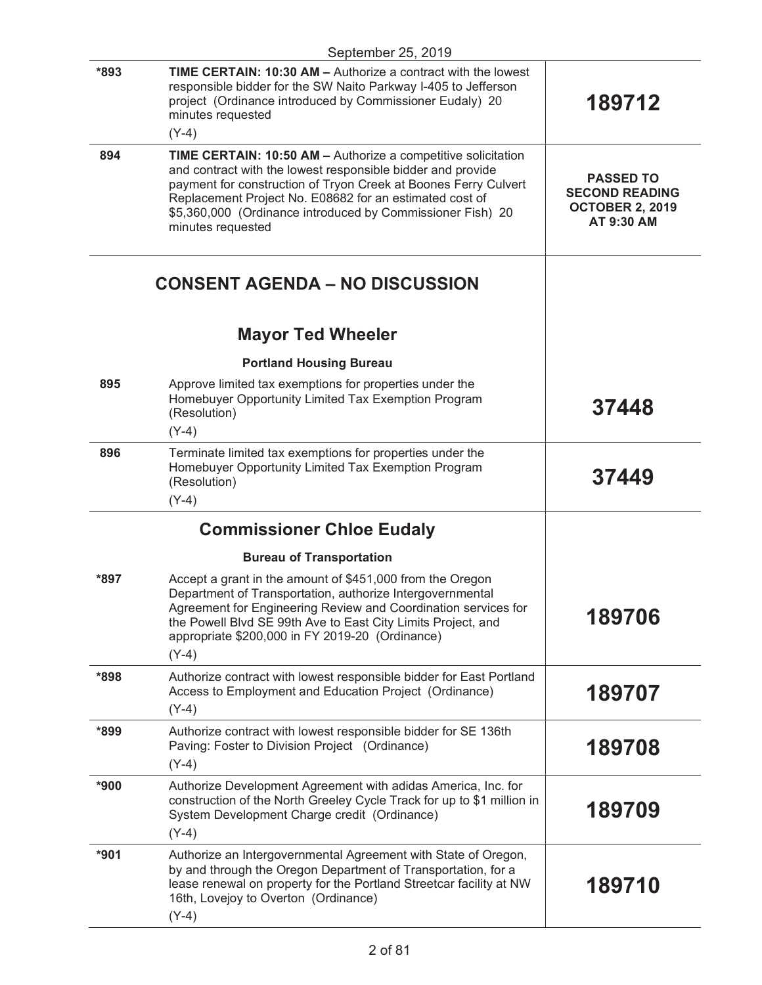|        | September 25, 2019                                                                                                                                                                                                                                                                                                                            |                                                                                   |
|--------|-----------------------------------------------------------------------------------------------------------------------------------------------------------------------------------------------------------------------------------------------------------------------------------------------------------------------------------------------|-----------------------------------------------------------------------------------|
| $*893$ | <b>TIME CERTAIN: 10:30 AM - Authorize a contract with the lowest</b><br>responsible bidder for the SW Naito Parkway I-405 to Jefferson<br>project (Ordinance introduced by Commissioner Eudaly) 20<br>minutes requested<br>$(Y-4)$                                                                                                            | 189712                                                                            |
| 894    | TIME CERTAIN: 10:50 AM - Authorize a competitive solicitation<br>and contract with the lowest responsible bidder and provide<br>payment for construction of Tryon Creek at Boones Ferry Culvert<br>Replacement Project No. E08682 for an estimated cost of<br>\$5,360,000 (Ordinance introduced by Commissioner Fish) 20<br>minutes requested | <b>PASSED TO</b><br><b>SECOND READING</b><br><b>OCTOBER 2, 2019</b><br>AT 9:30 AM |
|        | <b>CONSENT AGENDA – NO DISCUSSION</b>                                                                                                                                                                                                                                                                                                         |                                                                                   |
|        | <b>Mayor Ted Wheeler</b>                                                                                                                                                                                                                                                                                                                      |                                                                                   |
|        | <b>Portland Housing Bureau</b>                                                                                                                                                                                                                                                                                                                |                                                                                   |
| 895    | Approve limited tax exemptions for properties under the<br>Homebuyer Opportunity Limited Tax Exemption Program<br>(Resolution)                                                                                                                                                                                                                | 37448                                                                             |
|        | $(Y-4)$                                                                                                                                                                                                                                                                                                                                       |                                                                                   |
| 896    | Terminate limited tax exemptions for properties under the<br>Homebuyer Opportunity Limited Tax Exemption Program<br>(Resolution)                                                                                                                                                                                                              | 37449                                                                             |
|        | $(Y-4)$                                                                                                                                                                                                                                                                                                                                       |                                                                                   |
|        | <b>Commissioner Chloe Eudaly</b>                                                                                                                                                                                                                                                                                                              |                                                                                   |
|        | <b>Bureau of Transportation</b>                                                                                                                                                                                                                                                                                                               |                                                                                   |
| *897   | Accept a grant in the amount of \$451,000 from the Oregon<br>Department of Transportation, authorize Intergovernmental<br>Agreement for Engineering Review and Coordination services for<br>the Powell Blvd SE 99th Ave to East City Limits Project, and<br>appropriate \$200,000 in FY 2019-20 (Ordinance)<br>$(Y-4)$                        | 189706                                                                            |
| *898   | Authorize contract with lowest responsible bidder for East Portland<br>Access to Employment and Education Project (Ordinance)<br>$(Y-4)$                                                                                                                                                                                                      | 189707                                                                            |
| *899   | Authorize contract with lowest responsible bidder for SE 136th<br>Paving: Foster to Division Project (Ordinance)<br>$(Y-4)$                                                                                                                                                                                                                   | 189708                                                                            |
| $*900$ | Authorize Development Agreement with adidas America, Inc. for<br>construction of the North Greeley Cycle Track for up to \$1 million in<br>System Development Charge credit (Ordinance)<br>$(Y-4)$                                                                                                                                            | 189709                                                                            |
| *901   | Authorize an Intergovernmental Agreement with State of Oregon,<br>by and through the Oregon Department of Transportation, for a<br>lease renewal on property for the Portland Streetcar facility at NW<br>16th, Lovejoy to Overton (Ordinance)<br>$(Y-4)$                                                                                     | 189710                                                                            |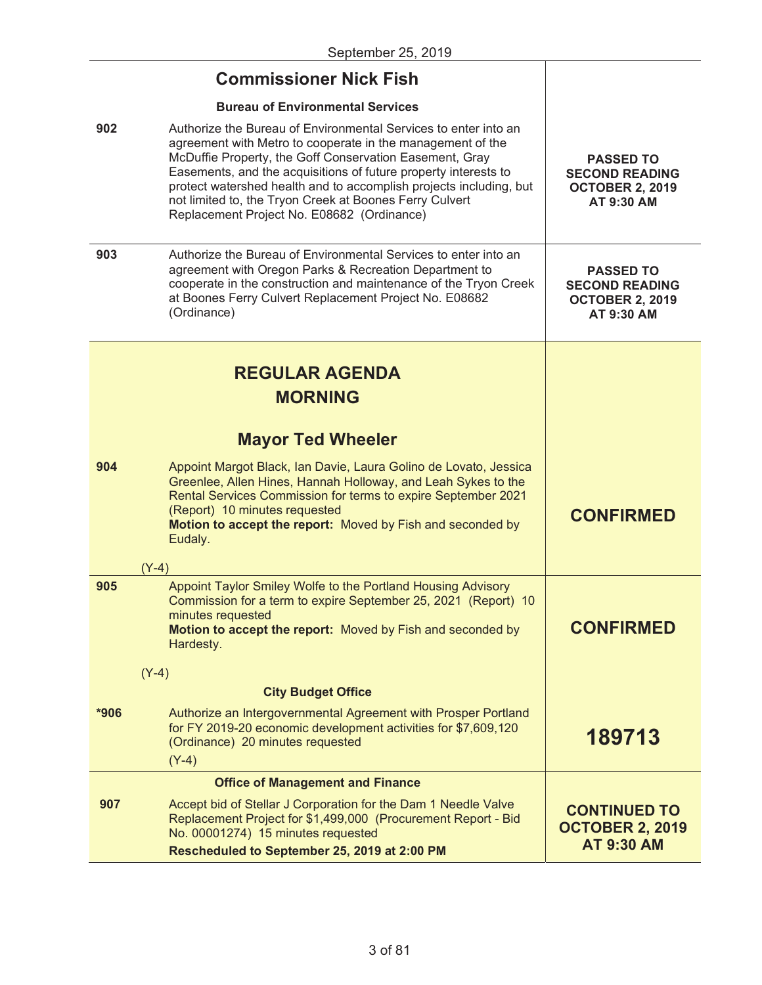|        | <b>Commissioner Nick Fish</b>                                                                                                                                                                                                                                                                                                                                                                                                              |                                                                                   |
|--------|--------------------------------------------------------------------------------------------------------------------------------------------------------------------------------------------------------------------------------------------------------------------------------------------------------------------------------------------------------------------------------------------------------------------------------------------|-----------------------------------------------------------------------------------|
|        | <b>Bureau of Environmental Services</b>                                                                                                                                                                                                                                                                                                                                                                                                    |                                                                                   |
| 902    | Authorize the Bureau of Environmental Services to enter into an<br>agreement with Metro to cooperate in the management of the<br>McDuffie Property, the Goff Conservation Easement, Gray<br>Easements, and the acquisitions of future property interests to<br>protect watershed health and to accomplish projects including, but<br>not limited to, the Tryon Creek at Boones Ferry Culvert<br>Replacement Project No. E08682 (Ordinance) | <b>PASSED TO</b><br><b>SECOND READING</b><br><b>OCTOBER 2, 2019</b><br>AT 9:30 AM |
| 903    | Authorize the Bureau of Environmental Services to enter into an<br>agreement with Oregon Parks & Recreation Department to<br>cooperate in the construction and maintenance of the Tryon Creek<br>at Boones Ferry Culvert Replacement Project No. E08682<br>(Ordinance)                                                                                                                                                                     | <b>PASSED TO</b><br><b>SECOND READING</b><br><b>OCTOBER 2, 2019</b><br>AT 9:30 AM |
|        |                                                                                                                                                                                                                                                                                                                                                                                                                                            |                                                                                   |
|        | <b>REGULAR AGENDA</b><br><b>MORNING</b>                                                                                                                                                                                                                                                                                                                                                                                                    |                                                                                   |
|        |                                                                                                                                                                                                                                                                                                                                                                                                                                            |                                                                                   |
|        | <b>Mayor Ted Wheeler</b>                                                                                                                                                                                                                                                                                                                                                                                                                   |                                                                                   |
| 904    | Appoint Margot Black, Ian Davie, Laura Golino de Lovato, Jessica<br>Greenlee, Allen Hines, Hannah Holloway, and Leah Sykes to the<br>Rental Services Commission for terms to expire September 2021<br>(Report) 10 minutes requested<br>Motion to accept the report: Moved by Fish and seconded by<br>Eudaly.                                                                                                                               | <b>CONFIRMED</b>                                                                  |
| 905    | $(Y-4)$<br>Appoint Taylor Smiley Wolfe to the Portland Housing Advisory                                                                                                                                                                                                                                                                                                                                                                    |                                                                                   |
|        | Commission for a term to expire September 25, 2021 (Report) 10<br>minutes requested<br>Motion to accept the report: Moved by Fish and seconded by<br>Hardesty.                                                                                                                                                                                                                                                                             | <b>CONFIRMED</b>                                                                  |
|        | $(Y-4)$<br><b>City Budget Office</b>                                                                                                                                                                                                                                                                                                                                                                                                       |                                                                                   |
| $*906$ | Authorize an Intergovernmental Agreement with Prosper Portland                                                                                                                                                                                                                                                                                                                                                                             |                                                                                   |
|        | for FY 2019-20 economic development activities for \$7,609,120<br>(Ordinance) 20 minutes requested<br>$(Y-4)$                                                                                                                                                                                                                                                                                                                              | 189713                                                                            |
|        | <b>Office of Management and Finance</b>                                                                                                                                                                                                                                                                                                                                                                                                    |                                                                                   |
| 907    | Accept bid of Stellar J Corporation for the Dam 1 Needle Valve<br>Replacement Project for \$1,499,000 (Procurement Report - Bid<br>No. 00001274) 15 minutes requested                                                                                                                                                                                                                                                                      | <b>CONTINUED TO</b><br><b>OCTOBER 2, 2019</b><br><b>AT 9:30 AM</b>                |
|        | Rescheduled to September 25, 2019 at 2:00 PM                                                                                                                                                                                                                                                                                                                                                                                               |                                                                                   |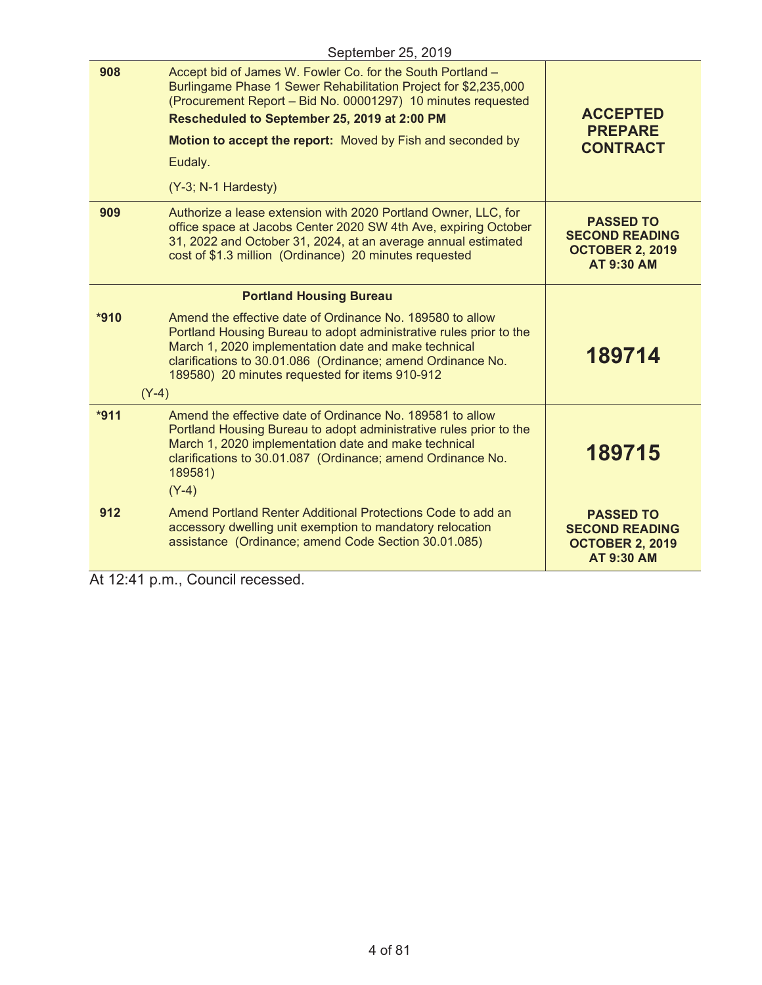|         | September 25, 2019                                                                                                                                                                                                                                                                                                                            |                                                                                          |
|---------|-----------------------------------------------------------------------------------------------------------------------------------------------------------------------------------------------------------------------------------------------------------------------------------------------------------------------------------------------|------------------------------------------------------------------------------------------|
| 908     | Accept bid of James W. Fowler Co. for the South Portland -<br>Burlingame Phase 1 Sewer Rehabilitation Project for \$2,235,000<br>(Procurement Report - Bid No. 00001297) 10 minutes requested<br>Rescheduled to September 25, 2019 at 2:00 PM<br>Motion to accept the report: Moved by Fish and seconded by<br>Eudaly.<br>(Y-3; N-1 Hardesty) | <b>ACCEPTED</b><br><b>PREPARE</b><br><b>CONTRACT</b>                                     |
| 909     | Authorize a lease extension with 2020 Portland Owner, LLC, for<br>office space at Jacobs Center 2020 SW 4th Ave, expiring October<br>31, 2022 and October 31, 2024, at an average annual estimated<br>cost of \$1.3 million (Ordinance) 20 minutes requested                                                                                  | <b>PASSED TO</b><br><b>SECOND READING</b><br><b>OCTOBER 2, 2019</b><br><b>AT 9:30 AM</b> |
|         | <b>Portland Housing Bureau</b>                                                                                                                                                                                                                                                                                                                |                                                                                          |
| *910    | Amend the effective date of Ordinance No. 189580 to allow<br>Portland Housing Bureau to adopt administrative rules prior to the<br>March 1, 2020 implementation date and make technical<br>clarifications to 30.01.086 (Ordinance; amend Ordinance No.<br>189580) 20 minutes requested for items 910-912                                      | 189714                                                                                   |
| $(Y-4)$ |                                                                                                                                                                                                                                                                                                                                               |                                                                                          |
| $*911$  | Amend the effective date of Ordinance No. 189581 to allow<br>Portland Housing Bureau to adopt administrative rules prior to the<br>March 1, 2020 implementation date and make technical<br>clarifications to 30.01.087 (Ordinance; amend Ordinance No.<br>189581)<br>$(Y-4)$                                                                  | 189715                                                                                   |
| 912     | Amend Portland Renter Additional Protections Code to add an<br>accessory dwelling unit exemption to mandatory relocation<br>assistance (Ordinance; amend Code Section 30.01.085)                                                                                                                                                              | <b>PASSED TO</b><br><b>SECOND READING</b><br><b>OCTOBER 2, 2019</b><br><b>AT 9:30 AM</b> |
|         | $142.11 \times 2.15$                                                                                                                                                                                                                                                                                                                          |                                                                                          |

At 12:41 p.m., Council recessed.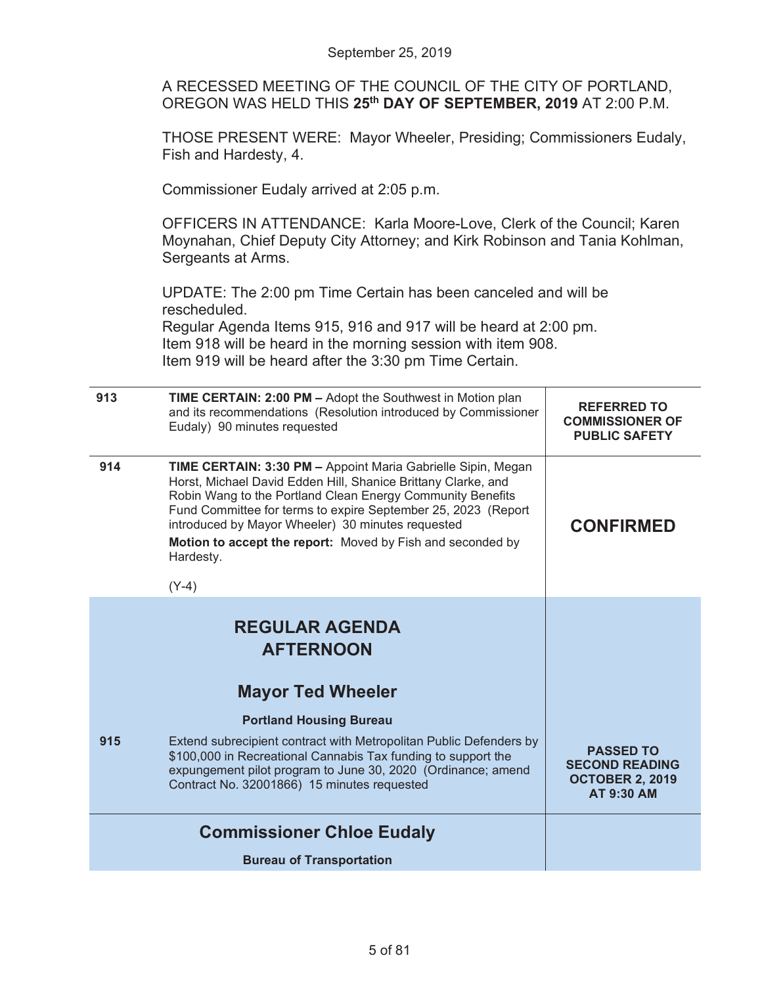A RECESSED MEETING OF THE COUNCIL OF THE CITY OF PORTLAND, OREGON WAS HELD THIS **25th DAY OF SEPTEMBER, 2019** AT 2:00 P.M.

THOSE PRESENT WERE: Mayor Wheeler, Presiding; Commissioners Eudaly, Fish and Hardesty, 4.

Commissioner Eudaly arrived at 2:05 p.m.

OFFICERS IN ATTENDANCE: Karla Moore-Love, Clerk of the Council; Karen Moynahan, Chief Deputy City Attorney; and Kirk Robinson and Tania Kohlman, Sergeants at Arms.

UPDATE: The 2:00 pm Time Certain has been canceled and will be rescheduled.

Regular Agenda Items 915, 916 and 917 will be heard at 2:00 pm. Item 918 will be heard in the morning session with item 908. Item 919 will be heard after the 3:30 pm Time Certain.

| 913 | <b>TIME CERTAIN: 2:00 PM - Adopt the Southwest in Motion plan</b><br>and its recommendations (Resolution introduced by Commissioner<br>Eudaly) 90 minutes requested                                                                                                                                                                                                                                            | <b>REFERRED TO</b><br><b>COMMISSIONER OF</b><br><b>PUBLIC SAFETY</b>              |
|-----|----------------------------------------------------------------------------------------------------------------------------------------------------------------------------------------------------------------------------------------------------------------------------------------------------------------------------------------------------------------------------------------------------------------|-----------------------------------------------------------------------------------|
| 914 | <b>TIME CERTAIN: 3:30 PM - Appoint Maria Gabrielle Sipin, Megan</b><br>Horst, Michael David Edden Hill, Shanice Brittany Clarke, and<br>Robin Wang to the Portland Clean Energy Community Benefits<br>Fund Committee for terms to expire September 25, 2023 (Report<br>introduced by Mayor Wheeler) 30 minutes requested<br>Motion to accept the report: Moved by Fish and seconded by<br>Hardesty.<br>$(Y-4)$ | <b>CONFIRMED</b>                                                                  |
|     | <b>REGULAR AGENDA</b><br><b>AFTERNOON</b>                                                                                                                                                                                                                                                                                                                                                                      |                                                                                   |
|     | <b>Mayor Ted Wheeler</b>                                                                                                                                                                                                                                                                                                                                                                                       |                                                                                   |
|     | <b>Portland Housing Bureau</b>                                                                                                                                                                                                                                                                                                                                                                                 |                                                                                   |
| 915 | Extend subrecipient contract with Metropolitan Public Defenders by<br>\$100,000 in Recreational Cannabis Tax funding to support the<br>expungement pilot program to June 30, 2020 (Ordinance; amend<br>Contract No. 32001866) 15 minutes requested                                                                                                                                                             | <b>PASSED TO</b><br><b>SECOND READING</b><br><b>OCTOBER 2, 2019</b><br>AT 9:30 AM |
|     | <b>Commissioner Chloe Eudaly</b>                                                                                                                                                                                                                                                                                                                                                                               |                                                                                   |
|     | <b>Bureau of Transportation</b>                                                                                                                                                                                                                                                                                                                                                                                |                                                                                   |
|     |                                                                                                                                                                                                                                                                                                                                                                                                                |                                                                                   |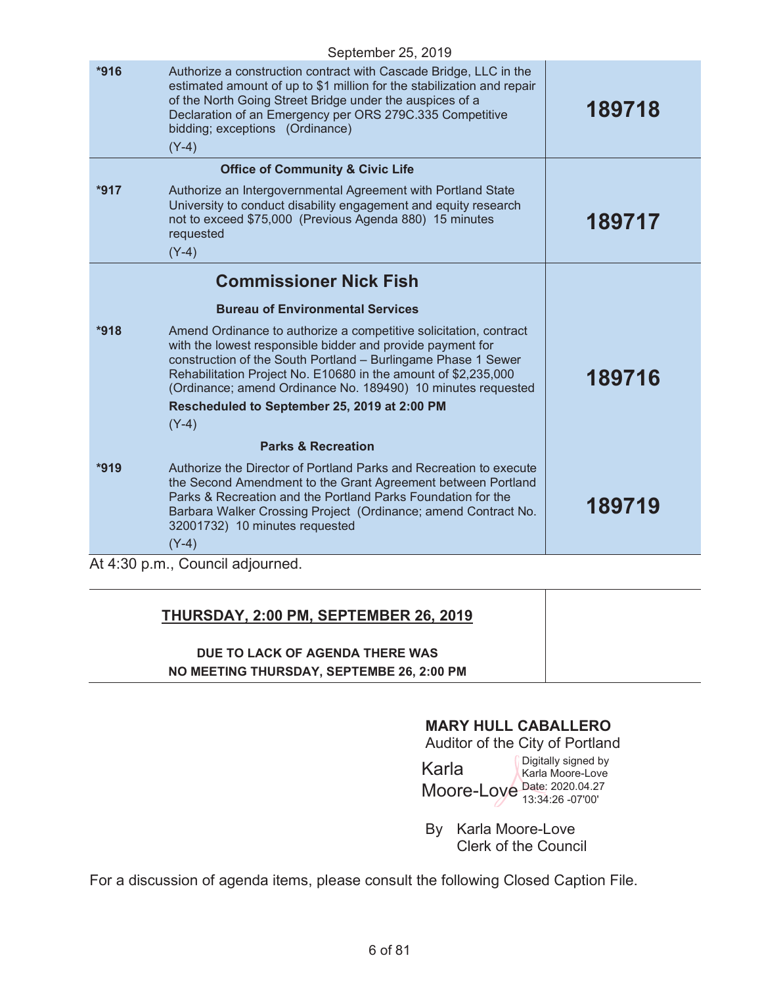|        | September 25, 2019                                                                                                                                                                                                                                                                                                                                                                 |        |
|--------|------------------------------------------------------------------------------------------------------------------------------------------------------------------------------------------------------------------------------------------------------------------------------------------------------------------------------------------------------------------------------------|--------|
| $*916$ | Authorize a construction contract with Cascade Bridge, LLC in the<br>estimated amount of up to \$1 million for the stabilization and repair<br>of the North Going Street Bridge under the auspices of a<br>Declaration of an Emergency per ORS 279C.335 Competitive<br>bidding; exceptions (Ordinance)<br>$(Y-4)$                                                                  | 189718 |
|        | <b>Office of Community &amp; Civic Life</b>                                                                                                                                                                                                                                                                                                                                        |        |
| $*917$ | Authorize an Intergovernmental Agreement with Portland State<br>University to conduct disability engagement and equity research<br>not to exceed \$75,000 (Previous Agenda 880) 15 minutes<br>requested<br>$(Y-4)$                                                                                                                                                                 | 189717 |
|        | <b>Commissioner Nick Fish</b>                                                                                                                                                                                                                                                                                                                                                      |        |
|        | <b>Bureau of Environmental Services</b>                                                                                                                                                                                                                                                                                                                                            |        |
| $*918$ | Amend Ordinance to authorize a competitive solicitation, contract<br>with the lowest responsible bidder and provide payment for<br>construction of the South Portland - Burlingame Phase 1 Sewer<br>Rehabilitation Project No. E10680 in the amount of \$2,235,000<br>(Ordinance; amend Ordinance No. 189490) 10 minutes requested<br>Rescheduled to September 25, 2019 at 2:00 PM | 189716 |
|        |                                                                                                                                                                                                                                                                                                                                                                                    |        |
|        | $(Y-4)$<br><b>Parks &amp; Recreation</b>                                                                                                                                                                                                                                                                                                                                           |        |
| $*919$ | Authorize the Director of Portland Parks and Recreation to execute<br>the Second Amendment to the Grant Agreement between Portland<br>Parks & Recreation and the Portland Parks Foundation for the<br>Barbara Walker Crossing Project (Ordinance; amend Contract No.<br>32001732) 10 minutes requested<br>$(Y-4)$                                                                  | 189719 |

# **THURSDAY, 2:00 PM, SEPTEMBER 26, 2019 DUE TO LACK OF AGENDA THERE WAS NO MEETING THURSDAY, SEPTEMBE 26, 2:00 PM**

### **MARY HULL CABALLERO**

Auditor of the City of Portland

| Karla                       | Digitally signed by<br>Karla Moore-Love |
|-----------------------------|-----------------------------------------|
| Moore-Loye Date: 2020.04.27 |                                         |

By Karla Moore-Love Clerk of the Council

For a discussion of agenda items, please consult the following Closed Caption File.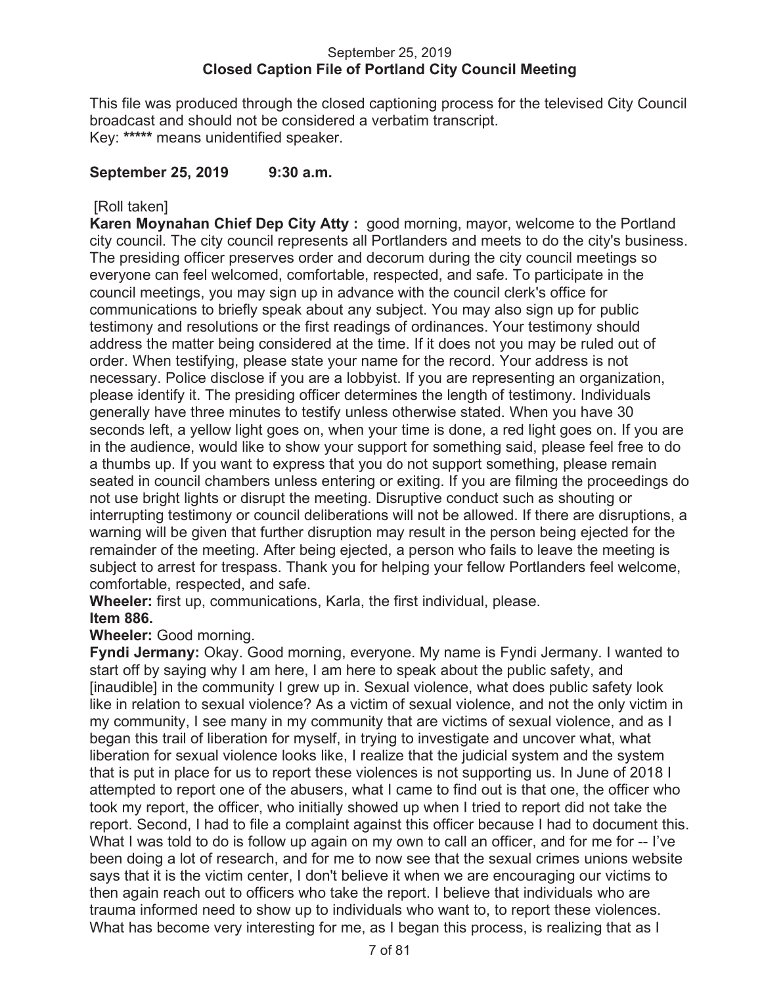#### September 25, 2019 **Closed Caption File of Portland City Council Meeting**

This file was produced through the closed captioning process for the televised City Council broadcast and should not be considered a verbatim transcript. Key: **\*\*\*\*\*** means unidentified speaker.

#### **September 25, 2019 9:30 a.m.**

#### [Roll taken]

**Karen Moynahan Chief Dep City Atty :** good morning, mayor, welcome to the Portland city council. The city council represents all Portlanders and meets to do the city's business. The presiding officer preserves order and decorum during the city council meetings so everyone can feel welcomed, comfortable, respected, and safe. To participate in the council meetings, you may sign up in advance with the council clerk's office for communications to briefly speak about any subject. You may also sign up for public testimony and resolutions or the first readings of ordinances. Your testimony should address the matter being considered at the time. If it does not you may be ruled out of order. When testifying, please state your name for the record. Your address is not necessary. Police disclose if you are a lobbyist. If you are representing an organization, please identify it. The presiding officer determines the length of testimony. Individuals generally have three minutes to testify unless otherwise stated. When you have 30 seconds left, a yellow light goes on, when your time is done, a red light goes on. If you are in the audience, would like to show your support for something said, please feel free to do a thumbs up. If you want to express that you do not support something, please remain seated in council chambers unless entering or exiting. If you are filming the proceedings do not use bright lights or disrupt the meeting. Disruptive conduct such as shouting or interrupting testimony or council deliberations will not be allowed. If there are disruptions, a warning will be given that further disruption may result in the person being ejected for the remainder of the meeting. After being ejected, a person who fails to leave the meeting is subject to arrest for trespass. Thank you for helping your fellow Portlanders feel welcome, comfortable, respected, and safe.

**Wheeler:** first up, communications, Karla, the first individual, please. **Item 886.** 

#### **Wheeler:** Good morning.

**Fyndi Jermany:** Okay. Good morning, everyone. My name is Fyndi Jermany. I wanted to start off by saying why I am here, I am here to speak about the public safety, and [inaudible] in the community I grew up in. Sexual violence, what does public safety look like in relation to sexual violence? As a victim of sexual violence, and not the only victim in my community, I see many in my community that are victims of sexual violence, and as I began this trail of liberation for myself, in trying to investigate and uncover what, what liberation for sexual violence looks like, I realize that the judicial system and the system that is put in place for us to report these violences is not supporting us. In June of 2018 I attempted to report one of the abusers, what I came to find out is that one, the officer who took my report, the officer, who initially showed up when I tried to report did not take the report. Second, I had to file a complaint against this officer because I had to document this. What I was told to do is follow up again on my own to call an officer, and for me for -- I've been doing a lot of research, and for me to now see that the sexual crimes unions website says that it is the victim center, I don't believe it when we are encouraging our victims to then again reach out to officers who take the report. I believe that individuals who are trauma informed need to show up to individuals who want to, to report these violences. What has become very interesting for me, as I began this process, is realizing that as I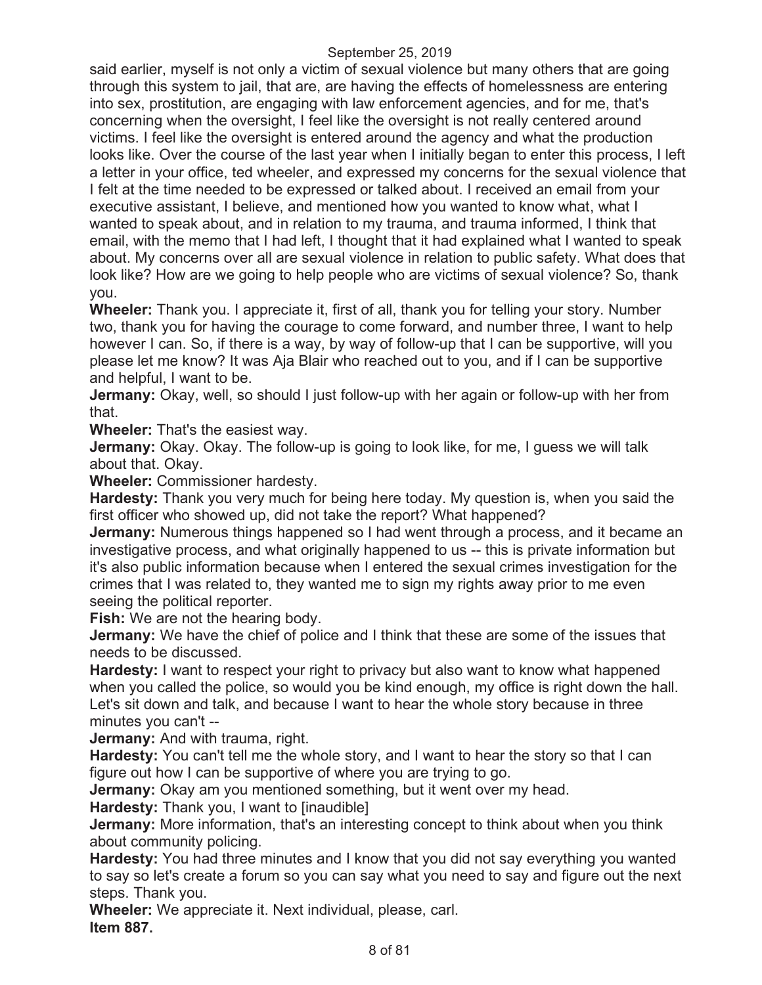said earlier, myself is not only a victim of sexual violence but many others that are going through this system to jail, that are, are having the effects of homelessness are entering into sex, prostitution, are engaging with law enforcement agencies, and for me, that's concerning when the oversight, I feel like the oversight is not really centered around victims. I feel like the oversight is entered around the agency and what the production looks like. Over the course of the last year when I initially began to enter this process, I left a letter in your office, ted wheeler, and expressed my concerns for the sexual violence that I felt at the time needed to be expressed or talked about. I received an email from your executive assistant, I believe, and mentioned how you wanted to know what, what I wanted to speak about, and in relation to my trauma, and trauma informed, I think that email, with the memo that I had left, I thought that it had explained what I wanted to speak about. My concerns over all are sexual violence in relation to public safety. What does that look like? How are we going to help people who are victims of sexual violence? So, thank you.

**Wheeler:** Thank you. I appreciate it, first of all, thank you for telling your story. Number two, thank you for having the courage to come forward, and number three, I want to help however I can. So, if there is a way, by way of follow-up that I can be supportive, will you please let me know? It was Aja Blair who reached out to you, and if I can be supportive and helpful, I want to be.

**Jermany:** Okay, well, so should I just follow-up with her again or follow-up with her from that.

**Wheeler:** That's the easiest way.

**Jermany:** Okay. Okay. The follow-up is going to look like, for me, I guess we will talk about that. Okay.

**Wheeler:** Commissioner hardesty.

**Hardesty:** Thank you very much for being here today. My question is, when you said the first officer who showed up, did not take the report? What happened?

**Jermany:** Numerous things happened so I had went through a process, and it became an investigative process, and what originally happened to us -- this is private information but it's also public information because when I entered the sexual crimes investigation for the crimes that I was related to, they wanted me to sign my rights away prior to me even seeing the political reporter.

**Fish:** We are not the hearing body.

**Jermany:** We have the chief of police and I think that these are some of the issues that needs to be discussed.

**Hardesty:** I want to respect your right to privacy but also want to know what happened when you called the police, so would you be kind enough, my office is right down the hall. Let's sit down and talk, and because I want to hear the whole story because in three minutes you can't --

**Jermany:** And with trauma, right.

**Hardesty:** You can't tell me the whole story, and I want to hear the story so that I can figure out how I can be supportive of where you are trying to go.

**Jermany:** Okay am you mentioned something, but it went over my head.

**Hardesty:** Thank you, I want to [inaudible]

**Jermany:** More information, that's an interesting concept to think about when you think about community policing.

**Hardesty:** You had three minutes and I know that you did not say everything you wanted to say so let's create a forum so you can say what you need to say and figure out the next steps. Thank you.

**Wheeler:** We appreciate it. Next individual, please, carl. **Item 887.**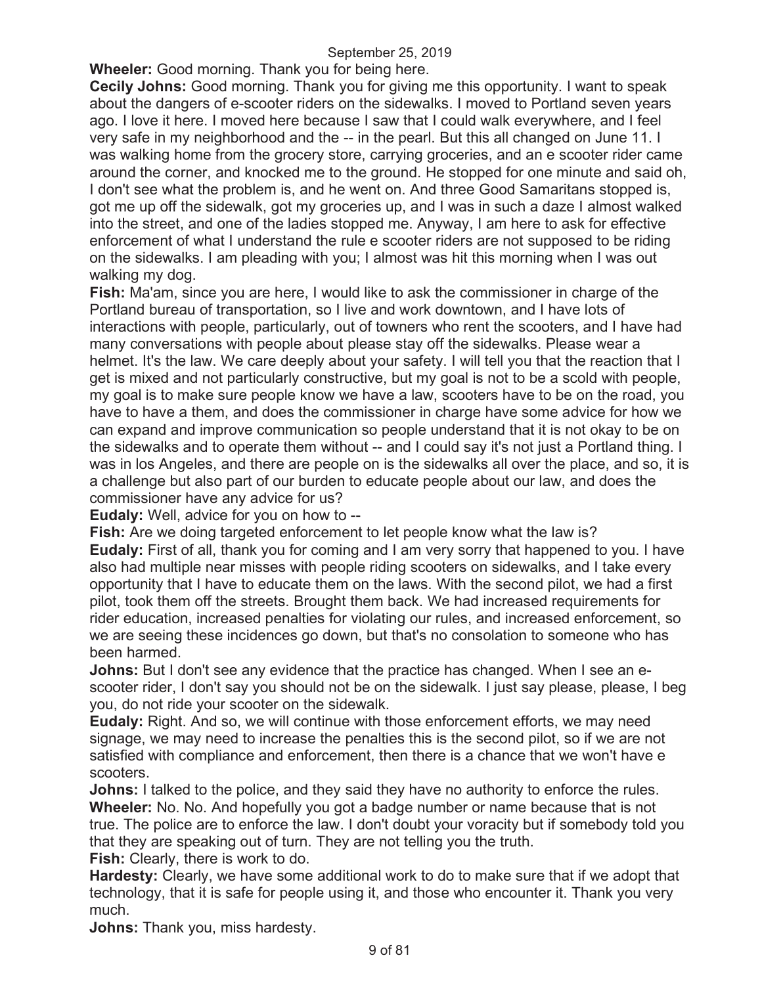**Wheeler:** Good morning. Thank you for being here.

**Cecily Johns:** Good morning. Thank you for giving me this opportunity. I want to speak about the dangers of e-scooter riders on the sidewalks. I moved to Portland seven years ago. I love it here. I moved here because I saw that I could walk everywhere, and I feel very safe in my neighborhood and the -- in the pearl. But this all changed on June 11. I was walking home from the grocery store, carrying groceries, and an e scooter rider came around the corner, and knocked me to the ground. He stopped for one minute and said oh, I don't see what the problem is, and he went on. And three Good Samaritans stopped is, got me up off the sidewalk, got my groceries up, and I was in such a daze I almost walked into the street, and one of the ladies stopped me. Anyway, I am here to ask for effective enforcement of what I understand the rule e scooter riders are not supposed to be riding on the sidewalks. I am pleading with you; I almost was hit this morning when I was out walking my dog.

**Fish:** Ma'am, since you are here, I would like to ask the commissioner in charge of the Portland bureau of transportation, so I live and work downtown, and I have lots of interactions with people, particularly, out of towners who rent the scooters, and I have had many conversations with people about please stay off the sidewalks. Please wear a helmet. It's the law. We care deeply about your safety. I will tell you that the reaction that I get is mixed and not particularly constructive, but my goal is not to be a scold with people, my goal is to make sure people know we have a law, scooters have to be on the road, you have to have a them, and does the commissioner in charge have some advice for how we can expand and improve communication so people understand that it is not okay to be on the sidewalks and to operate them without -- and I could say it's not just a Portland thing. I was in los Angeles, and there are people on is the sidewalks all over the place, and so, it is a challenge but also part of our burden to educate people about our law, and does the commissioner have any advice for us?

**Eudaly:** Well, advice for you on how to --

**Fish:** Are we doing targeted enforcement to let people know what the law is? **Eudaly:** First of all, thank you for coming and I am very sorry that happened to you. I have also had multiple near misses with people riding scooters on sidewalks, and I take every opportunity that I have to educate them on the laws. With the second pilot, we had a first pilot, took them off the streets. Brought them back. We had increased requirements for rider education, increased penalties for violating our rules, and increased enforcement, so we are seeing these incidences go down, but that's no consolation to someone who has been harmed.

**Johns:** But I don't see any evidence that the practice has changed. When I see an escooter rider, I don't say you should not be on the sidewalk. I just say please, please, I beg you, do not ride your scooter on the sidewalk.

**Eudaly:** Right. And so, we will continue with those enforcement efforts, we may need signage, we may need to increase the penalties this is the second pilot, so if we are not satisfied with compliance and enforcement, then there is a chance that we won't have e scooters.

**Johns:** I talked to the police, and they said they have no authority to enforce the rules. **Wheeler:** No. No. And hopefully you got a badge number or name because that is not true. The police are to enforce the law. I don't doubt your voracity but if somebody told you that they are speaking out of turn. They are not telling you the truth.

**Fish:** Clearly, there is work to do.

**Hardesty:** Clearly, we have some additional work to do to make sure that if we adopt that technology, that it is safe for people using it, and those who encounter it. Thank you very much.

**Johns:** Thank you, miss hardesty.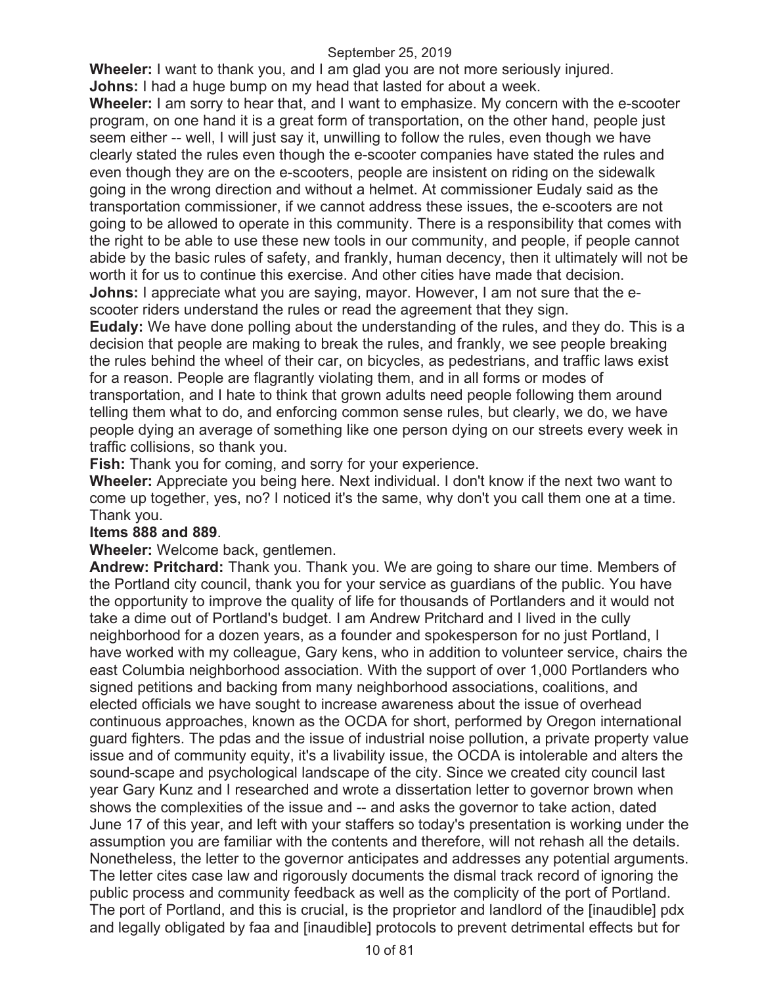**Wheeler:** I want to thank you, and I am glad you are not more seriously injured. **Johns:** I had a huge bump on my head that lasted for about a week.

**Wheeler:** I am sorry to hear that, and I want to emphasize. My concern with the e-scooter program, on one hand it is a great form of transportation, on the other hand, people just seem either -- well, I will just say it, unwilling to follow the rules, even though we have clearly stated the rules even though the e-scooter companies have stated the rules and even though they are on the e-scooters, people are insistent on riding on the sidewalk going in the wrong direction and without a helmet. At commissioner Eudaly said as the transportation commissioner, if we cannot address these issues, the e-scooters are not going to be allowed to operate in this community. There is a responsibility that comes with the right to be able to use these new tools in our community, and people, if people cannot abide by the basic rules of safety, and frankly, human decency, then it ultimately will not be worth it for us to continue this exercise. And other cities have made that decision. **Johns:** I appreciate what you are saying, mayor. However, I am not sure that the e-

scooter riders understand the rules or read the agreement that they sign.

**Eudaly:** We have done polling about the understanding of the rules, and they do. This is a decision that people are making to break the rules, and frankly, we see people breaking the rules behind the wheel of their car, on bicycles, as pedestrians, and traffic laws exist for a reason. People are flagrantly violating them, and in all forms or modes of transportation, and I hate to think that grown adults need people following them around telling them what to do, and enforcing common sense rules, but clearly, we do, we have people dying an average of something like one person dying on our streets every week in traffic collisions, so thank you.

**Fish:** Thank you for coming, and sorry for your experience.

**Wheeler:** Appreciate you being here. Next individual. I don't know if the next two want to come up together, yes, no? I noticed it's the same, why don't you call them one at a time. Thank you.

#### **Items 888 and 889**.

**Wheeler:** Welcome back, gentlemen.

**Andrew: Pritchard:** Thank you. Thank you. We are going to share our time. Members of the Portland city council, thank you for your service as guardians of the public. You have the opportunity to improve the quality of life for thousands of Portlanders and it would not take a dime out of Portland's budget. I am Andrew Pritchard and I lived in the cully neighborhood for a dozen years, as a founder and spokesperson for no just Portland, I have worked with my colleague, Gary kens, who in addition to volunteer service, chairs the east Columbia neighborhood association. With the support of over 1,000 Portlanders who signed petitions and backing from many neighborhood associations, coalitions, and elected officials we have sought to increase awareness about the issue of overhead continuous approaches, known as the OCDA for short, performed by Oregon international guard fighters. The pdas and the issue of industrial noise pollution, a private property value issue and of community equity, it's a livability issue, the OCDA is intolerable and alters the sound-scape and psychological landscape of the city. Since we created city council last year Gary Kunz and I researched and wrote a dissertation letter to governor brown when shows the complexities of the issue and -- and asks the governor to take action, dated June 17 of this year, and left with your staffers so today's presentation is working under the assumption you are familiar with the contents and therefore, will not rehash all the details. Nonetheless, the letter to the governor anticipates and addresses any potential arguments. The letter cites case law and rigorously documents the dismal track record of ignoring the public process and community feedback as well as the complicity of the port of Portland. The port of Portland, and this is crucial, is the proprietor and landlord of the [inaudible] pdx and legally obligated by faa and [inaudible] protocols to prevent detrimental effects but for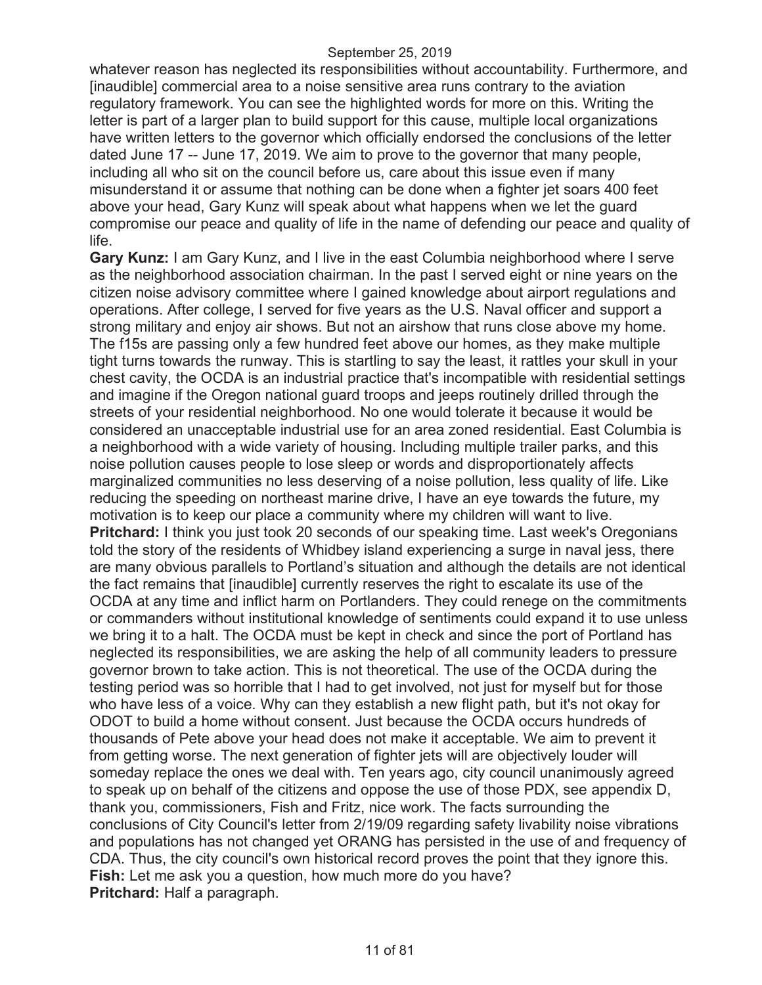whatever reason has neglected its responsibilities without accountability. Furthermore, and [inaudible] commercial area to a noise sensitive area runs contrary to the aviation regulatory framework. You can see the highlighted words for more on this. Writing the letter is part of a larger plan to build support for this cause, multiple local organizations have written letters to the governor which officially endorsed the conclusions of the letter dated June 17 -- June 17, 2019. We aim to prove to the governor that many people, including all who sit on the council before us, care about this issue even if many misunderstand it or assume that nothing can be done when a fighter jet soars 400 feet above your head, Gary Kunz will speak about what happens when we let the guard compromise our peace and quality of life in the name of defending our peace and quality of life.

**Gary Kunz:** I am Gary Kunz, and I live in the east Columbia neighborhood where I serve as the neighborhood association chairman. In the past I served eight or nine years on the citizen noise advisory committee where I gained knowledge about airport regulations and operations. After college, I served for five years as the U.S. Naval officer and support a strong military and enjoy air shows. But not an airshow that runs close above my home. The f15s are passing only a few hundred feet above our homes, as they make multiple tight turns towards the runway. This is startling to say the least, it rattles your skull in your chest cavity, the OCDA is an industrial practice that's incompatible with residential settings and imagine if the Oregon national guard troops and jeeps routinely drilled through the streets of your residential neighborhood. No one would tolerate it because it would be considered an unacceptable industrial use for an area zoned residential. East Columbia is a neighborhood with a wide variety of housing. Including multiple trailer parks, and this noise pollution causes people to lose sleep or words and disproportionately affects marginalized communities no less deserving of a noise pollution, less quality of life. Like reducing the speeding on northeast marine drive, I have an eye towards the future, my motivation is to keep our place a community where my children will want to live. **Pritchard:** I think you just took 20 seconds of our speaking time. Last week's Oregonians told the story of the residents of Whidbey island experiencing a surge in naval jess, there are many obvious parallels to Portland's situation and although the details are not identical the fact remains that [inaudible] currently reserves the right to escalate its use of the OCDA at any time and inflict harm on Portlanders. They could renege on the commitments or commanders without institutional knowledge of sentiments could expand it to use unless we bring it to a halt. The OCDA must be kept in check and since the port of Portland has neglected its responsibilities, we are asking the help of all community leaders to pressure governor brown to take action. This is not theoretical. The use of the OCDA during the testing period was so horrible that I had to get involved, not just for myself but for those who have less of a voice. Why can they establish a new flight path, but it's not okay for ODOT to build a home without consent. Just because the OCDA occurs hundreds of thousands of Pete above your head does not make it acceptable. We aim to prevent it from getting worse. The next generation of fighter jets will are objectively louder will someday replace the ones we deal with. Ten years ago, city council unanimously agreed to speak up on behalf of the citizens and oppose the use of those PDX, see appendix D, thank you, commissioners, Fish and Fritz, nice work. The facts surrounding the conclusions of City Council's letter from 2/19/09 regarding safety livability noise vibrations and populations has not changed yet ORANG has persisted in the use of and frequency of CDA. Thus, the city council's own historical record proves the point that they ignore this. **Fish:** Let me ask you a question, how much more do you have? **Pritchard:** Half a paragraph.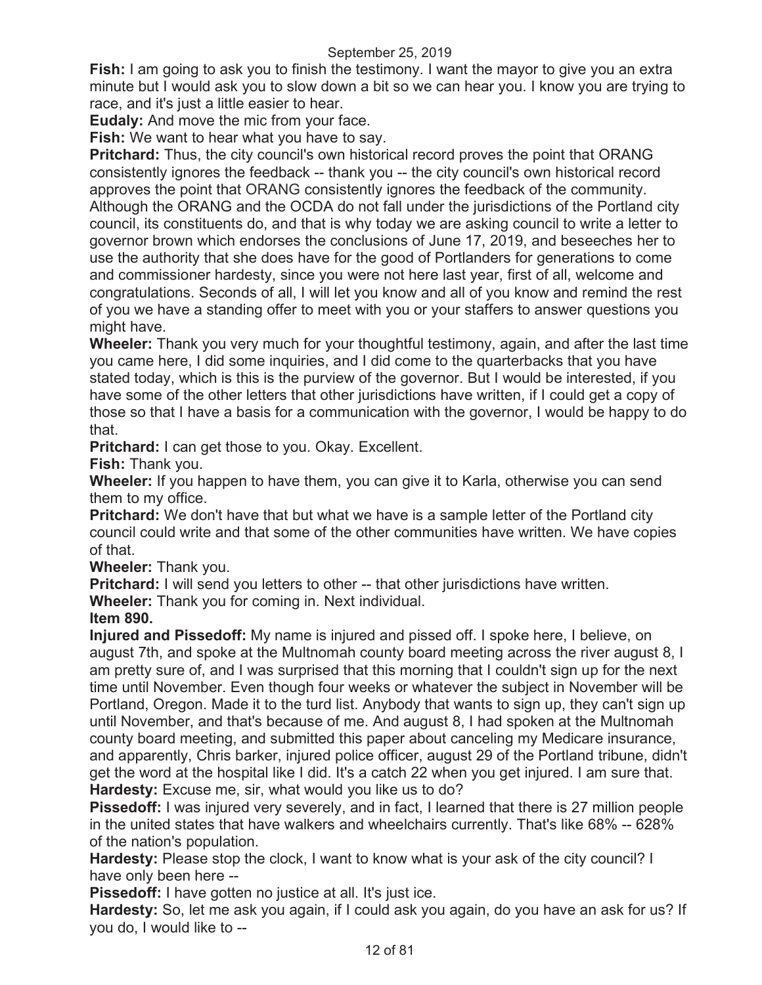**Fish:** I am going to ask you to finish the testimony. I want the mayor to give you an extra minute but I would ask you to slow down a bit so we can hear you. I know you are trying to race, and it's just a little easier to hear.

**Eudaly:** And move the mic from your face.

**Fish:** We want to hear what you have to say.

**Pritchard:** Thus, the city council's own historical record proves the point that ORANG consistently ignores the feedback -- thank you -- the city council's own historical record approves the point that ORANG consistently ignores the feedback of the community. Although the ORANG and the OCDA do not fall under the jurisdictions of the Portland city council, its constituents do, and that is why today we are asking council to write a letter to governor brown which endorses the conclusions of June 17, 2019, and beseeches her to use the authority that she does have for the good of Portlanders for generations to come and commissioner hardesty, since you were not here last year, first of all, welcome and congratulations. Seconds of all, I will let you know and all of you know and remind the rest of you we have a standing offer to meet with you or your staffers to answer questions you might have.

**Wheeler:** Thank you very much for your thoughtful testimony, again, and after the last time you came here, I did some inquiries, and I did come to the quarterbacks that you have stated today, which is this is the purview of the governor. But I would be interested, if you have some of the other letters that other jurisdictions have written, if I could get a copy of those so that I have a basis for a communication with the governor, I would be happy to do that.

**Pritchard:** I can get those to you. Okay. Excellent.

**Fish:** Thank you.

**Wheeler:** If you happen to have them, you can give it to Karla, otherwise you can send them to my office.

**Pritchard:** We don't have that but what we have is a sample letter of the Portland city council could write and that some of the other communities have written. We have copies of that.

**Wheeler:** Thank you.

**Pritchard:** I will send you letters to other -- that other jurisdictions have written.

**Wheeler:** Thank you for coming in. Next individual.

**Item 890.** 

**Injured and Pissedoff:** My name is injured and pissed off. I spoke here, I believe, on august 7th, and spoke at the Multnomah county board meeting across the river august 8, I am pretty sure of, and I was surprised that this morning that I couldn't sign up for the next time until November. Even though four weeks or whatever the subject in November will be Portland, Oregon. Made it to the turd list. Anybody that wants to sign up, they can't sign up until November, and that's because of me. And august 8, I had spoken at the Multnomah county board meeting, and submitted this paper about canceling my Medicare insurance, and apparently, Chris barker, injured police officer, august 29 of the Portland tribune, didn't get the word at the hospital like I did. It's a catch 22 when you get injured. I am sure that. **Hardesty:** Excuse me, sir, what would you like us to do?

**Pissedoff:** I was injured very severely, and in fact, I learned that there is 27 million people in the united states that have walkers and wheelchairs currently. That's like 68% -- 628% of the nation's population.

**Hardesty:** Please stop the clock, I want to know what is your ask of the city council? I have only been here --

**Pissedoff:** I have gotten no justice at all. It's just ice.

**Hardesty:** So, let me ask you again, if I could ask you again, do you have an ask for us? If you do, I would like to --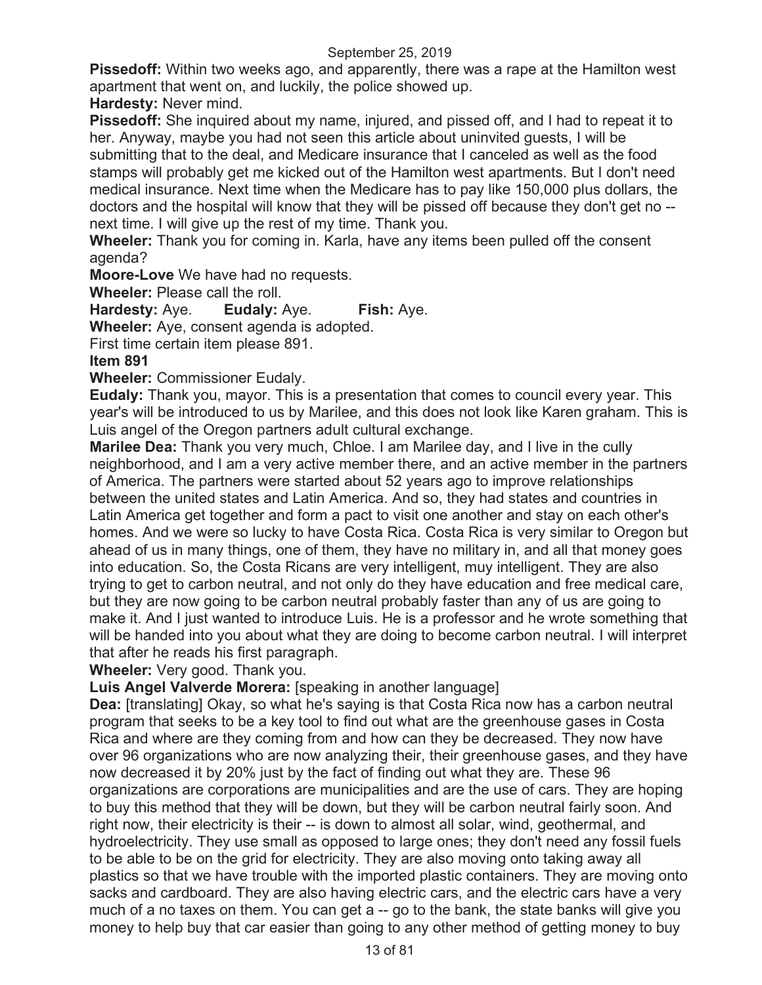**Pissedoff:** Within two weeks ago, and apparently, there was a rape at the Hamilton west apartment that went on, and luckily, the police showed up.

**Hardesty:** Never mind.

**Pissedoff:** She inquired about my name, injured, and pissed off, and I had to repeat it to her. Anyway, maybe you had not seen this article about uninvited guests, I will be submitting that to the deal, and Medicare insurance that I canceled as well as the food stamps will probably get me kicked out of the Hamilton west apartments. But I don't need medical insurance. Next time when the Medicare has to pay like 150,000 plus dollars, the doctors and the hospital will know that they will be pissed off because they don't get no - next time. I will give up the rest of my time. Thank you.

**Wheeler:** Thank you for coming in. Karla, have any items been pulled off the consent agenda?

**Moore-Love** We have had no requests.

**Wheeler:** Please call the roll.

**Hardesty:** Aye. **Eudaly:** Aye. **Fish:** Aye.

**Wheeler:** Aye, consent agenda is adopted.

First time certain item please 891.

**Item 891** 

**Wheeler:** Commissioner Eudaly.

**Eudaly:** Thank you, mayor. This is a presentation that comes to council every year. This year's will be introduced to us by Marilee, and this does not look like Karen graham. This is Luis angel of the Oregon partners adult cultural exchange.

**Marilee Dea:** Thank you very much, Chloe. I am Marilee day, and I live in the cully neighborhood, and I am a very active member there, and an active member in the partners of America. The partners were started about 52 years ago to improve relationships between the united states and Latin America. And so, they had states and countries in Latin America get together and form a pact to visit one another and stay on each other's homes. And we were so lucky to have Costa Rica. Costa Rica is very similar to Oregon but ahead of us in many things, one of them, they have no military in, and all that money goes into education. So, the Costa Ricans are very intelligent, muy intelligent. They are also trying to get to carbon neutral, and not only do they have education and free medical care, but they are now going to be carbon neutral probably faster than any of us are going to make it. And I just wanted to introduce Luis. He is a professor and he wrote something that will be handed into you about what they are doing to become carbon neutral. I will interpret that after he reads his first paragraph.

**Wheeler:** Very good. Thank you.

**Luis Angel Valverde Morera:** [speaking in another language]

**Dea:** [translating] Okay, so what he's saying is that Costa Rica now has a carbon neutral program that seeks to be a key tool to find out what are the greenhouse gases in Costa Rica and where are they coming from and how can they be decreased. They now have over 96 organizations who are now analyzing their, their greenhouse gases, and they have now decreased it by 20% just by the fact of finding out what they are. These 96 organizations are corporations are municipalities and are the use of cars. They are hoping to buy this method that they will be down, but they will be carbon neutral fairly soon. And right now, their electricity is their -- is down to almost all solar, wind, geothermal, and hydroelectricity. They use small as opposed to large ones; they don't need any fossil fuels to be able to be on the grid for electricity. They are also moving onto taking away all plastics so that we have trouble with the imported plastic containers. They are moving onto sacks and cardboard. They are also having electric cars, and the electric cars have a very much of a no taxes on them. You can get a -- go to the bank, the state banks will give you money to help buy that car easier than going to any other method of getting money to buy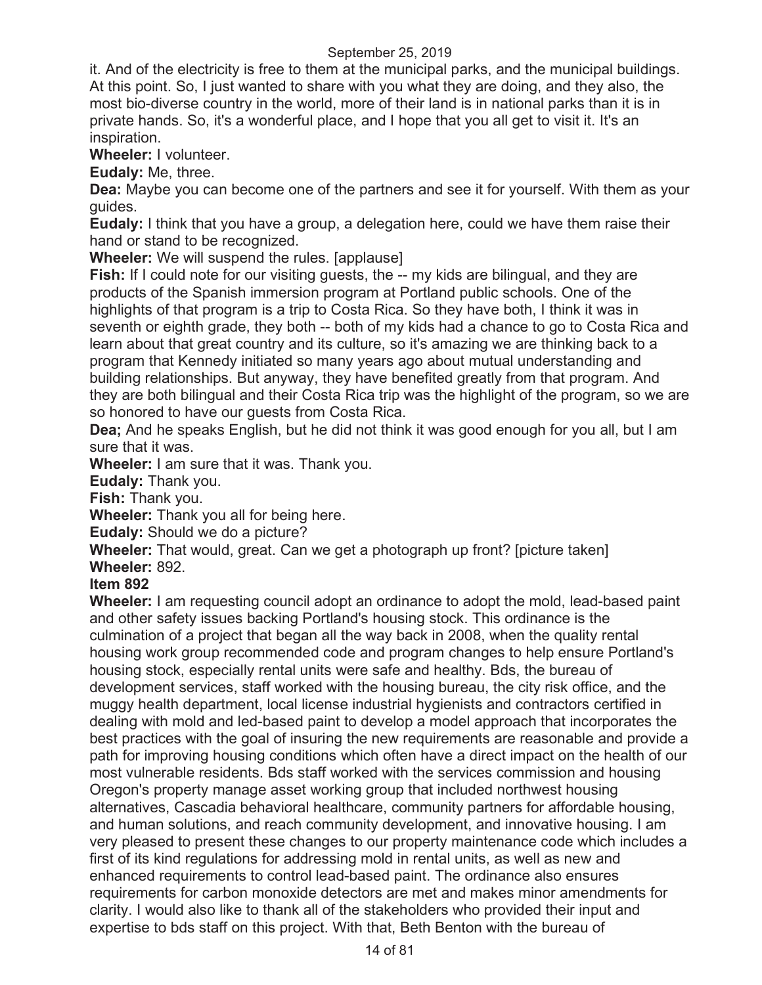it. And of the electricity is free to them at the municipal parks, and the municipal buildings. At this point. So, I just wanted to share with you what they are doing, and they also, the most bio-diverse country in the world, more of their land is in national parks than it is in private hands. So, it's a wonderful place, and I hope that you all get to visit it. It's an inspiration.

**Wheeler:** I volunteer.

**Eudaly:** Me, three.

**Dea:** Maybe you can become one of the partners and see it for yourself. With them as your guides.

**Eudaly:** I think that you have a group, a delegation here, could we have them raise their hand or stand to be recognized.

**Wheeler:** We will suspend the rules. [applause]

Fish: If I could note for our visiting guests, the -- my kids are bilingual, and they are products of the Spanish immersion program at Portland public schools. One of the highlights of that program is a trip to Costa Rica. So they have both, I think it was in seventh or eighth grade, they both -- both of my kids had a chance to go to Costa Rica and learn about that great country and its culture, so it's amazing we are thinking back to a program that Kennedy initiated so many years ago about mutual understanding and building relationships. But anyway, they have benefited greatly from that program. And they are both bilingual and their Costa Rica trip was the highlight of the program, so we are so honored to have our guests from Costa Rica.

**Dea;** And he speaks English, but he did not think it was good enough for you all, but I am sure that it was.

**Wheeler:** I am sure that it was. Thank you.

**Eudaly:** Thank you.

**Fish:** Thank you.

**Wheeler:** Thank you all for being here.

**Eudaly:** Should we do a picture?

**Wheeler:** That would, great. Can we get a photograph up front? [picture taken]

**Wheeler:** 892.

**Item 892** 

**Wheeler:** I am requesting council adopt an ordinance to adopt the mold, lead-based paint and other safety issues backing Portland's housing stock. This ordinance is the culmination of a project that began all the way back in 2008, when the quality rental housing work group recommended code and program changes to help ensure Portland's housing stock, especially rental units were safe and healthy. Bds, the bureau of development services, staff worked with the housing bureau, the city risk office, and the muggy health department, local license industrial hygienists and contractors certified in dealing with mold and led-based paint to develop a model approach that incorporates the best practices with the goal of insuring the new requirements are reasonable and provide a path for improving housing conditions which often have a direct impact on the health of our most vulnerable residents. Bds staff worked with the services commission and housing Oregon's property manage asset working group that included northwest housing alternatives, Cascadia behavioral healthcare, community partners for affordable housing, and human solutions, and reach community development, and innovative housing. I am very pleased to present these changes to our property maintenance code which includes a first of its kind regulations for addressing mold in rental units, as well as new and enhanced requirements to control lead-based paint. The ordinance also ensures requirements for carbon monoxide detectors are met and makes minor amendments for clarity. I would also like to thank all of the stakeholders who provided their input and expertise to bds staff on this project. With that, Beth Benton with the bureau of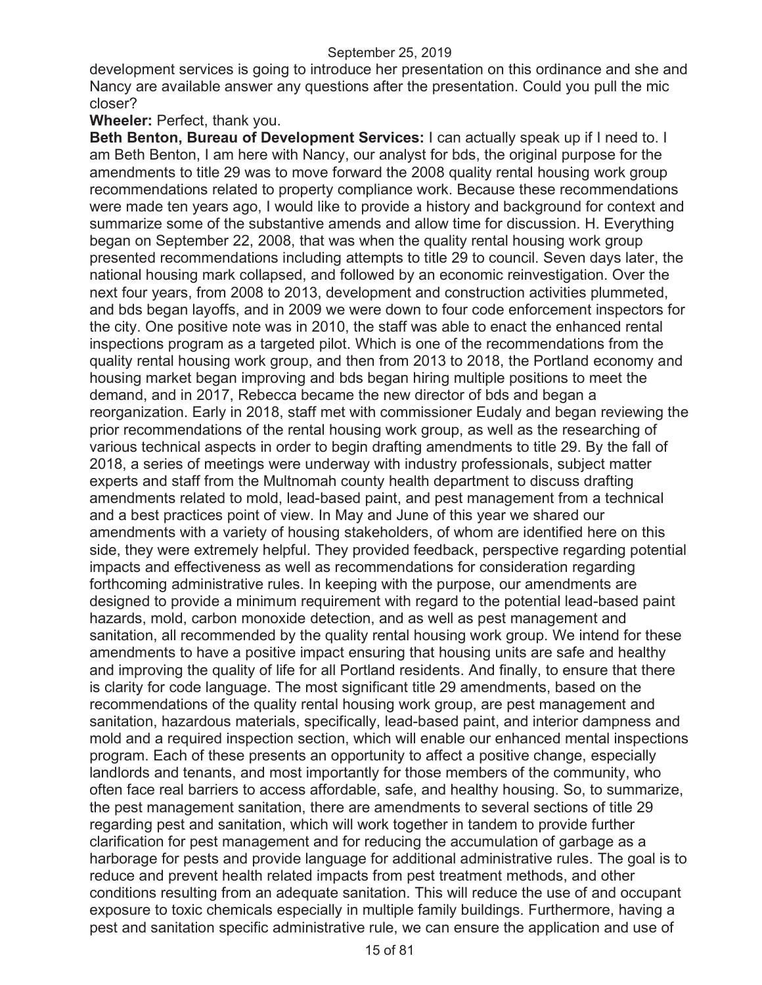development services is going to introduce her presentation on this ordinance and she and Nancy are available answer any questions after the presentation. Could you pull the mic closer?

#### **Wheeler:** Perfect, thank you.

**Beth Benton, Bureau of Development Services:** I can actually speak up if I need to. I am Beth Benton, I am here with Nancy, our analyst for bds, the original purpose for the amendments to title 29 was to move forward the 2008 quality rental housing work group recommendations related to property compliance work. Because these recommendations were made ten years ago, I would like to provide a history and background for context and summarize some of the substantive amends and allow time for discussion. H. Everything began on September 22, 2008, that was when the quality rental housing work group presented recommendations including attempts to title 29 to council. Seven days later, the national housing mark collapsed, and followed by an economic reinvestigation. Over the next four years, from 2008 to 2013, development and construction activities plummeted, and bds began layoffs, and in 2009 we were down to four code enforcement inspectors for the city. One positive note was in 2010, the staff was able to enact the enhanced rental inspections program as a targeted pilot. Which is one of the recommendations from the quality rental housing work group, and then from 2013 to 2018, the Portland economy and housing market began improving and bds began hiring multiple positions to meet the demand, and in 2017, Rebecca became the new director of bds and began a reorganization. Early in 2018, staff met with commissioner Eudaly and began reviewing the prior recommendations of the rental housing work group, as well as the researching of various technical aspects in order to begin drafting amendments to title 29. By the fall of 2018, a series of meetings were underway with industry professionals, subject matter experts and staff from the Multnomah county health department to discuss drafting amendments related to mold, lead-based paint, and pest management from a technical and a best practices point of view. In May and June of this year we shared our amendments with a variety of housing stakeholders, of whom are identified here on this side, they were extremely helpful. They provided feedback, perspective regarding potential impacts and effectiveness as well as recommendations for consideration regarding forthcoming administrative rules. In keeping with the purpose, our amendments are designed to provide a minimum requirement with regard to the potential lead-based paint hazards, mold, carbon monoxide detection, and as well as pest management and sanitation, all recommended by the quality rental housing work group. We intend for these amendments to have a positive impact ensuring that housing units are safe and healthy and improving the quality of life for all Portland residents. And finally, to ensure that there is clarity for code language. The most significant title 29 amendments, based on the recommendations of the quality rental housing work group, are pest management and sanitation, hazardous materials, specifically, lead-based paint, and interior dampness and mold and a required inspection section, which will enable our enhanced mental inspections program. Each of these presents an opportunity to affect a positive change, especially landlords and tenants, and most importantly for those members of the community, who often face real barriers to access affordable, safe, and healthy housing. So, to summarize, the pest management sanitation, there are amendments to several sections of title 29 regarding pest and sanitation, which will work together in tandem to provide further clarification for pest management and for reducing the accumulation of garbage as a harborage for pests and provide language for additional administrative rules. The goal is to reduce and prevent health related impacts from pest treatment methods, and other conditions resulting from an adequate sanitation. This will reduce the use of and occupant exposure to toxic chemicals especially in multiple family buildings. Furthermore, having a pest and sanitation specific administrative rule, we can ensure the application and use of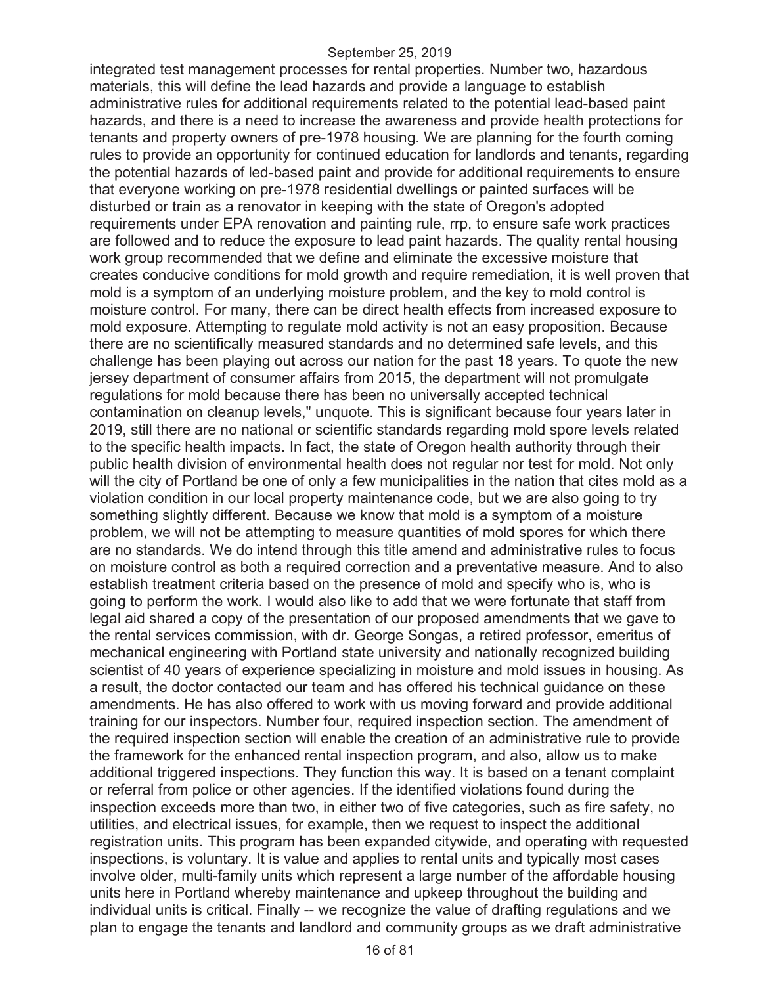integrated test management processes for rental properties. Number two, hazardous materials, this will define the lead hazards and provide a language to establish administrative rules for additional requirements related to the potential lead-based paint hazards, and there is a need to increase the awareness and provide health protections for tenants and property owners of pre-1978 housing. We are planning for the fourth coming rules to provide an opportunity for continued education for landlords and tenants, regarding the potential hazards of led-based paint and provide for additional requirements to ensure that everyone working on pre-1978 residential dwellings or painted surfaces will be disturbed or train as a renovator in keeping with the state of Oregon's adopted requirements under EPA renovation and painting rule, rrp, to ensure safe work practices are followed and to reduce the exposure to lead paint hazards. The quality rental housing work group recommended that we define and eliminate the excessive moisture that creates conducive conditions for mold growth and require remediation, it is well proven that mold is a symptom of an underlying moisture problem, and the key to mold control is moisture control. For many, there can be direct health effects from increased exposure to mold exposure. Attempting to regulate mold activity is not an easy proposition. Because there are no scientifically measured standards and no determined safe levels, and this challenge has been playing out across our nation for the past 18 years. To quote the new jersey department of consumer affairs from 2015, the department will not promulgate regulations for mold because there has been no universally accepted technical contamination on cleanup levels," unquote. This is significant because four years later in 2019, still there are no national or scientific standards regarding mold spore levels related to the specific health impacts. In fact, the state of Oregon health authority through their public health division of environmental health does not regular nor test for mold. Not only will the city of Portland be one of only a few municipalities in the nation that cites mold as a violation condition in our local property maintenance code, but we are also going to try something slightly different. Because we know that mold is a symptom of a moisture problem, we will not be attempting to measure quantities of mold spores for which there are no standards. We do intend through this title amend and administrative rules to focus on moisture control as both a required correction and a preventative measure. And to also establish treatment criteria based on the presence of mold and specify who is, who is going to perform the work. I would also like to add that we were fortunate that staff from legal aid shared a copy of the presentation of our proposed amendments that we gave to the rental services commission, with dr. George Songas, a retired professor, emeritus of mechanical engineering with Portland state university and nationally recognized building scientist of 40 years of experience specializing in moisture and mold issues in housing. As a result, the doctor contacted our team and has offered his technical guidance on these amendments. He has also offered to work with us moving forward and provide additional training for our inspectors. Number four, required inspection section. The amendment of the required inspection section will enable the creation of an administrative rule to provide the framework for the enhanced rental inspection program, and also, allow us to make additional triggered inspections. They function this way. It is based on a tenant complaint or referral from police or other agencies. If the identified violations found during the inspection exceeds more than two, in either two of five categories, such as fire safety, no utilities, and electrical issues, for example, then we request to inspect the additional registration units. This program has been expanded citywide, and operating with requested inspections, is voluntary. It is value and applies to rental units and typically most cases involve older, multi-family units which represent a large number of the affordable housing units here in Portland whereby maintenance and upkeep throughout the building and individual units is critical. Finally -- we recognize the value of drafting regulations and we plan to engage the tenants and landlord and community groups as we draft administrative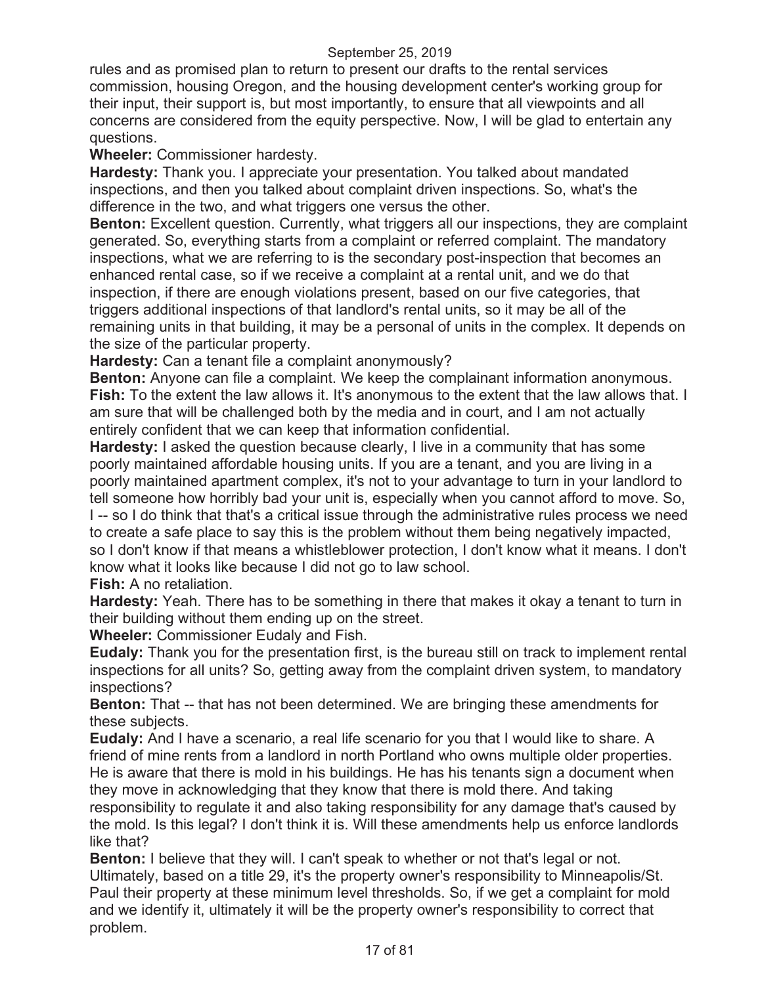rules and as promised plan to return to present our drafts to the rental services commission, housing Oregon, and the housing development center's working group for their input, their support is, but most importantly, to ensure that all viewpoints and all concerns are considered from the equity perspective. Now, I will be glad to entertain any questions.

**Wheeler:** Commissioner hardesty.

**Hardesty:** Thank you. I appreciate your presentation. You talked about mandated inspections, and then you talked about complaint driven inspections. So, what's the difference in the two, and what triggers one versus the other.

**Benton:** Excellent question. Currently, what triggers all our inspections, they are complaint generated. So, everything starts from a complaint or referred complaint. The mandatory inspections, what we are referring to is the secondary post-inspection that becomes an enhanced rental case, so if we receive a complaint at a rental unit, and we do that inspection, if there are enough violations present, based on our five categories, that triggers additional inspections of that landlord's rental units, so it may be all of the remaining units in that building, it may be a personal of units in the complex. It depends on the size of the particular property.

**Hardesty:** Can a tenant file a complaint anonymously?

**Benton:** Anyone can file a complaint. We keep the complainant information anonymous. **Fish:** To the extent the law allows it. It's anonymous to the extent that the law allows that. I am sure that will be challenged both by the media and in court, and I am not actually entirely confident that we can keep that information confidential.

**Hardesty:** I asked the question because clearly, I live in a community that has some poorly maintained affordable housing units. If you are a tenant, and you are living in a poorly maintained apartment complex, it's not to your advantage to turn in your landlord to tell someone how horribly bad your unit is, especially when you cannot afford to move. So, I -- so I do think that that's a critical issue through the administrative rules process we need to create a safe place to say this is the problem without them being negatively impacted, so I don't know if that means a whistleblower protection, I don't know what it means. I don't know what it looks like because I did not go to law school.

**Fish:** A no retaliation.

**Hardesty:** Yeah. There has to be something in there that makes it okay a tenant to turn in their building without them ending up on the street.

**Wheeler:** Commissioner Eudaly and Fish.

**Eudaly:** Thank you for the presentation first, is the bureau still on track to implement rental inspections for all units? So, getting away from the complaint driven system, to mandatory inspections?

**Benton:** That -- that has not been determined. We are bringing these amendments for these subjects.

**Eudaly:** And I have a scenario, a real life scenario for you that I would like to share. A friend of mine rents from a landlord in north Portland who owns multiple older properties. He is aware that there is mold in his buildings. He has his tenants sign a document when they move in acknowledging that they know that there is mold there. And taking responsibility to regulate it and also taking responsibility for any damage that's caused by

the mold. Is this legal? I don't think it is. Will these amendments help us enforce landlords like that?

**Benton:** I believe that they will. I can't speak to whether or not that's legal or not. Ultimately, based on a title 29, it's the property owner's responsibility to Minneapolis/St. Paul their property at these minimum level thresholds. So, if we get a complaint for mold and we identify it, ultimately it will be the property owner's responsibility to correct that problem.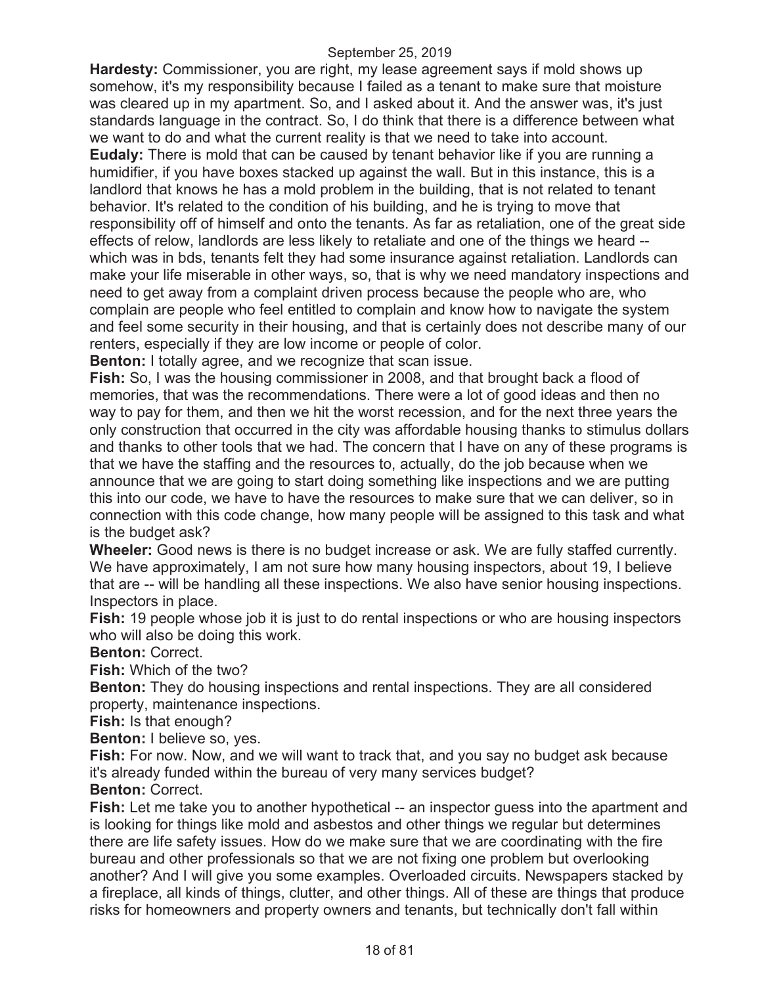**Hardesty:** Commissioner, you are right, my lease agreement says if mold shows up somehow, it's my responsibility because I failed as a tenant to make sure that moisture was cleared up in my apartment. So, and I asked about it. And the answer was, it's just standards language in the contract. So, I do think that there is a difference between what we want to do and what the current reality is that we need to take into account. **Eudaly:** There is mold that can be caused by tenant behavior like if you are running a humidifier, if you have boxes stacked up against the wall. But in this instance, this is a landlord that knows he has a mold problem in the building, that is not related to tenant behavior. It's related to the condition of his building, and he is trying to move that responsibility off of himself and onto the tenants. As far as retaliation, one of the great side effects of relow, landlords are less likely to retaliate and one of the things we heard - which was in bds, tenants felt they had some insurance against retaliation. Landlords can make your life miserable in other ways, so, that is why we need mandatory inspections and need to get away from a complaint driven process because the people who are, who complain are people who feel entitled to complain and know how to navigate the system and feel some security in their housing, and that is certainly does not describe many of our renters, especially if they are low income or people of color.

**Benton:** I totally agree, and we recognize that scan issue.

**Fish:** So, I was the housing commissioner in 2008, and that brought back a flood of memories, that was the recommendations. There were a lot of good ideas and then no way to pay for them, and then we hit the worst recession, and for the next three years the only construction that occurred in the city was affordable housing thanks to stimulus dollars and thanks to other tools that we had. The concern that I have on any of these programs is that we have the staffing and the resources to, actually, do the job because when we announce that we are going to start doing something like inspections and we are putting this into our code, we have to have the resources to make sure that we can deliver, so in connection with this code change, how many people will be assigned to this task and what is the budget ask?

**Wheeler:** Good news is there is no budget increase or ask. We are fully staffed currently. We have approximately, I am not sure how many housing inspectors, about 19, I believe that are -- will be handling all these inspections. We also have senior housing inspections. Inspectors in place.

**Fish:** 19 people whose job it is just to do rental inspections or who are housing inspectors who will also be doing this work.

**Benton:** Correct.

**Fish:** Which of the two?

**Benton:** They do housing inspections and rental inspections. They are all considered property, maintenance inspections.

**Fish:** Is that enough?

**Benton:** I believe so, yes.

**Fish:** For now. Now, and we will want to track that, and you say no budget ask because it's already funded within the bureau of very many services budget? **Benton:** Correct.

**Fish:** Let me take you to another hypothetical -- an inspector guess into the apartment and is looking for things like mold and asbestos and other things we regular but determines there are life safety issues. How do we make sure that we are coordinating with the fire bureau and other professionals so that we are not fixing one problem but overlooking another? And I will give you some examples. Overloaded circuits. Newspapers stacked by a fireplace, all kinds of things, clutter, and other things. All of these are things that produce risks for homeowners and property owners and tenants, but technically don't fall within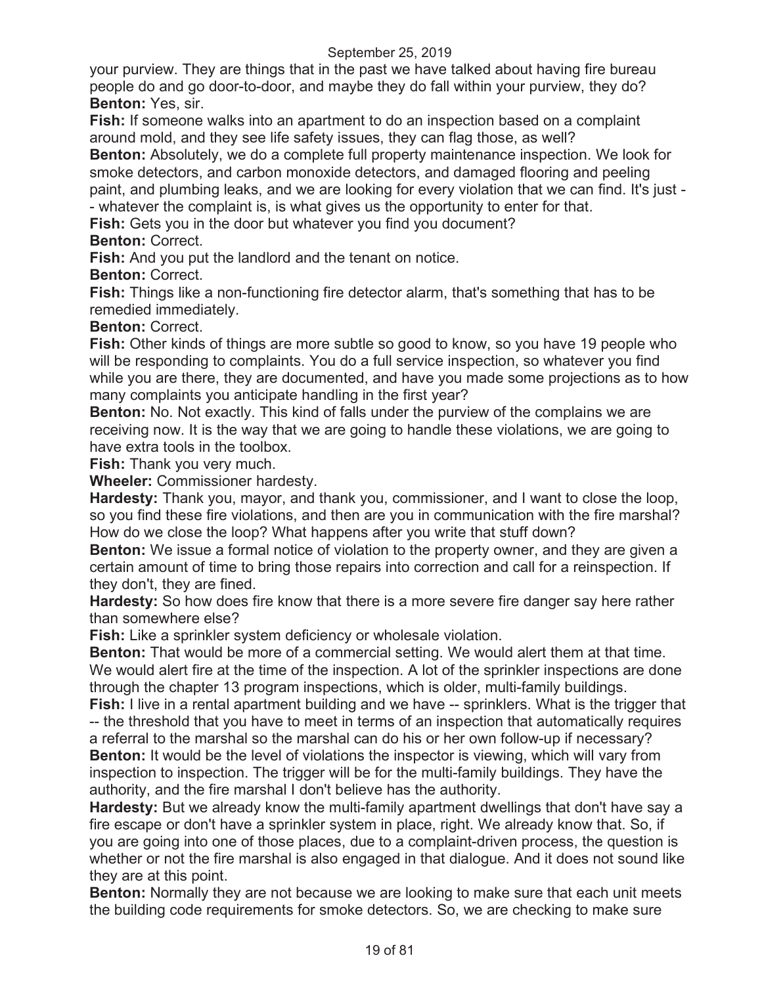your purview. They are things that in the past we have talked about having fire bureau people do and go door-to-door, and maybe they do fall within your purview, they do? **Benton:** Yes, sir.

**Fish:** If someone walks into an apartment to do an inspection based on a complaint around mold, and they see life safety issues, they can flag those, as well?

**Benton:** Absolutely, we do a complete full property maintenance inspection. We look for smoke detectors, and carbon monoxide detectors, and damaged flooring and peeling paint, and plumbing leaks, and we are looking for every violation that we can find. It's just - - whatever the complaint is, is what gives us the opportunity to enter for that.

**Fish:** Gets you in the door but whatever you find you document?

#### **Benton:** Correct.

**Fish:** And you put the landlord and the tenant on notice.

**Benton:** Correct.

**Fish:** Things like a non-functioning fire detector alarm, that's something that has to be remedied immediately.

#### **Benton:** Correct.

**Fish:** Other kinds of things are more subtle so good to know, so you have 19 people who will be responding to complaints. You do a full service inspection, so whatever you find while you are there, they are documented, and have you made some projections as to how many complaints you anticipate handling in the first year?

**Benton:** No. Not exactly. This kind of falls under the purview of the complains we are receiving now. It is the way that we are going to handle these violations, we are going to have extra tools in the toolbox.

**Fish:** Thank you very much.

**Wheeler:** Commissioner hardesty.

**Hardesty:** Thank you, mayor, and thank you, commissioner, and I want to close the loop, so you find these fire violations, and then are you in communication with the fire marshal? How do we close the loop? What happens after you write that stuff down?

**Benton:** We issue a formal notice of violation to the property owner, and they are given a certain amount of time to bring those repairs into correction and call for a reinspection. If they don't, they are fined.

**Hardesty:** So how does fire know that there is a more severe fire danger say here rather than somewhere else?

**Fish:** Like a sprinkler system deficiency or wholesale violation.

**Benton:** That would be more of a commercial setting. We would alert them at that time. We would alert fire at the time of the inspection. A lot of the sprinkler inspections are done through the chapter 13 program inspections, which is older, multi-family buildings.

**Fish:** I live in a rental apartment building and we have -- sprinklers. What is the trigger that -- the threshold that you have to meet in terms of an inspection that automatically requires

a referral to the marshal so the marshal can do his or her own follow-up if necessary? **Benton:** It would be the level of violations the inspector is viewing, which will vary from inspection to inspection. The trigger will be for the multi-family buildings. They have the authority, and the fire marshal I don't believe has the authority.

**Hardesty:** But we already know the multi-family apartment dwellings that don't have say a fire escape or don't have a sprinkler system in place, right. We already know that. So, if you are going into one of those places, due to a complaint-driven process, the question is whether or not the fire marshal is also engaged in that dialogue. And it does not sound like they are at this point.

**Benton:** Normally they are not because we are looking to make sure that each unit meets the building code requirements for smoke detectors. So, we are checking to make sure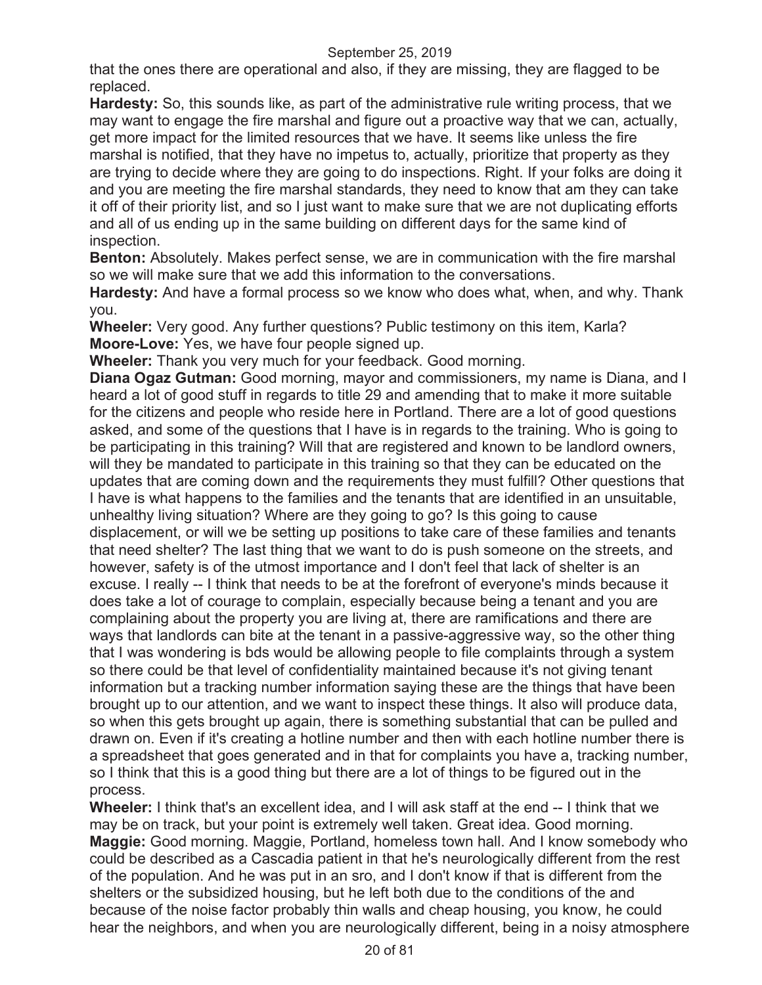that the ones there are operational and also, if they are missing, they are flagged to be replaced.

**Hardesty:** So, this sounds like, as part of the administrative rule writing process, that we may want to engage the fire marshal and figure out a proactive way that we can, actually, get more impact for the limited resources that we have. It seems like unless the fire marshal is notified, that they have no impetus to, actually, prioritize that property as they are trying to decide where they are going to do inspections. Right. If your folks are doing it and you are meeting the fire marshal standards, they need to know that am they can take it off of their priority list, and so I just want to make sure that we are not duplicating efforts and all of us ending up in the same building on different days for the same kind of inspection.

**Benton:** Absolutely. Makes perfect sense, we are in communication with the fire marshal so we will make sure that we add this information to the conversations.

**Hardesty:** And have a formal process so we know who does what, when, and why. Thank you.

**Wheeler:** Very good. Any further questions? Public testimony on this item, Karla? **Moore-Love:** Yes, we have four people signed up.

**Wheeler:** Thank you very much for your feedback. Good morning.

**Diana Ogaz Gutman:** Good morning, mayor and commissioners, my name is Diana, and I heard a lot of good stuff in regards to title 29 and amending that to make it more suitable for the citizens and people who reside here in Portland. There are a lot of good questions asked, and some of the questions that I have is in regards to the training. Who is going to be participating in this training? Will that are registered and known to be landlord owners, will they be mandated to participate in this training so that they can be educated on the updates that are coming down and the requirements they must fulfill? Other questions that I have is what happens to the families and the tenants that are identified in an unsuitable, unhealthy living situation? Where are they going to go? Is this going to cause displacement, or will we be setting up positions to take care of these families and tenants that need shelter? The last thing that we want to do is push someone on the streets, and however, safety is of the utmost importance and I don't feel that lack of shelter is an excuse. I really -- I think that needs to be at the forefront of everyone's minds because it does take a lot of courage to complain, especially because being a tenant and you are complaining about the property you are living at, there are ramifications and there are ways that landlords can bite at the tenant in a passive-aggressive way, so the other thing that I was wondering is bds would be allowing people to file complaints through a system so there could be that level of confidentiality maintained because it's not giving tenant information but a tracking number information saying these are the things that have been brought up to our attention, and we want to inspect these things. It also will produce data, so when this gets brought up again, there is something substantial that can be pulled and drawn on. Even if it's creating a hotline number and then with each hotline number there is a spreadsheet that goes generated and in that for complaints you have a, tracking number, so I think that this is a good thing but there are a lot of things to be figured out in the process.

**Wheeler:** I think that's an excellent idea, and I will ask staff at the end -- I think that we may be on track, but your point is extremely well taken. Great idea. Good morning. **Maggie:** Good morning. Maggie, Portland, homeless town hall. And I know somebody who could be described as a Cascadia patient in that he's neurologically different from the rest of the population. And he was put in an sro, and I don't know if that is different from the shelters or the subsidized housing, but he left both due to the conditions of the and because of the noise factor probably thin walls and cheap housing, you know, he could hear the neighbors, and when you are neurologically different, being in a noisy atmosphere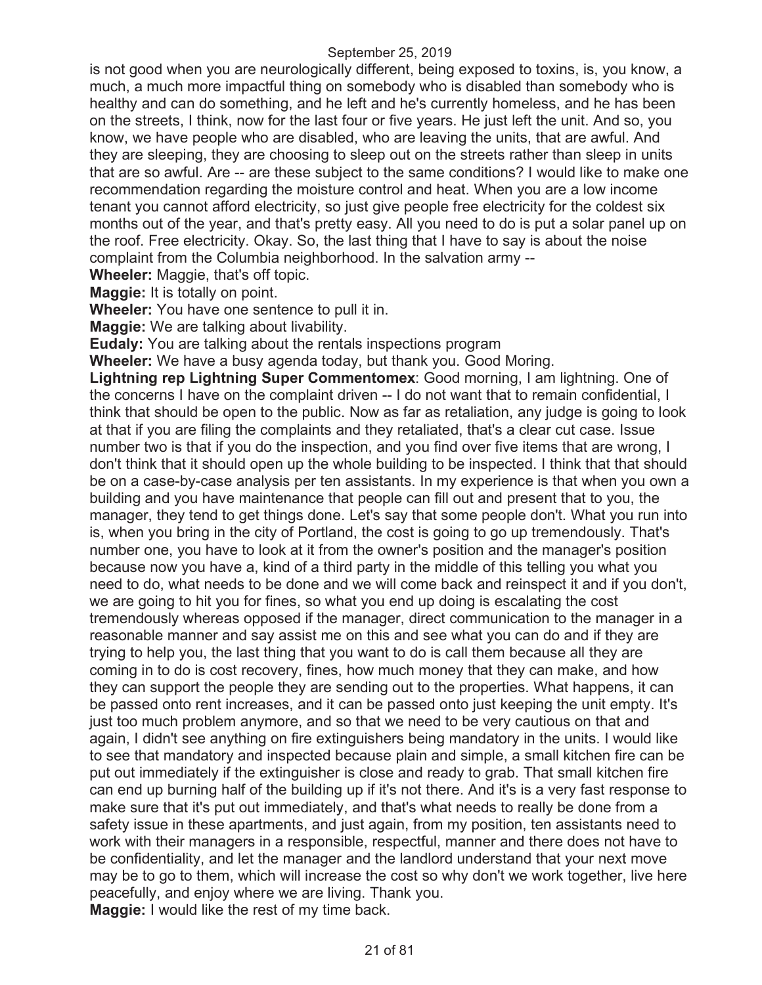is not good when you are neurologically different, being exposed to toxins, is, you know, a much, a much more impactful thing on somebody who is disabled than somebody who is healthy and can do something, and he left and he's currently homeless, and he has been on the streets, I think, now for the last four or five years. He just left the unit. And so, you know, we have people who are disabled, who are leaving the units, that are awful. And they are sleeping, they are choosing to sleep out on the streets rather than sleep in units that are so awful. Are -- are these subject to the same conditions? I would like to make one recommendation regarding the moisture control and heat. When you are a low income tenant you cannot afford electricity, so just give people free electricity for the coldest six months out of the year, and that's pretty easy. All you need to do is put a solar panel up on the roof. Free electricity. Okay. So, the last thing that I have to say is about the noise complaint from the Columbia neighborhood. In the salvation army --

**Wheeler:** Maggie, that's off topic.

**Maggie:** It is totally on point.

**Wheeler:** You have one sentence to pull it in.

**Maggie:** We are talking about livability.

**Eudaly:** You are talking about the rentals inspections program

**Wheeler:** We have a busy agenda today, but thank you. Good Moring.

**Lightning rep Lightning Super Commentomex**: Good morning, I am lightning. One of the concerns I have on the complaint driven -- I do not want that to remain confidential, I think that should be open to the public. Now as far as retaliation, any judge is going to look at that if you are filing the complaints and they retaliated, that's a clear cut case. Issue number two is that if you do the inspection, and you find over five items that are wrong, I don't think that it should open up the whole building to be inspected. I think that that should be on a case-by-case analysis per ten assistants. In my experience is that when you own a building and you have maintenance that people can fill out and present that to you, the manager, they tend to get things done. Let's say that some people don't. What you run into is, when you bring in the city of Portland, the cost is going to go up tremendously. That's number one, you have to look at it from the owner's position and the manager's position because now you have a, kind of a third party in the middle of this telling you what you need to do, what needs to be done and we will come back and reinspect it and if you don't, we are going to hit you for fines, so what you end up doing is escalating the cost tremendously whereas opposed if the manager, direct communication to the manager in a reasonable manner and say assist me on this and see what you can do and if they are trying to help you, the last thing that you want to do is call them because all they are coming in to do is cost recovery, fines, how much money that they can make, and how they can support the people they are sending out to the properties. What happens, it can be passed onto rent increases, and it can be passed onto just keeping the unit empty. It's just too much problem anymore, and so that we need to be very cautious on that and again, I didn't see anything on fire extinguishers being mandatory in the units. I would like to see that mandatory and inspected because plain and simple, a small kitchen fire can be put out immediately if the extinguisher is close and ready to grab. That small kitchen fire can end up burning half of the building up if it's not there. And it's is a very fast response to make sure that it's put out immediately, and that's what needs to really be done from a safety issue in these apartments, and just again, from my position, ten assistants need to work with their managers in a responsible, respectful, manner and there does not have to be confidentiality, and let the manager and the landlord understand that your next move may be to go to them, which will increase the cost so why don't we work together, live here peacefully, and enjoy where we are living. Thank you. **Maggie:** I would like the rest of my time back.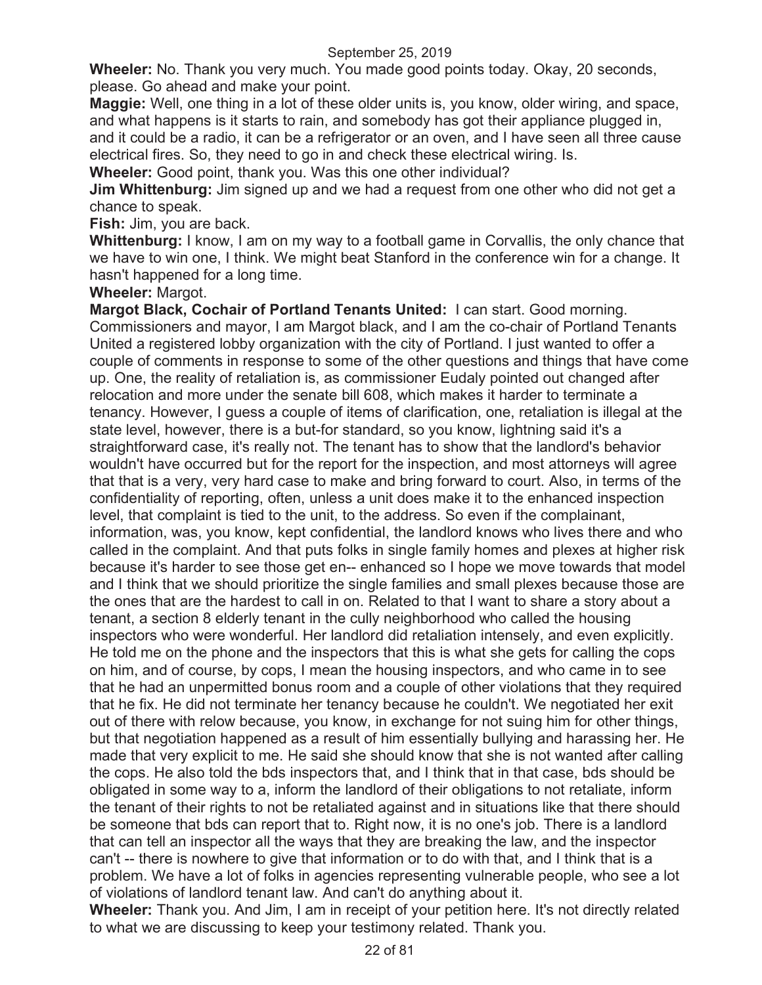**Wheeler:** No. Thank you very much. You made good points today. Okay, 20 seconds, please. Go ahead and make your point.

**Maggie:** Well, one thing in a lot of these older units is, you know, older wiring, and space, and what happens is it starts to rain, and somebody has got their appliance plugged in, and it could be a radio, it can be a refrigerator or an oven, and I have seen all three cause electrical fires. So, they need to go in and check these electrical wiring. Is.

**Wheeler:** Good point, thank you. Was this one other individual?

**Jim Whittenburg:** Jim signed up and we had a request from one other who did not get a chance to speak.

**Fish:** Jim, you are back.

**Whittenburg:** I know, I am on my way to a football game in Corvallis, the only chance that we have to win one, I think. We might beat Stanford in the conference win for a change. It hasn't happened for a long time.

#### **Wheeler:** Margot.

**Margot Black, Cochair of Portland Tenants United:** I can start. Good morning. Commissioners and mayor, I am Margot black, and I am the co-chair of Portland Tenants United a registered lobby organization with the city of Portland. I just wanted to offer a couple of comments in response to some of the other questions and things that have come up. One, the reality of retaliation is, as commissioner Eudaly pointed out changed after relocation and more under the senate bill 608, which makes it harder to terminate a tenancy. However, I guess a couple of items of clarification, one, retaliation is illegal at the state level, however, there is a but-for standard, so you know, lightning said it's a straightforward case, it's really not. The tenant has to show that the landlord's behavior wouldn't have occurred but for the report for the inspection, and most attorneys will agree that that is a very, very hard case to make and bring forward to court. Also, in terms of the confidentiality of reporting, often, unless a unit does make it to the enhanced inspection level, that complaint is tied to the unit, to the address. So even if the complainant, information, was, you know, kept confidential, the landlord knows who lives there and who called in the complaint. And that puts folks in single family homes and plexes at higher risk because it's harder to see those get en-- enhanced so I hope we move towards that model and I think that we should prioritize the single families and small plexes because those are the ones that are the hardest to call in on. Related to that I want to share a story about a tenant, a section 8 elderly tenant in the cully neighborhood who called the housing inspectors who were wonderful. Her landlord did retaliation intensely, and even explicitly. He told me on the phone and the inspectors that this is what she gets for calling the cops on him, and of course, by cops, I mean the housing inspectors, and who came in to see that he had an unpermitted bonus room and a couple of other violations that they required that he fix. He did not terminate her tenancy because he couldn't. We negotiated her exit out of there with relow because, you know, in exchange for not suing him for other things, but that negotiation happened as a result of him essentially bullying and harassing her. He made that very explicit to me. He said she should know that she is not wanted after calling the cops. He also told the bds inspectors that, and I think that in that case, bds should be obligated in some way to a, inform the landlord of their obligations to not retaliate, inform the tenant of their rights to not be retaliated against and in situations like that there should be someone that bds can report that to. Right now, it is no one's job. There is a landlord that can tell an inspector all the ways that they are breaking the law, and the inspector can't -- there is nowhere to give that information or to do with that, and I think that is a problem. We have a lot of folks in agencies representing vulnerable people, who see a lot of violations of landlord tenant law. And can't do anything about it.

**Wheeler:** Thank you. And Jim, I am in receipt of your petition here. It's not directly related to what we are discussing to keep your testimony related. Thank you.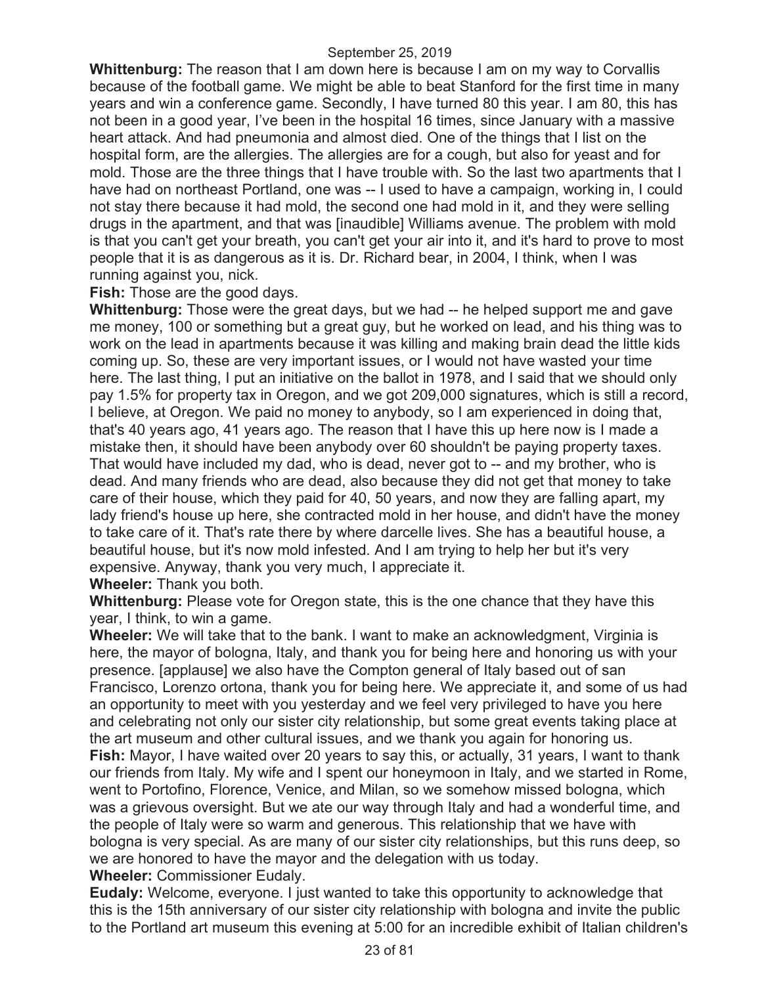**Whittenburg:** The reason that I am down here is because I am on my way to Corvallis because of the football game. We might be able to beat Stanford for the first time in many years and win a conference game. Secondly, I have turned 80 this year. I am 80, this has not been in a good year, I've been in the hospital 16 times, since January with a massive heart attack. And had pneumonia and almost died. One of the things that I list on the hospital form, are the allergies. The allergies are for a cough, but also for yeast and for mold. Those are the three things that I have trouble with. So the last two apartments that I have had on northeast Portland, one was -- I used to have a campaign, working in, I could not stay there because it had mold, the second one had mold in it, and they were selling drugs in the apartment, and that was [inaudible] Williams avenue. The problem with mold is that you can't get your breath, you can't get your air into it, and it's hard to prove to most people that it is as dangerous as it is. Dr. Richard bear, in 2004, I think, when I was running against you, nick.

**Fish:** Those are the good days.

**Whittenburg:** Those were the great days, but we had -- he helped support me and gave me money, 100 or something but a great guy, but he worked on lead, and his thing was to work on the lead in apartments because it was killing and making brain dead the little kids coming up. So, these are very important issues, or I would not have wasted your time here. The last thing, I put an initiative on the ballot in 1978, and I said that we should only pay 1.5% for property tax in Oregon, and we got 209,000 signatures, which is still a record, I believe, at Oregon. We paid no money to anybody, so I am experienced in doing that, that's 40 years ago, 41 years ago. The reason that I have this up here now is I made a mistake then, it should have been anybody over 60 shouldn't be paying property taxes. That would have included my dad, who is dead, never got to -- and my brother, who is dead. And many friends who are dead, also because they did not get that money to take care of their house, which they paid for 40, 50 years, and now they are falling apart, my lady friend's house up here, she contracted mold in her house, and didn't have the money to take care of it. That's rate there by where darcelle lives. She has a beautiful house, a beautiful house, but it's now mold infested. And I am trying to help her but it's very expensive. Anyway, thank you very much, I appreciate it.

**Wheeler:** Thank you both.

**Whittenburg:** Please vote for Oregon state, this is the one chance that they have this year, I think, to win a game.

**Wheeler:** We will take that to the bank. I want to make an acknowledgment, Virginia is here, the mayor of bologna, Italy, and thank you for being here and honoring us with your presence. [applause] we also have the Compton general of Italy based out of san Francisco, Lorenzo ortona, thank you for being here. We appreciate it, and some of us had an opportunity to meet with you yesterday and we feel very privileged to have you here and celebrating not only our sister city relationship, but some great events taking place at the art museum and other cultural issues, and we thank you again for honoring us. **Fish:** Mayor, I have waited over 20 years to say this, or actually, 31 years, I want to thank our friends from Italy. My wife and I spent our honeymoon in Italy, and we started in Rome, went to Portofino, Florence, Venice, and Milan, so we somehow missed bologna, which was a grievous oversight. But we ate our way through Italy and had a wonderful time, and the people of Italy were so warm and generous. This relationship that we have with bologna is very special. As are many of our sister city relationships, but this runs deep, so we are honored to have the mayor and the delegation with us today. **Wheeler:** Commissioner Eudaly.

**Eudaly:** Welcome, everyone. I just wanted to take this opportunity to acknowledge that this is the 15th anniversary of our sister city relationship with bologna and invite the public to the Portland art museum this evening at 5:00 for an incredible exhibit of Italian children's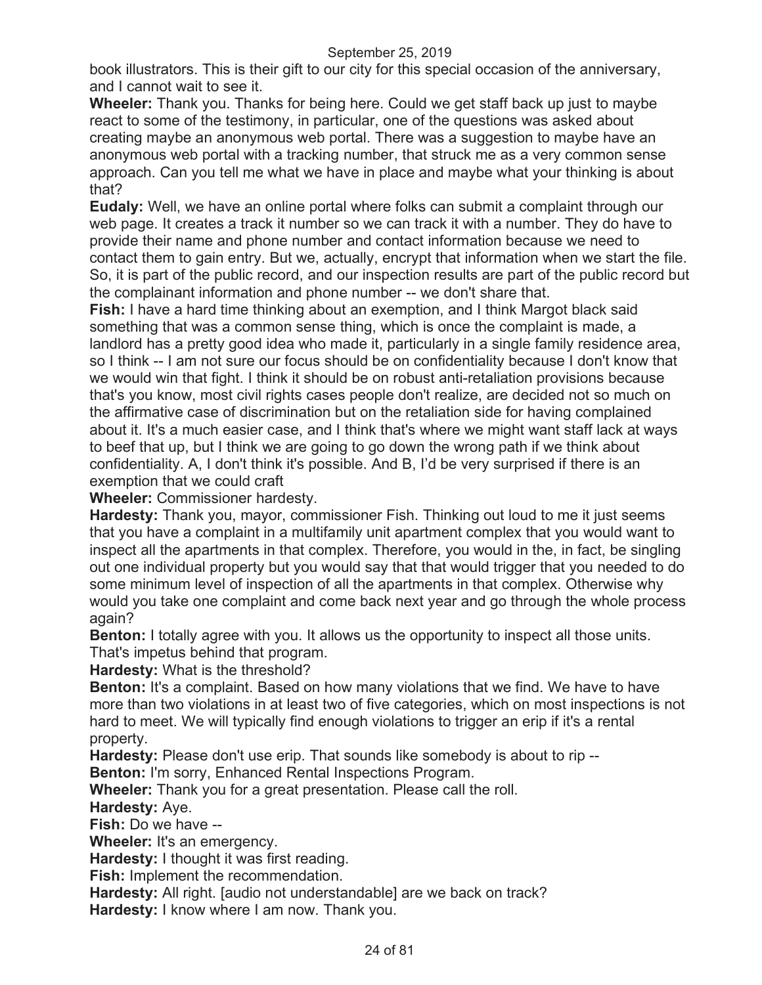book illustrators. This is their gift to our city for this special occasion of the anniversary, and I cannot wait to see it.

**Wheeler:** Thank you. Thanks for being here. Could we get staff back up just to maybe react to some of the testimony, in particular, one of the questions was asked about creating maybe an anonymous web portal. There was a suggestion to maybe have an anonymous web portal with a tracking number, that struck me as a very common sense approach. Can you tell me what we have in place and maybe what your thinking is about that?

**Eudaly:** Well, we have an online portal where folks can submit a complaint through our web page. It creates a track it number so we can track it with a number. They do have to provide their name and phone number and contact information because we need to contact them to gain entry. But we, actually, encrypt that information when we start the file. So, it is part of the public record, and our inspection results are part of the public record but the complainant information and phone number -- we don't share that.

**Fish:** I have a hard time thinking about an exemption, and I think Margot black said something that was a common sense thing, which is once the complaint is made, a landlord has a pretty good idea who made it, particularly in a single family residence area, so I think -- I am not sure our focus should be on confidentiality because I don't know that we would win that fight. I think it should be on robust anti-retaliation provisions because that's you know, most civil rights cases people don't realize, are decided not so much on the affirmative case of discrimination but on the retaliation side for having complained about it. It's a much easier case, and I think that's where we might want staff lack at ways to beef that up, but I think we are going to go down the wrong path if we think about confidentiality. A, I don't think it's possible. And B, I'd be very surprised if there is an exemption that we could craft

**Wheeler:** Commissioner hardesty.

**Hardesty:** Thank you, mayor, commissioner Fish. Thinking out loud to me it just seems that you have a complaint in a multifamily unit apartment complex that you would want to inspect all the apartments in that complex. Therefore, you would in the, in fact, be singling out one individual property but you would say that that would trigger that you needed to do some minimum level of inspection of all the apartments in that complex. Otherwise why would you take one complaint and come back next year and go through the whole process again?

**Benton:** I totally agree with you. It allows us the opportunity to inspect all those units. That's impetus behind that program.

**Hardesty:** What is the threshold?

**Benton:** It's a complaint. Based on how many violations that we find. We have to have more than two violations in at least two of five categories, which on most inspections is not hard to meet. We will typically find enough violations to trigger an erip if it's a rental property.

**Hardesty:** Please don't use erip. That sounds like somebody is about to rip -- **Benton:** I'm sorry, Enhanced Rental Inspections Program.

**Wheeler:** Thank you for a great presentation. Please call the roll.

**Hardesty:** Aye.

**Fish:** Do we have --

**Wheeler:** It's an emergency.

**Hardesty:** I thought it was first reading.

**Fish:** Implement the recommendation.

**Hardesty:** All right. [audio not understandable] are we back on track? **Hardesty:** I know where I am now. Thank you.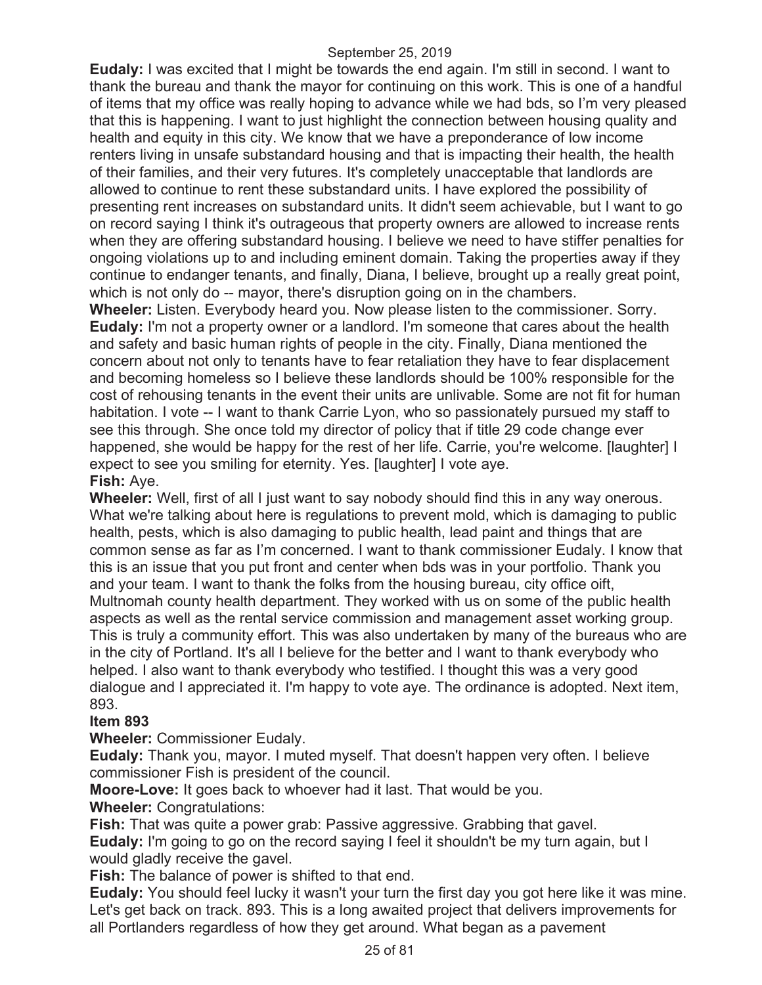**Eudaly:** I was excited that I might be towards the end again. I'm still in second. I want to thank the bureau and thank the mayor for continuing on this work. This is one of a handful of items that my office was really hoping to advance while we had bds, so I'm very pleased that this is happening. I want to just highlight the connection between housing quality and health and equity in this city. We know that we have a preponderance of low income renters living in unsafe substandard housing and that is impacting their health, the health of their families, and their very futures. It's completely unacceptable that landlords are allowed to continue to rent these substandard units. I have explored the possibility of presenting rent increases on substandard units. It didn't seem achievable, but I want to go on record saying I think it's outrageous that property owners are allowed to increase rents when they are offering substandard housing. I believe we need to have stiffer penalties for ongoing violations up to and including eminent domain. Taking the properties away if they continue to endanger tenants, and finally, Diana, I believe, brought up a really great point, which is not only do -- mayor, there's disruption going on in the chambers.

**Wheeler:** Listen. Everybody heard you. Now please listen to the commissioner. Sorry. **Eudaly:** I'm not a property owner or a landlord. I'm someone that cares about the health and safety and basic human rights of people in the city. Finally, Diana mentioned the concern about not only to tenants have to fear retaliation they have to fear displacement and becoming homeless so I believe these landlords should be 100% responsible for the cost of rehousing tenants in the event their units are unlivable. Some are not fit for human habitation. I vote -- I want to thank Carrie Lyon, who so passionately pursued my staff to see this through. She once told my director of policy that if title 29 code change ever happened, she would be happy for the rest of her life. Carrie, you're welcome. [laughter] I expect to see you smiling for eternity. Yes. [laughter] I vote aye. **Fish:** Aye.

**Wheeler:** Well, first of all I just want to say nobody should find this in any way onerous. What we're talking about here is regulations to prevent mold, which is damaging to public health, pests, which is also damaging to public health, lead paint and things that are common sense as far as I'm concerned. I want to thank commissioner Eudaly. I know that this is an issue that you put front and center when bds was in your portfolio. Thank you and your team. I want to thank the folks from the housing bureau, city office oift, Multnomah county health department. They worked with us on some of the public health aspects as well as the rental service commission and management asset working group. This is truly a community effort. This was also undertaken by many of the bureaus who are in the city of Portland. It's all I believe for the better and I want to thank everybody who helped. I also want to thank everybody who testified. I thought this was a very good dialogue and I appreciated it. I'm happy to vote aye. The ordinance is adopted. Next item, 893.

#### **Item 893**

**Wheeler:** Commissioner Eudaly.

**Eudaly:** Thank you, mayor. I muted myself. That doesn't happen very often. I believe commissioner Fish is president of the council.

**Moore-Love:** It goes back to whoever had it last. That would be you.

**Wheeler:** Congratulations:

**Fish:** That was quite a power grab: Passive aggressive. Grabbing that gavel. **Eudaly:** I'm going to go on the record saying I feel it shouldn't be my turn again, but I would gladly receive the gavel.

**Fish:** The balance of power is shifted to that end.

**Eudaly:** You should feel lucky it wasn't your turn the first day you got here like it was mine. Let's get back on track. 893. This is a long awaited project that delivers improvements for all Portlanders regardless of how they get around. What began as a pavement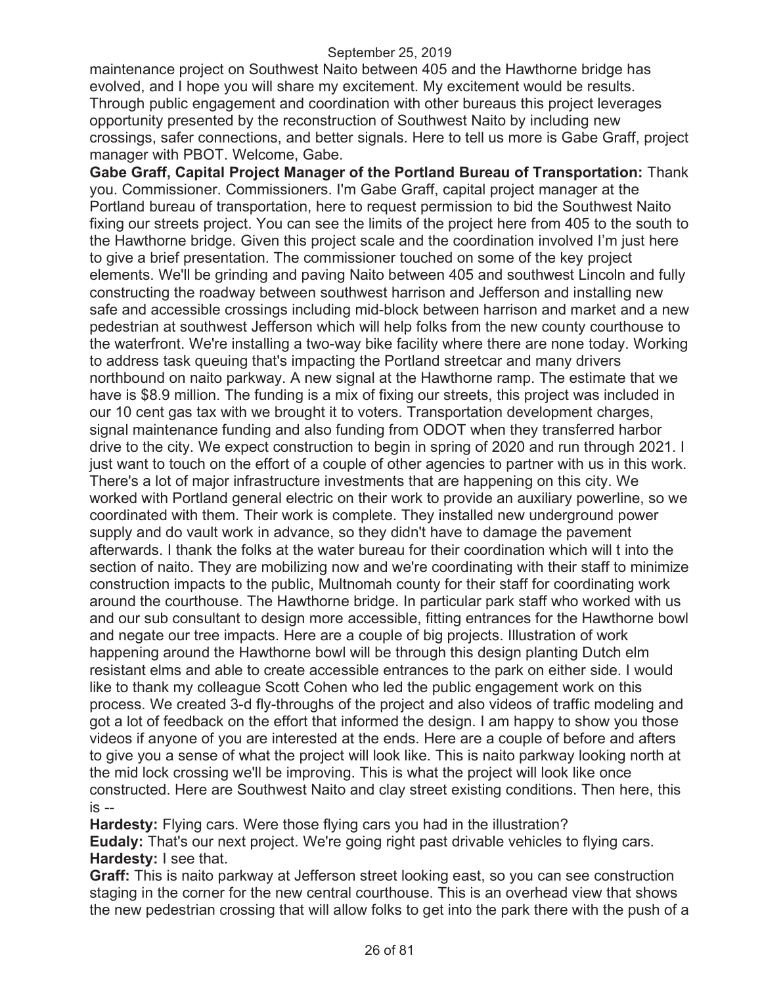maintenance project on Southwest Naito between 405 and the Hawthorne bridge has evolved, and I hope you will share my excitement. My excitement would be results. Through public engagement and coordination with other bureaus this project leverages opportunity presented by the reconstruction of Southwest Naito by including new crossings, safer connections, and better signals. Here to tell us more is Gabe Graff, project manager with PBOT. Welcome, Gabe.

**Gabe Graff, Capital Project Manager of the Portland Bureau of Transportation:** Thank you. Commissioner. Commissioners. I'm Gabe Graff, capital project manager at the Portland bureau of transportation, here to request permission to bid the Southwest Naito fixing our streets project. You can see the limits of the project here from 405 to the south to the Hawthorne bridge. Given this project scale and the coordination involved I'm just here to give a brief presentation. The commissioner touched on some of the key project elements. We'll be grinding and paving Naito between 405 and southwest Lincoln and fully constructing the roadway between southwest harrison and Jefferson and installing new safe and accessible crossings including mid-block between harrison and market and a new pedestrian at southwest Jefferson which will help folks from the new county courthouse to the waterfront. We're installing a two-way bike facility where there are none today. Working to address task queuing that's impacting the Portland streetcar and many drivers northbound on naito parkway. A new signal at the Hawthorne ramp. The estimate that we have is \$8.9 million. The funding is a mix of fixing our streets, this project was included in our 10 cent gas tax with we brought it to voters. Transportation development charges, signal maintenance funding and also funding from ODOT when they transferred harbor drive to the city. We expect construction to begin in spring of 2020 and run through 2021. I just want to touch on the effort of a couple of other agencies to partner with us in this work. There's a lot of major infrastructure investments that are happening on this city. We worked with Portland general electric on their work to provide an auxiliary powerline, so we coordinated with them. Their work is complete. They installed new underground power supply and do vault work in advance, so they didn't have to damage the pavement afterwards. I thank the folks at the water bureau for their coordination which will t into the section of naito. They are mobilizing now and we're coordinating with their staff to minimize construction impacts to the public, Multnomah county for their staff for coordinating work around the courthouse. The Hawthorne bridge. In particular park staff who worked with us and our sub consultant to design more accessible, fitting entrances for the Hawthorne bowl and negate our tree impacts. Here are a couple of big projects. Illustration of work happening around the Hawthorne bowl will be through this design planting Dutch elm resistant elms and able to create accessible entrances to the park on either side. I would like to thank my colleague Scott Cohen who led the public engagement work on this process. We created 3-d fly-throughs of the project and also videos of traffic modeling and got a lot of feedback on the effort that informed the design. I am happy to show you those videos if anyone of you are interested at the ends. Here are a couple of before and afters to give you a sense of what the project will look like. This is naito parkway looking north at the mid lock crossing we'll be improving. This is what the project will look like once constructed. Here are Southwest Naito and clay street existing conditions. Then here, this is --

**Hardesty:** Flying cars. Were those flying cars you had in the illustration? **Eudaly:** That's our next project. We're going right past drivable vehicles to flying cars. **Hardesty:** I see that.

**Graff:** This is naito parkway at Jefferson street looking east, so you can see construction staging in the corner for the new central courthouse. This is an overhead view that shows the new pedestrian crossing that will allow folks to get into the park there with the push of a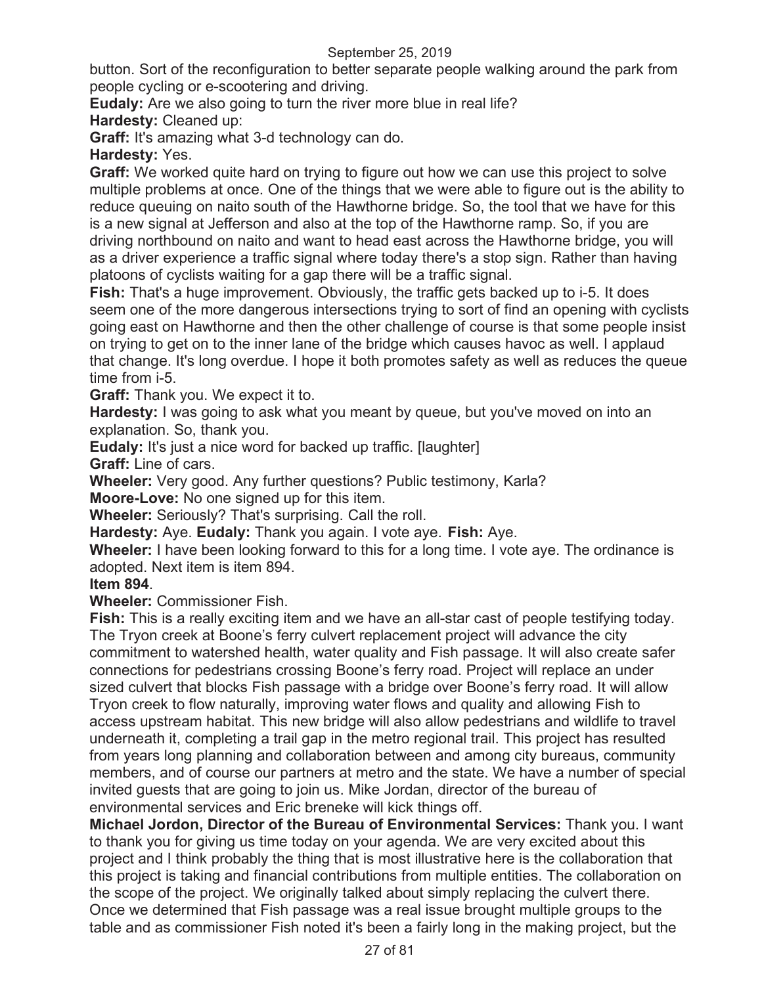button. Sort of the reconfiguration to better separate people walking around the park from people cycling or e-scootering and driving.

**Eudaly:** Are we also going to turn the river more blue in real life?

**Hardesty:** Cleaned up:

**Graff:** It's amazing what 3-d technology can do.

**Hardesty:** Yes.

**Graff:** We worked quite hard on trying to figure out how we can use this project to solve multiple problems at once. One of the things that we were able to figure out is the ability to reduce queuing on naito south of the Hawthorne bridge. So, the tool that we have for this is a new signal at Jefferson and also at the top of the Hawthorne ramp. So, if you are driving northbound on naito and want to head east across the Hawthorne bridge, you will as a driver experience a traffic signal where today there's a stop sign. Rather than having platoons of cyclists waiting for a gap there will be a traffic signal.

**Fish:** That's a huge improvement. Obviously, the traffic gets backed up to i-5. It does seem one of the more dangerous intersections trying to sort of find an opening with cyclists going east on Hawthorne and then the other challenge of course is that some people insist on trying to get on to the inner lane of the bridge which causes havoc as well. I applaud that change. It's long overdue. I hope it both promotes safety as well as reduces the queue time from i-5.

**Graff:** Thank you. We expect it to.

**Hardesty:** I was going to ask what you meant by queue, but you've moved on into an explanation. So, thank you.

**Eudaly:** It's just a nice word for backed up traffic. [laughter]

**Graff:** Line of cars.

**Wheeler:** Very good. Any further questions? Public testimony, Karla?

**Moore-Love:** No one signed up for this item.

**Wheeler:** Seriously? That's surprising. Call the roll.

**Hardesty:** Aye. **Eudaly:** Thank you again. I vote aye. **Fish:** Aye.

**Wheeler:** I have been looking forward to this for a long time. I vote aye. The ordinance is adopted. Next item is item 894.

**Item 894**.

**Wheeler:** Commissioner Fish.

**Fish:** This is a really exciting item and we have an all-star cast of people testifying today. The Tryon creek at Boone's ferry culvert replacement project will advance the city commitment to watershed health, water quality and Fish passage. It will also create safer connections for pedestrians crossing Boone's ferry road. Project will replace an under sized culvert that blocks Fish passage with a bridge over Boone's ferry road. It will allow Tryon creek to flow naturally, improving water flows and quality and allowing Fish to access upstream habitat. This new bridge will also allow pedestrians and wildlife to travel underneath it, completing a trail gap in the metro regional trail. This project has resulted from years long planning and collaboration between and among city bureaus, community members, and of course our partners at metro and the state. We have a number of special invited guests that are going to join us. Mike Jordan, director of the bureau of environmental services and Eric breneke will kick things off.

**Michael Jordon, Director of the Bureau of Environmental Services:** Thank you. I want to thank you for giving us time today on your agenda. We are very excited about this project and I think probably the thing that is most illustrative here is the collaboration that this project is taking and financial contributions from multiple entities. The collaboration on the scope of the project. We originally talked about simply replacing the culvert there. Once we determined that Fish passage was a real issue brought multiple groups to the table and as commissioner Fish noted it's been a fairly long in the making project, but the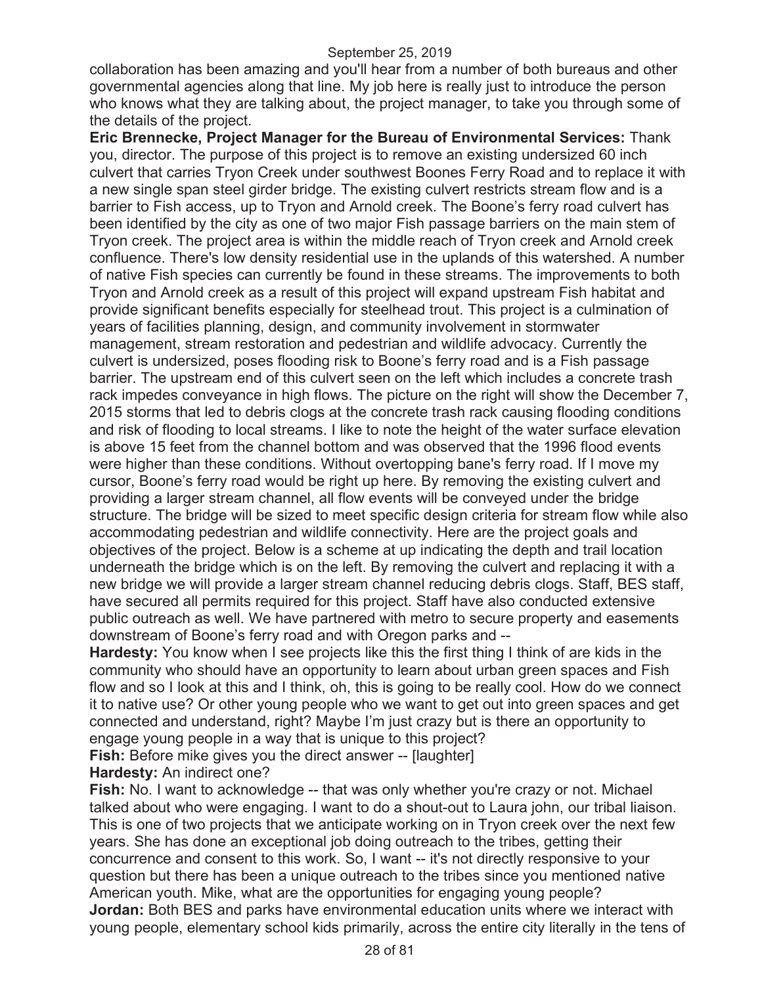collaboration has been amazing and you'll hear from a number of both bureaus and other governmental agencies along that line. My job here is really just to introduce the person who knows what they are talking about, the project manager, to take you through some of the details of the project.

**Eric Brennecke, Project Manager for the Bureau of Environmental Services:** Thank you, director. The purpose of this project is to remove an existing undersized 60 inch culvert that carries Tryon Creek under southwest Boones Ferry Road and to replace it with a new single span steel girder bridge. The existing culvert restricts stream flow and is a barrier to Fish access, up to Tryon and Arnold creek. The Boone's ferry road culvert has been identified by the city as one of two major Fish passage barriers on the main stem of Tryon creek. The project area is within the middle reach of Tryon creek and Arnold creek confluence. There's low density residential use in the uplands of this watershed. A number of native Fish species can currently be found in these streams. The improvements to both Tryon and Arnold creek as a result of this project will expand upstream Fish habitat and provide significant benefits especially for steelhead trout. This project is a culmination of years of facilities planning, design, and community involvement in stormwater management, stream restoration and pedestrian and wildlife advocacy. Currently the culvert is undersized, poses flooding risk to Boone's ferry road and is a Fish passage barrier. The upstream end of this culvert seen on the left which includes a concrete trash rack impedes conveyance in high flows. The picture on the right will show the December 7, 2015 storms that led to debris clogs at the concrete trash rack causing flooding conditions and risk of flooding to local streams. I like to note the height of the water surface elevation is above 15 feet from the channel bottom and was observed that the 1996 flood events were higher than these conditions. Without overtopping bane's ferry road. If I move my cursor, Boone's ferry road would be right up here. By removing the existing culvert and providing a larger stream channel, all flow events will be conveyed under the bridge structure. The bridge will be sized to meet specific design criteria for stream flow while also accommodating pedestrian and wildlife connectivity. Here are the project goals and objectives of the project. Below is a scheme at up indicating the depth and trail location underneath the bridge which is on the left. By removing the culvert and replacing it with a new bridge we will provide a larger stream channel reducing debris clogs. Staff, BES staff, have secured all permits required for this project. Staff have also conducted extensive public outreach as well. We have partnered with metro to secure property and easements downstream of Boone's ferry road and with Oregon parks and --

**Hardesty:** You know when I see projects like this the first thing I think of are kids in the community who should have an opportunity to learn about urban green spaces and Fish flow and so I look at this and I think, oh, this is going to be really cool. How do we connect it to native use? Or other young people who we want to get out into green spaces and get connected and understand, right? Maybe I'm just crazy but is there an opportunity to engage young people in a way that is unique to this project?

**Fish:** Before mike gives you the direct answer -- [laughter]

**Hardesty:** An indirect one?

**Fish:** No. I want to acknowledge -- that was only whether you're crazy or not. Michael talked about who were engaging. I want to do a shout-out to Laura john, our tribal liaison. This is one of two projects that we anticipate working on in Tryon creek over the next few years. She has done an exceptional job doing outreach to the tribes, getting their concurrence and consent to this work. So, I want -- it's not directly responsive to your question but there has been a unique outreach to the tribes since you mentioned native American youth. Mike, what are the opportunities for engaging young people? **Jordan:** Both BES and parks have environmental education units where we interact with young people, elementary school kids primarily, across the entire city literally in the tens of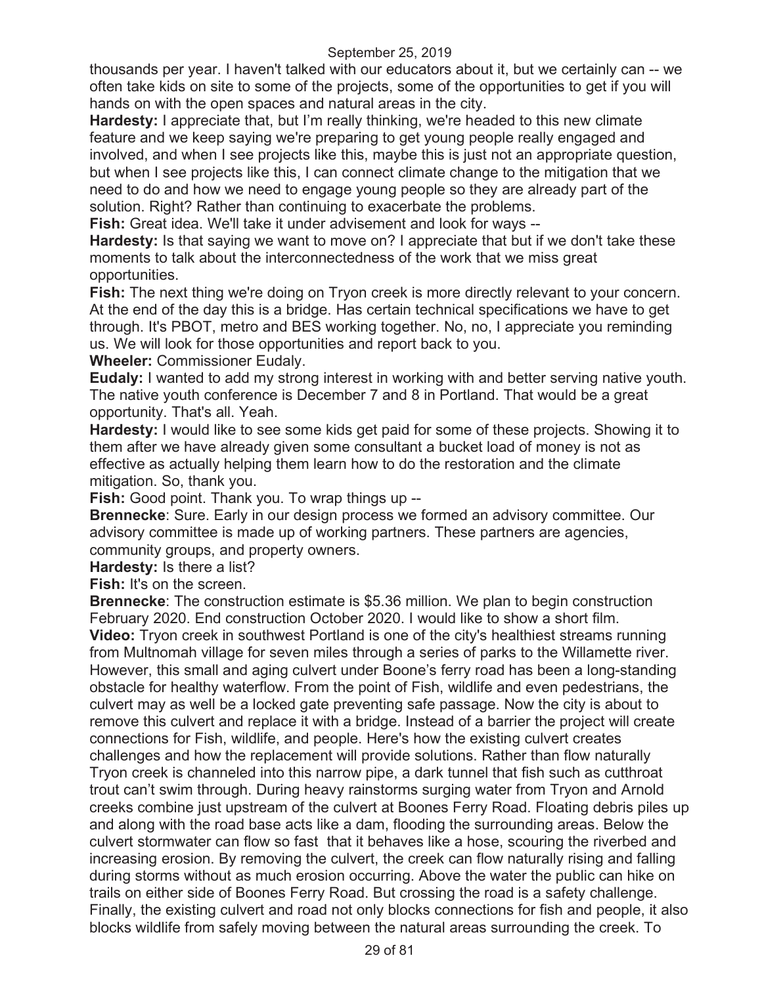thousands per year. I haven't talked with our educators about it, but we certainly can -- we often take kids on site to some of the projects, some of the opportunities to get if you will hands on with the open spaces and natural areas in the city.

**Hardesty:** I appreciate that, but I'm really thinking, we're headed to this new climate feature and we keep saying we're preparing to get young people really engaged and involved, and when I see projects like this, maybe this is just not an appropriate question, but when I see projects like this, I can connect climate change to the mitigation that we need to do and how we need to engage young people so they are already part of the solution. Right? Rather than continuing to exacerbate the problems.

**Fish:** Great idea. We'll take it under advisement and look for ways --

**Hardesty:** Is that saying we want to move on? I appreciate that but if we don't take these moments to talk about the interconnectedness of the work that we miss great opportunities.

**Fish:** The next thing we're doing on Tryon creek is more directly relevant to your concern. At the end of the day this is a bridge. Has certain technical specifications we have to get through. It's PBOT, metro and BES working together. No, no, I appreciate you reminding us. We will look for those opportunities and report back to you.

**Wheeler:** Commissioner Eudaly.

**Eudaly:** I wanted to add my strong interest in working with and better serving native youth. The native youth conference is December 7 and 8 in Portland. That would be a great opportunity. That's all. Yeah.

**Hardesty:** I would like to see some kids get paid for some of these projects. Showing it to them after we have already given some consultant a bucket load of money is not as effective as actually helping them learn how to do the restoration and the climate mitigation. So, thank you.

**Fish:** Good point. Thank you. To wrap things up --

**Brennecke**: Sure. Early in our design process we formed an advisory committee. Our advisory committee is made up of working partners. These partners are agencies, community groups, and property owners.

**Hardesty:** Is there a list?

**Fish:** It's on the screen.

**Brennecke**: The construction estimate is \$5.36 million. We plan to begin construction February 2020. End construction October 2020. I would like to show a short film. **Video:** Tryon creek in southwest Portland is one of the city's healthiest streams running from Multnomah village for seven miles through a series of parks to the Willamette river. However, this small and aging culvert under Boone's ferry road has been a long-standing obstacle for healthy waterflow. From the point of Fish, wildlife and even pedestrians, the culvert may as well be a locked gate preventing safe passage. Now the city is about to remove this culvert and replace it with a bridge. Instead of a barrier the project will create connections for Fish, wildlife, and people. Here's how the existing culvert creates challenges and how the replacement will provide solutions. Rather than flow naturally Tryon creek is channeled into this narrow pipe, a dark tunnel that fish such as cutthroat trout can't swim through. During heavy rainstorms surging water from Tryon and Arnold creeks combine just upstream of the culvert at Boones Ferry Road. Floating debris piles up and along with the road base acts like a dam, flooding the surrounding areas. Below the culvert stormwater can flow so fast that it behaves like a hose, scouring the riverbed and increasing erosion. By removing the culvert, the creek can flow naturally rising and falling during storms without as much erosion occurring. Above the water the public can hike on trails on either side of Boones Ferry Road. But crossing the road is a safety challenge. Finally, the existing culvert and road not only blocks connections for fish and people, it also blocks wildlife from safely moving between the natural areas surrounding the creek. To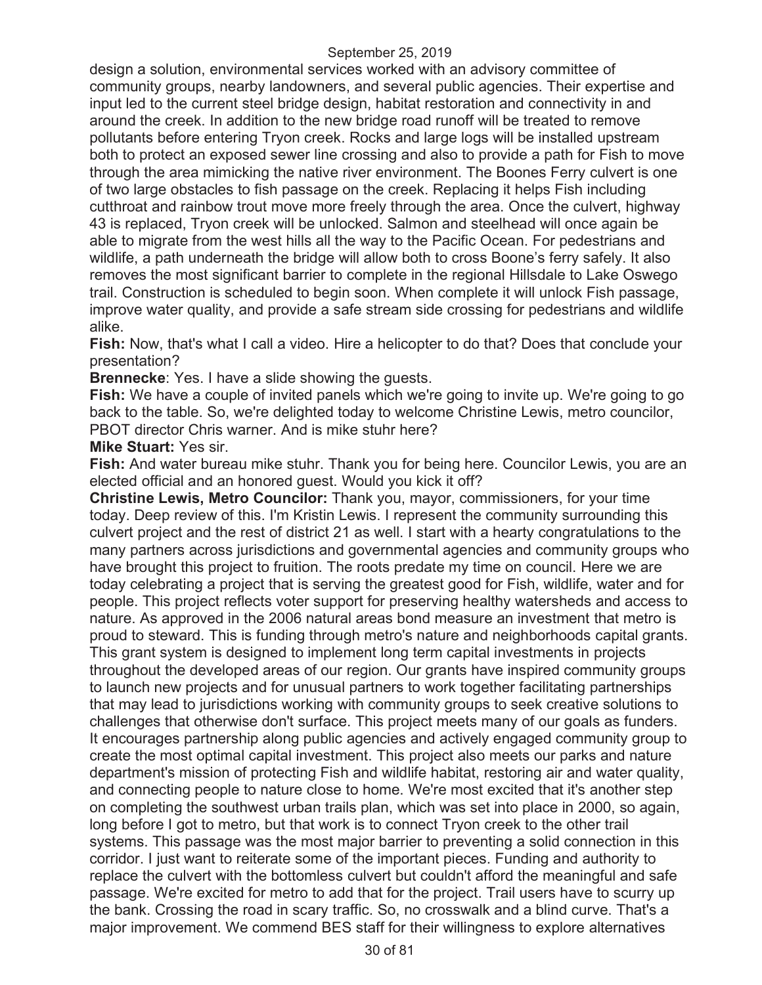design a solution, environmental services worked with an advisory committee of community groups, nearby landowners, and several public agencies. Their expertise and input led to the current steel bridge design, habitat restoration and connectivity in and around the creek. In addition to the new bridge road runoff will be treated to remove pollutants before entering Tryon creek. Rocks and large logs will be installed upstream both to protect an exposed sewer line crossing and also to provide a path for Fish to move through the area mimicking the native river environment. The Boones Ferry culvert is one of two large obstacles to fish passage on the creek. Replacing it helps Fish including cutthroat and rainbow trout move more freely through the area. Once the culvert, highway 43 is replaced, Tryon creek will be unlocked. Salmon and steelhead will once again be able to migrate from the west hills all the way to the Pacific Ocean. For pedestrians and wildlife, a path underneath the bridge will allow both to cross Boone's ferry safely. It also removes the most significant barrier to complete in the regional Hillsdale to Lake Oswego trail. Construction is scheduled to begin soon. When complete it will unlock Fish passage, improve water quality, and provide a safe stream side crossing for pedestrians and wildlife alike.

**Fish:** Now, that's what I call a video. Hire a helicopter to do that? Does that conclude your presentation?

**Brennecke**: Yes. I have a slide showing the guests.

**Fish:** We have a couple of invited panels which we're going to invite up. We're going to go back to the table. So, we're delighted today to welcome Christine Lewis, metro councilor, PBOT director Chris warner. And is mike stuhr here?

#### **Mike Stuart:** Yes sir.

**Fish:** And water bureau mike stuhr. Thank you for being here. Councilor Lewis, you are an elected official and an honored guest. Would you kick it off?

**Christine Lewis, Metro Councilor:** Thank you, mayor, commissioners, for your time today. Deep review of this. I'm Kristin Lewis. I represent the community surrounding this culvert project and the rest of district 21 as well. I start with a hearty congratulations to the many partners across jurisdictions and governmental agencies and community groups who have brought this project to fruition. The roots predate my time on council. Here we are today celebrating a project that is serving the greatest good for Fish, wildlife, water and for people. This project reflects voter support for preserving healthy watersheds and access to nature. As approved in the 2006 natural areas bond measure an investment that metro is proud to steward. This is funding through metro's nature and neighborhoods capital grants. This grant system is designed to implement long term capital investments in projects throughout the developed areas of our region. Our grants have inspired community groups to launch new projects and for unusual partners to work together facilitating partnerships that may lead to jurisdictions working with community groups to seek creative solutions to challenges that otherwise don't surface. This project meets many of our goals as funders. It encourages partnership along public agencies and actively engaged community group to create the most optimal capital investment. This project also meets our parks and nature department's mission of protecting Fish and wildlife habitat, restoring air and water quality, and connecting people to nature close to home. We're most excited that it's another step on completing the southwest urban trails plan, which was set into place in 2000, so again, long before I got to metro, but that work is to connect Tryon creek to the other trail systems. This passage was the most major barrier to preventing a solid connection in this corridor. I just want to reiterate some of the important pieces. Funding and authority to replace the culvert with the bottomless culvert but couldn't afford the meaningful and safe passage. We're excited for metro to add that for the project. Trail users have to scurry up the bank. Crossing the road in scary traffic. So, no crosswalk and a blind curve. That's a major improvement. We commend BES staff for their willingness to explore alternatives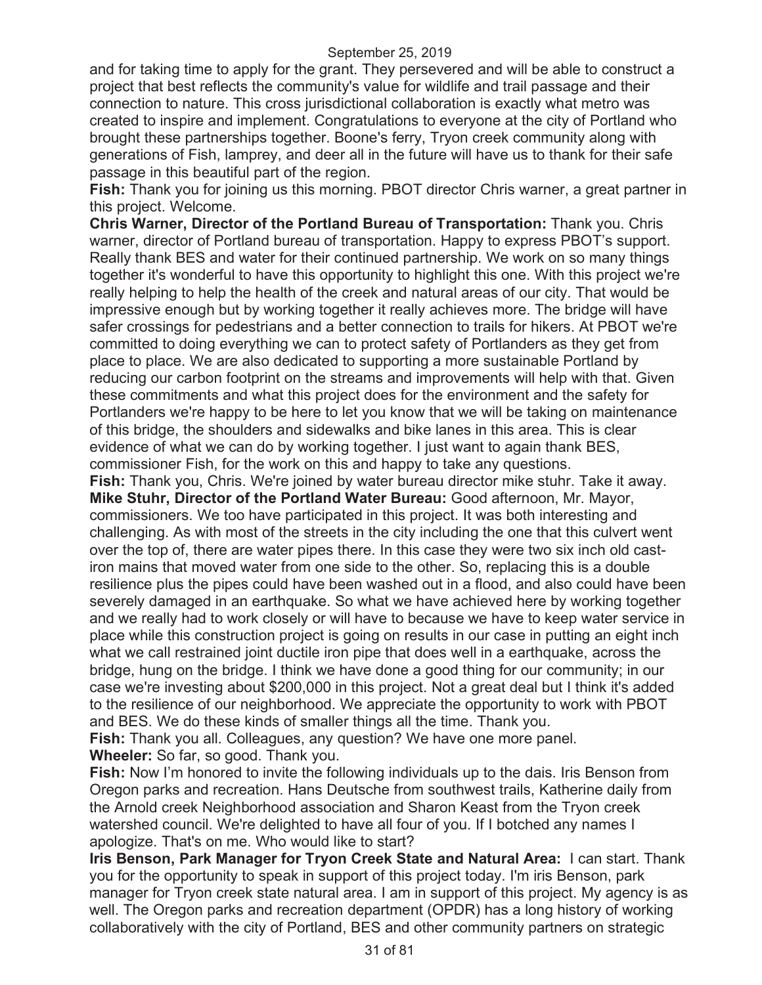and for taking time to apply for the grant. They persevered and will be able to construct a project that best reflects the community's value for wildlife and trail passage and their connection to nature. This cross jurisdictional collaboration is exactly what metro was created to inspire and implement. Congratulations to everyone at the city of Portland who brought these partnerships together. Boone's ferry, Tryon creek community along with generations of Fish, lamprey, and deer all in the future will have us to thank for their safe passage in this beautiful part of the region.

**Fish:** Thank you for joining us this morning. PBOT director Chris warner, a great partner in this project. Welcome.

**Chris Warner, Director of the Portland Bureau of Transportation:** Thank you. Chris warner, director of Portland bureau of transportation. Happy to express PBOT's support. Really thank BES and water for their continued partnership. We work on so many things together it's wonderful to have this opportunity to highlight this one. With this project we're really helping to help the health of the creek and natural areas of our city. That would be impressive enough but by working together it really achieves more. The bridge will have safer crossings for pedestrians and a better connection to trails for hikers. At PBOT we're committed to doing everything we can to protect safety of Portlanders as they get from place to place. We are also dedicated to supporting a more sustainable Portland by reducing our carbon footprint on the streams and improvements will help with that. Given these commitments and what this project does for the environment and the safety for Portlanders we're happy to be here to let you know that we will be taking on maintenance of this bridge, the shoulders and sidewalks and bike lanes in this area. This is clear evidence of what we can do by working together. I just want to again thank BES, commissioner Fish, for the work on this and happy to take any questions.

**Fish:** Thank you, Chris. We're joined by water bureau director mike stuhr. Take it away. **Mike Stuhr, Director of the Portland Water Bureau:** Good afternoon, Mr. Mayor, commissioners. We too have participated in this project. It was both interesting and challenging. As with most of the streets in the city including the one that this culvert went over the top of, there are water pipes there. In this case they were two six inch old castiron mains that moved water from one side to the other. So, replacing this is a double resilience plus the pipes could have been washed out in a flood, and also could have been severely damaged in an earthquake. So what we have achieved here by working together and we really had to work closely or will have to because we have to keep water service in place while this construction project is going on results in our case in putting an eight inch what we call restrained joint ductile iron pipe that does well in a earthquake, across the bridge, hung on the bridge. I think we have done a good thing for our community; in our case we're investing about \$200,000 in this project. Not a great deal but I think it's added to the resilience of our neighborhood. We appreciate the opportunity to work with PBOT and BES. We do these kinds of smaller things all the time. Thank you.

**Fish:** Thank you all. Colleagues, any question? We have one more panel. **Wheeler:** So far, so good. Thank you.

**Fish:** Now I'm honored to invite the following individuals up to the dais. Iris Benson from Oregon parks and recreation. Hans Deutsche from southwest trails, Katherine daily from the Arnold creek Neighborhood association and Sharon Keast from the Tryon creek watershed council. We're delighted to have all four of you. If I botched any names I apologize. That's on me. Who would like to start?

**Iris Benson, Park Manager for Tryon Creek State and Natural Area:** I can start. Thank you for the opportunity to speak in support of this project today. I'm iris Benson, park manager for Tryon creek state natural area. I am in support of this project. My agency is as well. The Oregon parks and recreation department (OPDR) has a long history of working collaboratively with the city of Portland, BES and other community partners on strategic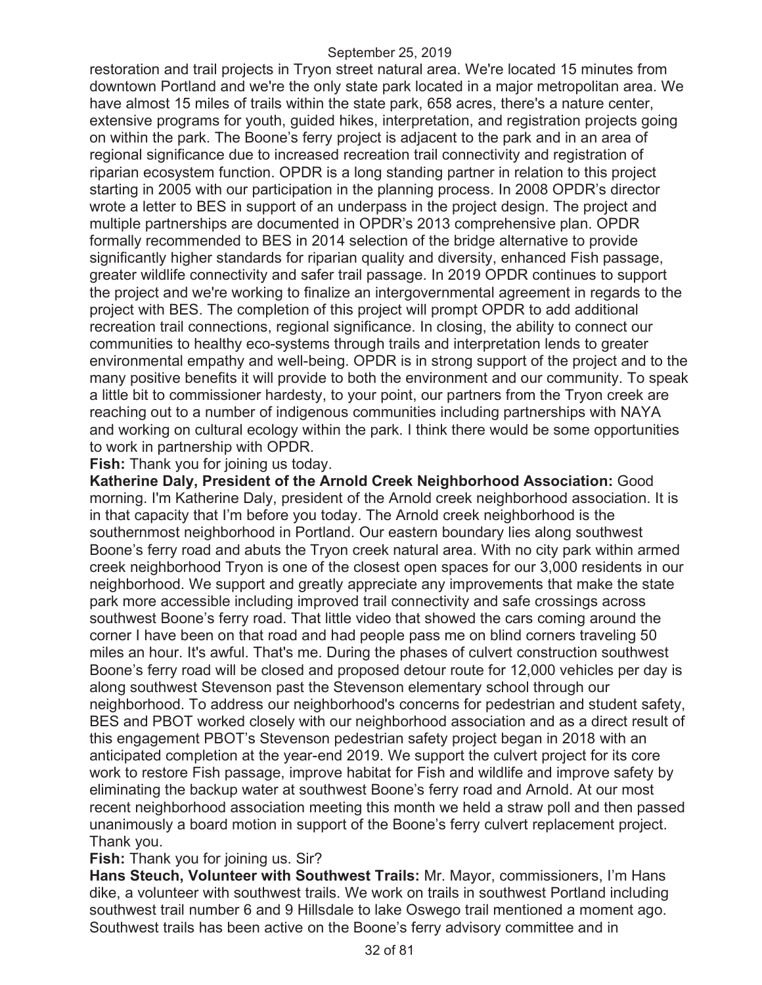restoration and trail projects in Tryon street natural area. We're located 15 minutes from downtown Portland and we're the only state park located in a major metropolitan area. We have almost 15 miles of trails within the state park, 658 acres, there's a nature center, extensive programs for youth, guided hikes, interpretation, and registration projects going on within the park. The Boone's ferry project is adjacent to the park and in an area of regional significance due to increased recreation trail connectivity and registration of riparian ecosystem function. OPDR is a long standing partner in relation to this project starting in 2005 with our participation in the planning process. In 2008 OPDR's director wrote a letter to BES in support of an underpass in the project design. The project and multiple partnerships are documented in OPDR's 2013 comprehensive plan. OPDR formally recommended to BES in 2014 selection of the bridge alternative to provide significantly higher standards for riparian quality and diversity, enhanced Fish passage, greater wildlife connectivity and safer trail passage. In 2019 OPDR continues to support the project and we're working to finalize an intergovernmental agreement in regards to the project with BES. The completion of this project will prompt OPDR to add additional recreation trail connections, regional significance. In closing, the ability to connect our communities to healthy eco-systems through trails and interpretation lends to greater environmental empathy and well-being. OPDR is in strong support of the project and to the many positive benefits it will provide to both the environment and our community. To speak a little bit to commissioner hardesty, to your point, our partners from the Tryon creek are reaching out to a number of indigenous communities including partnerships with NAYA and working on cultural ecology within the park. I think there would be some opportunities to work in partnership with OPDR.

**Fish:** Thank you for joining us today.

**Katherine Daly, President of the Arnold Creek Neighborhood Association:** Good morning. I'm Katherine Daly, president of the Arnold creek neighborhood association. It is in that capacity that I'm before you today. The Arnold creek neighborhood is the southernmost neighborhood in Portland. Our eastern boundary lies along southwest Boone's ferry road and abuts the Tryon creek natural area. With no city park within armed creek neighborhood Tryon is one of the closest open spaces for our 3,000 residents in our neighborhood. We support and greatly appreciate any improvements that make the state park more accessible including improved trail connectivity and safe crossings across southwest Boone's ferry road. That little video that showed the cars coming around the corner I have been on that road and had people pass me on blind corners traveling 50 miles an hour. It's awful. That's me. During the phases of culvert construction southwest Boone's ferry road will be closed and proposed detour route for 12,000 vehicles per day is along southwest Stevenson past the Stevenson elementary school through our neighborhood. To address our neighborhood's concerns for pedestrian and student safety, BES and PBOT worked closely with our neighborhood association and as a direct result of this engagement PBOT's Stevenson pedestrian safety project began in 2018 with an anticipated completion at the year-end 2019. We support the culvert project for its core work to restore Fish passage, improve habitat for Fish and wildlife and improve safety by eliminating the backup water at southwest Boone's ferry road and Arnold. At our most recent neighborhood association meeting this month we held a straw poll and then passed unanimously a board motion in support of the Boone's ferry culvert replacement project. Thank you.

#### **Fish:** Thank you for joining us. Sir?

**Hans Steuch, Volunteer with Southwest Trails:** Mr. Mayor, commissioners, I'm Hans dike, a volunteer with southwest trails. We work on trails in southwest Portland including southwest trail number 6 and 9 Hillsdale to lake Oswego trail mentioned a moment ago. Southwest trails has been active on the Boone's ferry advisory committee and in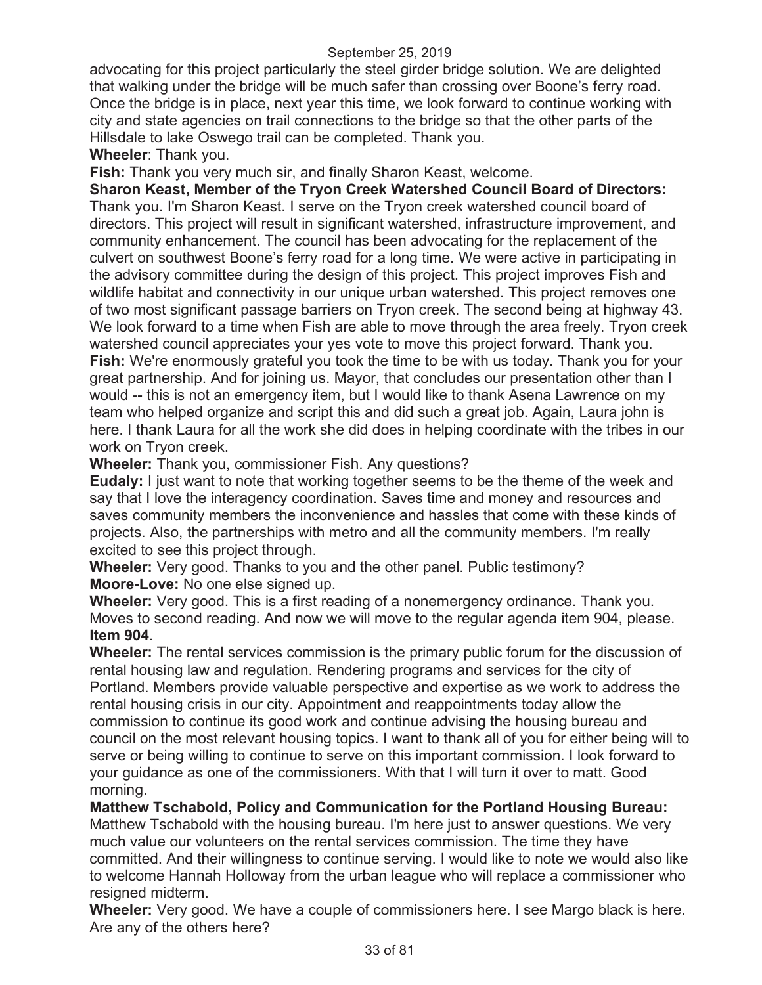advocating for this project particularly the steel girder bridge solution. We are delighted that walking under the bridge will be much safer than crossing over Boone's ferry road. Once the bridge is in place, next year this time, we look forward to continue working with city and state agencies on trail connections to the bridge so that the other parts of the Hillsdale to lake Oswego trail can be completed. Thank you.

**Wheeler**: Thank you.

**Fish:** Thank you very much sir, and finally Sharon Keast, welcome.

**Sharon Keast, Member of the Tryon Creek Watershed Council Board of Directors:** Thank you. I'm Sharon Keast. I serve on the Tryon creek watershed council board of directors. This project will result in significant watershed, infrastructure improvement, and community enhancement. The council has been advocating for the replacement of the culvert on southwest Boone's ferry road for a long time. We were active in participating in the advisory committee during the design of this project. This project improves Fish and wildlife habitat and connectivity in our unique urban watershed. This project removes one of two most significant passage barriers on Tryon creek. The second being at highway 43. We look forward to a time when Fish are able to move through the area freely. Tryon creek watershed council appreciates your yes vote to move this project forward. Thank you. **Fish:** We're enormously grateful you took the time to be with us today. Thank you for your great partnership. And for joining us. Mayor, that concludes our presentation other than I would -- this is not an emergency item, but I would like to thank Asena Lawrence on my team who helped organize and script this and did such a great job. Again, Laura john is here. I thank Laura for all the work she did does in helping coordinate with the tribes in our work on Tryon creek.

**Wheeler:** Thank you, commissioner Fish. Any questions?

**Eudaly:** I just want to note that working together seems to be the theme of the week and say that I love the interagency coordination. Saves time and money and resources and saves community members the inconvenience and hassles that come with these kinds of projects. Also, the partnerships with metro and all the community members. I'm really excited to see this project through.

**Wheeler:** Very good. Thanks to you and the other panel. Public testimony? **Moore-Love:** No one else signed up.

**Wheeler:** Very good. This is a first reading of a nonemergency ordinance. Thank you. Moves to second reading. And now we will move to the regular agenda item 904, please. **Item 904**.

**Wheeler:** The rental services commission is the primary public forum for the discussion of rental housing law and regulation. Rendering programs and services for the city of Portland. Members provide valuable perspective and expertise as we work to address the rental housing crisis in our city. Appointment and reappointments today allow the commission to continue its good work and continue advising the housing bureau and council on the most relevant housing topics. I want to thank all of you for either being will to serve or being willing to continue to serve on this important commission. I look forward to your guidance as one of the commissioners. With that I will turn it over to matt. Good morning.

**Matthew Tschabold, Policy and Communication for the Portland Housing Bureau:** Matthew Tschabold with the housing bureau. I'm here just to answer questions. We very much value our volunteers on the rental services commission. The time they have committed. And their willingness to continue serving. I would like to note we would also like to welcome Hannah Holloway from the urban league who will replace a commissioner who resigned midterm.

**Wheeler:** Very good. We have a couple of commissioners here. I see Margo black is here. Are any of the others here?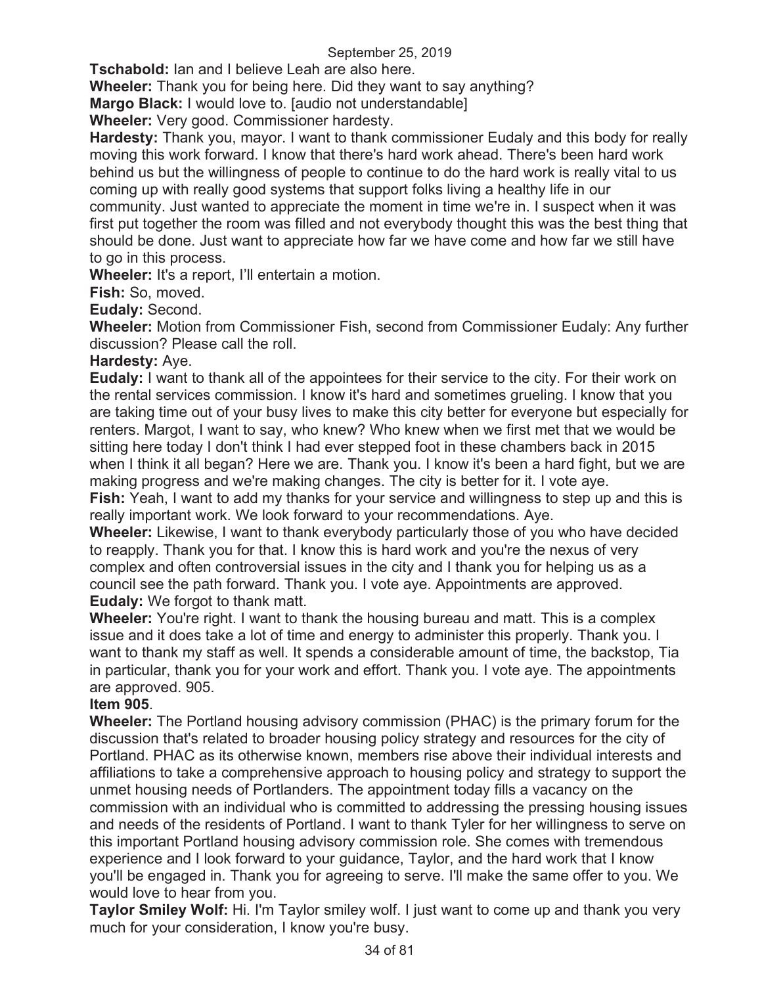**Tschabold:** Ian and I believe Leah are also here.

**Wheeler:** Thank you for being here. Did they want to say anything?

**Margo Black:** I would love to. [audio not understandable]

**Wheeler:** Very good. Commissioner hardesty.

**Hardesty:** Thank you, mayor. I want to thank commissioner Eudaly and this body for really moving this work forward. I know that there's hard work ahead. There's been hard work behind us but the willingness of people to continue to do the hard work is really vital to us coming up with really good systems that support folks living a healthy life in our community. Just wanted to appreciate the moment in time we're in. I suspect when it was first put together the room was filled and not everybody thought this was the best thing that should be done. Just want to appreciate how far we have come and how far we still have to go in this process.

**Wheeler:** It's a report, I'll entertain a motion.

**Fish:** So, moved.

**Eudaly:** Second.

**Wheeler:** Motion from Commissioner Fish, second from Commissioner Eudaly: Any further discussion? Please call the roll.

#### **Hardesty:** Aye.

**Eudaly:** I want to thank all of the appointees for their service to the city. For their work on the rental services commission. I know it's hard and sometimes grueling. I know that you are taking time out of your busy lives to make this city better for everyone but especially for renters. Margot, I want to say, who knew? Who knew when we first met that we would be sitting here today I don't think I had ever stepped foot in these chambers back in 2015 when I think it all began? Here we are. Thank you. I know it's been a hard fight, but we are making progress and we're making changes. The city is better for it. I vote aye.

**Fish:** Yeah, I want to add my thanks for your service and willingness to step up and this is really important work. We look forward to your recommendations. Aye.

**Wheeler:** Likewise, I want to thank everybody particularly those of you who have decided to reapply. Thank you for that. I know this is hard work and you're the nexus of very complex and often controversial issues in the city and I thank you for helping us as a council see the path forward. Thank you. I vote aye. Appointments are approved. **Eudaly:** We forgot to thank matt.

**Wheeler:** You're right. I want to thank the housing bureau and matt. This is a complex issue and it does take a lot of time and energy to administer this properly. Thank you. I want to thank my staff as well. It spends a considerable amount of time, the backstop, Tia in particular, thank you for your work and effort. Thank you. I vote aye. The appointments are approved. 905.

#### **Item 905**.

**Wheeler:** The Portland housing advisory commission (PHAC) is the primary forum for the discussion that's related to broader housing policy strategy and resources for the city of Portland. PHAC as its otherwise known, members rise above their individual interests and affiliations to take a comprehensive approach to housing policy and strategy to support the unmet housing needs of Portlanders. The appointment today fills a vacancy on the commission with an individual who is committed to addressing the pressing housing issues and needs of the residents of Portland. I want to thank Tyler for her willingness to serve on this important Portland housing advisory commission role. She comes with tremendous experience and I look forward to your guidance, Taylor, and the hard work that I know you'll be engaged in. Thank you for agreeing to serve. I'll make the same offer to you. We would love to hear from you.

**Taylor Smiley Wolf:** Hi. I'm Taylor smiley wolf. I just want to come up and thank you very much for your consideration, I know you're busy.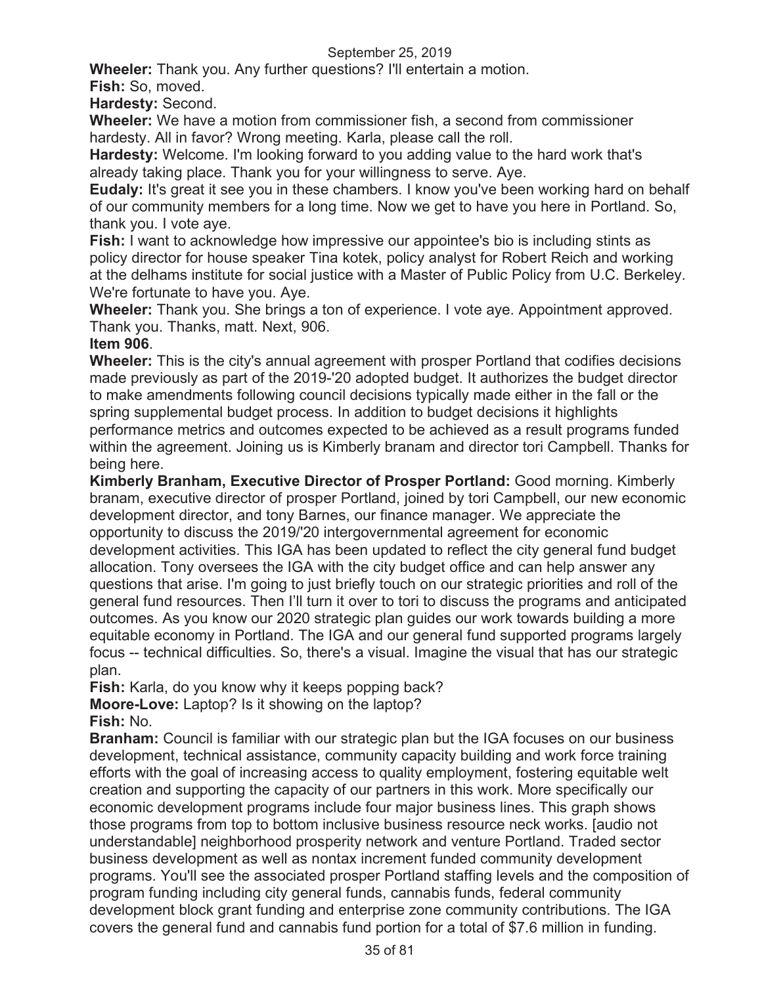**Wheeler:** Thank you. Any further questions? I'll entertain a motion.

**Fish:** So, moved. **Hardesty:** Second.

**Wheeler:** We have a motion from commissioner fish, a second from commissioner hardesty. All in favor? Wrong meeting. Karla, please call the roll.

**Hardesty:** Welcome. I'm looking forward to you adding value to the hard work that's already taking place. Thank you for your willingness to serve. Aye.

**Eudaly:** It's great it see you in these chambers. I know you've been working hard on behalf of our community members for a long time. Now we get to have you here in Portland. So, thank you. I vote aye.

**Fish:** I want to acknowledge how impressive our appointee's bio is including stints as policy director for house speaker Tina kotek, policy analyst for Robert Reich and working at the delhams institute for social justice with a Master of Public Policy from U.C. Berkeley. We're fortunate to have you. Aye.

**Wheeler:** Thank you. She brings a ton of experience. I vote aye. Appointment approved. Thank you. Thanks, matt. Next, 906.

#### **Item 906**.

**Wheeler:** This is the city's annual agreement with prosper Portland that codifies decisions made previously as part of the 2019-'20 adopted budget. It authorizes the budget director to make amendments following council decisions typically made either in the fall or the spring supplemental budget process. In addition to budget decisions it highlights performance metrics and outcomes expected to be achieved as a result programs funded within the agreement. Joining us is Kimberly branam and director tori Campbell. Thanks for being here.

**Kimberly Branham, Executive Director of Prosper Portland:** Good morning. Kimberly branam, executive director of prosper Portland, joined by tori Campbell, our new economic development director, and tony Barnes, our finance manager. We appreciate the opportunity to discuss the 2019/'20 intergovernmental agreement for economic development activities. This IGA has been updated to reflect the city general fund budget allocation. Tony oversees the IGA with the city budget office and can help answer any questions that arise. I'm going to just briefly touch on our strategic priorities and roll of the general fund resources. Then I'll turn it over to tori to discuss the programs and anticipated outcomes. As you know our 2020 strategic plan guides our work towards building a more equitable economy in Portland. The IGA and our general fund supported programs largely focus -- technical difficulties. So, there's a visual. Imagine the visual that has our strategic plan.

**Fish:** Karla, do you know why it keeps popping back? **Moore-Love:** Laptop? Is it showing on the laptop? **Fish:** No.

**Branham:** Council is familiar with our strategic plan but the IGA focuses on our business development, technical assistance, community capacity building and work force training efforts with the goal of increasing access to quality employment, fostering equitable welt creation and supporting the capacity of our partners in this work. More specifically our economic development programs include four major business lines. This graph shows those programs from top to bottom inclusive business resource neck works. [audio not understandable] neighborhood prosperity network and venture Portland. Traded sector business development as well as nontax increment funded community development programs. You'll see the associated prosper Portland staffing levels and the composition of program funding including city general funds, cannabis funds, federal community development block grant funding and enterprise zone community contributions. The IGA covers the general fund and cannabis fund portion for a total of \$7.6 million in funding.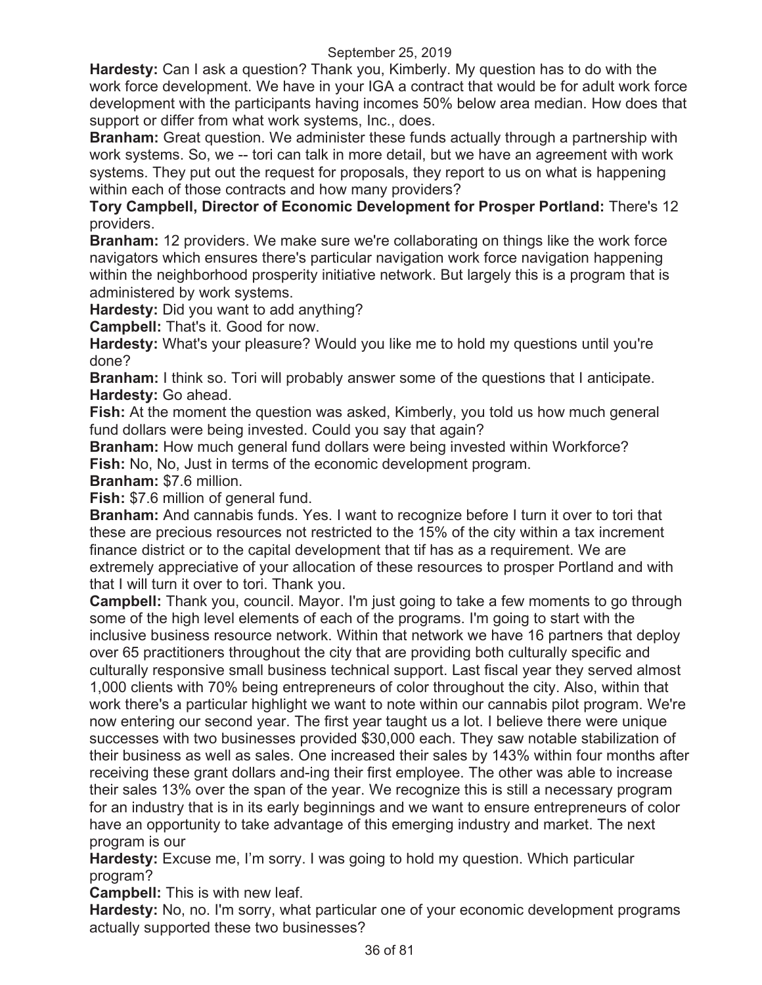**Hardesty:** Can I ask a question? Thank you, Kimberly. My question has to do with the work force development. We have in your IGA a contract that would be for adult work force development with the participants having incomes 50% below area median. How does that support or differ from what work systems, Inc., does.

**Branham:** Great question. We administer these funds actually through a partnership with work systems. So, we -- tori can talk in more detail, but we have an agreement with work systems. They put out the request for proposals, they report to us on what is happening within each of those contracts and how many providers?

**Tory Campbell, Director of Economic Development for Prosper Portland:** There's 12 providers.

**Branham:** 12 providers. We make sure we're collaborating on things like the work force navigators which ensures there's particular navigation work force navigation happening within the neighborhood prosperity initiative network. But largely this is a program that is administered by work systems.

**Hardesty:** Did you want to add anything?

**Campbell:** That's it. Good for now.

**Hardesty:** What's your pleasure? Would you like me to hold my questions until you're done?

**Branham:** I think so. Tori will probably answer some of the questions that I anticipate. **Hardesty:** Go ahead.

**Fish:** At the moment the question was asked, Kimberly, you told us how much general fund dollars were being invested. Could you say that again?

**Branham:** How much general fund dollars were being invested within Workforce?

**Fish:** No, No, Just in terms of the economic development program.

**Branham:** \$7.6 million.

**Fish:** \$7.6 million of general fund.

**Branham:** And cannabis funds. Yes. I want to recognize before I turn it over to tori that these are precious resources not restricted to the 15% of the city within a tax increment finance district or to the capital development that tif has as a requirement. We are extremely appreciative of your allocation of these resources to prosper Portland and with that I will turn it over to tori. Thank you.

**Campbell:** Thank you, council. Mayor. I'm just going to take a few moments to go through some of the high level elements of each of the programs. I'm going to start with the inclusive business resource network. Within that network we have 16 partners that deploy over 65 practitioners throughout the city that are providing both culturally specific and culturally responsive small business technical support. Last fiscal year they served almost 1,000 clients with 70% being entrepreneurs of color throughout the city. Also, within that work there's a particular highlight we want to note within our cannabis pilot program. We're now entering our second year. The first year taught us a lot. I believe there were unique successes with two businesses provided \$30,000 each. They saw notable stabilization of their business as well as sales. One increased their sales by 143% within four months after receiving these grant dollars and-ing their first employee. The other was able to increase their sales 13% over the span of the year. We recognize this is still a necessary program for an industry that is in its early beginnings and we want to ensure entrepreneurs of color have an opportunity to take advantage of this emerging industry and market. The next program is our

**Hardesty:** Excuse me, I'm sorry. I was going to hold my question. Which particular program?

**Campbell:** This is with new leaf.

**Hardesty:** No, no. I'm sorry, what particular one of your economic development programs actually supported these two businesses?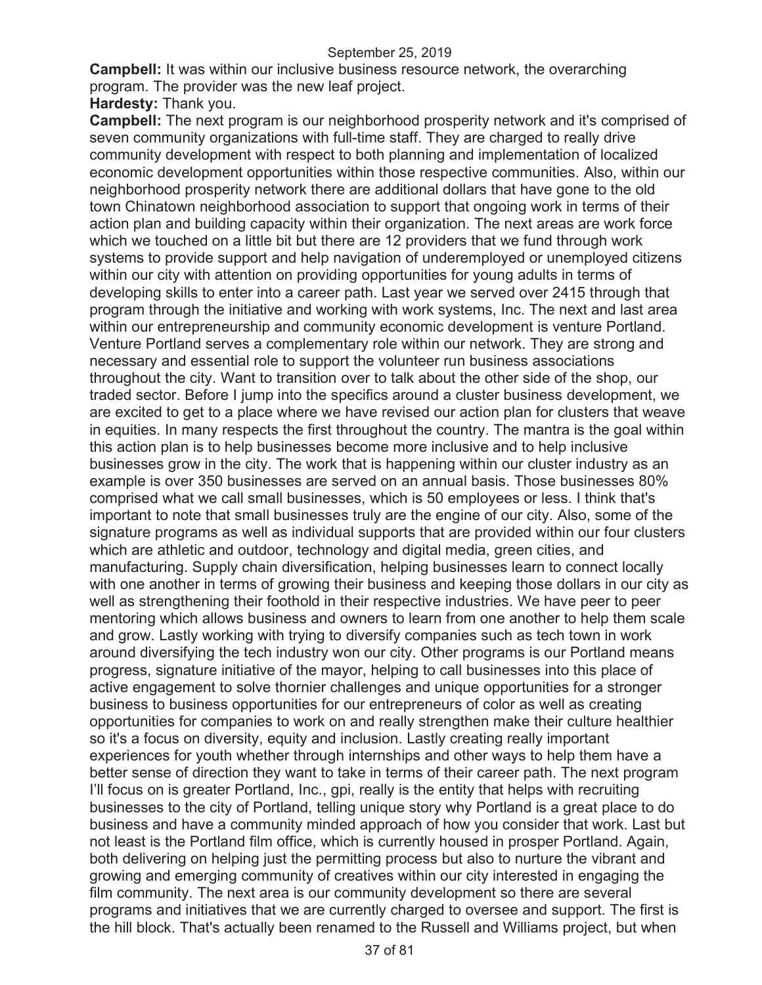**Campbell:** It was within our inclusive business resource network, the overarching program. The provider was the new leaf project.

**Hardesty:** Thank you.

**Campbell:** The next program is our neighborhood prosperity network and it's comprised of seven community organizations with full-time staff. They are charged to really drive community development with respect to both planning and implementation of localized economic development opportunities within those respective communities. Also, within our neighborhood prosperity network there are additional dollars that have gone to the old town Chinatown neighborhood association to support that ongoing work in terms of their action plan and building capacity within their organization. The next areas are work force which we touched on a little bit but there are 12 providers that we fund through work systems to provide support and help navigation of underemployed or unemployed citizens within our city with attention on providing opportunities for young adults in terms of developing skills to enter into a career path. Last year we served over 2415 through that program through the initiative and working with work systems, Inc. The next and last area within our entrepreneurship and community economic development is venture Portland. Venture Portland serves a complementary role within our network. They are strong and necessary and essential role to support the volunteer run business associations throughout the city. Want to transition over to talk about the other side of the shop, our traded sector. Before I jump into the specifics around a cluster business development, we are excited to get to a place where we have revised our action plan for clusters that weave in equities. In many respects the first throughout the country. The mantra is the goal within this action plan is to help businesses become more inclusive and to help inclusive businesses grow in the city. The work that is happening within our cluster industry as an example is over 350 businesses are served on an annual basis. Those businesses 80% comprised what we call small businesses, which is 50 employees or less. I think that's important to note that small businesses truly are the engine of our city. Also, some of the signature programs as well as individual supports that are provided within our four clusters which are athletic and outdoor, technology and digital media, green cities, and manufacturing. Supply chain diversification, helping businesses learn to connect locally with one another in terms of growing their business and keeping those dollars in our city as well as strengthening their foothold in their respective industries. We have peer to peer mentoring which allows business and owners to learn from one another to help them scale and grow. Lastly working with trying to diversify companies such as tech town in work around diversifying the tech industry won our city. Other programs is our Portland means progress, signature initiative of the mayor, helping to call businesses into this place of active engagement to solve thornier challenges and unique opportunities for a stronger business to business opportunities for our entrepreneurs of color as well as creating opportunities for companies to work on and really strengthen make their culture healthier so it's a focus on diversity, equity and inclusion. Lastly creating really important experiences for youth whether through internships and other ways to help them have a better sense of direction they want to take in terms of their career path. The next program I'll focus on is greater Portland, Inc., gpi, really is the entity that helps with recruiting businesses to the city of Portland, telling unique story why Portland is a great place to do business and have a community minded approach of how you consider that work. Last but not least is the Portland film office, which is currently housed in prosper Portland. Again, both delivering on helping just the permitting process but also to nurture the vibrant and growing and emerging community of creatives within our city interested in engaging the film community. The next area is our community development so there are several programs and initiatives that we are currently charged to oversee and support. The first is the hill block. That's actually been renamed to the Russell and Williams project, but when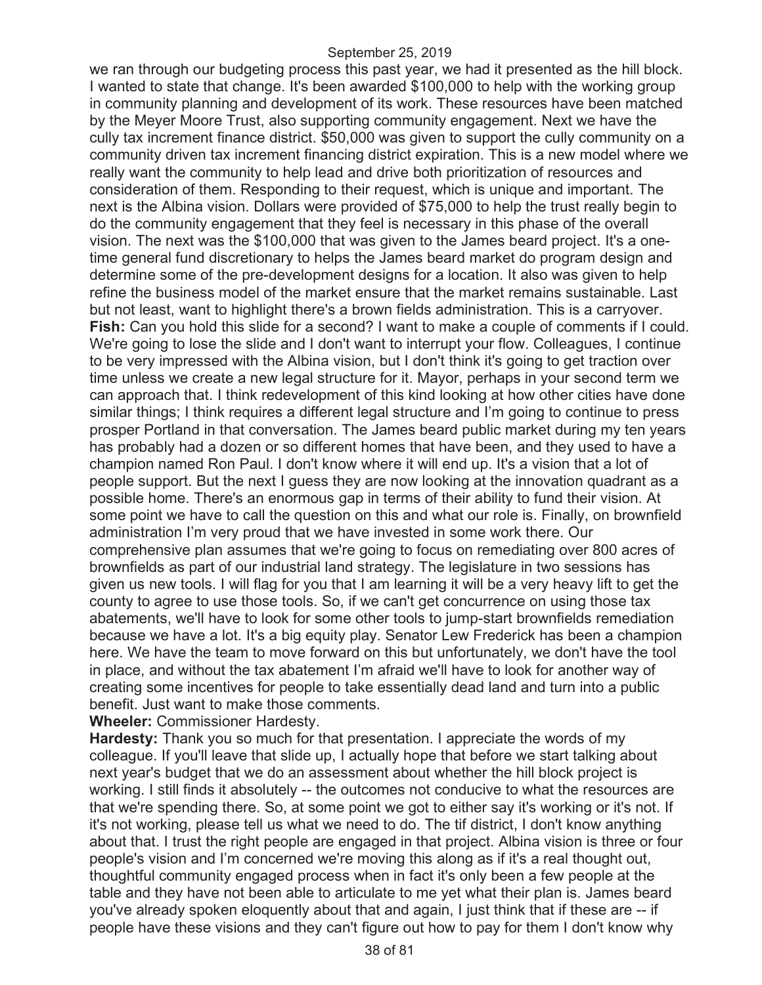we ran through our budgeting process this past year, we had it presented as the hill block. I wanted to state that change. It's been awarded \$100,000 to help with the working group in community planning and development of its work. These resources have been matched by the Meyer Moore Trust, also supporting community engagement. Next we have the cully tax increment finance district. \$50,000 was given to support the cully community on a community driven tax increment financing district expiration. This is a new model where we really want the community to help lead and drive both prioritization of resources and consideration of them. Responding to their request, which is unique and important. The next is the Albina vision. Dollars were provided of \$75,000 to help the trust really begin to do the community engagement that they feel is necessary in this phase of the overall vision. The next was the \$100,000 that was given to the James beard project. It's a onetime general fund discretionary to helps the James beard market do program design and determine some of the pre-development designs for a location. It also was given to help refine the business model of the market ensure that the market remains sustainable. Last but not least, want to highlight there's a brown fields administration. This is a carryover. **Fish:** Can you hold this slide for a second? I want to make a couple of comments if I could. We're going to lose the slide and I don't want to interrupt your flow. Colleagues, I continue to be very impressed with the Albina vision, but I don't think it's going to get traction over time unless we create a new legal structure for it. Mayor, perhaps in your second term we can approach that. I think redevelopment of this kind looking at how other cities have done similar things; I think requires a different legal structure and I'm going to continue to press prosper Portland in that conversation. The James beard public market during my ten years has probably had a dozen or so different homes that have been, and they used to have a champion named Ron Paul. I don't know where it will end up. It's a vision that a lot of people support. But the next I guess they are now looking at the innovation quadrant as a possible home. There's an enormous gap in terms of their ability to fund their vision. At some point we have to call the question on this and what our role is. Finally, on brownfield administration I'm very proud that we have invested in some work there. Our comprehensive plan assumes that we're going to focus on remediating over 800 acres of brownfields as part of our industrial land strategy. The legislature in two sessions has given us new tools. I will flag for you that I am learning it will be a very heavy lift to get the county to agree to use those tools. So, if we can't get concurrence on using those tax abatements, we'll have to look for some other tools to jump-start brownfields remediation because we have a lot. It's a big equity play. Senator Lew Frederick has been a champion here. We have the team to move forward on this but unfortunately, we don't have the tool in place, and without the tax abatement I'm afraid we'll have to look for another way of creating some incentives for people to take essentially dead land and turn into a public benefit. Just want to make those comments.

**Wheeler:** Commissioner Hardesty.

**Hardesty:** Thank you so much for that presentation. I appreciate the words of my colleague. If you'll leave that slide up, I actually hope that before we start talking about next year's budget that we do an assessment about whether the hill block project is working. I still finds it absolutely -- the outcomes not conducive to what the resources are that we're spending there. So, at some point we got to either say it's working or it's not. If it's not working, please tell us what we need to do. The tif district, I don't know anything about that. I trust the right people are engaged in that project. Albina vision is three or four people's vision and I'm concerned we're moving this along as if it's a real thought out, thoughtful community engaged process when in fact it's only been a few people at the table and they have not been able to articulate to me yet what their plan is. James beard you've already spoken eloquently about that and again, I just think that if these are -- if people have these visions and they can't figure out how to pay for them I don't know why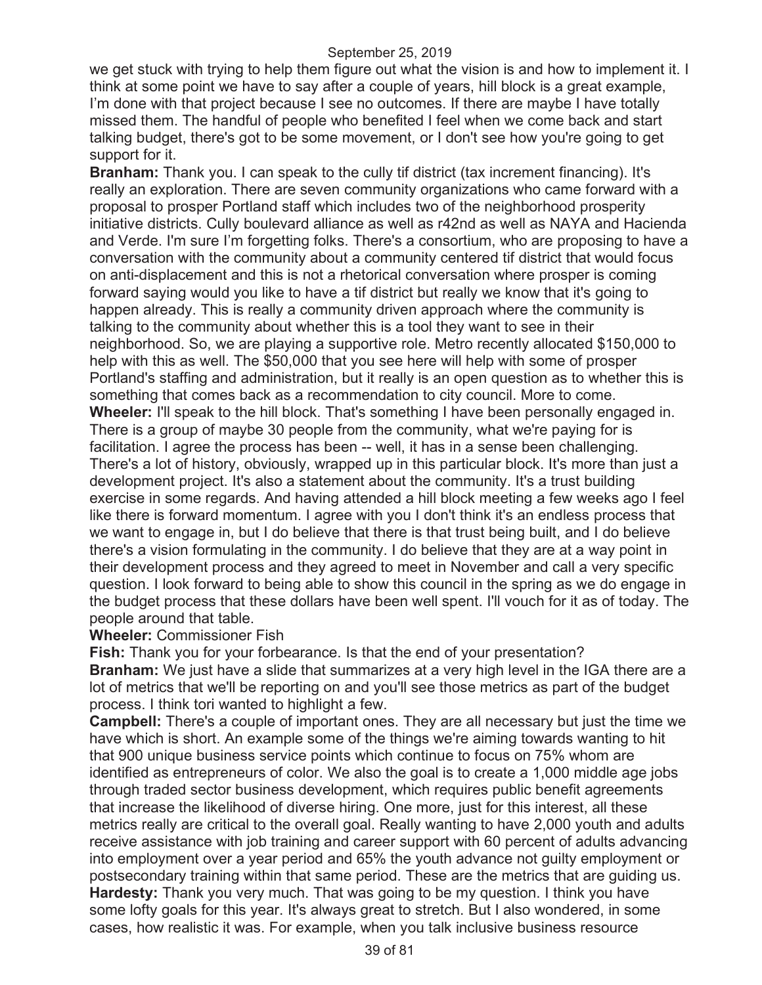we get stuck with trying to help them figure out what the vision is and how to implement it. I think at some point we have to say after a couple of years, hill block is a great example, I'm done with that project because I see no outcomes. If there are maybe I have totally missed them. The handful of people who benefited I feel when we come back and start talking budget, there's got to be some movement, or I don't see how you're going to get support for it.

**Branham:** Thank you. I can speak to the cully tif district (tax increment financing). It's really an exploration. There are seven community organizations who came forward with a proposal to prosper Portland staff which includes two of the neighborhood prosperity initiative districts. Cully boulevard alliance as well as r42nd as well as NAYA and Hacienda and Verde. I'm sure I'm forgetting folks. There's a consortium, who are proposing to have a conversation with the community about a community centered tif district that would focus on anti-displacement and this is not a rhetorical conversation where prosper is coming forward saying would you like to have a tif district but really we know that it's going to happen already. This is really a community driven approach where the community is talking to the community about whether this is a tool they want to see in their neighborhood. So, we are playing a supportive role. Metro recently allocated \$150,000 to help with this as well. The \$50,000 that you see here will help with some of prosper Portland's staffing and administration, but it really is an open question as to whether this is something that comes back as a recommendation to city council. More to come. **Wheeler:** I'll speak to the hill block. That's something I have been personally engaged in. There is a group of maybe 30 people from the community, what we're paying for is facilitation. I agree the process has been -- well, it has in a sense been challenging. There's a lot of history, obviously, wrapped up in this particular block. It's more than just a development project. It's also a statement about the community. It's a trust building exercise in some regards. And having attended a hill block meeting a few weeks ago I feel like there is forward momentum. I agree with you I don't think it's an endless process that we want to engage in, but I do believe that there is that trust being built, and I do believe there's a vision formulating in the community. I do believe that they are at a way point in their development process and they agreed to meet in November and call a very specific question. I look forward to being able to show this council in the spring as we do engage in the budget process that these dollars have been well spent. I'll vouch for it as of today. The people around that table.

#### **Wheeler:** Commissioner Fish

**Fish:** Thank you for your forbearance. Is that the end of your presentation? **Branham:** We just have a slide that summarizes at a very high level in the IGA there are a lot of metrics that we'll be reporting on and you'll see those metrics as part of the budget process. I think tori wanted to highlight a few.

**Campbell:** There's a couple of important ones. They are all necessary but just the time we have which is short. An example some of the things we're aiming towards wanting to hit that 900 unique business service points which continue to focus on 75% whom are identified as entrepreneurs of color. We also the goal is to create a 1,000 middle age jobs through traded sector business development, which requires public benefit agreements that increase the likelihood of diverse hiring. One more, just for this interest, all these metrics really are critical to the overall goal. Really wanting to have 2,000 youth and adults receive assistance with job training and career support with 60 percent of adults advancing into employment over a year period and 65% the youth advance not guilty employment or postsecondary training within that same period. These are the metrics that are guiding us. **Hardesty:** Thank you very much. That was going to be my question. I think you have some lofty goals for this year. It's always great to stretch. But I also wondered, in some cases, how realistic it was. For example, when you talk inclusive business resource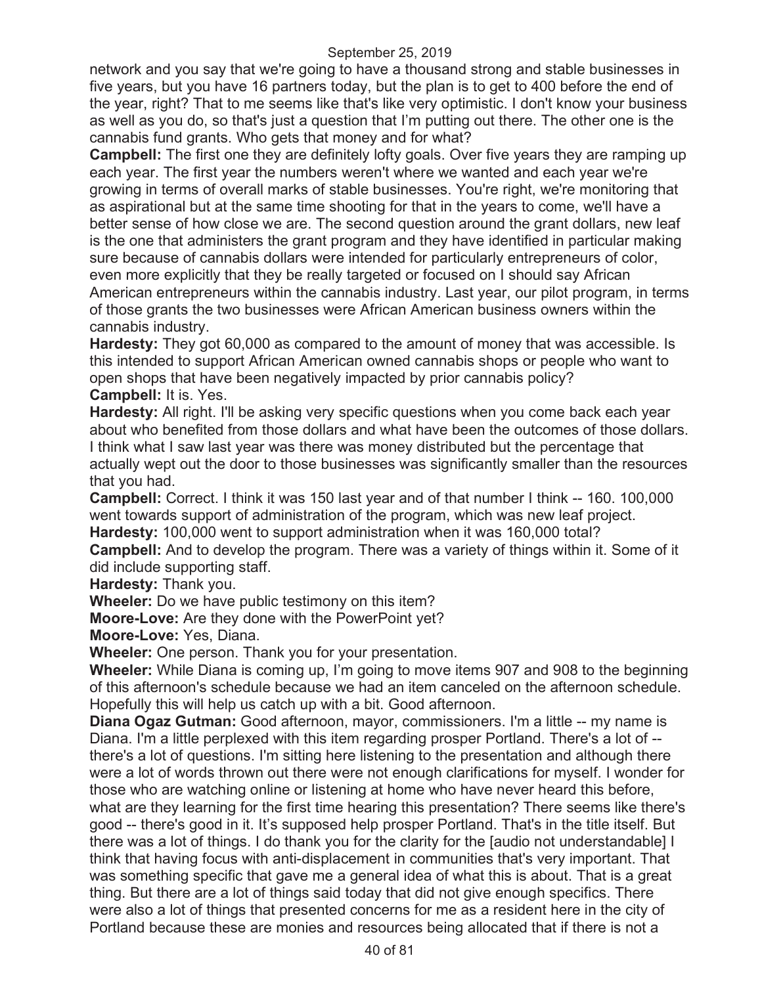network and you say that we're going to have a thousand strong and stable businesses in five years, but you have 16 partners today, but the plan is to get to 400 before the end of the year, right? That to me seems like that's like very optimistic. I don't know your business as well as you do, so that's just a question that I'm putting out there. The other one is the cannabis fund grants. Who gets that money and for what?

**Campbell:** The first one they are definitely lofty goals. Over five years they are ramping up each year. The first year the numbers weren't where we wanted and each year we're growing in terms of overall marks of stable businesses. You're right, we're monitoring that as aspirational but at the same time shooting for that in the years to come, we'll have a better sense of how close we are. The second question around the grant dollars, new leaf is the one that administers the grant program and they have identified in particular making sure because of cannabis dollars were intended for particularly entrepreneurs of color, even more explicitly that they be really targeted or focused on I should say African American entrepreneurs within the cannabis industry. Last year, our pilot program, in terms of those grants the two businesses were African American business owners within the cannabis industry.

**Hardesty:** They got 60,000 as compared to the amount of money that was accessible. Is this intended to support African American owned cannabis shops or people who want to open shops that have been negatively impacted by prior cannabis policy? **Campbell:** It is. Yes.

**Hardesty:** All right. I'll be asking very specific questions when you come back each year about who benefited from those dollars and what have been the outcomes of those dollars. I think what I saw last year was there was money distributed but the percentage that actually wept out the door to those businesses was significantly smaller than the resources that you had.

**Campbell:** Correct. I think it was 150 last year and of that number I think -- 160. 100,000 went towards support of administration of the program, which was new leaf project. **Hardesty:** 100,000 went to support administration when it was 160,000 total?

**Campbell:** And to develop the program. There was a variety of things within it. Some of it did include supporting staff.

**Hardesty:** Thank you.

**Wheeler:** Do we have public testimony on this item?

**Moore-Love:** Are they done with the PowerPoint yet?

**Moore-Love:** Yes, Diana.

**Wheeler:** One person. Thank you for your presentation.

**Wheeler:** While Diana is coming up, I'm going to move items 907 and 908 to the beginning of this afternoon's schedule because we had an item canceled on the afternoon schedule. Hopefully this will help us catch up with a bit. Good afternoon.

**Diana Ogaz Gutman:** Good afternoon, mayor, commissioners. I'm a little -- my name is Diana. I'm a little perplexed with this item regarding prosper Portland. There's a lot of -there's a lot of questions. I'm sitting here listening to the presentation and although there were a lot of words thrown out there were not enough clarifications for myself. I wonder for those who are watching online or listening at home who have never heard this before, what are they learning for the first time hearing this presentation? There seems like there's good -- there's good in it. It's supposed help prosper Portland. That's in the title itself. But there was a lot of things. I do thank you for the clarity for the [audio not understandable] I think that having focus with anti-displacement in communities that's very important. That was something specific that gave me a general idea of what this is about. That is a great thing. But there are a lot of things said today that did not give enough specifics. There were also a lot of things that presented concerns for me as a resident here in the city of Portland because these are monies and resources being allocated that if there is not a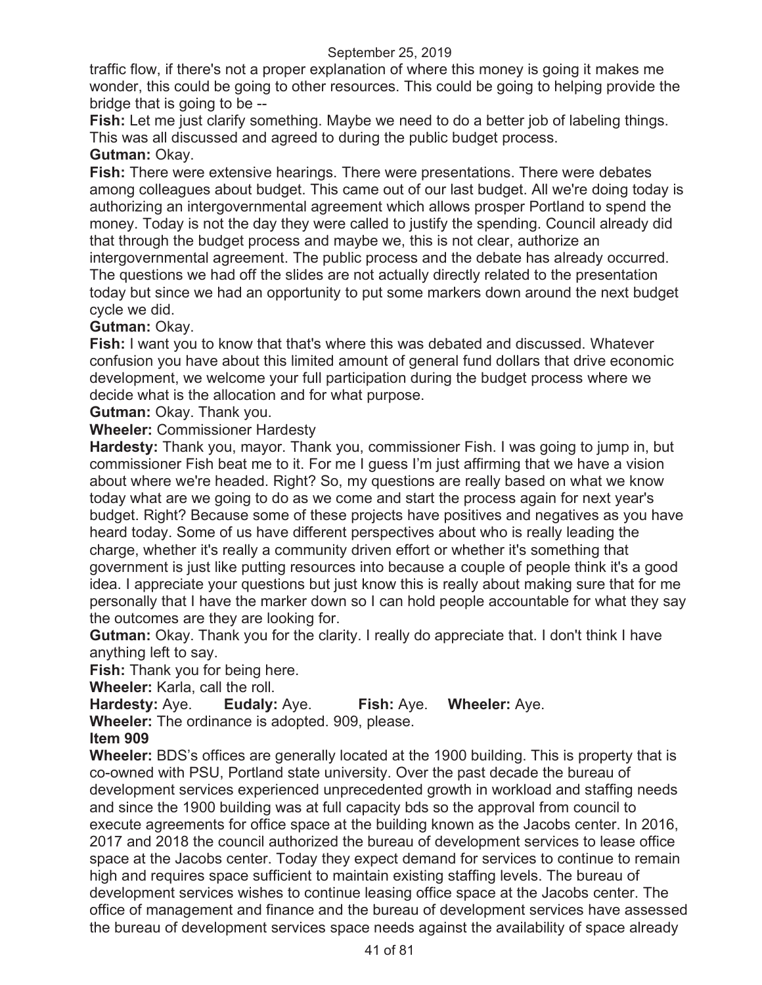traffic flow, if there's not a proper explanation of where this money is going it makes me wonder, this could be going to other resources. This could be going to helping provide the bridge that is going to be --

**Fish:** Let me just clarify something. Maybe we need to do a better job of labeling things. This was all discussed and agreed to during the public budget process.

### **Gutman:** Okay.

**Fish:** There were extensive hearings. There were presentations. There were debates among colleagues about budget. This came out of our last budget. All we're doing today is authorizing an intergovernmental agreement which allows prosper Portland to spend the money. Today is not the day they were called to justify the spending. Council already did that through the budget process and maybe we, this is not clear, authorize an intergovernmental agreement. The public process and the debate has already occurred. The questions we had off the slides are not actually directly related to the presentation today but since we had an opportunity to put some markers down around the next budget cycle we did.

### **Gutman:** Okay.

**Fish:** I want you to know that that's where this was debated and discussed. Whatever confusion you have about this limited amount of general fund dollars that drive economic development, we welcome your full participation during the budget process where we decide what is the allocation and for what purpose.

**Gutman:** Okay. Thank you.

**Wheeler:** Commissioner Hardesty

**Hardesty:** Thank you, mayor. Thank you, commissioner Fish. I was going to jump in, but commissioner Fish beat me to it. For me I guess I'm just affirming that we have a vision about where we're headed. Right? So, my questions are really based on what we know today what are we going to do as we come and start the process again for next year's budget. Right? Because some of these projects have positives and negatives as you have heard today. Some of us have different perspectives about who is really leading the charge, whether it's really a community driven effort or whether it's something that government is just like putting resources into because a couple of people think it's a good idea. I appreciate your questions but just know this is really about making sure that for me personally that I have the marker down so I can hold people accountable for what they say the outcomes are they are looking for.

**Gutman:** Okay. Thank you for the clarity. I really do appreciate that. I don't think I have anything left to say.

**Fish:** Thank you for being here.

**Wheeler:** Karla, call the roll.

**Hardesty:** Aye. **Eudaly:** Aye. **Fish:** Aye. **Wheeler:** Aye. **Wheeler:** The ordinance is adopted. 909, please.

### **Item 909**

**Wheeler:** BDS's offices are generally located at the 1900 building. This is property that is co-owned with PSU, Portland state university. Over the past decade the bureau of development services experienced unprecedented growth in workload and staffing needs and since the 1900 building was at full capacity bds so the approval from council to execute agreements for office space at the building known as the Jacobs center. In 2016, 2017 and 2018 the council authorized the bureau of development services to lease office space at the Jacobs center. Today they expect demand for services to continue to remain high and requires space sufficient to maintain existing staffing levels. The bureau of development services wishes to continue leasing office space at the Jacobs center. The office of management and finance and the bureau of development services have assessed the bureau of development services space needs against the availability of space already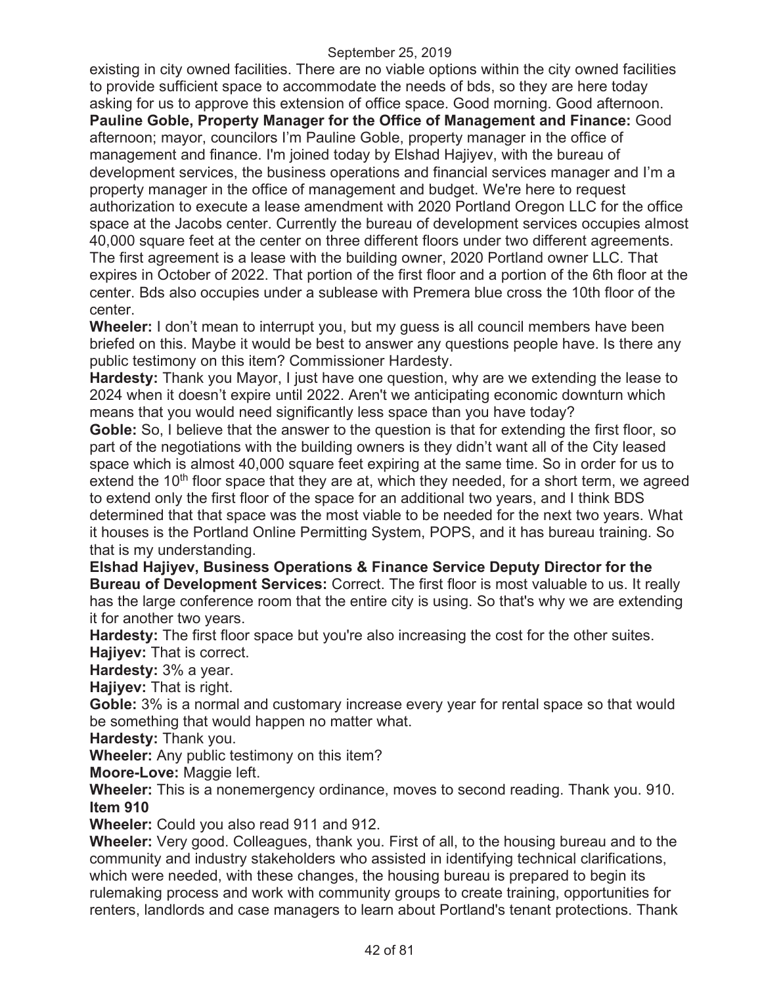existing in city owned facilities. There are no viable options within the city owned facilities to provide sufficient space to accommodate the needs of bds, so they are here today asking for us to approve this extension of office space. Good morning. Good afternoon. **Pauline Goble, Property Manager for the Office of Management and Finance:** Good afternoon; mayor, councilors I'm Pauline Goble, property manager in the office of management and finance. I'm joined today by Elshad Hajiyev, with the bureau of development services, the business operations and financial services manager and I'm a property manager in the office of management and budget. We're here to request authorization to execute a lease amendment with 2020 Portland Oregon LLC for the office space at the Jacobs center. Currently the bureau of development services occupies almost 40,000 square feet at the center on three different floors under two different agreements. The first agreement is a lease with the building owner, 2020 Portland owner LLC. That expires in October of 2022. That portion of the first floor and a portion of the 6th floor at the center. Bds also occupies under a sublease with Premera blue cross the 10th floor of the center.

**Wheeler:** I don't mean to interrupt you, but my guess is all council members have been briefed on this. Maybe it would be best to answer any questions people have. Is there any public testimony on this item? Commissioner Hardesty.

**Hardesty:** Thank you Mayor, I just have one question, why are we extending the lease to 2024 when it doesn't expire until 2022. Aren't we anticipating economic downturn which means that you would need significantly less space than you have today?

**Goble:** So, I believe that the answer to the question is that for extending the first floor, so part of the negotiations with the building owners is they didn't want all of the City leased space which is almost 40,000 square feet expiring at the same time. So in order for us to extend the 10<sup>th</sup> floor space that they are at, which they needed, for a short term, we agreed to extend only the first floor of the space for an additional two years, and I think BDS determined that that space was the most viable to be needed for the next two years. What it houses is the Portland Online Permitting System, POPS, and it has bureau training. So that is my understanding.

**Elshad Hajiyev, Business Operations & Finance Service Deputy Director for the Bureau of Development Services:** Correct. The first floor is most valuable to us. It really has the large conference room that the entire city is using. So that's why we are extending it for another two years.

**Hardesty:** The first floor space but you're also increasing the cost for the other suites. **Hajiyev:** That is correct.

**Hardesty:** 3% a year.

**Hajiyev:** That is right.

**Goble:** 3% is a normal and customary increase every year for rental space so that would be something that would happen no matter what.

**Hardesty:** Thank you.

**Wheeler:** Any public testimony on this item?

**Moore-Love:** Maggie left.

**Wheeler:** This is a nonemergency ordinance, moves to second reading. Thank you. 910. **Item 910**

**Wheeler:** Could you also read 911 and 912.

**Wheeler:** Very good. Colleagues, thank you. First of all, to the housing bureau and to the community and industry stakeholders who assisted in identifying technical clarifications, which were needed, with these changes, the housing bureau is prepared to begin its rulemaking process and work with community groups to create training, opportunities for renters, landlords and case managers to learn about Portland's tenant protections. Thank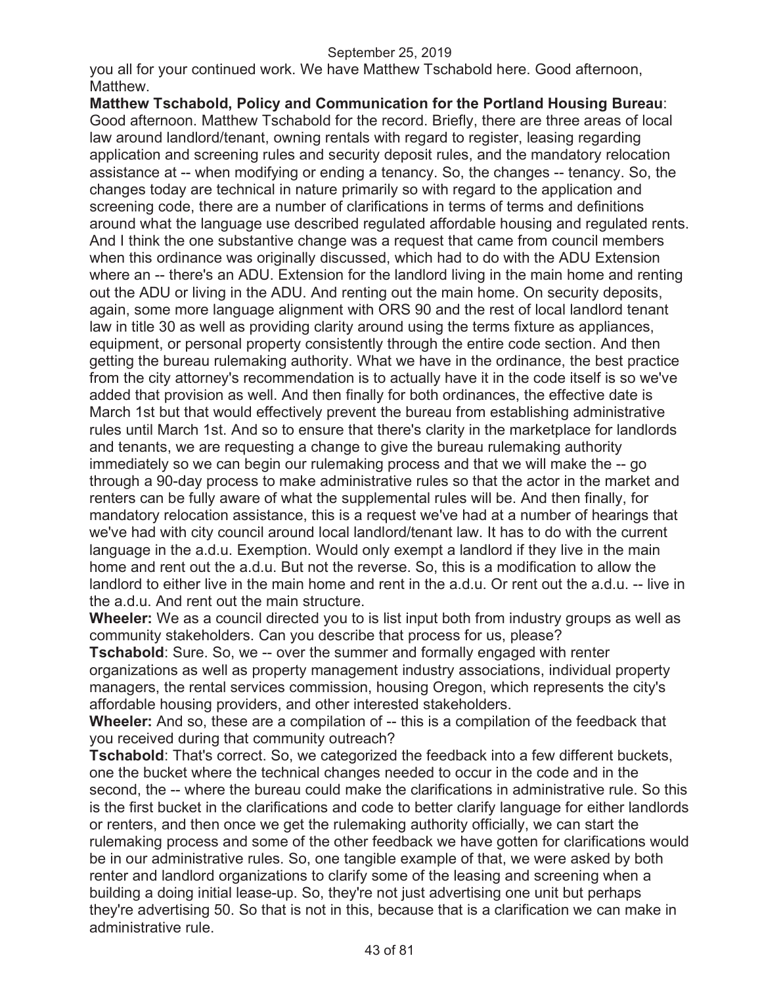you all for your continued work. We have Matthew Tschabold here. Good afternoon, Matthew.

**Matthew Tschabold, Policy and Communication for the Portland Housing Bureau**: Good afternoon. Matthew Tschabold for the record. Briefly, there are three areas of local law around landlord/tenant, owning rentals with regard to register, leasing regarding application and screening rules and security deposit rules, and the mandatory relocation assistance at -- when modifying or ending a tenancy. So, the changes -- tenancy. So, the changes today are technical in nature primarily so with regard to the application and screening code, there are a number of clarifications in terms of terms and definitions around what the language use described regulated affordable housing and regulated rents. And I think the one substantive change was a request that came from council members when this ordinance was originally discussed, which had to do with the ADU Extension where an -- there's an ADU. Extension for the landlord living in the main home and renting out the ADU or living in the ADU. And renting out the main home. On security deposits, again, some more language alignment with ORS 90 and the rest of local landlord tenant law in title 30 as well as providing clarity around using the terms fixture as appliances, equipment, or personal property consistently through the entire code section. And then getting the bureau rulemaking authority. What we have in the ordinance, the best practice from the city attorney's recommendation is to actually have it in the code itself is so we've added that provision as well. And then finally for both ordinances, the effective date is March 1st but that would effectively prevent the bureau from establishing administrative rules until March 1st. And so to ensure that there's clarity in the marketplace for landlords and tenants, we are requesting a change to give the bureau rulemaking authority immediately so we can begin our rulemaking process and that we will make the -- go through a 90-day process to make administrative rules so that the actor in the market and renters can be fully aware of what the supplemental rules will be. And then finally, for mandatory relocation assistance, this is a request we've had at a number of hearings that we've had with city council around local landlord/tenant law. It has to do with the current language in the a.d.u. Exemption. Would only exempt a landlord if they live in the main home and rent out the a.d.u. But not the reverse. So, this is a modification to allow the landlord to either live in the main home and rent in the a.d.u. Or rent out the a.d.u. -- live in the a.d.u. And rent out the main structure.

**Wheeler:** We as a council directed you to is list input both from industry groups as well as community stakeholders. Can you describe that process for us, please? **Tschabold**: Sure. So, we -- over the summer and formally engaged with renter organizations as well as property management industry associations, individual property managers, the rental services commission, housing Oregon, which represents the city's

affordable housing providers, and other interested stakeholders. **Wheeler:** And so, these are a compilation of -- this is a compilation of the feedback that

you received during that community outreach?

**Tschabold**: That's correct. So, we categorized the feedback into a few different buckets, one the bucket where the technical changes needed to occur in the code and in the second, the -- where the bureau could make the clarifications in administrative rule. So this is the first bucket in the clarifications and code to better clarify language for either landlords or renters, and then once we get the rulemaking authority officially, we can start the rulemaking process and some of the other feedback we have gotten for clarifications would be in our administrative rules. So, one tangible example of that, we were asked by both renter and landlord organizations to clarify some of the leasing and screening when a building a doing initial lease-up. So, they're not just advertising one unit but perhaps they're advertising 50. So that is not in this, because that is a clarification we can make in administrative rule.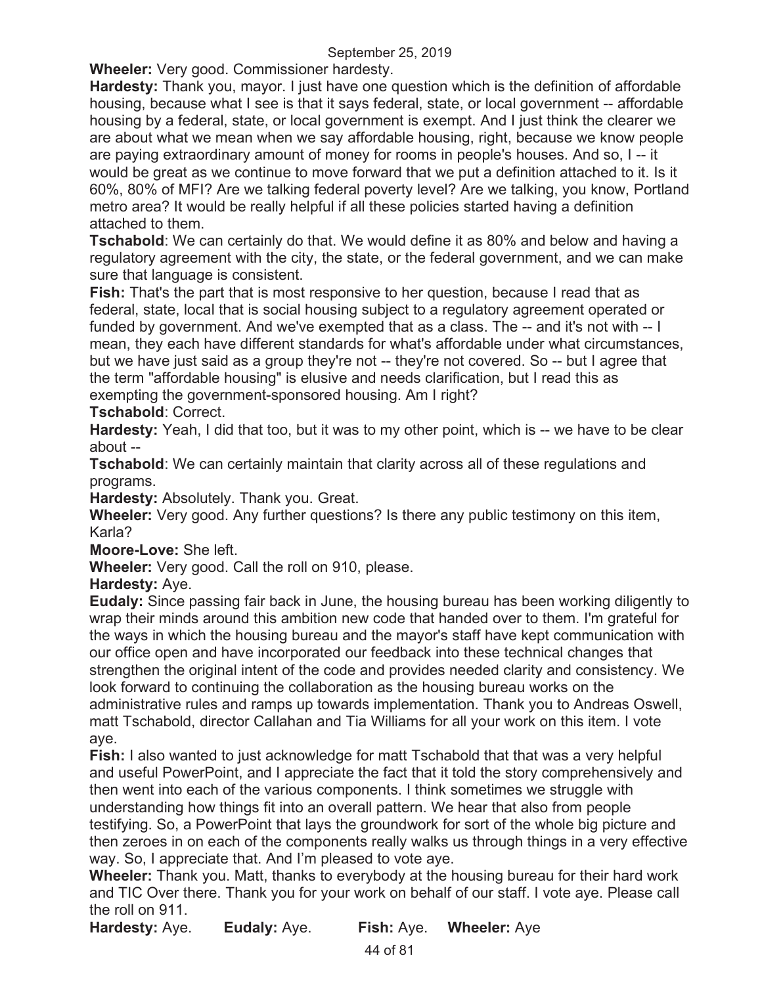**Wheeler:** Very good. Commissioner hardesty.

**Hardesty:** Thank you, mayor. I just have one question which is the definition of affordable housing, because what I see is that it says federal, state, or local government -- affordable housing by a federal, state, or local government is exempt. And I just think the clearer we are about what we mean when we say affordable housing, right, because we know people are paying extraordinary amount of money for rooms in people's houses. And so, I -- it would be great as we continue to move forward that we put a definition attached to it. Is it 60%, 80% of MFI? Are we talking federal poverty level? Are we talking, you know, Portland metro area? It would be really helpful if all these policies started having a definition attached to them.

**Tschabold**: We can certainly do that. We would define it as 80% and below and having a regulatory agreement with the city, the state, or the federal government, and we can make sure that language is consistent.

**Fish:** That's the part that is most responsive to her question, because I read that as federal, state, local that is social housing subject to a regulatory agreement operated or funded by government. And we've exempted that as a class. The -- and it's not with -- I mean, they each have different standards for what's affordable under what circumstances, but we have just said as a group they're not -- they're not covered. So -- but I agree that the term "affordable housing" is elusive and needs clarification, but I read this as exempting the government-sponsored housing. Am I right?

**Tschabold**: Correct.

**Hardesty:** Yeah, I did that too, but it was to my other point, which is -- we have to be clear about --

**Tschabold**: We can certainly maintain that clarity across all of these regulations and programs.

**Hardesty:** Absolutely. Thank you. Great.

**Wheeler:** Very good. Any further questions? Is there any public testimony on this item, Karla?

**Moore-Love:** She left.

**Wheeler:** Very good. Call the roll on 910, please.

**Hardesty:** Aye.

**Eudaly:** Since passing fair back in June, the housing bureau has been working diligently to wrap their minds around this ambition new code that handed over to them. I'm grateful for the ways in which the housing bureau and the mayor's staff have kept communication with our office open and have incorporated our feedback into these technical changes that strengthen the original intent of the code and provides needed clarity and consistency. We look forward to continuing the collaboration as the housing bureau works on the administrative rules and ramps up towards implementation. Thank you to Andreas Oswell, matt Tschabold, director Callahan and Tia Williams for all your work on this item. I vote aye.

**Fish:** I also wanted to just acknowledge for matt Tschabold that that was a very helpful and useful PowerPoint, and I appreciate the fact that it told the story comprehensively and then went into each of the various components. I think sometimes we struggle with understanding how things fit into an overall pattern. We hear that also from people testifying. So, a PowerPoint that lays the groundwork for sort of the whole big picture and then zeroes in on each of the components really walks us through things in a very effective way. So, I appreciate that. And I'm pleased to vote aye.

**Wheeler:** Thank you. Matt, thanks to everybody at the housing bureau for their hard work and TIC Over there. Thank you for your work on behalf of our staff. I vote aye. Please call the roll on 911.

**Hardesty:** Aye. **Eudaly:** Aye. **Fish:** Aye. **Wheeler:** Aye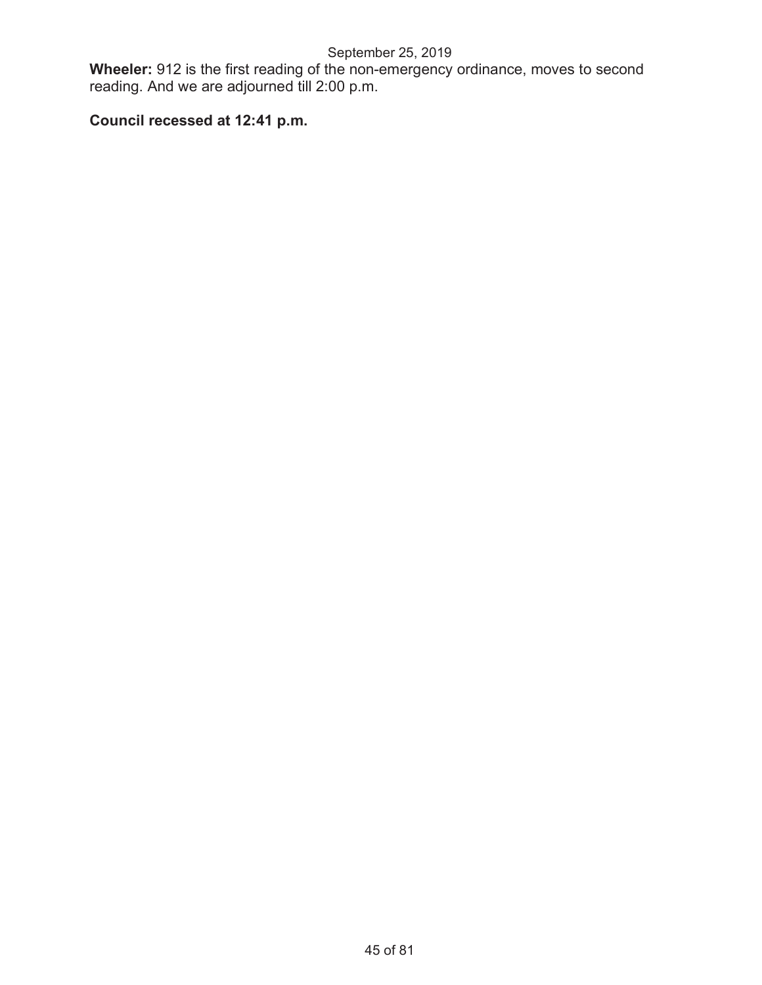**Wheeler:** 912 is the first reading of the non-emergency ordinance, moves to second reading. And we are adjourned till 2:00 p.m.

# **Council recessed at 12:41 p.m.**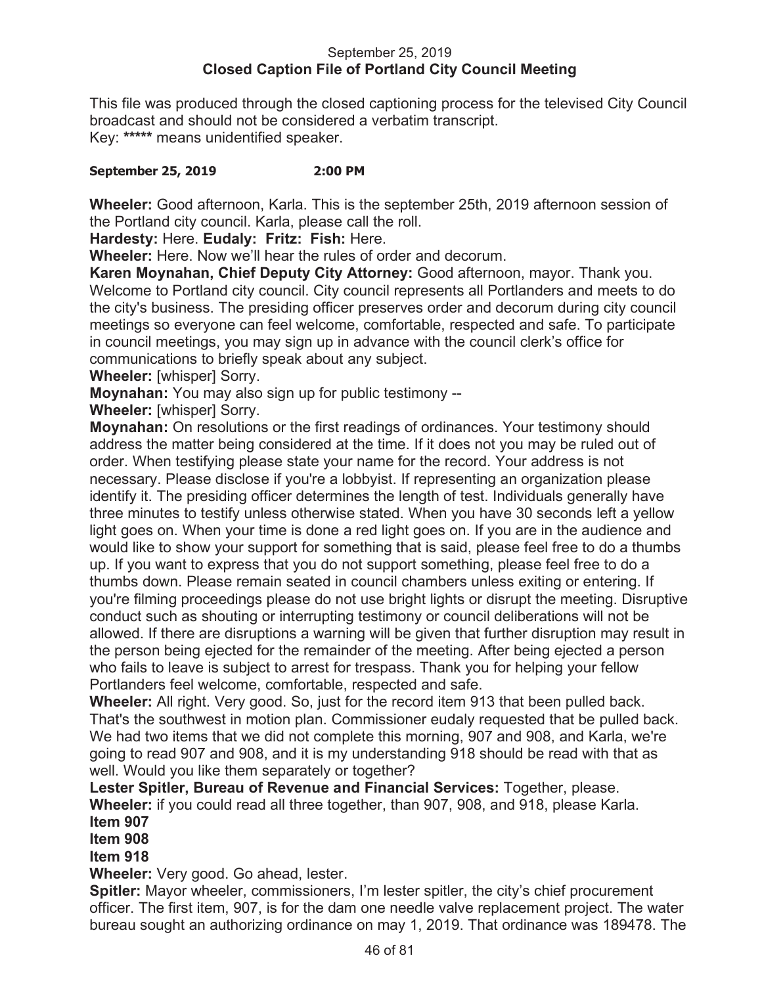### September 25, 2019 **Closed Caption File of Portland City Council Meeting**

This file was produced through the closed captioning process for the televised City Council broadcast and should not be considered a verbatim transcript. Key: **\*\*\*\*\*** means unidentified speaker.

### **September 25, 2019 2:00 PM**

**Wheeler:** Good afternoon, Karla. This is the september 25th, 2019 afternoon session of the Portland city council. Karla, please call the roll.

**Hardesty:** Here. **Eudaly: Fritz: Fish:** Here.

**Wheeler:** Here. Now we'll hear the rules of order and decorum.

**Karen Moynahan, Chief Deputy City Attorney:** Good afternoon, mayor. Thank you. Welcome to Portland city council. City council represents all Portlanders and meets to do the city's business. The presiding officer preserves order and decorum during city council meetings so everyone can feel welcome, comfortable, respected and safe. To participate in council meetings, you may sign up in advance with the council clerk's office for communications to briefly speak about any subject.

**Wheeler:** [whisper] Sorry.

**Moynahan:** You may also sign up for public testimony --

**Wheeler:** [whisper] Sorry.

**Moynahan:** On resolutions or the first readings of ordinances. Your testimony should address the matter being considered at the time. If it does not you may be ruled out of order. When testifying please state your name for the record. Your address is not necessary. Please disclose if you're a lobbyist. If representing an organization please identify it. The presiding officer determines the length of test. Individuals generally have three minutes to testify unless otherwise stated. When you have 30 seconds left a yellow light goes on. When your time is done a red light goes on. If you are in the audience and would like to show your support for something that is said, please feel free to do a thumbs up. If you want to express that you do not support something, please feel free to do a thumbs down. Please remain seated in council chambers unless exiting or entering. If you're filming proceedings please do not use bright lights or disrupt the meeting. Disruptive conduct such as shouting or interrupting testimony or council deliberations will not be allowed. If there are disruptions a warning will be given that further disruption may result in the person being ejected for the remainder of the meeting. After being ejected a person who fails to leave is subject to arrest for trespass. Thank you for helping your fellow Portlanders feel welcome, comfortable, respected and safe.

**Wheeler:** All right. Very good. So, just for the record item 913 that been pulled back. That's the southwest in motion plan. Commissioner eudaly requested that be pulled back. We had two items that we did not complete this morning, 907 and 908, and Karla, we're going to read 907 and 908, and it is my understanding 918 should be read with that as well. Would you like them separately or together?

**Lester Spitler, Bureau of Revenue and Financial Services:** Together, please. **Wheeler:** if you could read all three together, than 907, 908, and 918, please Karla. **Item 907** 

**Item 908** 

**Item 918** 

**Wheeler:** Very good. Go ahead, lester.

**Spitler:** Mayor wheeler, commissioners, I'm lester spitler, the city's chief procurement officer. The first item, 907, is for the dam one needle valve replacement project. The water bureau sought an authorizing ordinance on may 1, 2019. That ordinance was 189478. The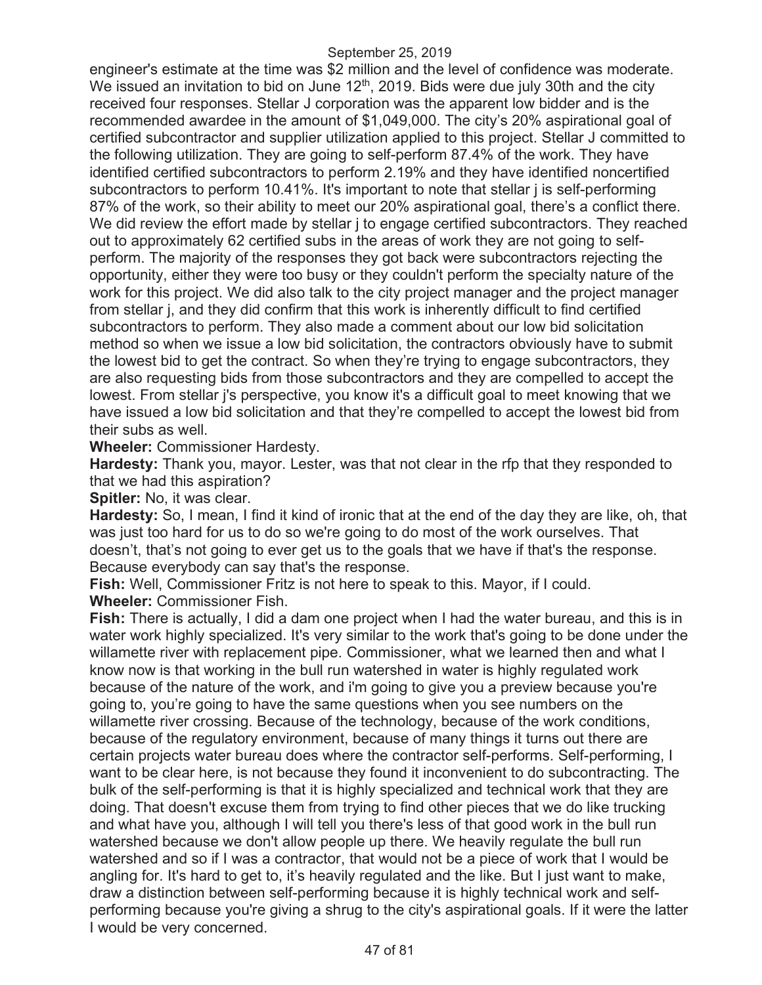engineer's estimate at the time was \$2 million and the level of confidence was moderate. We issued an invitation to bid on June 12<sup>th</sup>, 2019. Bids were due july 30th and the city received four responses. Stellar J corporation was the apparent low bidder and is the recommended awardee in the amount of \$1,049,000. The city's 20% aspirational goal of certified subcontractor and supplier utilization applied to this project. Stellar J committed to the following utilization. They are going to self-perform 87.4% of the work. They have identified certified subcontractors to perform 2.19% and they have identified noncertified subcontractors to perform 10.41%. It's important to note that stellar j is self-performing 87% of the work, so their ability to meet our 20% aspirational goal, there's a conflict there. We did review the effort made by stellar *j* to engage certified subcontractors. They reached out to approximately 62 certified subs in the areas of work they are not going to selfperform. The majority of the responses they got back were subcontractors rejecting the opportunity, either they were too busy or they couldn't perform the specialty nature of the work for this project. We did also talk to the city project manager and the project manager from stellar j, and they did confirm that this work is inherently difficult to find certified subcontractors to perform. They also made a comment about our low bid solicitation method so when we issue a low bid solicitation, the contractors obviously have to submit the lowest bid to get the contract. So when they're trying to engage subcontractors, they are also requesting bids from those subcontractors and they are compelled to accept the lowest. From stellar j's perspective, you know it's a difficult goal to meet knowing that we have issued a low bid solicitation and that they're compelled to accept the lowest bid from their subs as well.

**Wheeler:** Commissioner Hardesty.

**Hardesty:** Thank you, mayor. Lester, was that not clear in the rfp that they responded to that we had this aspiration?

**Spitler:** No, it was clear.

**Hardesty:** So, I mean, I find it kind of ironic that at the end of the day they are like, oh, that was just too hard for us to do so we're going to do most of the work ourselves. That doesn't, that's not going to ever get us to the goals that we have if that's the response. Because everybody can say that's the response.

**Fish:** Well, Commissioner Fritz is not here to speak to this. Mayor, if I could. **Wheeler:** Commissioner Fish.

**Fish:** There is actually, I did a dam one project when I had the water bureau, and this is in water work highly specialized. It's very similar to the work that's going to be done under the willamette river with replacement pipe. Commissioner, what we learned then and what I know now is that working in the bull run watershed in water is highly regulated work because of the nature of the work, and i'm going to give you a preview because you're going to, you're going to have the same questions when you see numbers on the willamette river crossing. Because of the technology, because of the work conditions, because of the regulatory environment, because of many things it turns out there are certain projects water bureau does where the contractor self-performs. Self-performing, I want to be clear here, is not because they found it inconvenient to do subcontracting. The bulk of the self-performing is that it is highly specialized and technical work that they are doing. That doesn't excuse them from trying to find other pieces that we do like trucking and what have you, although I will tell you there's less of that good work in the bull run watershed because we don't allow people up there. We heavily regulate the bull run watershed and so if I was a contractor, that would not be a piece of work that I would be angling for. It's hard to get to, it's heavily regulated and the like. But I just want to make, draw a distinction between self-performing because it is highly technical work and selfperforming because you're giving a shrug to the city's aspirational goals. If it were the latter I would be very concerned.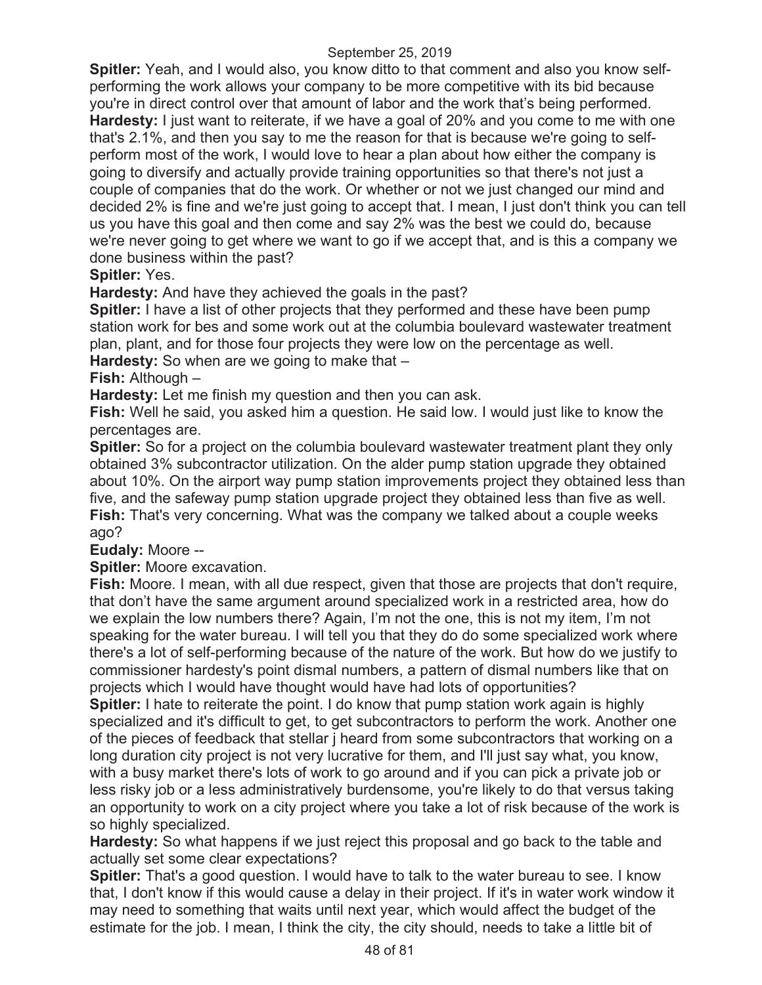**Spitler:** Yeah, and I would also, you know ditto to that comment and also you know selfperforming the work allows your company to be more competitive with its bid because you're in direct control over that amount of labor and the work that's being performed. **Hardesty:** I just want to reiterate, if we have a goal of 20% and you come to me with one that's 2.1%, and then you say to me the reason for that is because we're going to selfperform most of the work, I would love to hear a plan about how either the company is going to diversify and actually provide training opportunities so that there's not just a couple of companies that do the work. Or whether or not we just changed our mind and decided 2% is fine and we're just going to accept that. I mean, I just don't think you can tell us you have this goal and then come and say 2% was the best we could do, because we're never going to get where we want to go if we accept that, and is this a company we done business within the past?

**Spitler:** Yes.

**Hardesty:** And have they achieved the goals in the past?

**Spitler:** I have a list of other projects that they performed and these have been pump station work for bes and some work out at the columbia boulevard wastewater treatment plan, plant, and for those four projects they were low on the percentage as well.

**Hardesty:** So when are we going to make that –

**Fish:** Although –

**Hardesty:** Let me finish my question and then you can ask.

**Fish:** Well he said, you asked him a question. He said low. I would just like to know the percentages are.

**Spitler:** So for a project on the columbia boulevard wastewater treatment plant they only obtained 3% subcontractor utilization. On the alder pump station upgrade they obtained about 10%. On the airport way pump station improvements project they obtained less than five, and the safeway pump station upgrade project they obtained less than five as well. **Fish:** That's very concerning. What was the company we talked about a couple weeks ago?

### **Eudaly:** Moore --

**Spitler:** Moore excavation.

**Fish:** Moore. I mean, with all due respect, given that those are projects that don't require, that don't have the same argument around specialized work in a restricted area, how do we explain the low numbers there? Again, I'm not the one, this is not my item, I'm not speaking for the water bureau. I will tell you that they do do some specialized work where there's a lot of self-performing because of the nature of the work. But how do we justify to commissioner hardesty's point dismal numbers, a pattern of dismal numbers like that on projects which I would have thought would have had lots of opportunities?

**Spitler:** I hate to reiterate the point. I do know that pump station work again is highly specialized and it's difficult to get, to get subcontractors to perform the work. Another one of the pieces of feedback that stellar j heard from some subcontractors that working on a long duration city project is not very lucrative for them, and I'll just say what, you know, with a busy market there's lots of work to go around and if you can pick a private job or less risky job or a less administratively burdensome, you're likely to do that versus taking an opportunity to work on a city project where you take a lot of risk because of the work is so highly specialized.

**Hardesty:** So what happens if we just reject this proposal and go back to the table and actually set some clear expectations?

**Spitler:** That's a good question. I would have to talk to the water bureau to see. I know that, I don't know if this would cause a delay in their project. If it's in water work window it may need to something that waits until next year, which would affect the budget of the estimate for the job. I mean, I think the city, the city should, needs to take a little bit of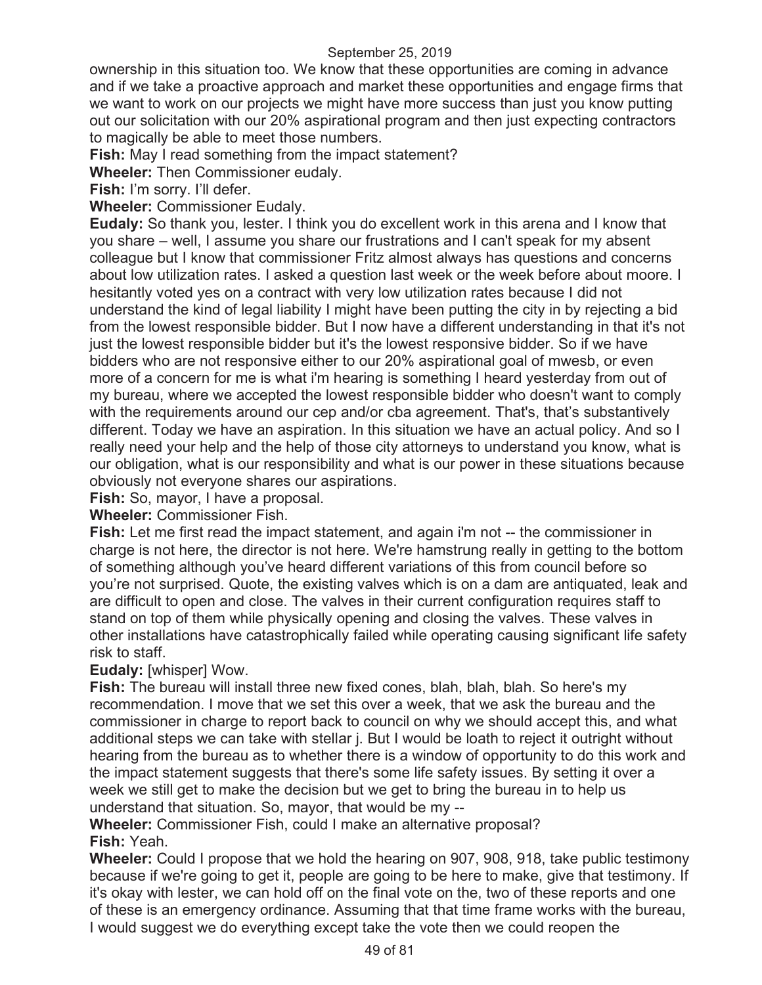ownership in this situation too. We know that these opportunities are coming in advance and if we take a proactive approach and market these opportunities and engage firms that we want to work on our projects we might have more success than just you know putting out our solicitation with our 20% aspirational program and then just expecting contractors to magically be able to meet those numbers.

**Fish:** May I read something from the impact statement?

**Wheeler:** Then Commissioner eudaly.

**Fish:** I'm sorry. I'll defer.

**Wheeler:** Commissioner Eudaly.

**Eudaly:** So thank you, lester. I think you do excellent work in this arena and I know that you share – well, I assume you share our frustrations and I can't speak for my absent colleague but I know that commissioner Fritz almost always has questions and concerns about low utilization rates. I asked a question last week or the week before about moore. I hesitantly voted yes on a contract with very low utilization rates because I did not understand the kind of legal liability I might have been putting the city in by rejecting a bid from the lowest responsible bidder. But I now have a different understanding in that it's not just the lowest responsible bidder but it's the lowest responsive bidder. So if we have bidders who are not responsive either to our 20% aspirational goal of mwesb, or even more of a concern for me is what i'm hearing is something I heard yesterday from out of my bureau, where we accepted the lowest responsible bidder who doesn't want to comply with the requirements around our cep and/or cba agreement. That's, that's substantively different. Today we have an aspiration. In this situation we have an actual policy. And so I really need your help and the help of those city attorneys to understand you know, what is our obligation, what is our responsibility and what is our power in these situations because obviously not everyone shares our aspirations.

**Fish:** So, mayor, I have a proposal.

**Wheeler:** Commissioner Fish.

**Fish:** Let me first read the impact statement, and again i'm not -- the commissioner in charge is not here, the director is not here. We're hamstrung really in getting to the bottom of something although you've heard different variations of this from council before so you're not surprised. Quote, the existing valves which is on a dam are antiquated, leak and are difficult to open and close. The valves in their current configuration requires staff to stand on top of them while physically opening and closing the valves. These valves in other installations have catastrophically failed while operating causing significant life safety risk to staff.

**Eudaly:** [whisper] Wow.

**Fish:** The bureau will install three new fixed cones, blah, blah, blah. So here's my recommendation. I move that we set this over a week, that we ask the bureau and the commissioner in charge to report back to council on why we should accept this, and what additional steps we can take with stellar j. But I would be loath to reject it outright without hearing from the bureau as to whether there is a window of opportunity to do this work and the impact statement suggests that there's some life safety issues. By setting it over a week we still get to make the decision but we get to bring the bureau in to help us understand that situation. So, mayor, that would be my --

**Wheeler:** Commissioner Fish, could I make an alternative proposal? **Fish:** Yeah.

**Wheeler:** Could I propose that we hold the hearing on 907, 908, 918, take public testimony because if we're going to get it, people are going to be here to make, give that testimony. If it's okay with lester, we can hold off on the final vote on the, two of these reports and one of these is an emergency ordinance. Assuming that that time frame works with the bureau, I would suggest we do everything except take the vote then we could reopen the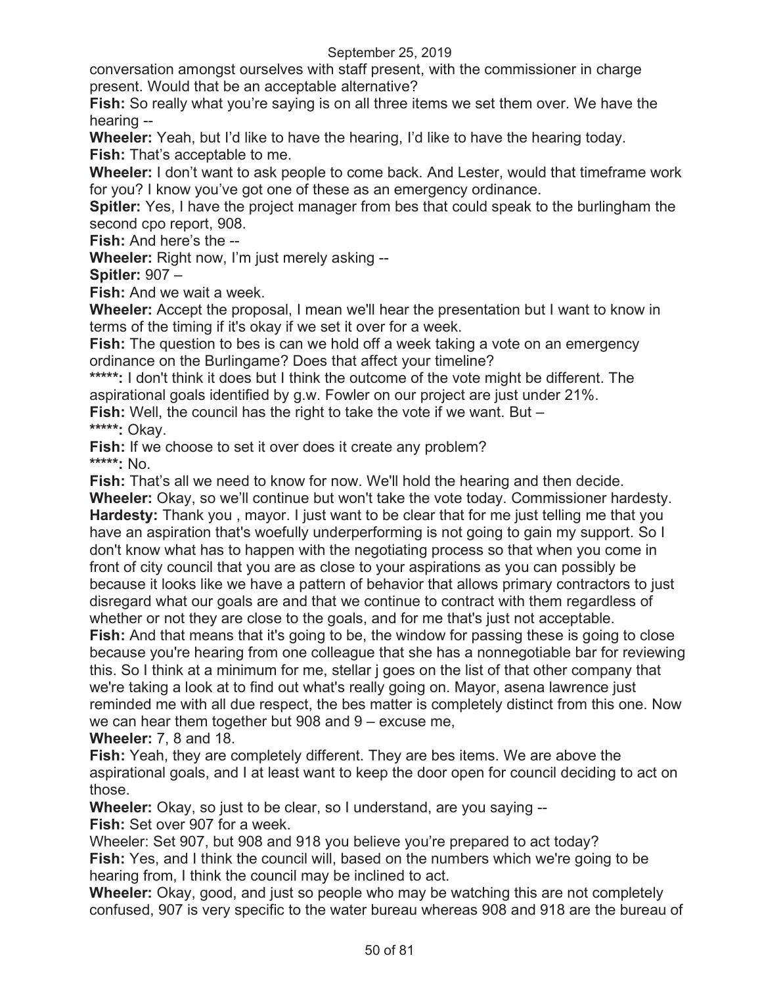conversation amongst ourselves with staff present, with the commissioner in charge present. Would that be an acceptable alternative?

**Fish:** So really what you're saying is on all three items we set them over. We have the hearing --

**Wheeler:** Yeah, but I'd like to have the hearing, I'd like to have the hearing today. **Fish:** That's acceptable to me.

**Wheeler:** I don't want to ask people to come back. And Lester, would that timeframe work for you? I know you've got one of these as an emergency ordinance.

**Spitler:** Yes, I have the project manager from bes that could speak to the burlingham the second cpo report, 908.

**Fish:** And here's the --

**Wheeler:** Right now, I'm just merely asking --

**Spitler:** 907 –

**Fish:** And we wait a week.

**Wheeler:** Accept the proposal, I mean we'll hear the presentation but I want to know in terms of the timing if it's okay if we set it over for a week.

**Fish:** The question to bes is can we hold off a week taking a vote on an emergency ordinance on the Burlingame? Does that affect your timeline?

**\*\*\*\*\*:** I don't think it does but I think the outcome of the vote might be different. The aspirational goals identified by g.w. Fowler on our project are just under 21%.

**Fish:** Well, the council has the right to take the vote if we want. But – **\*\*\*\*\*:** Okay.

**Fish:** If we choose to set it over does it create any problem? **\*\*\*\*\*:** No.

**Fish:** That's all we need to know for now. We'll hold the hearing and then decide.

**Wheeler:** Okay, so we'll continue but won't take the vote today. Commissioner hardesty. **Hardesty:** Thank you , mayor. I just want to be clear that for me just telling me that you have an aspiration that's woefully underperforming is not going to gain my support. So I don't know what has to happen with the negotiating process so that when you come in front of city council that you are as close to your aspirations as you can possibly be because it looks like we have a pattern of behavior that allows primary contractors to just disregard what our goals are and that we continue to contract with them regardless of whether or not they are close to the goals, and for me that's just not acceptable.

**Fish:** And that means that it's going to be, the window for passing these is going to close because you're hearing from one colleague that she has a nonnegotiable bar for reviewing this. So I think at a minimum for me, stellar j goes on the list of that other company that we're taking a look at to find out what's really going on. Mayor, asena lawrence just reminded me with all due respect, the bes matter is completely distinct from this one. Now we can hear them together but 908 and 9 – excuse me,

**Wheeler:** 7, 8 and 18.

**Fish:** Yeah, they are completely different. They are bes items. We are above the aspirational goals, and I at least want to keep the door open for council deciding to act on those.

**Wheeler:** Okay, so just to be clear, so I understand, are you saying --

**Fish:** Set over 907 for a week.

Wheeler: Set 907, but 908 and 918 you believe you're prepared to act today? **Fish:** Yes, and I think the council will, based on the numbers which we're going to be hearing from, I think the council may be inclined to act.

**Wheeler:** Okay, good, and just so people who may be watching this are not completely confused, 907 is very specific to the water bureau whereas 908 and 918 are the bureau of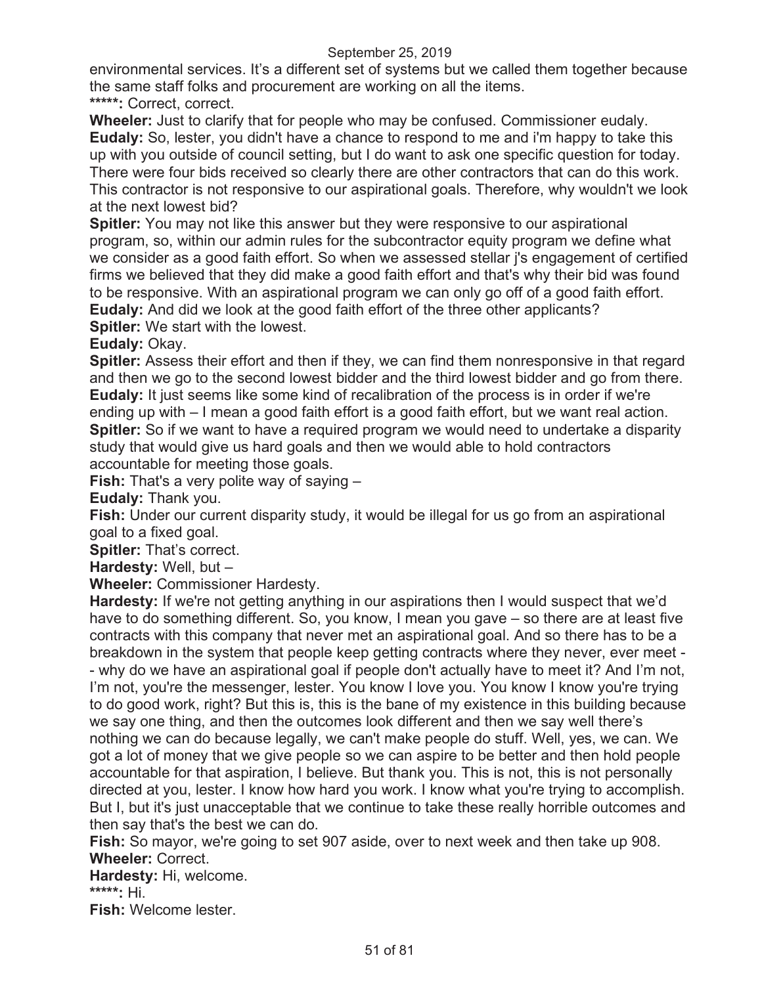environmental services. It's a different set of systems but we called them together because the same staff folks and procurement are working on all the items. **\*\*\*\*\*:** Correct, correct.

**Wheeler:** Just to clarify that for people who may be confused. Commissioner eudaly. **Eudaly:** So, lester, you didn't have a chance to respond to me and i'm happy to take this up with you outside of council setting, but I do want to ask one specific question for today. There were four bids received so clearly there are other contractors that can do this work. This contractor is not responsive to our aspirational goals. Therefore, why wouldn't we look at the next lowest bid?

**Spitler:** You may not like this answer but they were responsive to our aspirational program, so, within our admin rules for the subcontractor equity program we define what we consider as a good faith effort. So when we assessed stellar j's engagement of certified firms we believed that they did make a good faith effort and that's why their bid was found to be responsive. With an aspirational program we can only go off of a good faith effort. **Eudaly:** And did we look at the good faith effort of the three other applicants? **Spitler:** We start with the lowest.

**Eudaly:** Okay.

**Spitler:** Assess their effort and then if they, we can find them nonresponsive in that regard and then we go to the second lowest bidder and the third lowest bidder and go from there. **Eudaly:** It just seems like some kind of recalibration of the process is in order if we're ending up with – I mean a good faith effort is a good faith effort, but we want real action. **Spitler:** So if we want to have a required program we would need to undertake a disparity study that would give us hard goals and then we would able to hold contractors accountable for meeting those goals.

**Fish:** That's a very polite way of saying –

**Eudaly:** Thank you.

**Fish:** Under our current disparity study, it would be illegal for us go from an aspirational goal to a fixed goal.

**Spitler:** That's correct.

**Hardesty:** Well, but –

**Wheeler:** Commissioner Hardesty.

**Hardesty:** If we're not getting anything in our aspirations then I would suspect that we'd have to do something different. So, you know, I mean you gave – so there are at least five contracts with this company that never met an aspirational goal. And so there has to be a breakdown in the system that people keep getting contracts where they never, ever meet - - why do we have an aspirational goal if people don't actually have to meet it? And I'm not, I'm not, you're the messenger, lester. You know I love you. You know I know you're trying to do good work, right? But this is, this is the bane of my existence in this building because we say one thing, and then the outcomes look different and then we say well there's nothing we can do because legally, we can't make people do stuff. Well, yes, we can. We got a lot of money that we give people so we can aspire to be better and then hold people accountable for that aspiration, I believe. But thank you. This is not, this is not personally directed at you, lester. I know how hard you work. I know what you're trying to accomplish. But I, but it's just unacceptable that we continue to take these really horrible outcomes and then say that's the best we can do.

**Fish:** So mayor, we're going to set 907 aside, over to next week and then take up 908. **Wheeler:** Correct.

**Hardesty:** Hi, welcome.

**\*\*\*\*\*:** Hi.

**Fish:** Welcome lester.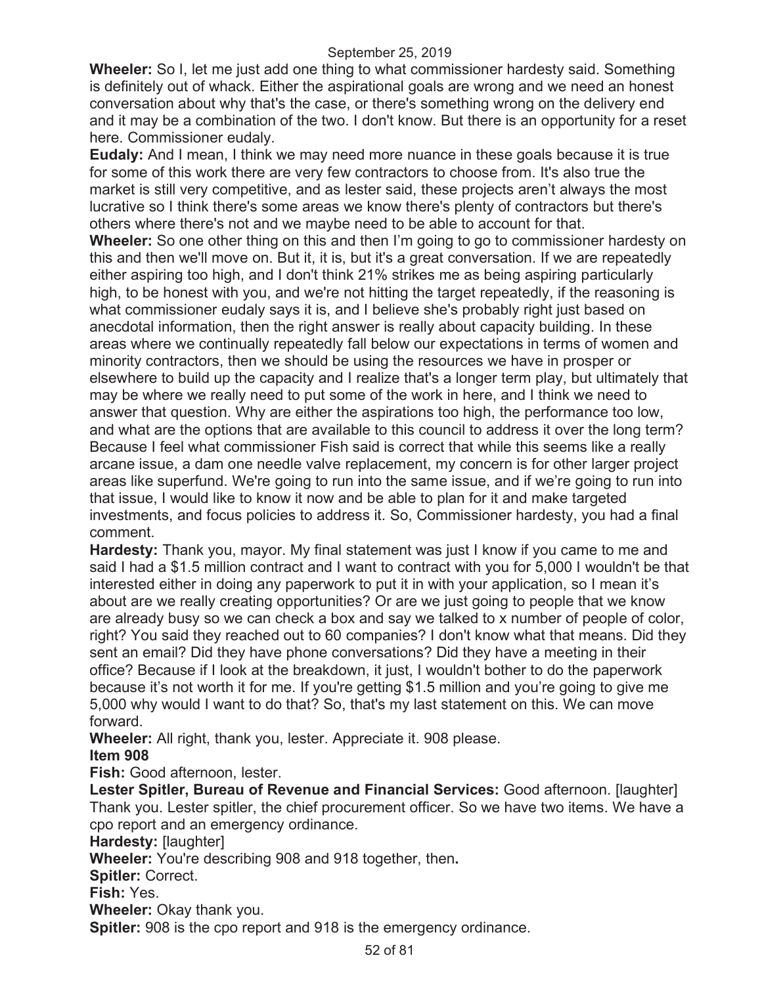**Wheeler:** So I, let me just add one thing to what commissioner hardesty said. Something is definitely out of whack. Either the aspirational goals are wrong and we need an honest conversation about why that's the case, or there's something wrong on the delivery end and it may be a combination of the two. I don't know. But there is an opportunity for a reset here. Commissioner eudaly.

**Eudaly:** And I mean, I think we may need more nuance in these goals because it is true for some of this work there are very few contractors to choose from. It's also true the market is still very competitive, and as lester said, these projects aren't always the most lucrative so I think there's some areas we know there's plenty of contractors but there's others where there's not and we maybe need to be able to account for that.

**Wheeler:** So one other thing on this and then I'm going to go to commissioner hardesty on this and then we'll move on. But it, it is, but it's a great conversation. If we are repeatedly either aspiring too high, and I don't think 21% strikes me as being aspiring particularly high, to be honest with you, and we're not hitting the target repeatedly, if the reasoning is what commissioner eudaly says it is, and I believe she's probably right just based on anecdotal information, then the right answer is really about capacity building. In these areas where we continually repeatedly fall below our expectations in terms of women and minority contractors, then we should be using the resources we have in prosper or elsewhere to build up the capacity and I realize that's a longer term play, but ultimately that may be where we really need to put some of the work in here, and I think we need to answer that question. Why are either the aspirations too high, the performance too low, and what are the options that are available to this council to address it over the long term? Because I feel what commissioner Fish said is correct that while this seems like a really arcane issue, a dam one needle valve replacement, my concern is for other larger project areas like superfund. We're going to run into the same issue, and if we're going to run into that issue, I would like to know it now and be able to plan for it and make targeted investments, and focus policies to address it. So, Commissioner hardesty, you had a final comment.

**Hardesty:** Thank you, mayor. My final statement was just I know if you came to me and said I had a \$1.5 million contract and I want to contract with you for 5,000 I wouldn't be that interested either in doing any paperwork to put it in with your application, so I mean it's about are we really creating opportunities? Or are we just going to people that we know are already busy so we can check a box and say we talked to x number of people of color, right? You said they reached out to 60 companies? I don't know what that means. Did they sent an email? Did they have phone conversations? Did they have a meeting in their office? Because if I look at the breakdown, it just, I wouldn't bother to do the paperwork because it's not worth it for me. If you're getting \$1.5 million and you're going to give me 5,000 why would I want to do that? So, that's my last statement on this. We can move forward.

**Wheeler:** All right, thank you, lester. Appreciate it. 908 please.

# **Item 908**

**Fish:** Good afternoon, lester.

**Lester Spitler, Bureau of Revenue and Financial Services:** Good afternoon. [laughter] Thank you. Lester spitler, the chief procurement officer. So we have two items. We have a cpo report and an emergency ordinance.

**Hardesty:** [laughter]

**Wheeler:** You're describing 908 and 918 together, then**.** 

**Spitler:** Correct.

**Fish:** Yes.

**Wheeler:** Okay thank you.

**Spitler:** 908 is the cpo report and 918 is the emergency ordinance.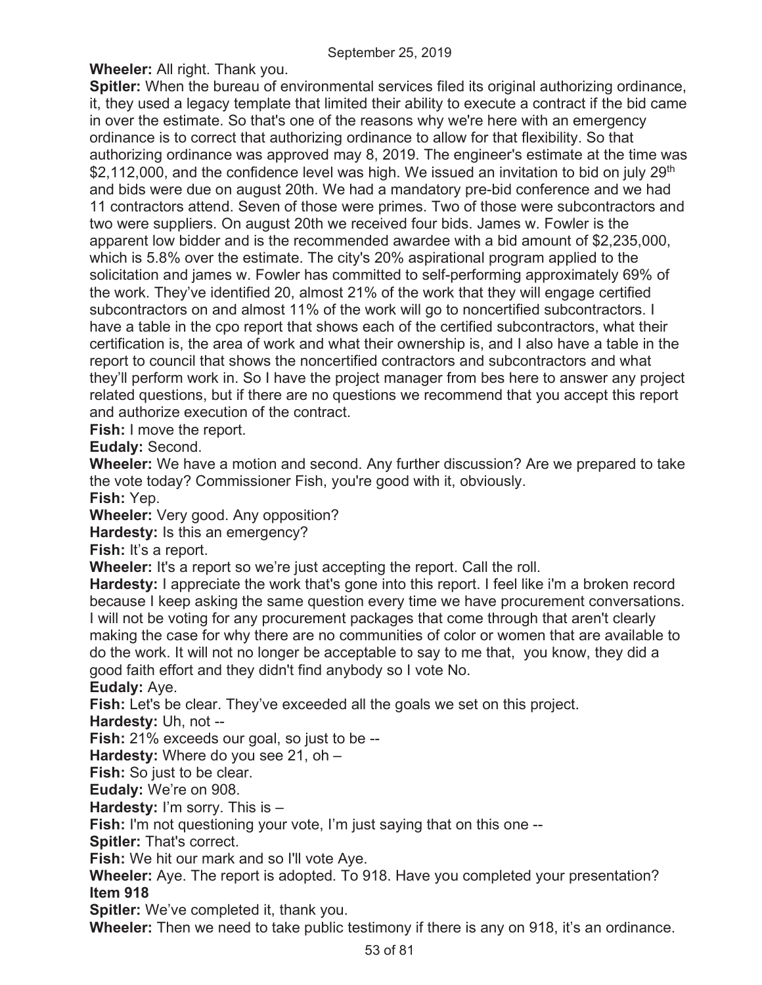**Wheeler:** All right. Thank you.

**Spitler:** When the bureau of environmental services filed its original authorizing ordinance, it, they used a legacy template that limited their ability to execute a contract if the bid came in over the estimate. So that's one of the reasons why we're here with an emergency ordinance is to correct that authorizing ordinance to allow for that flexibility. So that authorizing ordinance was approved may 8, 2019. The engineer's estimate at the time was \$2,112,000, and the confidence level was high. We issued an invitation to bid on july 29<sup>th</sup> and bids were due on august 20th. We had a mandatory pre-bid conference and we had 11 contractors attend. Seven of those were primes. Two of those were subcontractors and two were suppliers. On august 20th we received four bids. James w. Fowler is the apparent low bidder and is the recommended awardee with a bid amount of \$2,235,000, which is 5.8% over the estimate. The city's 20% aspirational program applied to the solicitation and james w. Fowler has committed to self-performing approximately 69% of the work. They've identified 20, almost 21% of the work that they will engage certified subcontractors on and almost 11% of the work will go to noncertified subcontractors. I have a table in the cpo report that shows each of the certified subcontractors, what their certification is, the area of work and what their ownership is, and I also have a table in the report to council that shows the noncertified contractors and subcontractors and what they'll perform work in. So I have the project manager from bes here to answer any project related questions, but if there are no questions we recommend that you accept this report and authorize execution of the contract.

**Fish:** I move the report.

**Eudaly:** Second.

**Wheeler:** We have a motion and second. Any further discussion? Are we prepared to take the vote today? Commissioner Fish, you're good with it, obviously.

**Fish:** Yep.

**Wheeler:** Very good. Any opposition?

**Hardesty:** Is this an emergency?

**Fish:** It's a report.

**Wheeler:** It's a report so we're just accepting the report. Call the roll.

**Hardesty:** I appreciate the work that's gone into this report. I feel like i'm a broken record because I keep asking the same question every time we have procurement conversations. I will not be voting for any procurement packages that come through that aren't clearly making the case for why there are no communities of color or women that are available to do the work. It will not no longer be acceptable to say to me that, you know, they did a good faith effort and they didn't find anybody so I vote No.

**Eudaly:** Aye.

**Fish:** Let's be clear. They've exceeded all the goals we set on this project.

**Hardesty:** Uh, not --

**Fish:** 21% exceeds our goal, so just to be --

**Hardesty:** Where do you see 21, oh –

**Fish:** So just to be clear.

**Eudaly:** We're on 908.

**Hardesty:** I'm sorry. This is –

**Fish:** I'm not questioning your vote, I'm just saying that on this one --

**Spitler:** That's correct.

**Fish:** We hit our mark and so I'll vote Aye.

**Wheeler:** Aye. The report is adopted. To 918. Have you completed your presentation? **Item 918** 

**Spitler:** We've completed it, thank you.

**Wheeler:** Then we need to take public testimony if there is any on 918, it's an ordinance.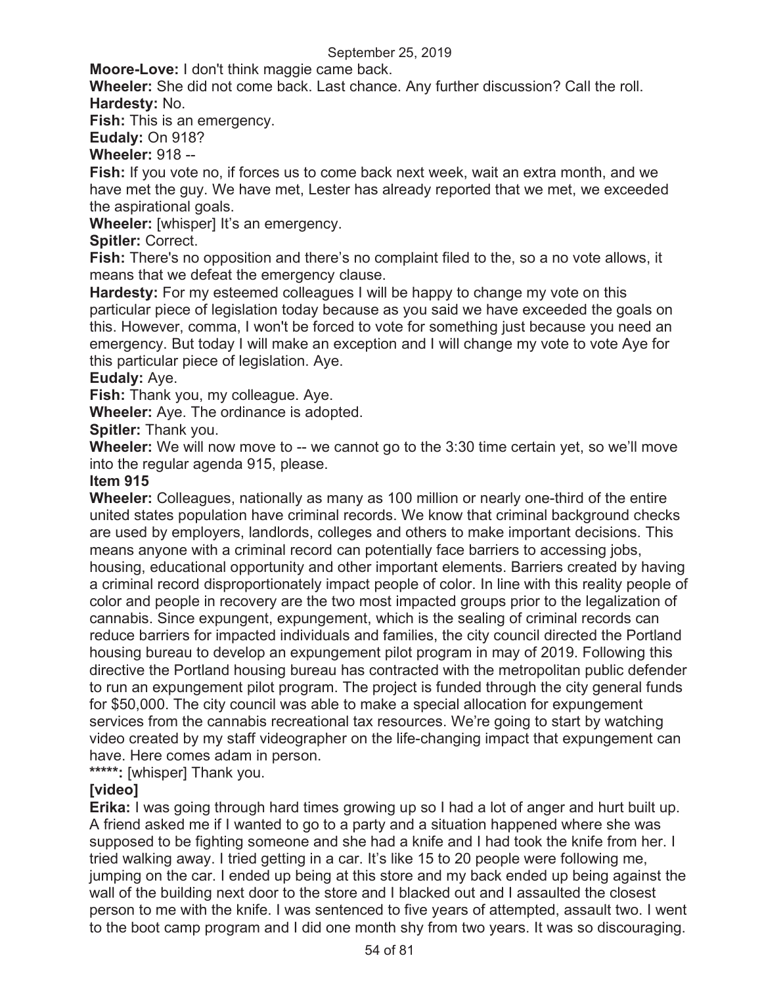**Moore-Love:** I don't think maggie came back.

**Wheeler:** She did not come back. Last chance. Any further discussion? Call the roll. **Hardesty:** No.

**Fish:** This is an emergency.

**Eudaly:** On 918?

**Wheeler:** 918 --

**Fish:** If you vote no, if forces us to come back next week, wait an extra month, and we have met the guy. We have met, Lester has already reported that we met, we exceeded the aspirational goals.

**Wheeler:** [whisper] It's an emergency.

**Spitler:** Correct.

**Fish:** There's no opposition and there's no complaint filed to the, so a no vote allows, it means that we defeat the emergency clause.

**Hardesty:** For my esteemed colleagues I will be happy to change my vote on this particular piece of legislation today because as you said we have exceeded the goals on this. However, comma, I won't be forced to vote for something just because you need an emergency. But today I will make an exception and I will change my vote to vote Aye for this particular piece of legislation. Aye.

**Eudaly:** Aye.

**Fish:** Thank you, my colleague. Aye.

**Wheeler:** Aye. The ordinance is adopted.

**Spitler:** Thank you.

**Wheeler:** We will now move to -- we cannot go to the 3:30 time certain yet, so we'll move into the regular agenda 915, please.

### **Item 915**

**Wheeler:** Colleagues, nationally as many as 100 million or nearly one-third of the entire united states population have criminal records. We know that criminal background checks are used by employers, landlords, colleges and others to make important decisions. This means anyone with a criminal record can potentially face barriers to accessing jobs, housing, educational opportunity and other important elements. Barriers created by having a criminal record disproportionately impact people of color. In line with this reality people of color and people in recovery are the two most impacted groups prior to the legalization of cannabis. Since expungent, expungement, which is the sealing of criminal records can reduce barriers for impacted individuals and families, the city council directed the Portland housing bureau to develop an expungement pilot program in may of 2019. Following this directive the Portland housing bureau has contracted with the metropolitan public defender to run an expungement pilot program. The project is funded through the city general funds for \$50,000. The city council was able to make a special allocation for expungement services from the cannabis recreational tax resources. We're going to start by watching video created by my staff videographer on the life-changing impact that expungement can have. Here comes adam in person.

**\*\*\*\*\*:** [whisper] Thank you.

# **[video]**

**Erika:** I was going through hard times growing up so I had a lot of anger and hurt built up. A friend asked me if I wanted to go to a party and a situation happened where she was supposed to be fighting someone and she had a knife and I had took the knife from her. I tried walking away. I tried getting in a car. It's like 15 to 20 people were following me, jumping on the car. I ended up being at this store and my back ended up being against the wall of the building next door to the store and I blacked out and I assaulted the closest person to me with the knife. I was sentenced to five years of attempted, assault two. I went to the boot camp program and I did one month shy from two years. It was so discouraging.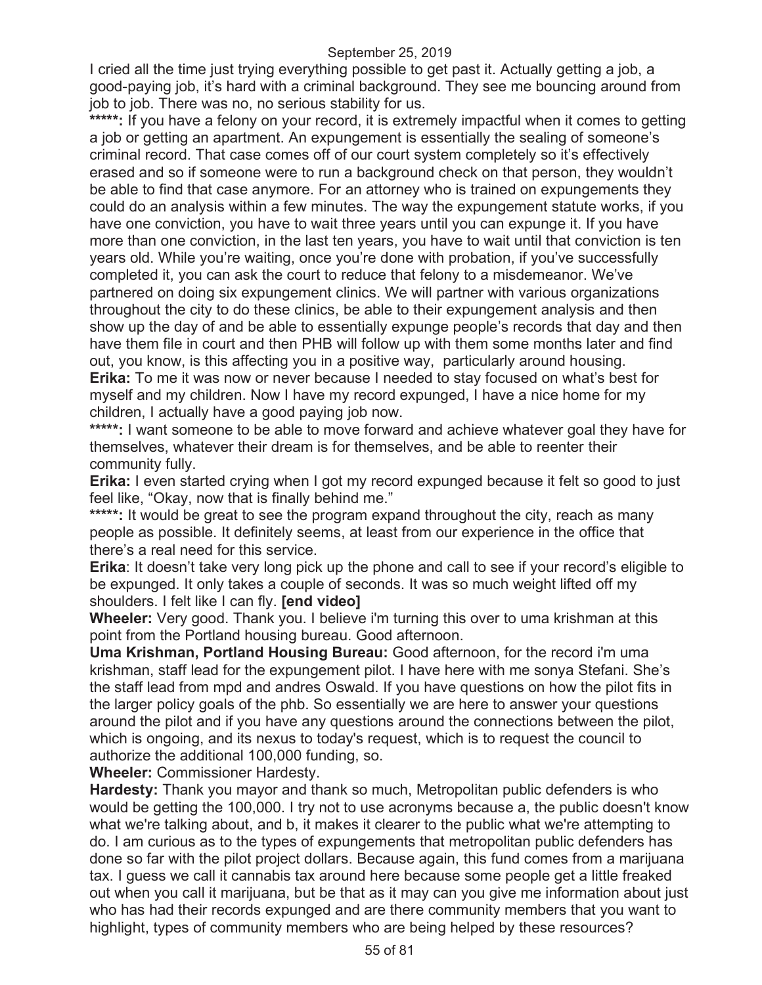I cried all the time just trying everything possible to get past it. Actually getting a job, a good-paying job, it's hard with a criminal background. They see me bouncing around from job to job. There was no, no serious stability for us.

\*\*\*\*\*: If you have a felony on your record, it is extremely impactful when it comes to getting a job or getting an apartment. An expungement is essentially the sealing of someone's criminal record. That case comes off of our court system completely so it's effectively erased and so if someone were to run a background check on that person, they wouldn't be able to find that case anymore. For an attorney who is trained on expungements they could do an analysis within a few minutes. The way the expungement statute works, if you have one conviction, you have to wait three years until you can expunge it. If you have more than one conviction, in the last ten years, you have to wait until that conviction is ten years old. While you're waiting, once you're done with probation, if you've successfully completed it, you can ask the court to reduce that felony to a misdemeanor. We've partnered on doing six expungement clinics. We will partner with various organizations throughout the city to do these clinics, be able to their expungement analysis and then show up the day of and be able to essentially expunge people's records that day and then have them file in court and then PHB will follow up with them some months later and find out, you know, is this affecting you in a positive way, particularly around housing. **Erika:** To me it was now or never because I needed to stay focused on what's best for myself and my children. Now I have my record expunged, I have a nice home for my children, I actually have a good paying job now.

**\*\*\*\*\*:** I want someone to be able to move forward and achieve whatever goal they have for themselves, whatever their dream is for themselves, and be able to reenter their community fully.

**Erika:** I even started crying when I got my record expunged because it felt so good to just feel like, "Okay, now that is finally behind me."

\*\*\*\*\*: It would be great to see the program expand throughout the city, reach as many people as possible. It definitely seems, at least from our experience in the office that there's a real need for this service.

**Erika**: It doesn't take very long pick up the phone and call to see if your record's eligible to be expunged. It only takes a couple of seconds. It was so much weight lifted off my shoulders. I felt like I can fly. **[end video]**

**Wheeler:** Very good. Thank you. I believe i'm turning this over to uma krishman at this point from the Portland housing bureau. Good afternoon.

**Uma Krishman, Portland Housing Bureau:** Good afternoon, for the record i'm uma krishman, staff lead for the expungement pilot. I have here with me sonya Stefani. She's the staff lead from mpd and andres Oswald. If you have questions on how the pilot fits in the larger policy goals of the phb. So essentially we are here to answer your questions around the pilot and if you have any questions around the connections between the pilot, which is ongoing, and its nexus to today's request, which is to request the council to authorize the additional 100,000 funding, so.

**Wheeler:** Commissioner Hardesty.

**Hardesty:** Thank you mayor and thank so much, Metropolitan public defenders is who would be getting the 100,000. I try not to use acronyms because a, the public doesn't know what we're talking about, and b, it makes it clearer to the public what we're attempting to do. I am curious as to the types of expungements that metropolitan public defenders has done so far with the pilot project dollars. Because again, this fund comes from a marijuana tax. I guess we call it cannabis tax around here because some people get a little freaked out when you call it marijuana, but be that as it may can you give me information about just who has had their records expunged and are there community members that you want to highlight, types of community members who are being helped by these resources?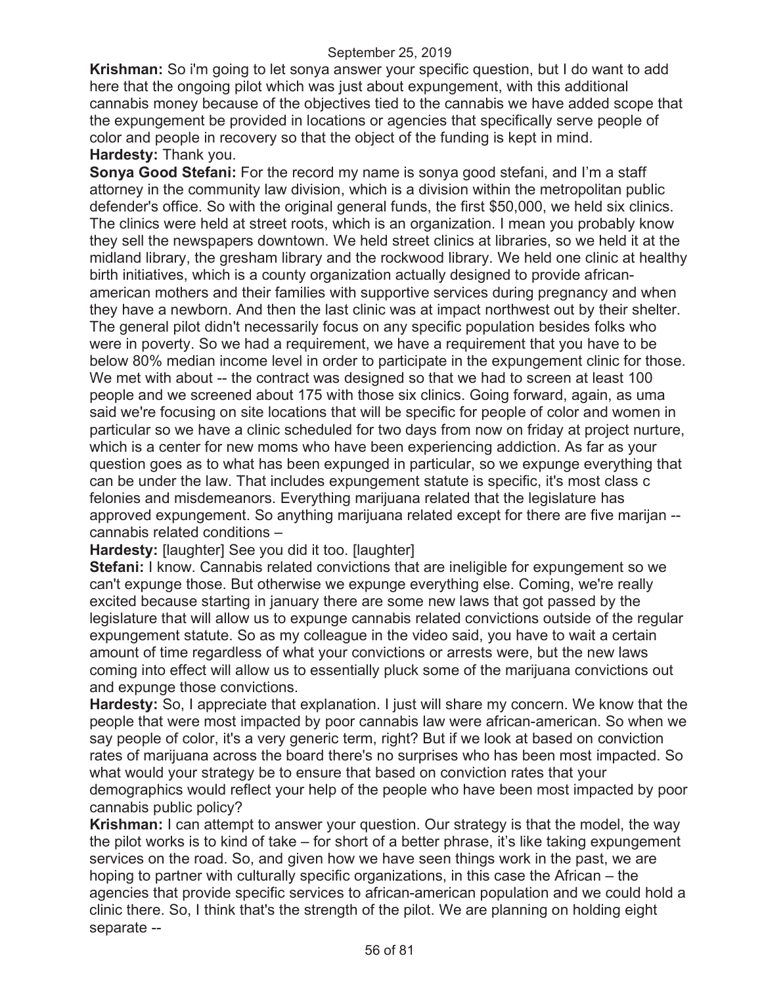**Krishman:** So i'm going to let sonya answer your specific question, but I do want to add here that the ongoing pilot which was just about expungement, with this additional cannabis money because of the objectives tied to the cannabis we have added scope that the expungement be provided in locations or agencies that specifically serve people of color and people in recovery so that the object of the funding is kept in mind. **Hardesty:** Thank you.

**Sonya Good Stefani:** For the record my name is sonya good stefani, and I'm a staff attorney in the community law division, which is a division within the metropolitan public defender's office. So with the original general funds, the first \$50,000, we held six clinics. The clinics were held at street roots, which is an organization. I mean you probably know they sell the newspapers downtown. We held street clinics at libraries, so we held it at the midland library, the gresham library and the rockwood library. We held one clinic at healthy birth initiatives, which is a county organization actually designed to provide africanamerican mothers and their families with supportive services during pregnancy and when they have a newborn. And then the last clinic was at impact northwest out by their shelter. The general pilot didn't necessarily focus on any specific population besides folks who were in poverty. So we had a requirement, we have a requirement that you have to be below 80% median income level in order to participate in the expungement clinic for those. We met with about -- the contract was designed so that we had to screen at least 100 people and we screened about 175 with those six clinics. Going forward, again, as uma said we're focusing on site locations that will be specific for people of color and women in particular so we have a clinic scheduled for two days from now on friday at project nurture, which is a center for new moms who have been experiencing addiction. As far as your question goes as to what has been expunged in particular, so we expunge everything that can be under the law. That includes expungement statute is specific, it's most class c felonies and misdemeanors. Everything marijuana related that the legislature has approved expungement. So anything marijuana related except for there are five marijan - cannabis related conditions –

#### **Hardesty:** [laughter] See you did it too. [laughter]

**Stefani:** I know. Cannabis related convictions that are ineligible for expungement so we can't expunge those. But otherwise we expunge everything else. Coming, we're really excited because starting in january there are some new laws that got passed by the legislature that will allow us to expunge cannabis related convictions outside of the regular expungement statute. So as my colleague in the video said, you have to wait a certain amount of time regardless of what your convictions or arrests were, but the new laws coming into effect will allow us to essentially pluck some of the marijuana convictions out and expunge those convictions.

**Hardesty:** So, I appreciate that explanation. I just will share my concern. We know that the people that were most impacted by poor cannabis law were african-american. So when we say people of color, it's a very generic term, right? But if we look at based on conviction rates of marijuana across the board there's no surprises who has been most impacted. So what would your strategy be to ensure that based on conviction rates that your demographics would reflect your help of the people who have been most impacted by poor cannabis public policy?

**Krishman:** I can attempt to answer your question. Our strategy is that the model, the way the pilot works is to kind of take – for short of a better phrase, it's like taking expungement services on the road. So, and given how we have seen things work in the past, we are hoping to partner with culturally specific organizations, in this case the African – the agencies that provide specific services to african-american population and we could hold a clinic there. So, I think that's the strength of the pilot. We are planning on holding eight separate --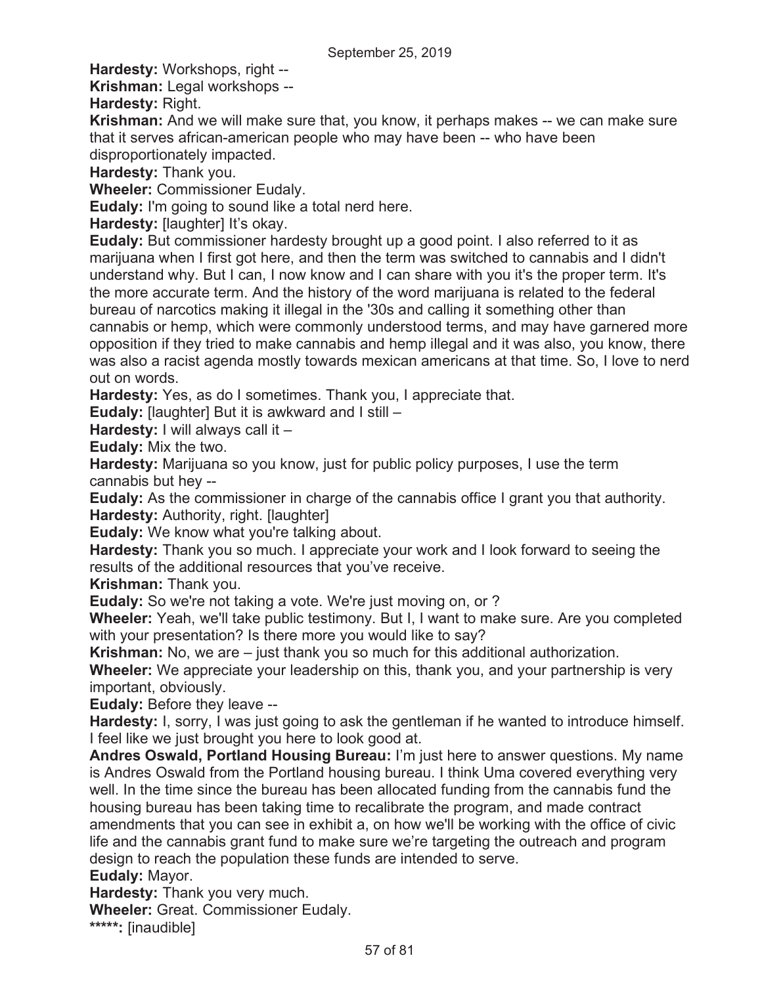**Hardesty:** Workshops, right --

**Krishman:** Legal workshops --

**Hardesty:** Right.

**Krishman:** And we will make sure that, you know, it perhaps makes -- we can make sure that it serves african-american people who may have been -- who have been disproportionately impacted.

**Hardesty:** Thank you.

**Wheeler:** Commissioner Eudaly.

**Eudaly:** I'm going to sound like a total nerd here.

**Hardesty:** [laughter] It's okay.

**Eudaly:** But commissioner hardesty brought up a good point. I also referred to it as marijuana when I first got here, and then the term was switched to cannabis and I didn't understand why. But I can, I now know and I can share with you it's the proper term. It's the more accurate term. And the history of the word marijuana is related to the federal bureau of narcotics making it illegal in the '30s and calling it something other than cannabis or hemp, which were commonly understood terms, and may have garnered more opposition if they tried to make cannabis and hemp illegal and it was also, you know, there was also a racist agenda mostly towards mexican americans at that time. So, I love to nerd out on words.

**Hardesty:** Yes, as do I sometimes. Thank you, I appreciate that.

**Eudaly:** [laughter] But it is awkward and I still –

**Hardesty:** I will always call it –

**Eudaly:** Mix the two.

**Hardesty:** Marijuana so you know, just for public policy purposes, I use the term cannabis but hey --

**Eudaly:** As the commissioner in charge of the cannabis office I grant you that authority. **Hardesty:** Authority, right. [laughter]

**Eudaly:** We know what you're talking about.

**Hardesty:** Thank you so much. I appreciate your work and I look forward to seeing the results of the additional resources that you've receive.

**Krishman:** Thank you.

**Eudaly:** So we're not taking a vote. We're just moving on, or ?

**Wheeler:** Yeah, we'll take public testimony. But I, I want to make sure. Are you completed with your presentation? Is there more you would like to say?

**Krishman:** No, we are – just thank you so much for this additional authorization.

**Wheeler:** We appreciate your leadership on this, thank you, and your partnership is very important, obviously.

**Eudaly:** Before they leave --

**Hardesty:** I, sorry, I was just going to ask the gentleman if he wanted to introduce himself. I feel like we just brought you here to look good at.

**Andres Oswald, Portland Housing Bureau:** I'm just here to answer questions. My name is Andres Oswald from the Portland housing bureau. I think Uma covered everything very well. In the time since the bureau has been allocated funding from the cannabis fund the housing bureau has been taking time to recalibrate the program, and made contract amendments that you can see in exhibit a, on how we'll be working with the office of civic life and the cannabis grant fund to make sure we're targeting the outreach and program design to reach the population these funds are intended to serve.

**Eudaly:** Mayor.

**Hardesty:** Thank you very much.

**Wheeler:** Great. Commissioner Eudaly.

**\*\*\*\*\*:** [inaudible]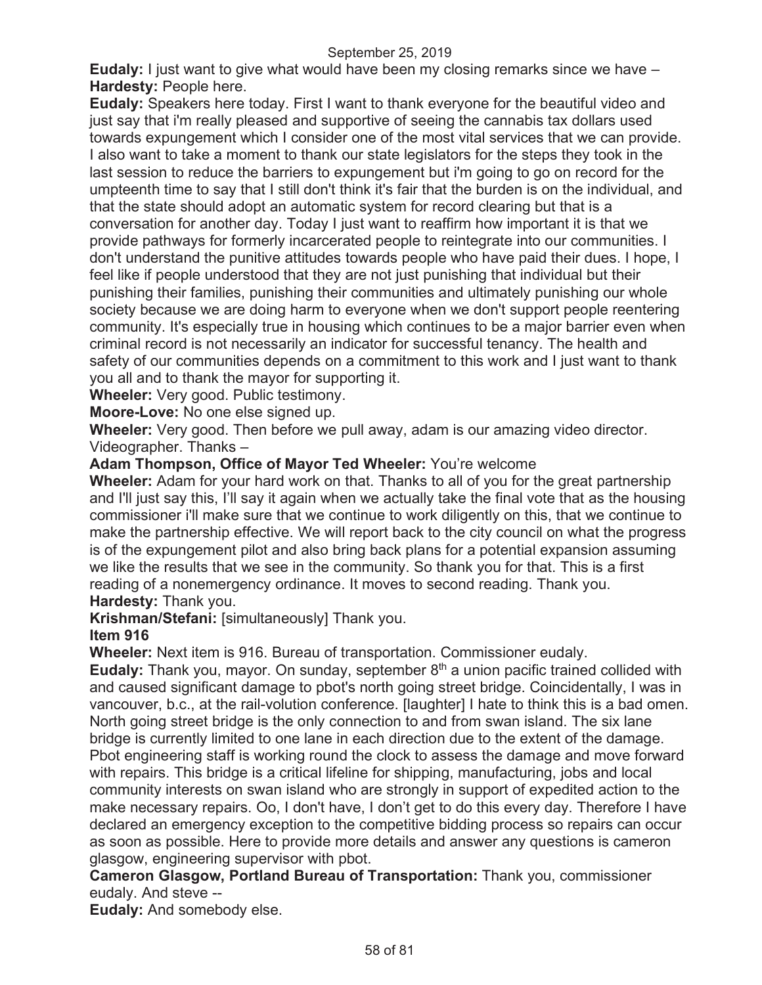**Eudaly:** I just want to give what would have been my closing remarks since we have – **Hardesty:** People here.

**Eudaly:** Speakers here today. First I want to thank everyone for the beautiful video and just say that i'm really pleased and supportive of seeing the cannabis tax dollars used towards expungement which I consider one of the most vital services that we can provide. I also want to take a moment to thank our state legislators for the steps they took in the last session to reduce the barriers to expungement but i'm going to go on record for the umpteenth time to say that I still don't think it's fair that the burden is on the individual, and that the state should adopt an automatic system for record clearing but that is a conversation for another day. Today I just want to reaffirm how important it is that we provide pathways for formerly incarcerated people to reintegrate into our communities. I don't understand the punitive attitudes towards people who have paid their dues. I hope, I feel like if people understood that they are not just punishing that individual but their punishing their families, punishing their communities and ultimately punishing our whole society because we are doing harm to everyone when we don't support people reentering community. It's especially true in housing which continues to be a major barrier even when criminal record is not necessarily an indicator for successful tenancy. The health and safety of our communities depends on a commitment to this work and I just want to thank you all and to thank the mayor for supporting it.

**Wheeler:** Very good. Public testimony.

**Moore-Love:** No one else signed up.

**Wheeler:** Very good. Then before we pull away, adam is our amazing video director. Videographer. Thanks –

**Adam Thompson, Office of Mayor Ted Wheeler:** You're welcome

**Wheeler:** Adam for your hard work on that. Thanks to all of you for the great partnership and I'll just say this, I'll say it again when we actually take the final vote that as the housing commissioner i'll make sure that we continue to work diligently on this, that we continue to make the partnership effective. We will report back to the city council on what the progress is of the expungement pilot and also bring back plans for a potential expansion assuming we like the results that we see in the community. So thank you for that. This is a first reading of a nonemergency ordinance. It moves to second reading. Thank you. **Hardesty:** Thank you.

**Krishman/Stefani:** [simultaneously] Thank you.

### **Item 916**

**Wheeler:** Next item is 916. Bureau of transportation. Commissioner eudaly.

**Eudaly:** Thank you, mayor. On sunday, september 8<sup>th</sup> a union pacific trained collided with and caused significant damage to pbot's north going street bridge. Coincidentally, I was in vancouver, b.c., at the rail-volution conference. [laughter] I hate to think this is a bad omen. North going street bridge is the only connection to and from swan island. The six lane bridge is currently limited to one lane in each direction due to the extent of the damage. Pbot engineering staff is working round the clock to assess the damage and move forward with repairs. This bridge is a critical lifeline for shipping, manufacturing, jobs and local community interests on swan island who are strongly in support of expedited action to the make necessary repairs. Oo, I don't have, I don't get to do this every day. Therefore I have declared an emergency exception to the competitive bidding process so repairs can occur as soon as possible. Here to provide more details and answer any questions is cameron glasgow, engineering supervisor with pbot.

**Cameron Glasgow, Portland Bureau of Transportation:** Thank you, commissioner eudaly. And steve --

**Eudaly:** And somebody else.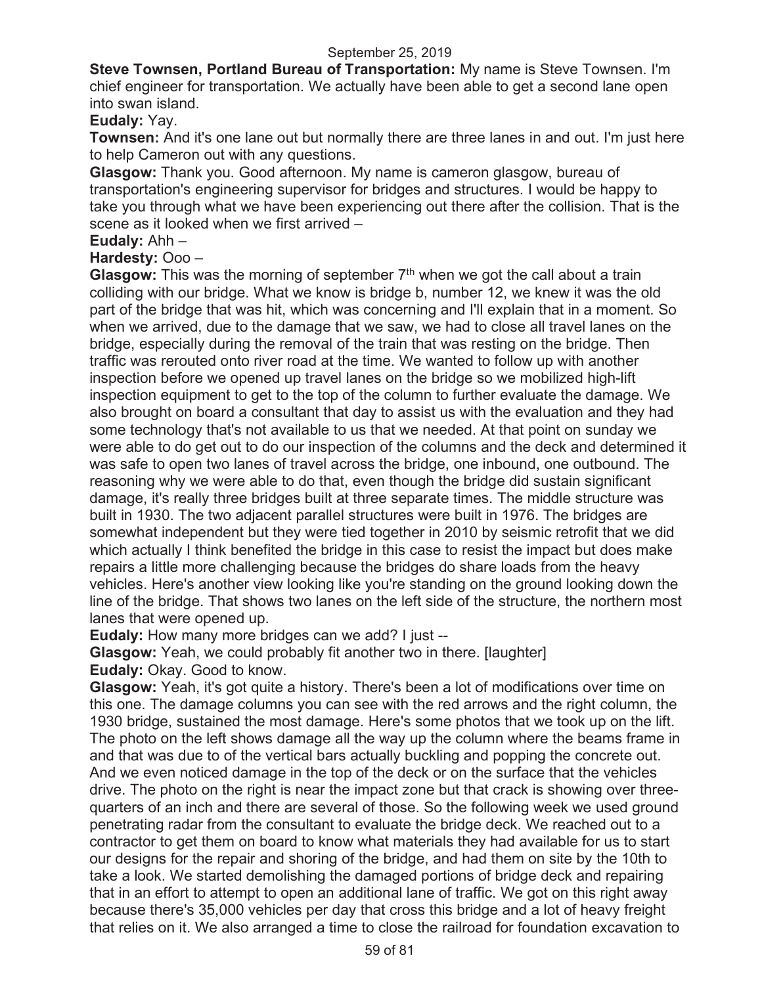**Steve Townsen, Portland Bureau of Transportation:** My name is Steve Townsen. I'm chief engineer for transportation. We actually have been able to get a second lane open into swan island.

**Eudaly:** Yay.

**Townsen:** And it's one lane out but normally there are three lanes in and out. I'm just here to help Cameron out with any questions.

**Glasgow:** Thank you. Good afternoon. My name is cameron glasgow, bureau of transportation's engineering supervisor for bridges and structures. I would be happy to take you through what we have been experiencing out there after the collision. That is the scene as it looked when we first arrived –

### **Eudaly:** Ahh –

**Hardesty:** Ooo –

**Glasgow:** This was the morning of september 7<sup>th</sup> when we got the call about a train colliding with our bridge. What we know is bridge b, number 12, we knew it was the old part of the bridge that was hit, which was concerning and I'll explain that in a moment. So when we arrived, due to the damage that we saw, we had to close all travel lanes on the bridge, especially during the removal of the train that was resting on the bridge. Then traffic was rerouted onto river road at the time. We wanted to follow up with another inspection before we opened up travel lanes on the bridge so we mobilized high-lift inspection equipment to get to the top of the column to further evaluate the damage. We also brought on board a consultant that day to assist us with the evaluation and they had some technology that's not available to us that we needed. At that point on sunday we were able to do get out to do our inspection of the columns and the deck and determined it was safe to open two lanes of travel across the bridge, one inbound, one outbound. The reasoning why we were able to do that, even though the bridge did sustain significant damage, it's really three bridges built at three separate times. The middle structure was built in 1930. The two adjacent parallel structures were built in 1976. The bridges are somewhat independent but they were tied together in 2010 by seismic retrofit that we did which actually I think benefited the bridge in this case to resist the impact but does make repairs a little more challenging because the bridges do share loads from the heavy vehicles. Here's another view looking like you're standing on the ground looking down the line of the bridge. That shows two lanes on the left side of the structure, the northern most lanes that were opened up.

**Eudaly:** How many more bridges can we add? I just --

**Glasgow:** Yeah, we could probably fit another two in there. [laughter] **Eudaly:** Okay. Good to know.

**Glasgow:** Yeah, it's got quite a history. There's been a lot of modifications over time on this one. The damage columns you can see with the red arrows and the right column, the 1930 bridge, sustained the most damage. Here's some photos that we took up on the lift. The photo on the left shows damage all the way up the column where the beams frame in and that was due to of the vertical bars actually buckling and popping the concrete out. And we even noticed damage in the top of the deck or on the surface that the vehicles drive. The photo on the right is near the impact zone but that crack is showing over threequarters of an inch and there are several of those. So the following week we used ground penetrating radar from the consultant to evaluate the bridge deck. We reached out to a contractor to get them on board to know what materials they had available for us to start our designs for the repair and shoring of the bridge, and had them on site by the 10th to take a look. We started demolishing the damaged portions of bridge deck and repairing that in an effort to attempt to open an additional lane of traffic. We got on this right away because there's 35,000 vehicles per day that cross this bridge and a lot of heavy freight that relies on it. We also arranged a time to close the railroad for foundation excavation to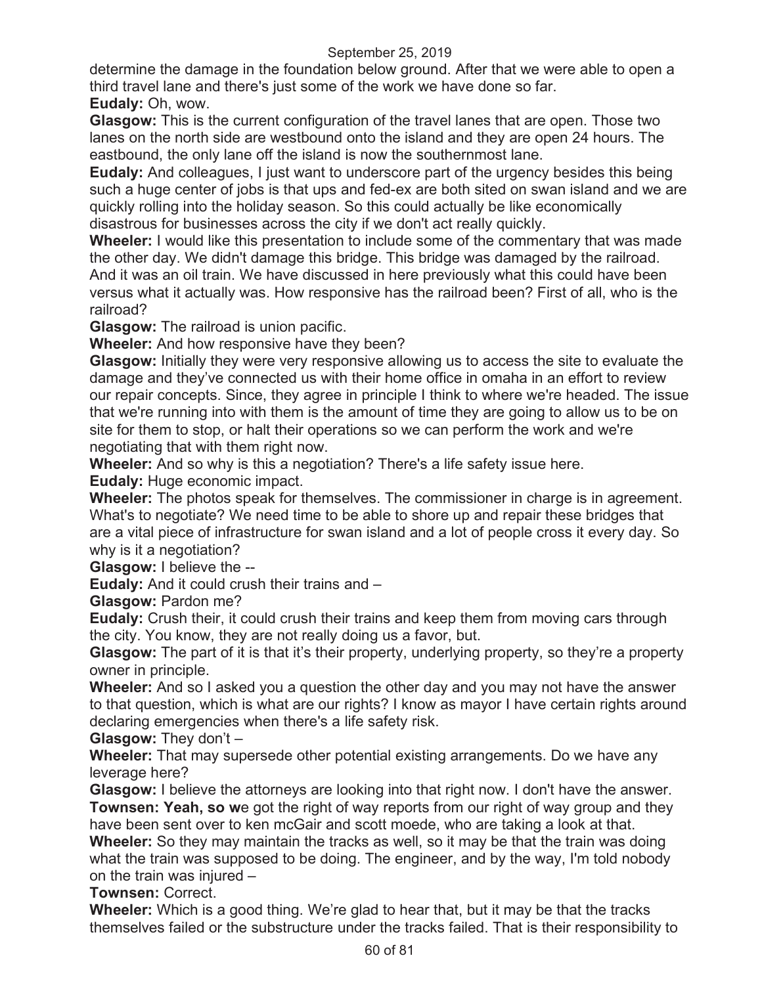determine the damage in the foundation below ground. After that we were able to open a third travel lane and there's just some of the work we have done so far.

# **Eudaly:** Oh, wow.

**Glasgow:** This is the current configuration of the travel lanes that are open. Those two lanes on the north side are westbound onto the island and they are open 24 hours. The eastbound, the only lane off the island is now the southernmost lane.

**Eudaly:** And colleagues, I just want to underscore part of the urgency besides this being such a huge center of jobs is that ups and fed-ex are both sited on swan island and we are quickly rolling into the holiday season. So this could actually be like economically disastrous for businesses across the city if we don't act really quickly.

**Wheeler:** I would like this presentation to include some of the commentary that was made the other day. We didn't damage this bridge. This bridge was damaged by the railroad. And it was an oil train. We have discussed in here previously what this could have been versus what it actually was. How responsive has the railroad been? First of all, who is the railroad?

**Glasgow:** The railroad is union pacific.

**Wheeler:** And how responsive have they been?

**Glasgow:** Initially they were very responsive allowing us to access the site to evaluate the damage and they've connected us with their home office in omaha in an effort to review our repair concepts. Since, they agree in principle I think to where we're headed. The issue that we're running into with them is the amount of time they are going to allow us to be on site for them to stop, or halt their operations so we can perform the work and we're negotiating that with them right now.

**Wheeler:** And so why is this a negotiation? There's a life safety issue here.

**Eudaly:** Huge economic impact.

**Wheeler:** The photos speak for themselves. The commissioner in charge is in agreement. What's to negotiate? We need time to be able to shore up and repair these bridges that are a vital piece of infrastructure for swan island and a lot of people cross it every day. So why is it a negotiation?

**Glasgow:** I believe the --

**Eudaly:** And it could crush their trains and –

**Glasgow:** Pardon me?

**Eudaly:** Crush their, it could crush their trains and keep them from moving cars through the city. You know, they are not really doing us a favor, but.

**Glasgow:** The part of it is that it's their property, underlying property, so they're a property owner in principle.

**Wheeler:** And so I asked you a question the other day and you may not have the answer to that question, which is what are our rights? I know as mayor I have certain rights around declaring emergencies when there's a life safety risk.

**Glasgow:** They don't –

**Wheeler:** That may supersede other potential existing arrangements. Do we have any leverage here?

**Glasgow:** I believe the attorneys are looking into that right now. I don't have the answer. **Townsen: Yeah, so we** got the right of way reports from our right of way group and they have been sent over to ken mcGair and scott moede, who are taking a look at that.

**Wheeler:** So they may maintain the tracks as well, so it may be that the train was doing what the train was supposed to be doing. The engineer, and by the way, I'm told nobody on the train was injured –

**Townsen:** Correct.

**Wheeler:** Which is a good thing. We're glad to hear that, but it may be that the tracks themselves failed or the substructure under the tracks failed. That is their responsibility to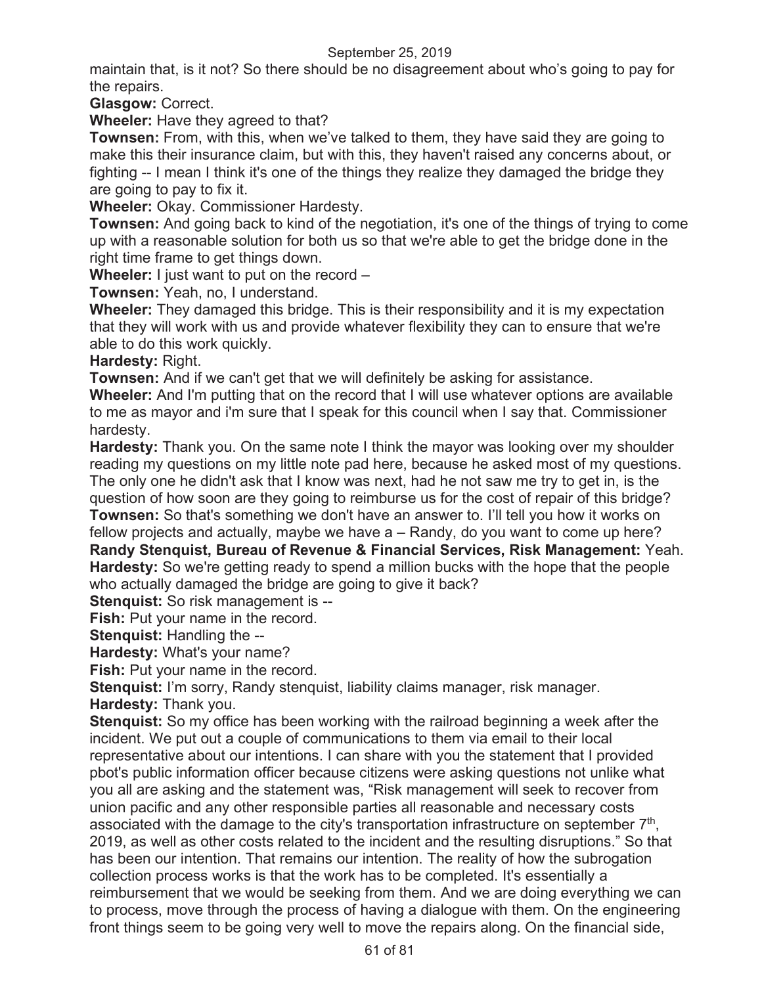maintain that, is it not? So there should be no disagreement about who's going to pay for the repairs.

**Glasgow:** Correct.

**Wheeler:** Have they agreed to that?

**Townsen:** From, with this, when we've talked to them, they have said they are going to make this their insurance claim, but with this, they haven't raised any concerns about, or fighting -- I mean I think it's one of the things they realize they damaged the bridge they are going to pay to fix it.

**Wheeler:** Okay. Commissioner Hardesty.

**Townsen:** And going back to kind of the negotiation, it's one of the things of trying to come up with a reasonable solution for both us so that we're able to get the bridge done in the right time frame to get things down.

**Wheeler:** I just want to put on the record –

**Townsen:** Yeah, no, I understand.

**Wheeler:** They damaged this bridge. This is their responsibility and it is my expectation that they will work with us and provide whatever flexibility they can to ensure that we're able to do this work quickly.

**Hardesty:** Right.

**Townsen:** And if we can't get that we will definitely be asking for assistance.

**Wheeler:** And I'm putting that on the record that I will use whatever options are available to me as mayor and i'm sure that I speak for this council when I say that. Commissioner hardesty.

**Hardesty:** Thank you. On the same note I think the mayor was looking over my shoulder reading my questions on my little note pad here, because he asked most of my questions. The only one he didn't ask that I know was next, had he not saw me try to get in, is the question of how soon are they going to reimburse us for the cost of repair of this bridge? **Townsen:** So that's something we don't have an answer to. I'll tell you how it works on fellow projects and actually, maybe we have a – Randy, do you want to come up here? **Randy Stenquist, Bureau of Revenue & Financial Services, Risk Management:** Yeah. **Hardesty:** So we're getting ready to spend a million bucks with the hope that the people who actually damaged the bridge are going to give it back?

**Stenquist:** So risk management is --

**Fish:** Put your name in the record.

**Stenquist:** Handling the --

**Hardesty:** What's your name?

**Fish:** Put your name in the record.

**Stenquist:** I'm sorry, Randy stenquist, liability claims manager, risk manager.

**Hardesty:** Thank you.

**Stenquist:** So my office has been working with the railroad beginning a week after the incident. We put out a couple of communications to them via email to their local representative about our intentions. I can share with you the statement that I provided pbot's public information officer because citizens were asking questions not unlike what you all are asking and the statement was, "Risk management will seek to recover from union pacific and any other responsible parties all reasonable and necessary costs associated with the damage to the city's transportation infrastructure on september  $7<sup>th</sup>$ , 2019, as well as other costs related to the incident and the resulting disruptions." So that has been our intention. That remains our intention. The reality of how the subrogation collection process works is that the work has to be completed. It's essentially a reimbursement that we would be seeking from them. And we are doing everything we can to process, move through the process of having a dialogue with them. On the engineering front things seem to be going very well to move the repairs along. On the financial side,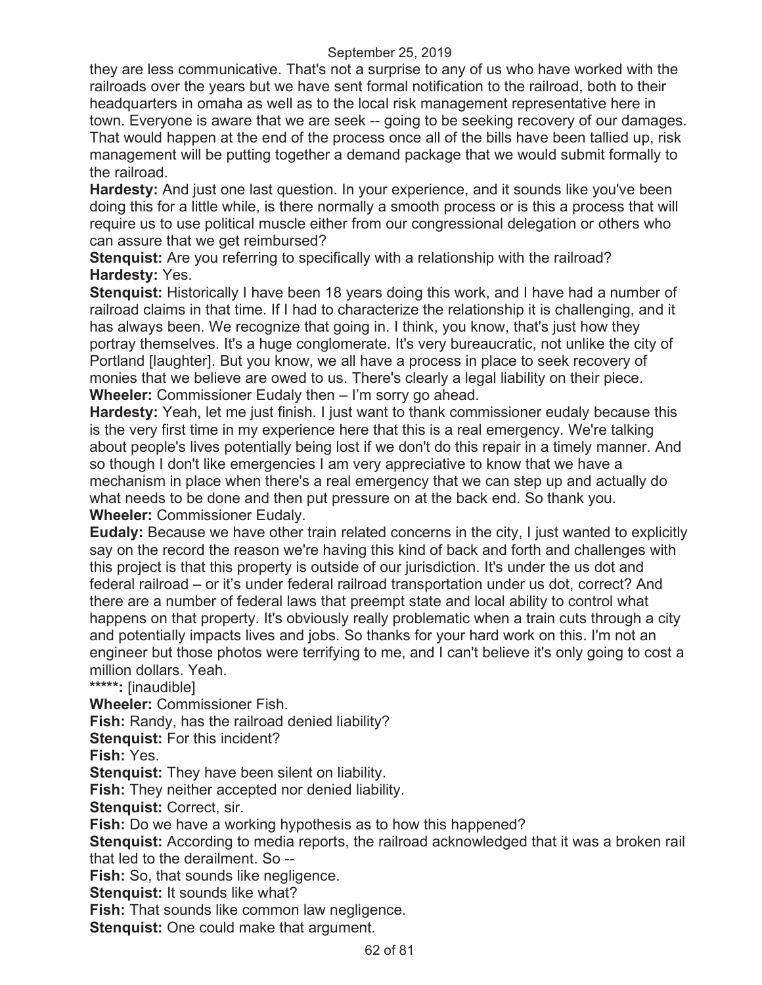they are less communicative. That's not a surprise to any of us who have worked with the railroads over the years but we have sent formal notification to the railroad, both to their headquarters in omaha as well as to the local risk management representative here in town. Everyone is aware that we are seek -- going to be seeking recovery of our damages. That would happen at the end of the process once all of the bills have been tallied up, risk management will be putting together a demand package that we would submit formally to the railroad.

**Hardesty:** And just one last question. In your experience, and it sounds like you've been doing this for a little while, is there normally a smooth process or is this a process that will require us to use political muscle either from our congressional delegation or others who can assure that we get reimbursed?

**Stenquist:** Are you referring to specifically with a relationship with the railroad? **Hardesty:** Yes.

**Stenquist:** Historically I have been 18 years doing this work, and I have had a number of railroad claims in that time. If I had to characterize the relationship it is challenging, and it has always been. We recognize that going in. I think, you know, that's just how they portray themselves. It's a huge conglomerate. It's very bureaucratic, not unlike the city of Portland [laughter]. But you know, we all have a process in place to seek recovery of monies that we believe are owed to us. There's clearly a legal liability on their piece. **Wheeler:** Commissioner Eudaly then – I'm sorry go ahead.

**Hardesty:** Yeah, let me just finish. I just want to thank commissioner eudaly because this is the very first time in my experience here that this is a real emergency. We're talking about people's lives potentially being lost if we don't do this repair in a timely manner. And so though I don't like emergencies I am very appreciative to know that we have a mechanism in place when there's a real emergency that we can step up and actually do what needs to be done and then put pressure on at the back end. So thank you. **Wheeler:** Commissioner Eudaly.

**Eudaly:** Because we have other train related concerns in the city, I just wanted to explicitly say on the record the reason we're having this kind of back and forth and challenges with this project is that this property is outside of our jurisdiction. It's under the us dot and federal railroad – or it's under federal railroad transportation under us dot, correct? And there are a number of federal laws that preempt state and local ability to control what happens on that property. It's obviously really problematic when a train cuts through a city and potentially impacts lives and jobs. So thanks for your hard work on this. I'm not an engineer but those photos were terrifying to me, and I can't believe it's only going to cost a million dollars. Yeah.

**\*\*\*\*\*:** [inaudible]

**Wheeler:** Commissioner Fish.

**Fish:** Randy, has the railroad denied liability?

**Stenquist:** For this incident?

**Fish:** Yes.

**Stenquist:** They have been silent on liability.

**Fish:** They neither accepted nor denied liability.

**Stenquist:** Correct, sir.

**Fish:** Do we have a working hypothesis as to how this happened?

**Stenquist:** According to media reports, the railroad acknowledged that it was a broken rail that led to the derailment. So --

**Fish:** So, that sounds like negligence.

**Stenquist:** It sounds like what?

**Fish:** That sounds like common law negligence.

**Stenquist:** One could make that argument.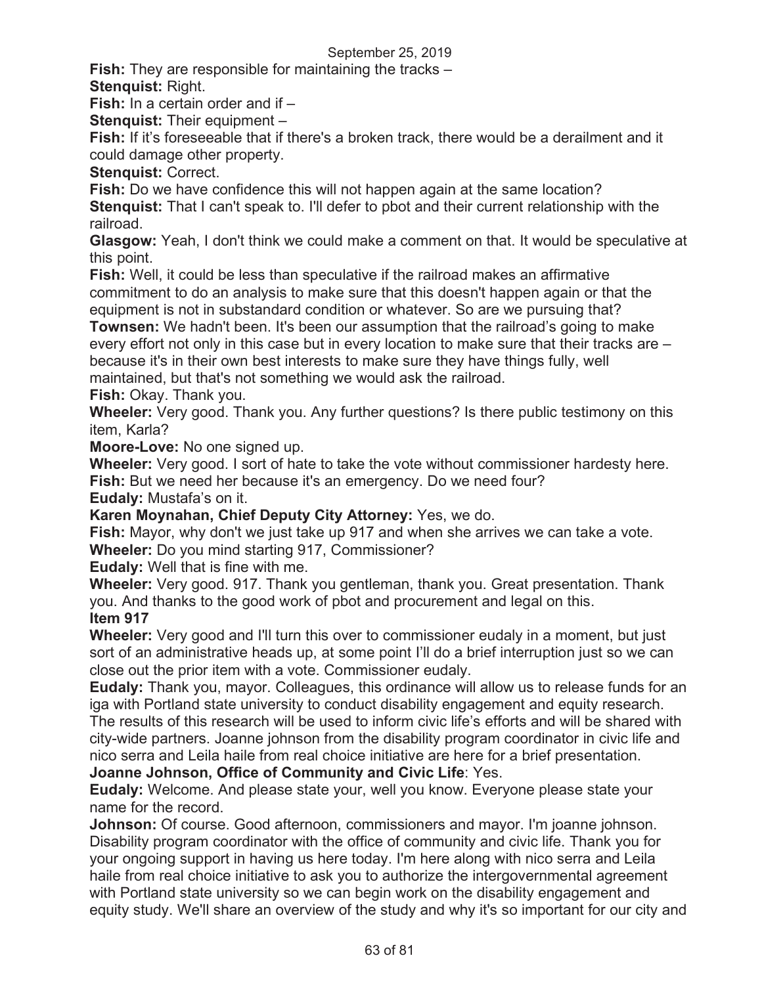**Fish:** They are responsible for maintaining the tracks –

**Stenquist:** Right.

**Fish:** In a certain order and if –

**Stenquist:** Their equipment –

**Fish:** If it's foreseeable that if there's a broken track, there would be a derailment and it could damage other property.

**Stenquist:** Correct.

**Fish:** Do we have confidence this will not happen again at the same location?

**Stenquist:** That I can't speak to. I'll defer to pbot and their current relationship with the railroad.

**Glasgow:** Yeah, I don't think we could make a comment on that. It would be speculative at this point.

**Fish:** Well, it could be less than speculative if the railroad makes an affirmative commitment to do an analysis to make sure that this doesn't happen again or that the equipment is not in substandard condition or whatever. So are we pursuing that?

**Townsen:** We hadn't been. It's been our assumption that the railroad's going to make every effort not only in this case but in every location to make sure that their tracks are – because it's in their own best interests to make sure they have things fully, well maintained, but that's not something we would ask the railroad.

**Fish:** Okay. Thank you.

**Wheeler:** Very good. Thank you. Any further questions? Is there public testimony on this item, Karla?

**Moore-Love:** No one signed up.

**Wheeler:** Very good. I sort of hate to take the vote without commissioner hardesty here. **Fish:** But we need her because it's an emergency. Do we need four?

**Eudaly:** Mustafa's on it.

**Karen Moynahan, Chief Deputy City Attorney:** Yes, we do.

**Fish:** Mayor, why don't we just take up 917 and when she arrives we can take a vote. **Wheeler:** Do you mind starting 917, Commissioner?

**Eudaly:** Well that is fine with me.

**Wheeler:** Very good. 917. Thank you gentleman, thank you. Great presentation. Thank you. And thanks to the good work of pbot and procurement and legal on this. **Item 917** 

**Wheeler:** Very good and I'll turn this over to commissioner eudaly in a moment, but just sort of an administrative heads up, at some point I'll do a brief interruption just so we can close out the prior item with a vote. Commissioner eudaly.

**Eudaly:** Thank you, mayor. Colleagues, this ordinance will allow us to release funds for an iga with Portland state university to conduct disability engagement and equity research.

The results of this research will be used to inform civic life's efforts and will be shared with city-wide partners. Joanne johnson from the disability program coordinator in civic life and nico serra and Leila haile from real choice initiative are here for a brief presentation.

**Joanne Johnson, Office of Community and Civic Life**: Yes.

**Eudaly:** Welcome. And please state your, well you know. Everyone please state your name for the record.

**Johnson:** Of course. Good afternoon, commissioners and mayor. I'm joanne johnson. Disability program coordinator with the office of community and civic life. Thank you for your ongoing support in having us here today. I'm here along with nico serra and Leila haile from real choice initiative to ask you to authorize the intergovernmental agreement with Portland state university so we can begin work on the disability engagement and equity study. We'll share an overview of the study and why it's so important for our city and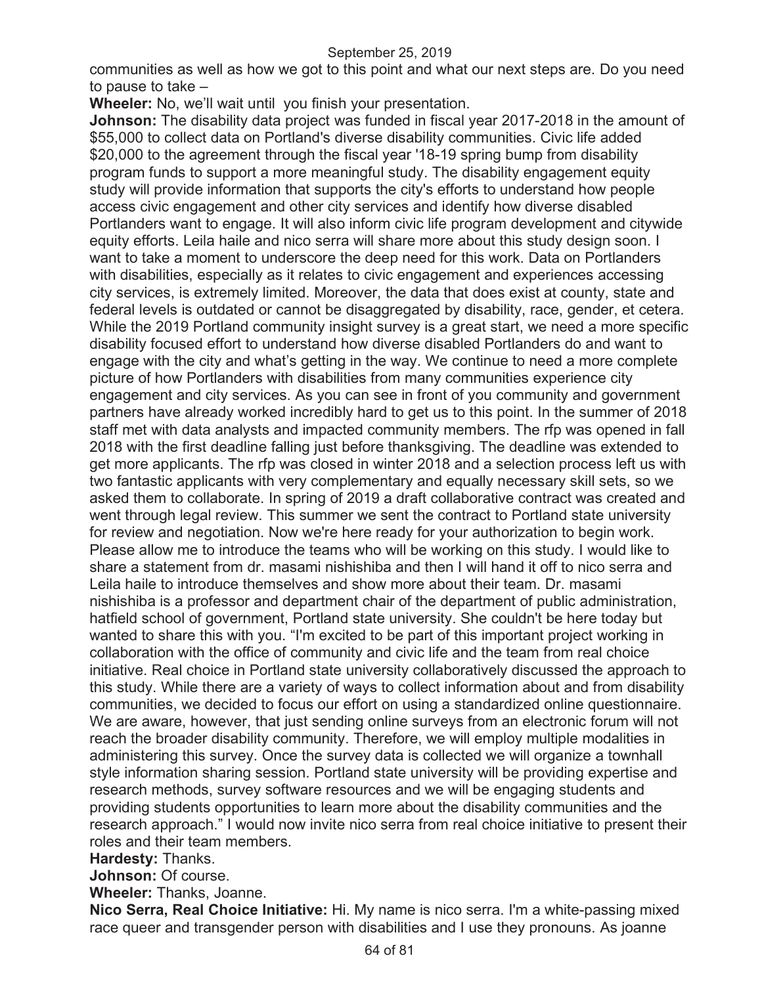communities as well as how we got to this point and what our next steps are. Do you need to pause to take –

**Wheeler:** No, we'll wait until you finish your presentation.

**Johnson:** The disability data project was funded in fiscal year 2017-2018 in the amount of \$55,000 to collect data on Portland's diverse disability communities. Civic life added \$20,000 to the agreement through the fiscal year '18-19 spring bump from disability program funds to support a more meaningful study. The disability engagement equity study will provide information that supports the city's efforts to understand how people access civic engagement and other city services and identify how diverse disabled Portlanders want to engage. It will also inform civic life program development and citywide equity efforts. Leila haile and nico serra will share more about this study design soon. I want to take a moment to underscore the deep need for this work. Data on Portlanders with disabilities, especially as it relates to civic engagement and experiences accessing city services, is extremely limited. Moreover, the data that does exist at county, state and federal levels is outdated or cannot be disaggregated by disability, race, gender, et cetera. While the 2019 Portland community insight survey is a great start, we need a more specific disability focused effort to understand how diverse disabled Portlanders do and want to engage with the city and what's getting in the way. We continue to need a more complete picture of how Portlanders with disabilities from many communities experience city engagement and city services. As you can see in front of you community and government partners have already worked incredibly hard to get us to this point. In the summer of 2018 staff met with data analysts and impacted community members. The rfp was opened in fall 2018 with the first deadline falling just before thanksgiving. The deadline was extended to get more applicants. The rfp was closed in winter 2018 and a selection process left us with two fantastic applicants with very complementary and equally necessary skill sets, so we asked them to collaborate. In spring of 2019 a draft collaborative contract was created and went through legal review. This summer we sent the contract to Portland state university for review and negotiation. Now we're here ready for your authorization to begin work. Please allow me to introduce the teams who will be working on this study. I would like to share a statement from dr. masami nishishiba and then I will hand it off to nico serra and Leila haile to introduce themselves and show more about their team. Dr. masami nishishiba is a professor and department chair of the department of public administration, hatfield school of government, Portland state university. She couldn't be here today but wanted to share this with you. "I'm excited to be part of this important project working in collaboration with the office of community and civic life and the team from real choice initiative. Real choice in Portland state university collaboratively discussed the approach to this study. While there are a variety of ways to collect information about and from disability communities, we decided to focus our effort on using a standardized online questionnaire. We are aware, however, that just sending online surveys from an electronic forum will not reach the broader disability community. Therefore, we will employ multiple modalities in administering this survey. Once the survey data is collected we will organize a townhall style information sharing session. Portland state university will be providing expertise and research methods, survey software resources and we will be engaging students and providing students opportunities to learn more about the disability communities and the research approach." I would now invite nico serra from real choice initiative to present their roles and their team members.

# **Hardesty:** Thanks.

**Johnson:** Of course.

**Wheeler:** Thanks, Joanne.

**Nico Serra, Real Choice Initiative:** Hi. My name is nico serra. I'm a white-passing mixed race queer and transgender person with disabilities and I use they pronouns. As joanne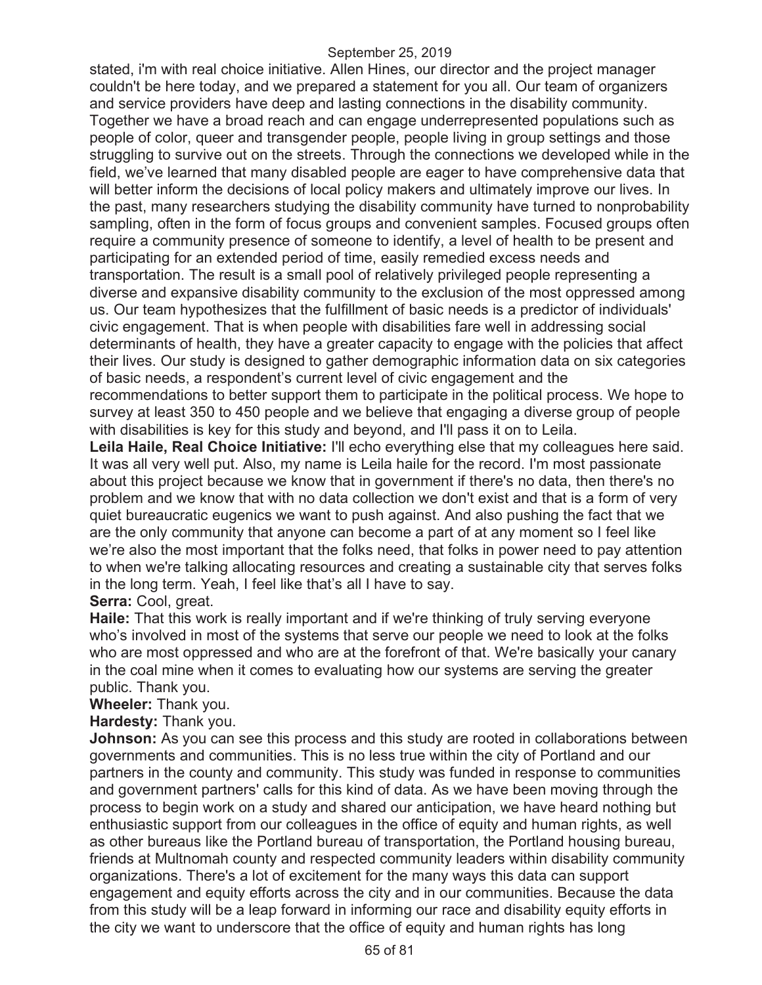stated, i'm with real choice initiative. Allen Hines, our director and the project manager couldn't be here today, and we prepared a statement for you all. Our team of organizers and service providers have deep and lasting connections in the disability community. Together we have a broad reach and can engage underrepresented populations such as people of color, queer and transgender people, people living in group settings and those struggling to survive out on the streets. Through the connections we developed while in the field, we've learned that many disabled people are eager to have comprehensive data that will better inform the decisions of local policy makers and ultimately improve our lives. In the past, many researchers studying the disability community have turned to nonprobability sampling, often in the form of focus groups and convenient samples. Focused groups often require a community presence of someone to identify, a level of health to be present and participating for an extended period of time, easily remedied excess needs and transportation. The result is a small pool of relatively privileged people representing a diverse and expansive disability community to the exclusion of the most oppressed among us. Our team hypothesizes that the fulfillment of basic needs is a predictor of individuals' civic engagement. That is when people with disabilities fare well in addressing social determinants of health, they have a greater capacity to engage with the policies that affect their lives. Our study is designed to gather demographic information data on six categories of basic needs, a respondent's current level of civic engagement and the recommendations to better support them to participate in the political process. We hope to survey at least 350 to 450 people and we believe that engaging a diverse group of people with disabilities is key for this study and beyond, and I'll pass it on to Leila.

Leila Haile, Real Choice Initiative: I'll echo everything else that my colleagues here said. It was all very well put. Also, my name is Leila haile for the record. I'm most passionate about this project because we know that in government if there's no data, then there's no problem and we know that with no data collection we don't exist and that is a form of very quiet bureaucratic eugenics we want to push against. And also pushing the fact that we are the only community that anyone can become a part of at any moment so I feel like we're also the most important that the folks need, that folks in power need to pay attention to when we're talking allocating resources and creating a sustainable city that serves folks in the long term. Yeah, I feel like that's all I have to say.

### **Serra:** Cool, great.

**Haile:** That this work is really important and if we're thinking of truly serving everyone who's involved in most of the systems that serve our people we need to look at the folks who are most oppressed and who are at the forefront of that. We're basically your canary in the coal mine when it comes to evaluating how our systems are serving the greater public. Thank you.

### **Wheeler:** Thank you.

**Hardesty:** Thank you.

**Johnson:** As you can see this process and this study are rooted in collaborations between governments and communities. This is no less true within the city of Portland and our partners in the county and community. This study was funded in response to communities and government partners' calls for this kind of data. As we have been moving through the process to begin work on a study and shared our anticipation, we have heard nothing but enthusiastic support from our colleagues in the office of equity and human rights, as well as other bureaus like the Portland bureau of transportation, the Portland housing bureau, friends at Multnomah county and respected community leaders within disability community organizations. There's a lot of excitement for the many ways this data can support engagement and equity efforts across the city and in our communities. Because the data from this study will be a leap forward in informing our race and disability equity efforts in the city we want to underscore that the office of equity and human rights has long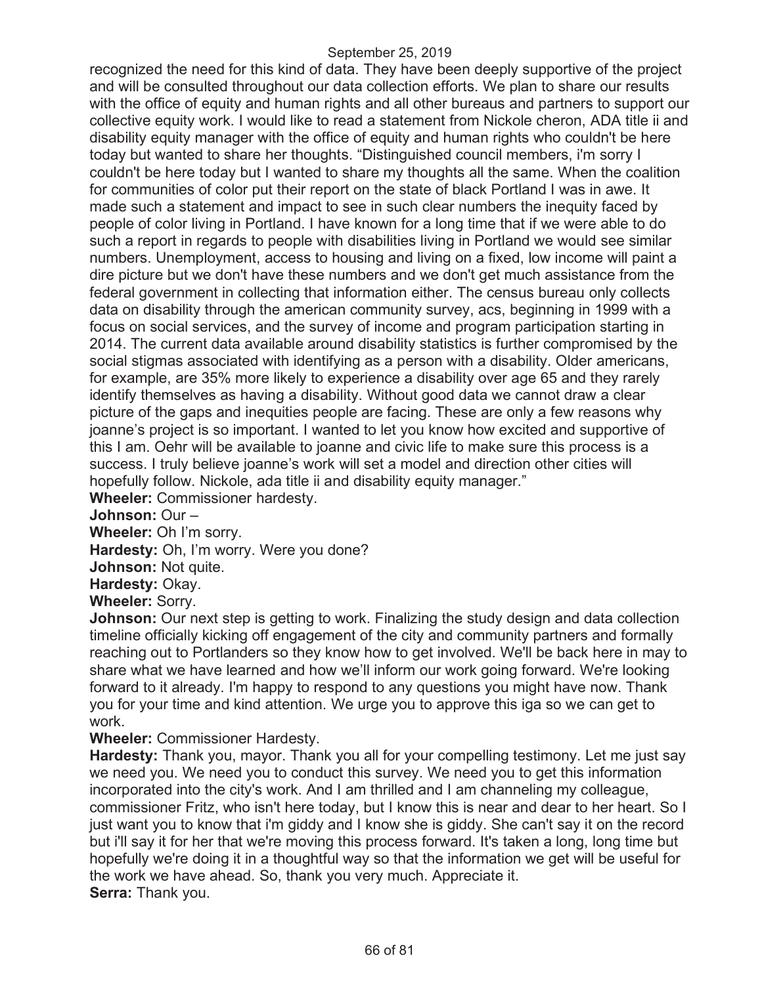recognized the need for this kind of data. They have been deeply supportive of the project and will be consulted throughout our data collection efforts. We plan to share our results with the office of equity and human rights and all other bureaus and partners to support our collective equity work. I would like to read a statement from Nickole cheron, ADA title ii and disability equity manager with the office of equity and human rights who couldn't be here today but wanted to share her thoughts. "Distinguished council members, i'm sorry I couldn't be here today but I wanted to share my thoughts all the same. When the coalition for communities of color put their report on the state of black Portland I was in awe. It made such a statement and impact to see in such clear numbers the inequity faced by people of color living in Portland. I have known for a long time that if we were able to do such a report in regards to people with disabilities living in Portland we would see similar numbers. Unemployment, access to housing and living on a fixed, low income will paint a dire picture but we don't have these numbers and we don't get much assistance from the federal government in collecting that information either. The census bureau only collects data on disability through the american community survey, acs, beginning in 1999 with a focus on social services, and the survey of income and program participation starting in 2014. The current data available around disability statistics is further compromised by the social stigmas associated with identifying as a person with a disability. Older americans, for example, are 35% more likely to experience a disability over age 65 and they rarely identify themselves as having a disability. Without good data we cannot draw a clear picture of the gaps and inequities people are facing. These are only a few reasons why joanne's project is so important. I wanted to let you know how excited and supportive of this I am. Oehr will be available to joanne and civic life to make sure this process is a success. I truly believe joanne's work will set a model and direction other cities will hopefully follow. Nickole, ada title ii and disability equity manager."

**Wheeler:** Commissioner hardesty.

**Johnson:** Our –

**Wheeler:** Oh I'm sorry.

**Hardesty:** Oh, I'm worry. Were you done?

**Johnson:** Not quite.

**Hardesty:** Okay.

**Wheeler:** Sorry.

**Johnson:** Our next step is getting to work. Finalizing the study design and data collection timeline officially kicking off engagement of the city and community partners and formally reaching out to Portlanders so they know how to get involved. We'll be back here in may to share what we have learned and how we'll inform our work going forward. We're looking forward to it already. I'm happy to respond to any questions you might have now. Thank you for your time and kind attention. We urge you to approve this iga so we can get to work.

**Wheeler:** Commissioner Hardesty.

**Hardesty:** Thank you, mayor. Thank you all for your compelling testimony. Let me just say we need you. We need you to conduct this survey. We need you to get this information incorporated into the city's work. And I am thrilled and I am channeling my colleague, commissioner Fritz, who isn't here today, but I know this is near and dear to her heart. So I just want you to know that i'm giddy and I know she is giddy. She can't say it on the record but i'll say it for her that we're moving this process forward. It's taken a long, long time but hopefully we're doing it in a thoughtful way so that the information we get will be useful for the work we have ahead. So, thank you very much. Appreciate it. **Serra:** Thank you.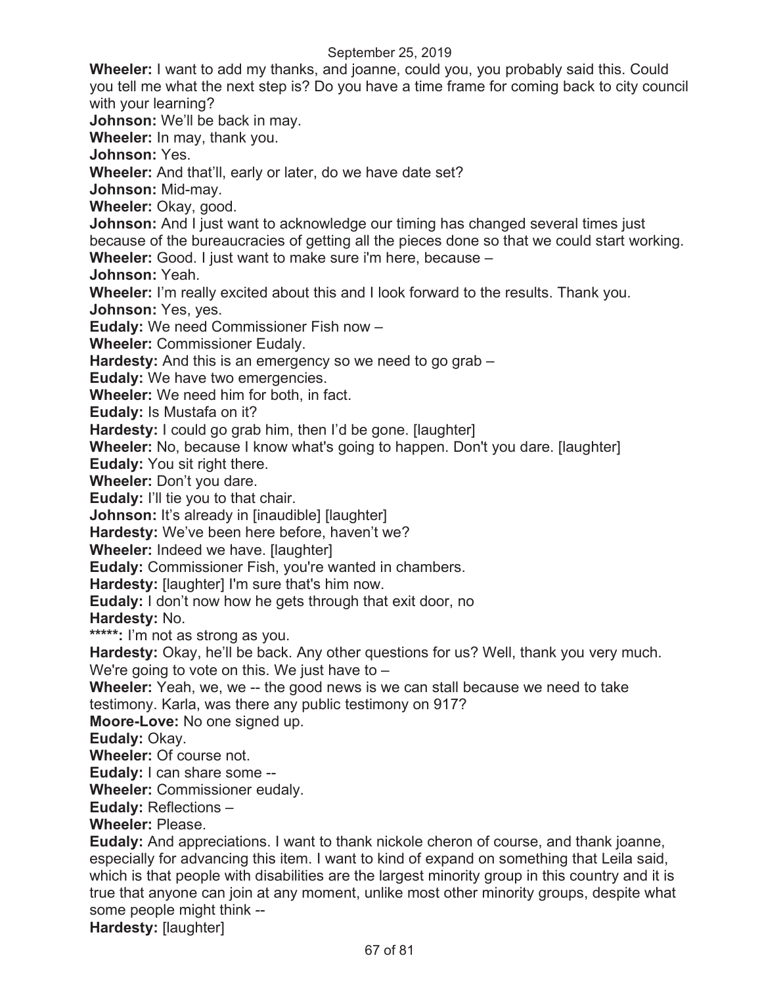September 25, 2019 **Wheeler:** I want to add my thanks, and joanne, could you, you probably said this. Could you tell me what the next step is? Do you have a time frame for coming back to city council with your learning? **Johnson:** We'll be back in may. **Wheeler:** In may, thank you. **Johnson:** Yes. **Wheeler:** And that'll, early or later, do we have date set? **Johnson:** Mid-may. **Wheeler:** Okay, good. **Johnson:** And I just want to acknowledge our timing has changed several times just because of the bureaucracies of getting all the pieces done so that we could start working. **Wheeler:** Good. I just want to make sure i'm here, because – **Johnson:** Yeah. **Wheeler:** I'm really excited about this and I look forward to the results. Thank you. **Johnson:** Yes, yes. **Eudaly:** We need Commissioner Fish now – **Wheeler:** Commissioner Eudaly. **Hardesty:** And this is an emergency so we need to go grab – **Eudaly:** We have two emergencies. **Wheeler:** We need him for both, in fact. **Eudaly:** Is Mustafa on it? **Hardesty:** I could go grab him, then I'd be gone. [laughter] **Wheeler:** No, because I know what's going to happen. Don't you dare. [laughter] **Eudaly:** You sit right there. **Wheeler:** Don't you dare. **Eudaly:** I'll tie you to that chair. **Johnson:** It's already in [inaudible] [laughter] **Hardesty:** We've been here before, haven't we? **Wheeler:** Indeed we have. [laughter] **Eudaly:** Commissioner Fish, you're wanted in chambers. **Hardesty:** [laughter] I'm sure that's him now. **Eudaly:** I don't now how he gets through that exit door, no **Hardesty:** No. **\*\*\*\*\*:** I'm not as strong as you. **Hardesty:** Okay, he'll be back. Any other questions for us? Well, thank you very much. We're going to vote on this. We just have to – **Wheeler:** Yeah, we, we -- the good news is we can stall because we need to take testimony. Karla, was there any public testimony on 917? **Moore-Love:** No one signed up. **Eudaly:** Okay. **Wheeler:** Of course not. **Eudaly:** I can share some -- **Wheeler:** Commissioner eudaly. **Eudaly:** Reflections – **Wheeler:** Please.

**Eudaly:** And appreciations. I want to thank nickole cheron of course, and thank joanne, especially for advancing this item. I want to kind of expand on something that Leila said, which is that people with disabilities are the largest minority group in this country and it is true that anyone can join at any moment, unlike most other minority groups, despite what some people might think --

**Hardesty:** [laughter]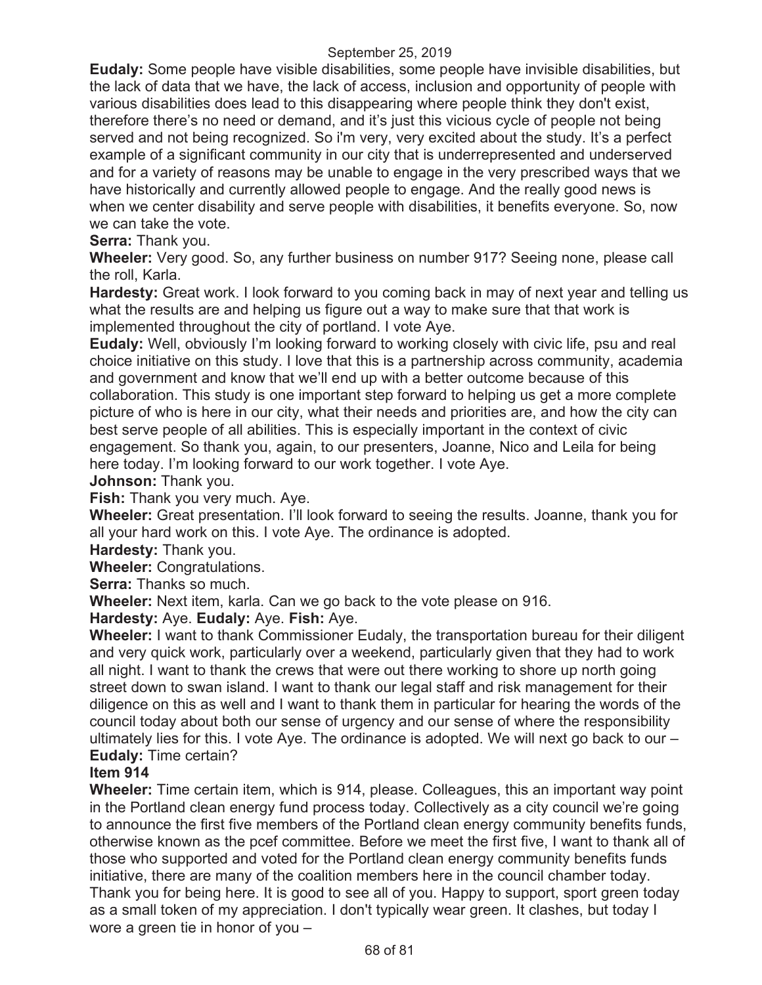**Eudaly:** Some people have visible disabilities, some people have invisible disabilities, but the lack of data that we have, the lack of access, inclusion and opportunity of people with various disabilities does lead to this disappearing where people think they don't exist, therefore there's no need or demand, and it's just this vicious cycle of people not being served and not being recognized. So i'm very, very excited about the study. It's a perfect example of a significant community in our city that is underrepresented and underserved and for a variety of reasons may be unable to engage in the very prescribed ways that we have historically and currently allowed people to engage. And the really good news is when we center disability and serve people with disabilities, it benefits everyone. So, now we can take the vote.

**Serra:** Thank you.

**Wheeler:** Very good. So, any further business on number 917? Seeing none, please call the roll, Karla.

**Hardesty:** Great work. I look forward to you coming back in may of next year and telling us what the results are and helping us figure out a way to make sure that that work is implemented throughout the city of portland. I vote Aye.

**Eudaly:** Well, obviously I'm looking forward to working closely with civic life, psu and real choice initiative on this study. I love that this is a partnership across community, academia and government and know that we'll end up with a better outcome because of this collaboration. This study is one important step forward to helping us get a more complete picture of who is here in our city, what their needs and priorities are, and how the city can best serve people of all abilities. This is especially important in the context of civic engagement. So thank you, again, to our presenters, Joanne, Nico and Leila for being here today. I'm looking forward to our work together. I vote Aye.

**Johnson:** Thank you.

**Fish:** Thank you very much. Aye.

**Wheeler:** Great presentation. I'll look forward to seeing the results. Joanne, thank you for all your hard work on this. I vote Aye. The ordinance is adopted.

**Hardesty:** Thank you.

**Wheeler:** Congratulations.

**Serra:** Thanks so much.

**Wheeler:** Next item, karla. Can we go back to the vote please on 916.

**Hardesty:** Aye. **Eudaly:** Aye. **Fish:** Aye.

**Wheeler:** I want to thank Commissioner Eudaly, the transportation bureau for their diligent and very quick work, particularly over a weekend, particularly given that they had to work all night. I want to thank the crews that were out there working to shore up north going street down to swan island. I want to thank our legal staff and risk management for their diligence on this as well and I want to thank them in particular for hearing the words of the council today about both our sense of urgency and our sense of where the responsibility ultimately lies for this. I vote Aye. The ordinance is adopted. We will next go back to our – **Eudaly:** Time certain?

### **Item 914**

**Wheeler:** Time certain item, which is 914, please. Colleagues, this an important way point in the Portland clean energy fund process today. Collectively as a city council we're going to announce the first five members of the Portland clean energy community benefits funds, otherwise known as the pcef committee. Before we meet the first five, I want to thank all of those who supported and voted for the Portland clean energy community benefits funds initiative, there are many of the coalition members here in the council chamber today. Thank you for being here. It is good to see all of you. Happy to support, sport green today as a small token of my appreciation. I don't typically wear green. It clashes, but today I wore a green tie in honor of you –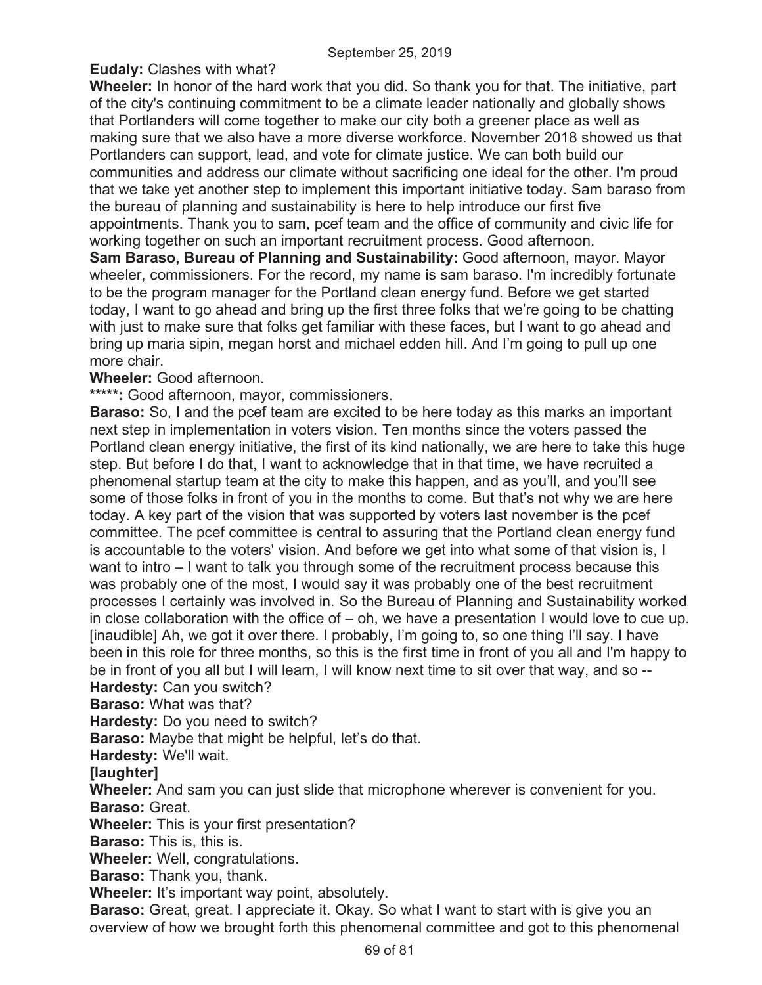**Eudaly:** Clashes with what?

**Wheeler:** In honor of the hard work that you did. So thank you for that. The initiative, part of the city's continuing commitment to be a climate leader nationally and globally shows that Portlanders will come together to make our city both a greener place as well as making sure that we also have a more diverse workforce. November 2018 showed us that Portlanders can support, lead, and vote for climate justice. We can both build our communities and address our climate without sacrificing one ideal for the other. I'm proud that we take yet another step to implement this important initiative today. Sam baraso from the bureau of planning and sustainability is here to help introduce our first five appointments. Thank you to sam, pcef team and the office of community and civic life for working together on such an important recruitment process. Good afternoon.

**Sam Baraso, Bureau of Planning and Sustainability:** Good afternoon, mayor. Mayor wheeler, commissioners. For the record, my name is sam baraso. I'm incredibly fortunate to be the program manager for the Portland clean energy fund. Before we get started today, I want to go ahead and bring up the first three folks that we're going to be chatting with just to make sure that folks get familiar with these faces, but I want to go ahead and bring up maria sipin, megan horst and michael edden hill. And I'm going to pull up one more chair.

### **Wheeler:** Good afternoon.

**\*\*\*\*\*:** Good afternoon, mayor, commissioners.

**Baraso:** So, I and the pcef team are excited to be here today as this marks an important next step in implementation in voters vision. Ten months since the voters passed the Portland clean energy initiative, the first of its kind nationally, we are here to take this huge step. But before I do that, I want to acknowledge that in that time, we have recruited a phenomenal startup team at the city to make this happen, and as you'll, and you'll see some of those folks in front of you in the months to come. But that's not why we are here today. A key part of the vision that was supported by voters last november is the pcef committee. The pcef committee is central to assuring that the Portland clean energy fund is accountable to the voters' vision. And before we get into what some of that vision is, I want to intro – I want to talk you through some of the recruitment process because this was probably one of the most, I would say it was probably one of the best recruitment processes I certainly was involved in. So the Bureau of Planning and Sustainability worked in close collaboration with the office of – oh, we have a presentation I would love to cue up. [inaudible] Ah, we got it over there. I probably, I'm going to, so one thing I'll say. I have been in this role for three months, so this is the first time in front of you all and I'm happy to be in front of you all but I will learn, I will know next time to sit over that way, and so -- **Hardesty:** Can you switch?

**Baraso:** What was that?

**Hardesty:** Do you need to switch?

**Baraso:** Maybe that might be helpful, let's do that.

**Hardesty:** We'll wait.

**[laughter]** 

**Wheeler:** And sam you can just slide that microphone wherever is convenient for you. **Baraso:** Great.

**Wheeler:** This is your first presentation?

**Baraso:** This is, this is.

**Wheeler:** Well, congratulations.

**Baraso:** Thank you, thank.

**Wheeler:** It's important way point, absolutely.

**Baraso:** Great, great. I appreciate it. Okay. So what I want to start with is give you an overview of how we brought forth this phenomenal committee and got to this phenomenal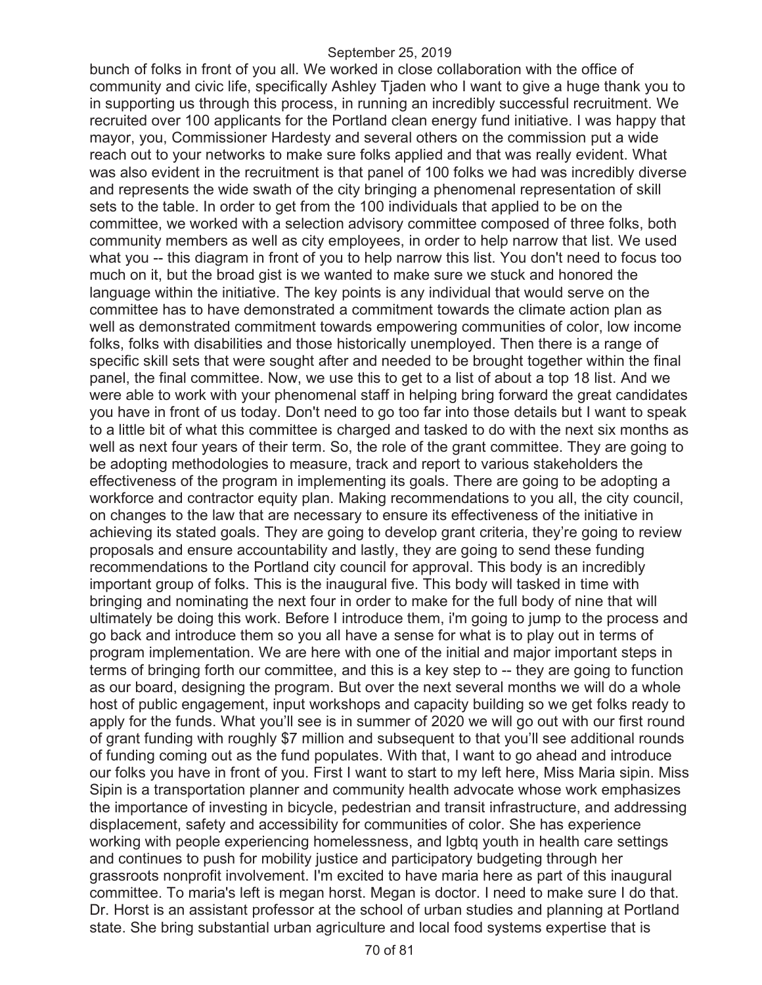bunch of folks in front of you all. We worked in close collaboration with the office of community and civic life, specifically Ashley Tjaden who I want to give a huge thank you to in supporting us through this process, in running an incredibly successful recruitment. We recruited over 100 applicants for the Portland clean energy fund initiative. I was happy that mayor, you, Commissioner Hardesty and several others on the commission put a wide reach out to your networks to make sure folks applied and that was really evident. What was also evident in the recruitment is that panel of 100 folks we had was incredibly diverse and represents the wide swath of the city bringing a phenomenal representation of skill sets to the table. In order to get from the 100 individuals that applied to be on the committee, we worked with a selection advisory committee composed of three folks, both community members as well as city employees, in order to help narrow that list. We used what you -- this diagram in front of you to help narrow this list. You don't need to focus too much on it, but the broad gist is we wanted to make sure we stuck and honored the language within the initiative. The key points is any individual that would serve on the committee has to have demonstrated a commitment towards the climate action plan as well as demonstrated commitment towards empowering communities of color, low income folks, folks with disabilities and those historically unemployed. Then there is a range of specific skill sets that were sought after and needed to be brought together within the final panel, the final committee. Now, we use this to get to a list of about a top 18 list. And we were able to work with your phenomenal staff in helping bring forward the great candidates you have in front of us today. Don't need to go too far into those details but I want to speak to a little bit of what this committee is charged and tasked to do with the next six months as well as next four years of their term. So, the role of the grant committee. They are going to be adopting methodologies to measure, track and report to various stakeholders the effectiveness of the program in implementing its goals. There are going to be adopting a workforce and contractor equity plan. Making recommendations to you all, the city council, on changes to the law that are necessary to ensure its effectiveness of the initiative in achieving its stated goals. They are going to develop grant criteria, they're going to review proposals and ensure accountability and lastly, they are going to send these funding recommendations to the Portland city council for approval. This body is an incredibly important group of folks. This is the inaugural five. This body will tasked in time with bringing and nominating the next four in order to make for the full body of nine that will ultimately be doing this work. Before I introduce them, i'm going to jump to the process and go back and introduce them so you all have a sense for what is to play out in terms of program implementation. We are here with one of the initial and major important steps in terms of bringing forth our committee, and this is a key step to -- they are going to function as our board, designing the program. But over the next several months we will do a whole host of public engagement, input workshops and capacity building so we get folks ready to apply for the funds. What you'll see is in summer of 2020 we will go out with our first round of grant funding with roughly \$7 million and subsequent to that you'll see additional rounds of funding coming out as the fund populates. With that, I want to go ahead and introduce our folks you have in front of you. First I want to start to my left here, Miss Maria sipin. Miss Sipin is a transportation planner and community health advocate whose work emphasizes the importance of investing in bicycle, pedestrian and transit infrastructure, and addressing displacement, safety and accessibility for communities of color. She has experience working with people experiencing homelessness, and lgbtq youth in health care settings and continues to push for mobility justice and participatory budgeting through her grassroots nonprofit involvement. I'm excited to have maria here as part of this inaugural committee. To maria's left is megan horst. Megan is doctor. I need to make sure I do that. Dr. Horst is an assistant professor at the school of urban studies and planning at Portland state. She bring substantial urban agriculture and local food systems expertise that is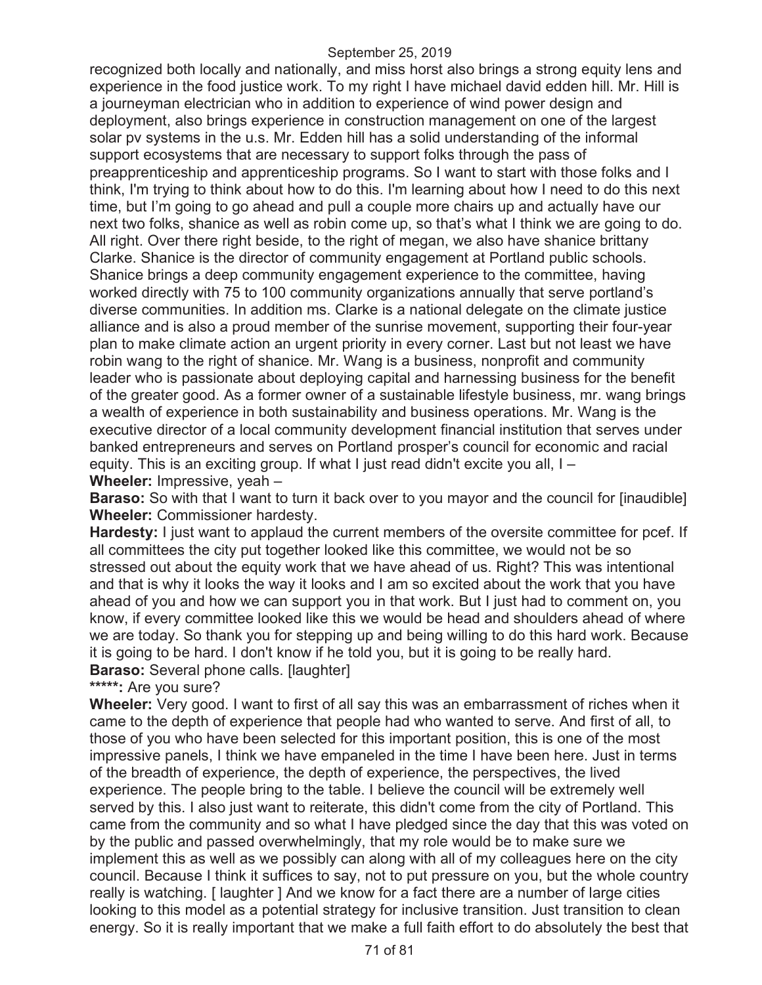recognized both locally and nationally, and miss horst also brings a strong equity lens and experience in the food justice work. To my right I have michael david edden hill. Mr. Hill is a journeyman electrician who in addition to experience of wind power design and deployment, also brings experience in construction management on one of the largest solar pv systems in the u.s. Mr. Edden hill has a solid understanding of the informal support ecosystems that are necessary to support folks through the pass of preapprenticeship and apprenticeship programs. So I want to start with those folks and I think, I'm trying to think about how to do this. I'm learning about how I need to do this next time, but I'm going to go ahead and pull a couple more chairs up and actually have our next two folks, shanice as well as robin come up, so that's what I think we are going to do. All right. Over there right beside, to the right of megan, we also have shanice brittany Clarke. Shanice is the director of community engagement at Portland public schools. Shanice brings a deep community engagement experience to the committee, having worked directly with 75 to 100 community organizations annually that serve portland's diverse communities. In addition ms. Clarke is a national delegate on the climate justice alliance and is also a proud member of the sunrise movement, supporting their four-year plan to make climate action an urgent priority in every corner. Last but not least we have robin wang to the right of shanice. Mr. Wang is a business, nonprofit and community leader who is passionate about deploying capital and harnessing business for the benefit of the greater good. As a former owner of a sustainable lifestyle business, mr. wang brings a wealth of experience in both sustainability and business operations. Mr. Wang is the executive director of a local community development financial institution that serves under banked entrepreneurs and serves on Portland prosper's council for economic and racial equity. This is an exciting group. If what I just read didn't excite you all, I – **Wheeler:** Impressive, yeah –

**Baraso:** So with that I want to turn it back over to you mayor and the council for [inaudible] **Wheeler:** Commissioner hardesty.

**Hardesty:** I just want to applaud the current members of the oversite committee for pcef. If all committees the city put together looked like this committee, we would not be so stressed out about the equity work that we have ahead of us. Right? This was intentional and that is why it looks the way it looks and I am so excited about the work that you have ahead of you and how we can support you in that work. But I just had to comment on, you know, if every committee looked like this we would be head and shoulders ahead of where we are today. So thank you for stepping up and being willing to do this hard work. Because it is going to be hard. I don't know if he told you, but it is going to be really hard.

**Baraso:** Several phone calls. [laughter]

### **\*\*\*\*\*:** Are you sure?

**Wheeler:** Very good. I want to first of all say this was an embarrassment of riches when it came to the depth of experience that people had who wanted to serve. And first of all, to those of you who have been selected for this important position, this is one of the most impressive panels, I think we have empaneled in the time I have been here. Just in terms of the breadth of experience, the depth of experience, the perspectives, the lived experience. The people bring to the table. I believe the council will be extremely well served by this. I also just want to reiterate, this didn't come from the city of Portland. This came from the community and so what I have pledged since the day that this was voted on by the public and passed overwhelmingly, that my role would be to make sure we implement this as well as we possibly can along with all of my colleagues here on the city council. Because I think it suffices to say, not to put pressure on you, but the whole country really is watching. [ laughter ] And we know for a fact there are a number of large cities looking to this model as a potential strategy for inclusive transition. Just transition to clean energy. So it is really important that we make a full faith effort to do absolutely the best that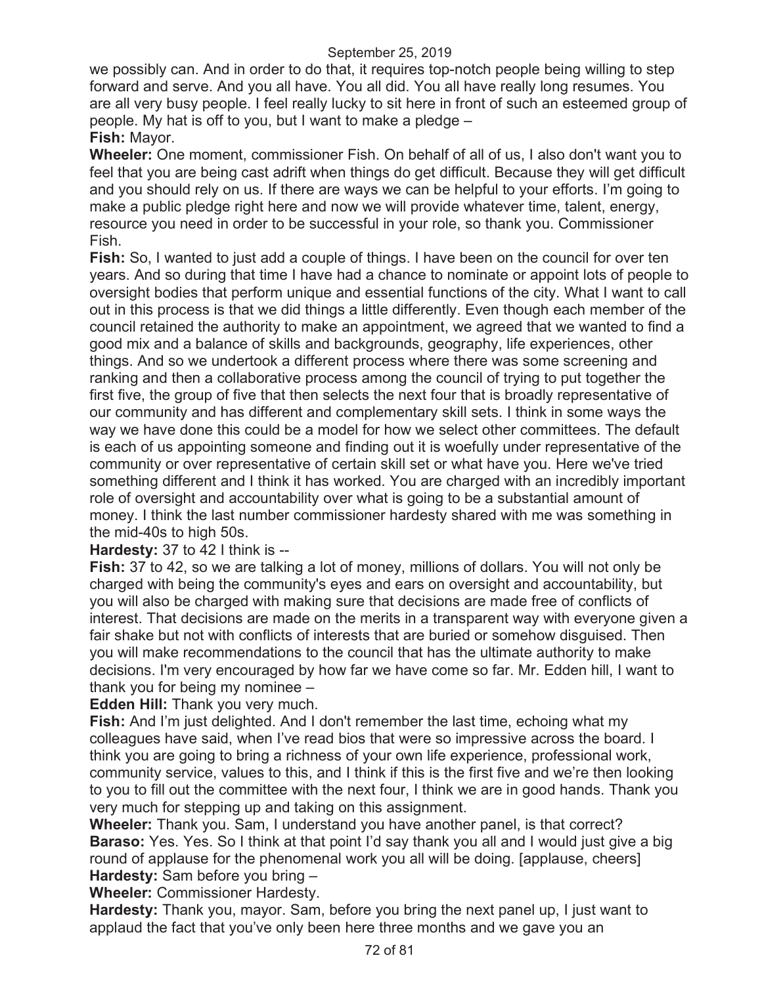we possibly can. And in order to do that, it requires top-notch people being willing to step forward and serve. And you all have. You all did. You all have really long resumes. You are all very busy people. I feel really lucky to sit here in front of such an esteemed group of people. My hat is off to you, but I want to make a pledge – **Fish:** Mayor.

**Wheeler:** One moment, commissioner Fish. On behalf of all of us, I also don't want you to feel that you are being cast adrift when things do get difficult. Because they will get difficult and you should rely on us. If there are ways we can be helpful to your efforts. I'm going to make a public pledge right here and now we will provide whatever time, talent, energy, resource you need in order to be successful in your role, so thank you. Commissioner Fish.

**Fish:** So, I wanted to just add a couple of things. I have been on the council for over ten years. And so during that time I have had a chance to nominate or appoint lots of people to oversight bodies that perform unique and essential functions of the city. What I want to call out in this process is that we did things a little differently. Even though each member of the council retained the authority to make an appointment, we agreed that we wanted to find a good mix and a balance of skills and backgrounds, geography, life experiences, other things. And so we undertook a different process where there was some screening and ranking and then a collaborative process among the council of trying to put together the first five, the group of five that then selects the next four that is broadly representative of our community and has different and complementary skill sets. I think in some ways the way we have done this could be a model for how we select other committees. The default is each of us appointing someone and finding out it is woefully under representative of the community or over representative of certain skill set or what have you. Here we've tried something different and I think it has worked. You are charged with an incredibly important role of oversight and accountability over what is going to be a substantial amount of money. I think the last number commissioner hardesty shared with me was something in the mid-40s to high 50s.

#### **Hardesty:** 37 to 42 I think is --

**Fish:** 37 to 42, so we are talking a lot of money, millions of dollars. You will not only be charged with being the community's eyes and ears on oversight and accountability, but you will also be charged with making sure that decisions are made free of conflicts of interest. That decisions are made on the merits in a transparent way with everyone given a fair shake but not with conflicts of interests that are buried or somehow disguised. Then you will make recommendations to the council that has the ultimate authority to make decisions. I'm very encouraged by how far we have come so far. Mr. Edden hill, I want to thank you for being my nominee –

**Edden Hill:** Thank you very much.

**Fish:** And I'm just delighted. And I don't remember the last time, echoing what my colleagues have said, when I've read bios that were so impressive across the board. I think you are going to bring a richness of your own life experience, professional work, community service, values to this, and I think if this is the first five and we're then looking to you to fill out the committee with the next four, I think we are in good hands. Thank you very much for stepping up and taking on this assignment.

**Wheeler:** Thank you. Sam, I understand you have another panel, is that correct? **Baraso:** Yes. Yes. So I think at that point I'd say thank you all and I would just give a big round of applause for the phenomenal work you all will be doing. [applause, cheers] **Hardesty:** Sam before you bring –

**Wheeler:** Commissioner Hardesty.

**Hardesty:** Thank you, mayor. Sam, before you bring the next panel up, I just want to applaud the fact that you've only been here three months and we gave you an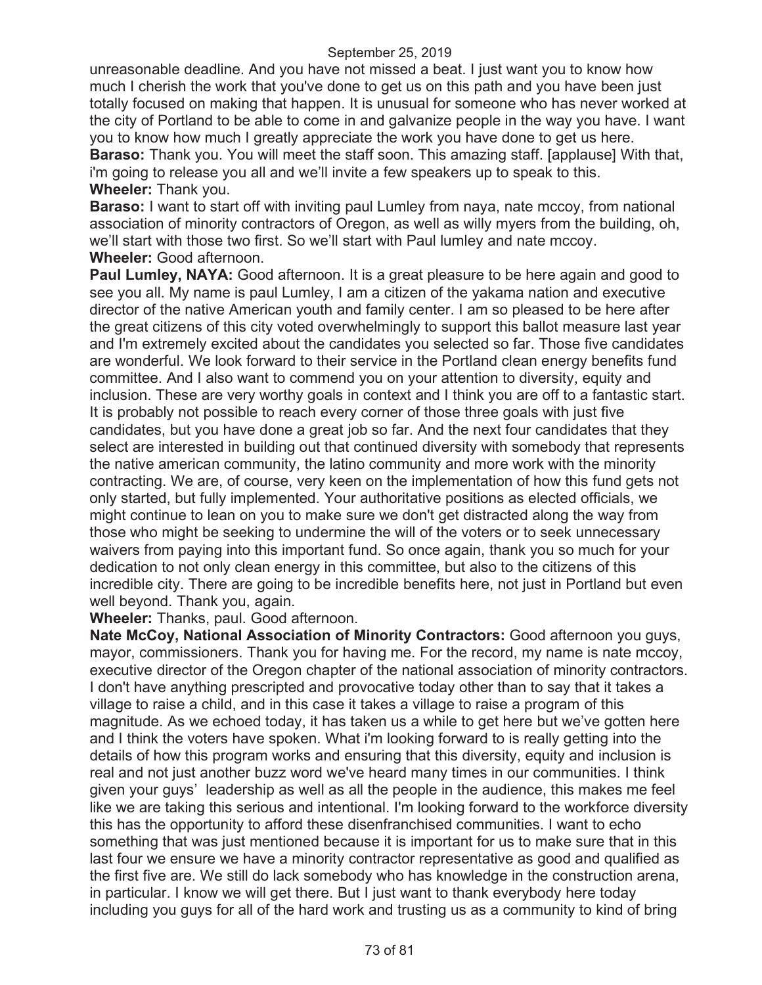unreasonable deadline. And you have not missed a beat. I just want you to know how much I cherish the work that you've done to get us on this path and you have been just totally focused on making that happen. It is unusual for someone who has never worked at the city of Portland to be able to come in and galvanize people in the way you have. I want you to know how much I greatly appreciate the work you have done to get us here. **Baraso:** Thank you. You will meet the staff soon. This amazing staff. [applause] With that,

i'm going to release you all and we'll invite a few speakers up to speak to this. **Wheeler:** Thank you.

**Baraso:** I want to start off with inviting paul Lumley from naya, nate mccoy, from national association of minority contractors of Oregon, as well as willy myers from the building, oh, we'll start with those two first. So we'll start with Paul lumley and nate mccoy. **Wheeler:** Good afternoon.

**Paul Lumley, NAYA:** Good afternoon. It is a great pleasure to be here again and good to see you all. My name is paul Lumley, I am a citizen of the yakama nation and executive director of the native American youth and family center. I am so pleased to be here after the great citizens of this city voted overwhelmingly to support this ballot measure last year and I'm extremely excited about the candidates you selected so far. Those five candidates are wonderful. We look forward to their service in the Portland clean energy benefits fund committee. And I also want to commend you on your attention to diversity, equity and inclusion. These are very worthy goals in context and I think you are off to a fantastic start. It is probably not possible to reach every corner of those three goals with just five candidates, but you have done a great job so far. And the next four candidates that they select are interested in building out that continued diversity with somebody that represents the native american community, the latino community and more work with the minority contracting. We are, of course, very keen on the implementation of how this fund gets not only started, but fully implemented. Your authoritative positions as elected officials, we might continue to lean on you to make sure we don't get distracted along the way from those who might be seeking to undermine the will of the voters or to seek unnecessary waivers from paying into this important fund. So once again, thank you so much for your dedication to not only clean energy in this committee, but also to the citizens of this incredible city. There are going to be incredible benefits here, not just in Portland but even well beyond. Thank you, again.

**Wheeler:** Thanks, paul. Good afternoon.

**Nate McCoy, National Association of Minority Contractors:** Good afternoon you guys, mayor, commissioners. Thank you for having me. For the record, my name is nate mccoy, executive director of the Oregon chapter of the national association of minority contractors. I don't have anything prescripted and provocative today other than to say that it takes a village to raise a child, and in this case it takes a village to raise a program of this magnitude. As we echoed today, it has taken us a while to get here but we've gotten here and I think the voters have spoken. What i'm looking forward to is really getting into the details of how this program works and ensuring that this diversity, equity and inclusion is real and not just another buzz word we've heard many times in our communities. I think given your guys' leadership as well as all the people in the audience, this makes me feel like we are taking this serious and intentional. I'm looking forward to the workforce diversity this has the opportunity to afford these disenfranchised communities. I want to echo something that was just mentioned because it is important for us to make sure that in this last four we ensure we have a minority contractor representative as good and qualified as the first five are. We still do lack somebody who has knowledge in the construction arena, in particular. I know we will get there. But I just want to thank everybody here today including you guys for all of the hard work and trusting us as a community to kind of bring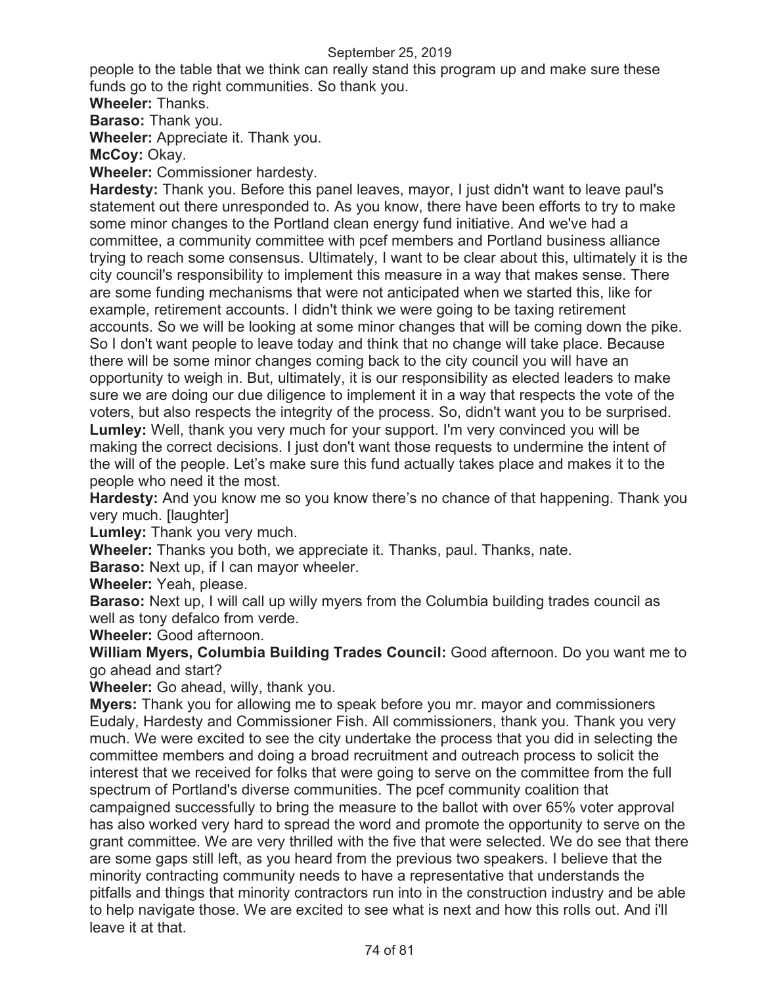people to the table that we think can really stand this program up and make sure these funds go to the right communities. So thank you.

**Wheeler:** Thanks.

**Baraso:** Thank you.

**Wheeler:** Appreciate it. Thank you.

**McCoy:** Okay.

**Wheeler:** Commissioner hardesty.

**Hardesty:** Thank you. Before this panel leaves, mayor, I just didn't want to leave paul's statement out there unresponded to. As you know, there have been efforts to try to make some minor changes to the Portland clean energy fund initiative. And we've had a committee, a community committee with pcef members and Portland business alliance trying to reach some consensus. Ultimately, I want to be clear about this, ultimately it is the city council's responsibility to implement this measure in a way that makes sense. There are some funding mechanisms that were not anticipated when we started this, like for example, retirement accounts. I didn't think we were going to be taxing retirement accounts. So we will be looking at some minor changes that will be coming down the pike. So I don't want people to leave today and think that no change will take place. Because there will be some minor changes coming back to the city council you will have an opportunity to weigh in. But, ultimately, it is our responsibility as elected leaders to make sure we are doing our due diligence to implement it in a way that respects the vote of the voters, but also respects the integrity of the process. So, didn't want you to be surprised. **Lumley:** Well, thank you very much for your support. I'm very convinced you will be making the correct decisions. I just don't want those requests to undermine the intent of the will of the people. Let's make sure this fund actually takes place and makes it to the people who need it the most.

**Hardesty:** And you know me so you know there's no chance of that happening. Thank you very much. [laughter]

**Lumley:** Thank you very much.

**Wheeler:** Thanks you both, we appreciate it. Thanks, paul. Thanks, nate.

**Baraso:** Next up, if I can mayor wheeler.

**Wheeler:** Yeah, please.

**Baraso:** Next up, I will call up willy myers from the Columbia building trades council as well as tony defalco from verde.

**Wheeler:** Good afternoon.

**William Myers, Columbia Building Trades Council:** Good afternoon. Do you want me to go ahead and start?

**Wheeler:** Go ahead, willy, thank you.

**Myers:** Thank you for allowing me to speak before you mr. mayor and commissioners Eudaly, Hardesty and Commissioner Fish. All commissioners, thank you. Thank you very much. We were excited to see the city undertake the process that you did in selecting the committee members and doing a broad recruitment and outreach process to solicit the interest that we received for folks that were going to serve on the committee from the full spectrum of Portland's diverse communities. The pcef community coalition that campaigned successfully to bring the measure to the ballot with over 65% voter approval has also worked very hard to spread the word and promote the opportunity to serve on the grant committee. We are very thrilled with the five that were selected. We do see that there are some gaps still left, as you heard from the previous two speakers. I believe that the minority contracting community needs to have a representative that understands the pitfalls and things that minority contractors run into in the construction industry and be able to help navigate those. We are excited to see what is next and how this rolls out. And i'll leave it at that.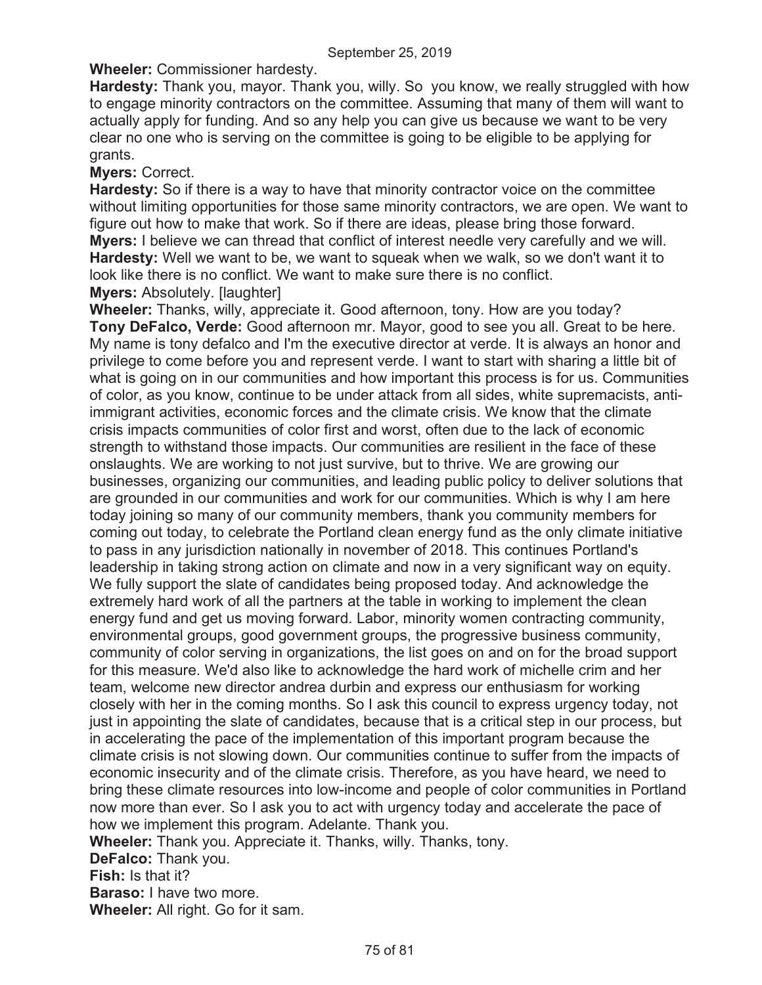**Wheeler:** Commissioner hardesty.

**Hardesty:** Thank you, mayor. Thank you, willy. So you know, we really struggled with how to engage minority contractors on the committee. Assuming that many of them will want to actually apply for funding. And so any help you can give us because we want to be very clear no one who is serving on the committee is going to be eligible to be applying for grants.

# **Myers:** Correct.

**Hardesty:** So if there is a way to have that minority contractor voice on the committee without limiting opportunities for those same minority contractors, we are open. We want to figure out how to make that work. So if there are ideas, please bring those forward. **Myers:** I believe we can thread that conflict of interest needle very carefully and we will. **Hardesty:** Well we want to be, we want to squeak when we walk, so we don't want it to look like there is no conflict. We want to make sure there is no conflict. **Myers:** Absolutely. [laughter]

**Wheeler:** Thanks, willy, appreciate it. Good afternoon, tony. How are you today? **Tony DeFalco, Verde:** Good afternoon mr. Mayor, good to see you all. Great to be here. My name is tony defalco and I'm the executive director at verde. It is always an honor and privilege to come before you and represent verde. I want to start with sharing a little bit of what is going on in our communities and how important this process is for us. Communities of color, as you know, continue to be under attack from all sides, white supremacists, antiimmigrant activities, economic forces and the climate crisis. We know that the climate crisis impacts communities of color first and worst, often due to the lack of economic strength to withstand those impacts. Our communities are resilient in the face of these onslaughts. We are working to not just survive, but to thrive. We are growing our businesses, organizing our communities, and leading public policy to deliver solutions that are grounded in our communities and work for our communities. Which is why I am here today joining so many of our community members, thank you community members for coming out today, to celebrate the Portland clean energy fund as the only climate initiative to pass in any jurisdiction nationally in november of 2018. This continues Portland's leadership in taking strong action on climate and now in a very significant way on equity. We fully support the slate of candidates being proposed today. And acknowledge the extremely hard work of all the partners at the table in working to implement the clean energy fund and get us moving forward. Labor, minority women contracting community, environmental groups, good government groups, the progressive business community, community of color serving in organizations, the list goes on and on for the broad support for this measure. We'd also like to acknowledge the hard work of michelle crim and her team, welcome new director andrea durbin and express our enthusiasm for working closely with her in the coming months. So I ask this council to express urgency today, not just in appointing the slate of candidates, because that is a critical step in our process, but in accelerating the pace of the implementation of this important program because the climate crisis is not slowing down. Our communities continue to suffer from the impacts of economic insecurity and of the climate crisis. Therefore, as you have heard, we need to bring these climate resources into low-income and people of color communities in Portland now more than ever. So I ask you to act with urgency today and accelerate the pace of how we implement this program. Adelante. Thank you. **Wheeler:** Thank you. Appreciate it. Thanks, willy. Thanks, tony. **DeFalco:** Thank you.

**Fish:** Is that it?

**Baraso:** I have two more.

**Wheeler:** All right. Go for it sam.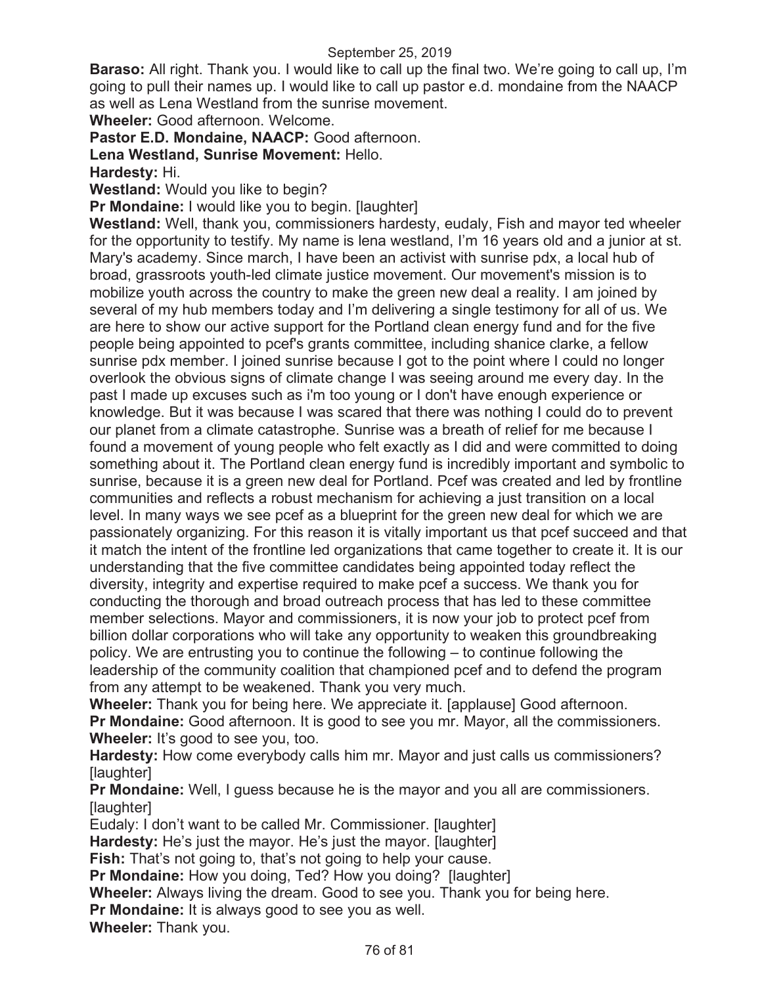**Baraso:** All right. Thank you. I would like to call up the final two. We're going to call up, I'm going to pull their names up. I would like to call up pastor e.d. mondaine from the NAACP as well as Lena Westland from the sunrise movement.

**Wheeler:** Good afternoon. Welcome.

**Pastor E.D. Mondaine, NAACP:** Good afternoon.

**Lena Westland, Sunrise Movement:** Hello.

**Hardesty:** Hi.

**Westland:** Would you like to begin?

**Pr Mondaine:** I would like you to begin. [laughter]

**Westland:** Well, thank you, commissioners hardesty, eudaly, Fish and mayor ted wheeler for the opportunity to testify. My name is lena westland, I'm 16 years old and a junior at st. Mary's academy. Since march, I have been an activist with sunrise pdx, a local hub of broad, grassroots youth-led climate justice movement. Our movement's mission is to mobilize youth across the country to make the green new deal a reality. I am joined by several of my hub members today and I'm delivering a single testimony for all of us. We are here to show our active support for the Portland clean energy fund and for the five people being appointed to pcef's grants committee, including shanice clarke, a fellow sunrise pdx member. I joined sunrise because I got to the point where I could no longer overlook the obvious signs of climate change I was seeing around me every day. In the past I made up excuses such as i'm too young or I don't have enough experience or knowledge. But it was because I was scared that there was nothing I could do to prevent our planet from a climate catastrophe. Sunrise was a breath of relief for me because I found a movement of young people who felt exactly as I did and were committed to doing something about it. The Portland clean energy fund is incredibly important and symbolic to sunrise, because it is a green new deal for Portland. Pcef was created and led by frontline communities and reflects a robust mechanism for achieving a just transition on a local level. In many ways we see pcef as a blueprint for the green new deal for which we are passionately organizing. For this reason it is vitally important us that pcef succeed and that it match the intent of the frontline led organizations that came together to create it. It is our understanding that the five committee candidates being appointed today reflect the diversity, integrity and expertise required to make pcef a success. We thank you for conducting the thorough and broad outreach process that has led to these committee member selections. Mayor and commissioners, it is now your job to protect pcef from billion dollar corporations who will take any opportunity to weaken this groundbreaking policy. We are entrusting you to continue the following – to continue following the leadership of the community coalition that championed pcef and to defend the program from any attempt to be weakened. Thank you very much.

**Wheeler:** Thank you for being here. We appreciate it. [applause] Good afternoon. **Pr Mondaine:** Good afternoon. It is good to see you mr. Mayor, all the commissioners. **Wheeler:** It's good to see you, too.

**Hardesty:** How come everybody calls him mr. Mayor and just calls us commissioners? [laughter]

**Pr Mondaine:** Well, I guess because he is the mayor and you all are commissioners. [laughter]

Eudaly: I don't want to be called Mr. Commissioner. [laughter] **Hardesty:** He's just the mayor. He's just the mayor. [laughter]

**Fish:** That's not going to, that's not going to help your cause.

**Pr Mondaine:** How you doing, Ted? How you doing? [laughter]

**Wheeler:** Always living the dream. Good to see you. Thank you for being here.

**Pr Mondaine:** It is always good to see you as well.

**Wheeler:** Thank you.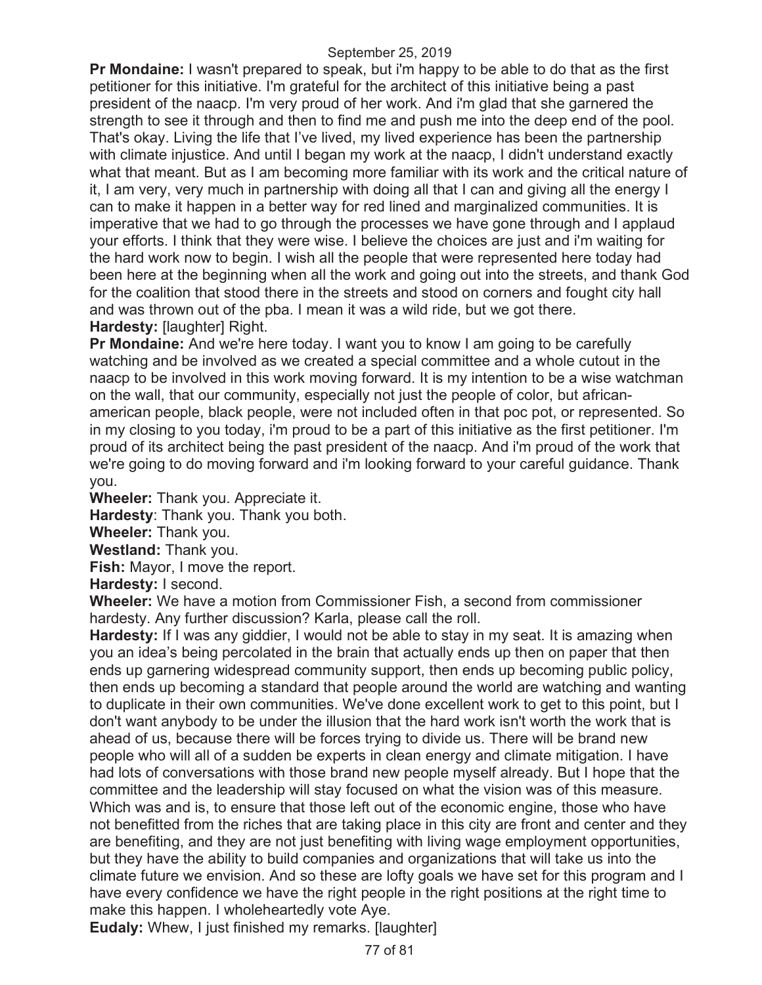**Pr Mondaine:** I wasn't prepared to speak, but i'm happy to be able to do that as the first petitioner for this initiative. I'm grateful for the architect of this initiative being a past president of the naacp. I'm very proud of her work. And i'm glad that she garnered the strength to see it through and then to find me and push me into the deep end of the pool. That's okay. Living the life that I've lived, my lived experience has been the partnership with climate injustice. And until I began my work at the naacp, I didn't understand exactly what that meant. But as I am becoming more familiar with its work and the critical nature of it, I am very, very much in partnership with doing all that I can and giving all the energy I can to make it happen in a better way for red lined and marginalized communities. It is imperative that we had to go through the processes we have gone through and I applaud your efforts. I think that they were wise. I believe the choices are just and i'm waiting for the hard work now to begin. I wish all the people that were represented here today had been here at the beginning when all the work and going out into the streets, and thank God for the coalition that stood there in the streets and stood on corners and fought city hall and was thrown out of the pba. I mean it was a wild ride, but we got there. **Hardesty:** [laughter] Right.

**Pr Mondaine:** And we're here today. I want you to know I am going to be carefully watching and be involved as we created a special committee and a whole cutout in the naacp to be involved in this work moving forward. It is my intention to be a wise watchman on the wall, that our community, especially not just the people of color, but africanamerican people, black people, were not included often in that poc pot, or represented. So in my closing to you today, i'm proud to be a part of this initiative as the first petitioner. I'm proud of its architect being the past president of the naacp. And i'm proud of the work that we're going to do moving forward and i'm looking forward to your careful guidance. Thank you.

**Wheeler:** Thank you. Appreciate it.

**Hardesty**: Thank you. Thank you both.

**Wheeler:** Thank you.

**Westland:** Thank you.

**Fish:** Mayor, I move the report.

**Hardesty:** I second.

**Wheeler:** We have a motion from Commissioner Fish, a second from commissioner hardesty. Any further discussion? Karla, please call the roll.

**Hardesty:** If I was any giddier, I would not be able to stay in my seat. It is amazing when you an idea's being percolated in the brain that actually ends up then on paper that then ends up garnering widespread community support, then ends up becoming public policy, then ends up becoming a standard that people around the world are watching and wanting to duplicate in their own communities. We've done excellent work to get to this point, but I don't want anybody to be under the illusion that the hard work isn't worth the work that is ahead of us, because there will be forces trying to divide us. There will be brand new people who will all of a sudden be experts in clean energy and climate mitigation. I have had lots of conversations with those brand new people myself already. But I hope that the committee and the leadership will stay focused on what the vision was of this measure. Which was and is, to ensure that those left out of the economic engine, those who have not benefitted from the riches that are taking place in this city are front and center and they are benefiting, and they are not just benefiting with living wage employment opportunities, but they have the ability to build companies and organizations that will take us into the climate future we envision. And so these are lofty goals we have set for this program and I have every confidence we have the right people in the right positions at the right time to make this happen. I wholeheartedly vote Aye.

**Eudaly:** Whew, I just finished my remarks. [laughter]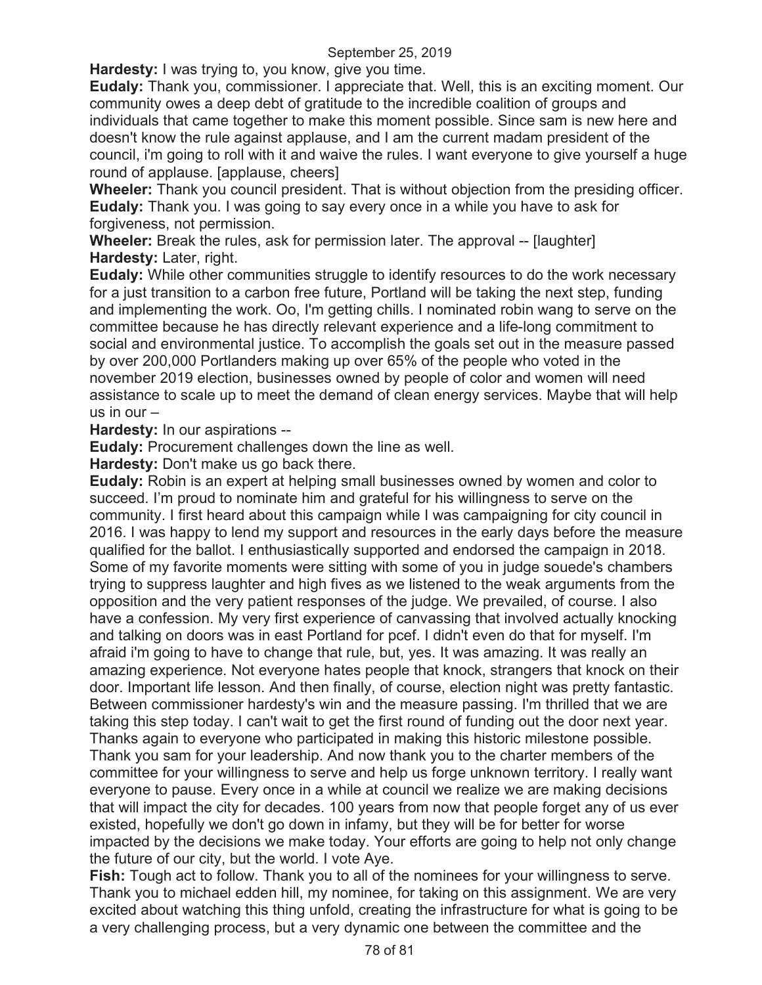**Hardesty:** I was trying to, you know, give you time.

**Eudaly:** Thank you, commissioner. I appreciate that. Well, this is an exciting moment. Our community owes a deep debt of gratitude to the incredible coalition of groups and individuals that came together to make this moment possible. Since sam is new here and doesn't know the rule against applause, and I am the current madam president of the council, i'm going to roll with it and waive the rules. I want everyone to give yourself a huge round of applause. [applause, cheers]

**Wheeler:** Thank you council president. That is without objection from the presiding officer. **Eudaly:** Thank you. I was going to say every once in a while you have to ask for forgiveness, not permission.

**Wheeler:** Break the rules, ask for permission later. The approval -- [laughter] **Hardesty:** Later, right.

**Eudaly:** While other communities struggle to identify resources to do the work necessary for a just transition to a carbon free future, Portland will be taking the next step, funding and implementing the work. Oo, I'm getting chills. I nominated robin wang to serve on the committee because he has directly relevant experience and a life-long commitment to social and environmental justice. To accomplish the goals set out in the measure passed by over 200,000 Portlanders making up over 65% of the people who voted in the november 2019 election, businesses owned by people of color and women will need assistance to scale up to meet the demand of clean energy services. Maybe that will help us in our –

**Hardesty:** In our aspirations --

**Eudaly:** Procurement challenges down the line as well.

**Hardesty:** Don't make us go back there.

**Eudaly:** Robin is an expert at helping small businesses owned by women and color to succeed. I'm proud to nominate him and grateful for his willingness to serve on the community. I first heard about this campaign while I was campaigning for city council in 2016. I was happy to lend my support and resources in the early days before the measure qualified for the ballot. I enthusiastically supported and endorsed the campaign in 2018. Some of my favorite moments were sitting with some of you in judge souede's chambers trying to suppress laughter and high fives as we listened to the weak arguments from the opposition and the very patient responses of the judge. We prevailed, of course. I also have a confession. My very first experience of canvassing that involved actually knocking and talking on doors was in east Portland for pcef. I didn't even do that for myself. I'm afraid i'm going to have to change that rule, but, yes. It was amazing. It was really an amazing experience. Not everyone hates people that knock, strangers that knock on their door. Important life lesson. And then finally, of course, election night was pretty fantastic. Between commissioner hardesty's win and the measure passing. I'm thrilled that we are taking this step today. I can't wait to get the first round of funding out the door next year. Thanks again to everyone who participated in making this historic milestone possible. Thank you sam for your leadership. And now thank you to the charter members of the committee for your willingness to serve and help us forge unknown territory. I really want everyone to pause. Every once in a while at council we realize we are making decisions that will impact the city for decades. 100 years from now that people forget any of us ever existed, hopefully we don't go down in infamy, but they will be for better for worse impacted by the decisions we make today. Your efforts are going to help not only change the future of our city, but the world. I vote Aye.

**Fish:** Tough act to follow. Thank you to all of the nominees for your willingness to serve. Thank you to michael edden hill, my nominee, for taking on this assignment. We are very excited about watching this thing unfold, creating the infrastructure for what is going to be a very challenging process, but a very dynamic one between the committee and the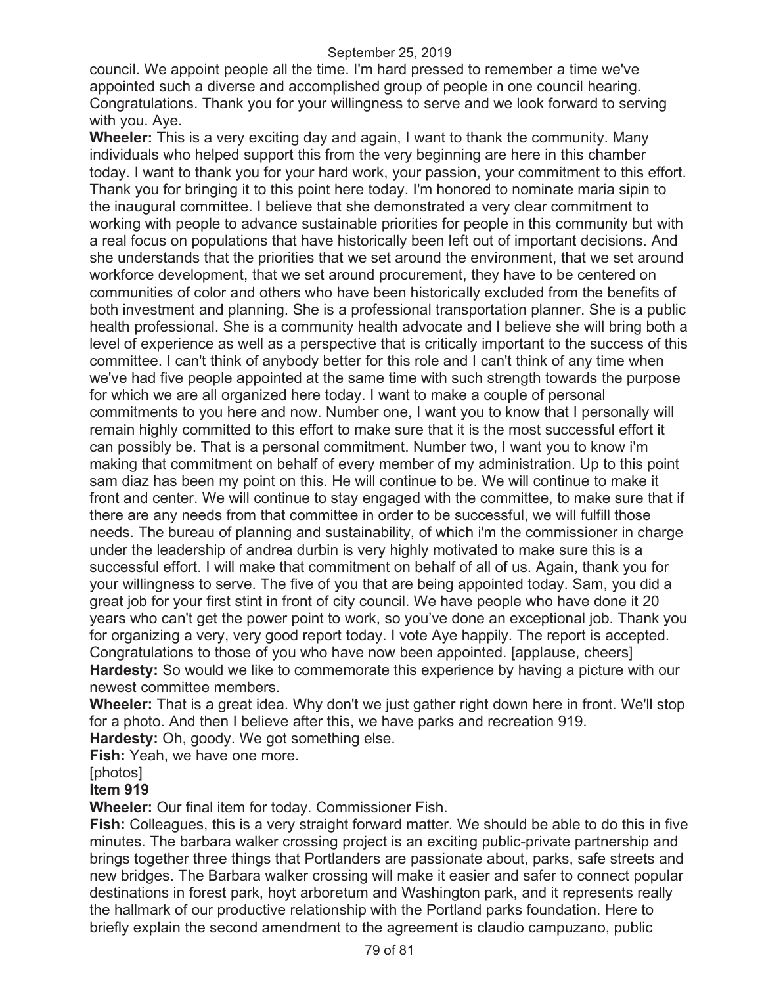council. We appoint people all the time. I'm hard pressed to remember a time we've appointed such a diverse and accomplished group of people in one council hearing. Congratulations. Thank you for your willingness to serve and we look forward to serving with you. Aye.

**Wheeler:** This is a very exciting day and again, I want to thank the community. Many individuals who helped support this from the very beginning are here in this chamber today. I want to thank you for your hard work, your passion, your commitment to this effort. Thank you for bringing it to this point here today. I'm honored to nominate maria sipin to the inaugural committee. I believe that she demonstrated a very clear commitment to working with people to advance sustainable priorities for people in this community but with a real focus on populations that have historically been left out of important decisions. And she understands that the priorities that we set around the environment, that we set around workforce development, that we set around procurement, they have to be centered on communities of color and others who have been historically excluded from the benefits of both investment and planning. She is a professional transportation planner. She is a public health professional. She is a community health advocate and I believe she will bring both a level of experience as well as a perspective that is critically important to the success of this committee. I can't think of anybody better for this role and I can't think of any time when we've had five people appointed at the same time with such strength towards the purpose for which we are all organized here today. I want to make a couple of personal commitments to you here and now. Number one, I want you to know that I personally will remain highly committed to this effort to make sure that it is the most successful effort it can possibly be. That is a personal commitment. Number two, I want you to know i'm making that commitment on behalf of every member of my administration. Up to this point sam diaz has been my point on this. He will continue to be. We will continue to make it front and center. We will continue to stay engaged with the committee, to make sure that if there are any needs from that committee in order to be successful, we will fulfill those needs. The bureau of planning and sustainability, of which i'm the commissioner in charge under the leadership of andrea durbin is very highly motivated to make sure this is a successful effort. I will make that commitment on behalf of all of us. Again, thank you for your willingness to serve. The five of you that are being appointed today. Sam, you did a great job for your first stint in front of city council. We have people who have done it 20 years who can't get the power point to work, so you've done an exceptional job. Thank you for organizing a very, very good report today. I vote Aye happily. The report is accepted. Congratulations to those of you who have now been appointed. [applause, cheers] **Hardesty:** So would we like to commemorate this experience by having a picture with our newest committee members.

**Wheeler:** That is a great idea. Why don't we just gather right down here in front. We'll stop for a photo. And then I believe after this, we have parks and recreation 919.

**Hardesty:** Oh, goody. We got something else.

**Fish:** Yeah, we have one more.

[photos]

#### **Item 919**

**Wheeler:** Our final item for today. Commissioner Fish.

**Fish:** Colleagues, this is a very straight forward matter. We should be able to do this in five minutes. The barbara walker crossing project is an exciting public-private partnership and brings together three things that Portlanders are passionate about, parks, safe streets and new bridges. The Barbara walker crossing will make it easier and safer to connect popular destinations in forest park, hoyt arboretum and Washington park, and it represents really the hallmark of our productive relationship with the Portland parks foundation. Here to briefly explain the second amendment to the agreement is claudio campuzano, public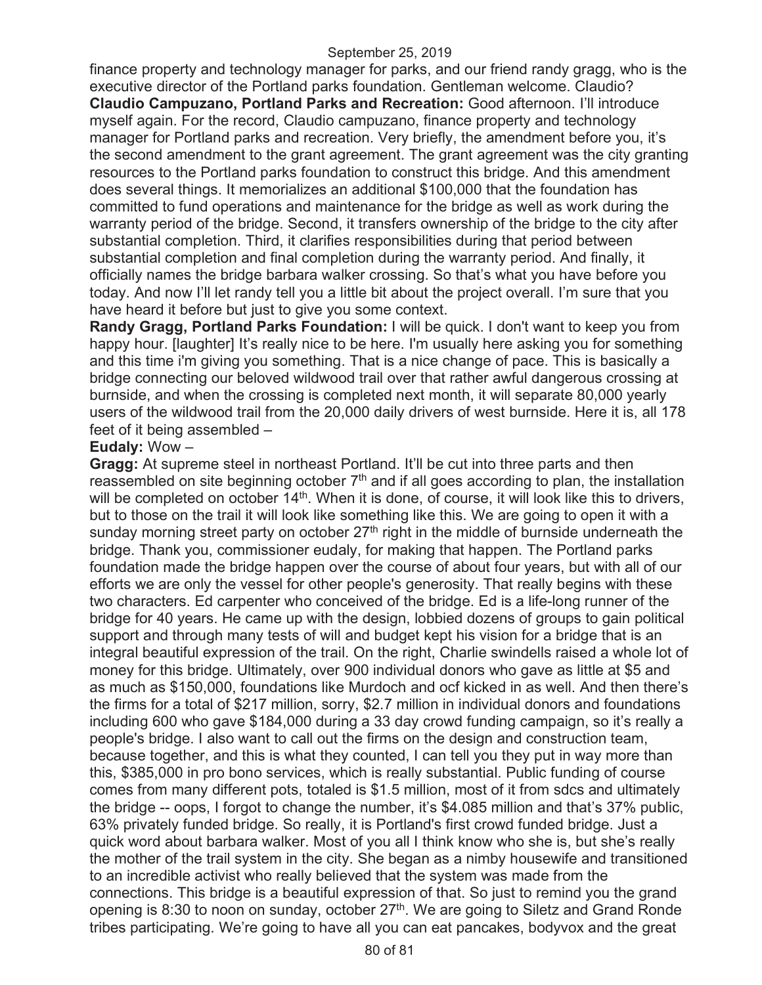finance property and technology manager for parks, and our friend randy gragg, who is the executive director of the Portland parks foundation. Gentleman welcome. Claudio? **Claudio Campuzano, Portland Parks and Recreation:** Good afternoon. I'll introduce myself again. For the record, Claudio campuzano, finance property and technology manager for Portland parks and recreation. Very briefly, the amendment before you, it's the second amendment to the grant agreement. The grant agreement was the city granting resources to the Portland parks foundation to construct this bridge. And this amendment does several things. It memorializes an additional \$100,000 that the foundation has committed to fund operations and maintenance for the bridge as well as work during the warranty period of the bridge. Second, it transfers ownership of the bridge to the city after substantial completion. Third, it clarifies responsibilities during that period between substantial completion and final completion during the warranty period. And finally, it officially names the bridge barbara walker crossing. So that's what you have before you today. And now I'll let randy tell you a little bit about the project overall. I'm sure that you have heard it before but just to give you some context.

**Randy Gragg, Portland Parks Foundation:** I will be quick. I don't want to keep you from happy hour. [laughter] It's really nice to be here. I'm usually here asking you for something and this time i'm giving you something. That is a nice change of pace. This is basically a bridge connecting our beloved wildwood trail over that rather awful dangerous crossing at burnside, and when the crossing is completed next month, it will separate 80,000 yearly users of the wildwood trail from the 20,000 daily drivers of west burnside. Here it is, all 178 feet of it being assembled –

## **Eudaly:** Wow –

**Gragg:** At supreme steel in northeast Portland. It'll be cut into three parts and then reassembled on site beginning october  $7<sup>th</sup>$  and if all goes according to plan, the installation will be completed on october 14<sup>th</sup>. When it is done, of course, it will look like this to drivers, but to those on the trail it will look like something like this. We are going to open it with a sunday morning street party on october  $27<sup>th</sup>$  right in the middle of burnside underneath the bridge. Thank you, commissioner eudaly, for making that happen. The Portland parks foundation made the bridge happen over the course of about four years, but with all of our efforts we are only the vessel for other people's generosity. That really begins with these two characters. Ed carpenter who conceived of the bridge. Ed is a life-long runner of the bridge for 40 years. He came up with the design, lobbied dozens of groups to gain political support and through many tests of will and budget kept his vision for a bridge that is an integral beautiful expression of the trail. On the right, Charlie swindells raised a whole lot of money for this bridge. Ultimately, over 900 individual donors who gave as little at \$5 and as much as \$150,000, foundations like Murdoch and ocf kicked in as well. And then there's the firms for a total of \$217 million, sorry, \$2.7 million in individual donors and foundations including 600 who gave \$184,000 during a 33 day crowd funding campaign, so it's really a people's bridge. I also want to call out the firms on the design and construction team, because together, and this is what they counted, I can tell you they put in way more than this, \$385,000 in pro bono services, which is really substantial. Public funding of course comes from many different pots, totaled is \$1.5 million, most of it from sdcs and ultimately the bridge -- oops, I forgot to change the number, it's \$4.085 million and that's 37% public, 63% privately funded bridge. So really, it is Portland's first crowd funded bridge. Just a quick word about barbara walker. Most of you all I think know who she is, but she's really the mother of the trail system in the city. She began as a nimby housewife and transitioned to an incredible activist who really believed that the system was made from the connections. This bridge is a beautiful expression of that. So just to remind you the grand opening is 8:30 to noon on sunday, october  $27<sup>th</sup>$ . We are going to Siletz and Grand Ronde tribes participating. We're going to have all you can eat pancakes, bodyvox and the great